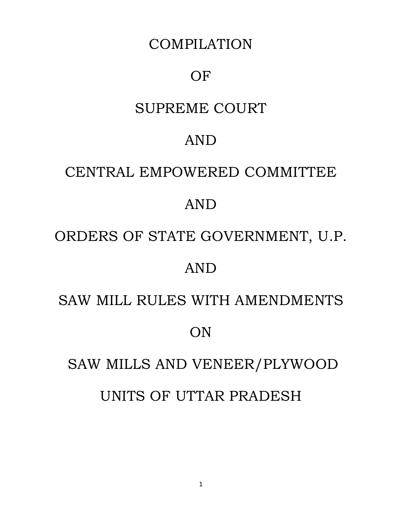# COMPILATION

# OF

# SUPREME COURT

# AND

# CENTRAL EMPOWERED COMMITTEE

# AND

# ORDERS OF STATE GOVERNMENT, U.P.

# AND

# SAW MILL RULES WITH AMENDMENTS

# **ON**

# SAW MILLS AND VENEER/PLYWOOD UNITS OF UTTAR PRADESH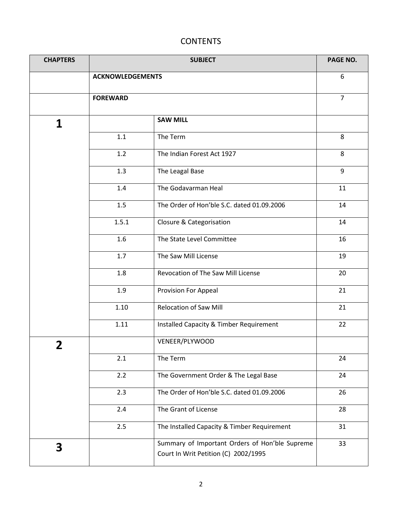# **CONTENTS**

| <b>CHAPTERS</b>         |                         | PAGE NO.                                                                               |                |
|-------------------------|-------------------------|----------------------------------------------------------------------------------------|----------------|
|                         | <b>ACKNOWLEDGEMENTS</b> |                                                                                        | 6              |
|                         | <b>FOREWARD</b>         |                                                                                        | $\overline{7}$ |
| 1                       |                         | <b>SAW MILL</b>                                                                        |                |
|                         | 1.1                     | The Term                                                                               | 8              |
|                         | 1.2                     | The Indian Forest Act 1927                                                             | 8              |
|                         | 1.3                     | The Leagal Base                                                                        | 9              |
|                         | 1.4                     | The Godavarman Heal                                                                    | 11             |
|                         | 1.5                     | The Order of Hon'ble S.C. dated 01.09.2006                                             | 14             |
|                         | 1.5.1                   | Closure & Categorisation                                                               | 14             |
|                         | 1.6                     | The State Level Committee                                                              | 16             |
|                         | 1.7                     | The Saw Mill License                                                                   | 19             |
|                         | 1.8                     | Revocation of The Saw Mill License                                                     | 20             |
|                         | 1.9                     | Provision For Appeal                                                                   | 21             |
|                         | 1.10                    | <b>Relocation of Saw Mill</b>                                                          | 21             |
|                         | 1.11                    | Installed Capacity & Timber Requirement                                                | 22             |
| $\overline{\mathbf{2}}$ |                         | VENEER/PLYWOOD                                                                         |                |
|                         | 2.1                     | The Term                                                                               | 24             |
|                         | 2.2                     | The Government Order & The Legal Base                                                  | 24             |
|                         | 2.3                     | The Order of Hon'ble S.C. dated 01.09.2006                                             | 26             |
|                         | 2.4                     | The Grant of License                                                                   | 28             |
|                         | 2.5                     | The Installed Capacity & Timber Requirement                                            | 31             |
| 3                       |                         | Summary of Important Orders of Hon'ble Supreme<br>Court In Writ Petition (C) 2002/1995 | 33             |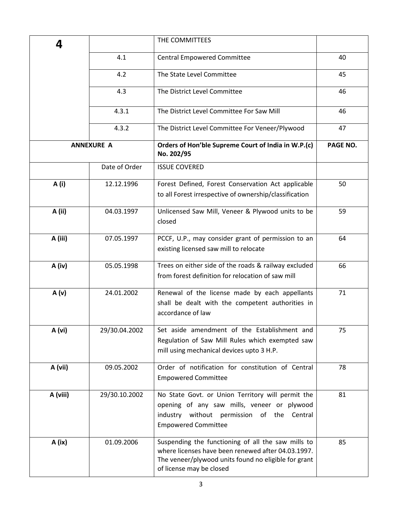| 4        |                   | THE COMMITTEES                                                                                                                                                                               |          |
|----------|-------------------|----------------------------------------------------------------------------------------------------------------------------------------------------------------------------------------------|----------|
|          | 4.1               | <b>Central Empowered Committee</b>                                                                                                                                                           | 40       |
|          | 4.2               | The State Level Committee                                                                                                                                                                    | 45       |
|          | 4.3               | The District Level Committee                                                                                                                                                                 | 46       |
|          | 4.3.1             | The District Level Committee For Saw Mill                                                                                                                                                    | 46       |
|          | 4.3.2             | The District Level Committee For Veneer/Plywood                                                                                                                                              | 47       |
|          | <b>ANNEXURE A</b> | Orders of Hon'ble Supreme Court of India in W.P.(c)<br>No. 202/95                                                                                                                            | PAGE NO. |
|          | Date of Order     | <b>ISSUE COVERED</b>                                                                                                                                                                         |          |
| A (i)    | 12.12.1996        | Forest Defined, Forest Conservation Act applicable<br>to all Forest irrespective of ownership/classification                                                                                 | 50       |
| A (ii)   | 04.03.1997        | Unlicensed Saw Mill, Veneer & Plywood units to be<br>closed                                                                                                                                  | 59       |
| A (iii)  | 07.05.1997        | PCCF, U.P., may consider grant of permission to an<br>existing licensed saw mill to relocate                                                                                                 | 64       |
| A (iv)   | 05.05.1998        | Trees on either side of the roads & railway excluded<br>from forest definition for relocation of saw mill                                                                                    | 66       |
| A(v)     | 24.01.2002        | Renewal of the license made by each appellants<br>shall be dealt with the competent authorities in<br>accordance of law                                                                      | 71       |
| A (vi)   | 29/30.04.2002     | Set aside amendment of the Establishment and<br>Regulation of Saw Mill Rules which exempted saw<br>mill using mechanical devices upto 3 H.P.                                                 | 75       |
| A (vii)  | 09.05.2002        | Order of notification for constitution of Central<br><b>Empowered Committee</b>                                                                                                              | 78       |
| A (viii) | 29/30.10.2002     | No State Govt. or Union Territory will permit the<br>opening of any saw mills, veneer or plywood<br>industry without permission of the Central<br><b>Empowered Committee</b>                 | 81       |
| A (ix)   | 01.09.2006        | Suspending the functioning of all the saw mills to<br>where licenses have been renewed after 04.03.1997.<br>The veneer/plywood units found no eligible for grant<br>of license may be closed | 85       |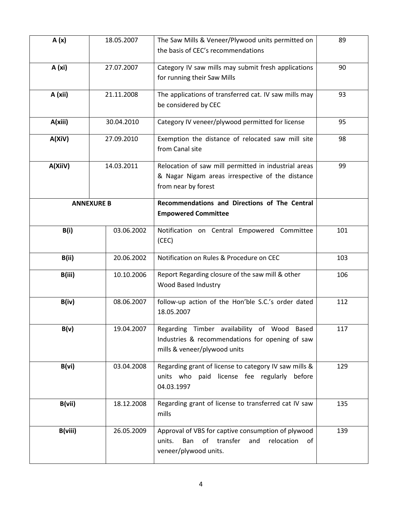| A(x)                  | 18.05.2007        | The Saw Mills & Veneer/Plywood units permitted on<br>the basis of CEC's recommendations                                                   | 89  |
|-----------------------|-------------------|-------------------------------------------------------------------------------------------------------------------------------------------|-----|
| A (xi)                | 27.07.2007        | Category IV saw mills may submit fresh applications<br>for running their Saw Mills                                                        | 90  |
| A (xii)               | 21.11.2008        | The applications of transferred cat. IV saw mills may<br>be considered by CEC                                                             | 93  |
| A(xiii)               | 30.04.2010        | Category IV veneer/plywood permitted for license                                                                                          | 95  |
| A(XiV)                | 27.09.2010        | Exemption the distance of relocated saw mill site<br>from Canal site                                                                      | 98  |
| A(XiiV)               | 14.03.2011        | Relocation of saw mill permitted in industrial areas<br>& Nagar Nigam areas irrespective of the distance<br>from near by forest           | 99  |
|                       | <b>ANNEXURE B</b> | Recommendations and Directions of The Central<br><b>Empowered Committee</b>                                                               |     |
| B(i)                  | 03.06.2002        | Notification on Central Empowered Committee<br>(CEC)                                                                                      | 101 |
| 20.06.2002<br>B(ii)   |                   | Notification on Rules & Procedure on CEC                                                                                                  | 103 |
| B(iii)<br>10.10.2006  |                   | Report Regarding closure of the saw mill & other<br>Wood Based Industry                                                                   | 106 |
| B(iv)                 | 08.06.2007        | follow-up action of the Hon'ble S.C.'s order dated<br>18.05.2007                                                                          | 112 |
| B(v)                  | 19.04.2007        | Regarding Timber availability of Wood Based<br>Industries & recommendations for opening of saw<br>mills & veneer/plywood units            | 117 |
| B(vi)<br>03.04.2008   |                   | Regarding grant of license to category IV saw mills &<br>units who paid license fee regularly<br>before<br>04.03.1997                     | 129 |
| B(vii)<br>18.12.2008  |                   | Regarding grant of license to transferred cat IV saw<br>mills                                                                             | 135 |
| B(viii)<br>26.05.2009 |                   | Approval of VBS for captive consumption of plywood<br>relocation<br>Ban<br>of<br>transfer<br>and<br>units.<br>of<br>veneer/plywood units. | 139 |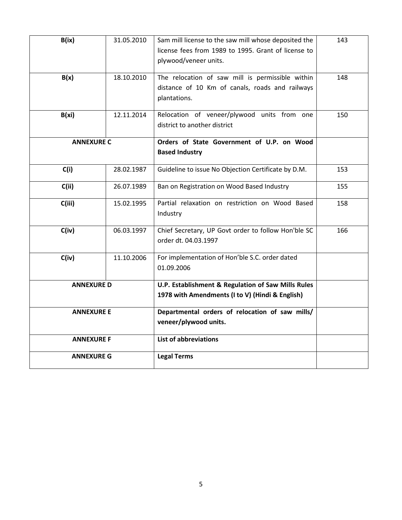| B(ix)              | 31.05.2010 | Sam mill license to the saw mill whose deposited the<br>license fees from 1989 to 1995. Grant of license to<br>plywood/veneer units. | 143 |
|--------------------|------------|--------------------------------------------------------------------------------------------------------------------------------------|-----|
| B(x)<br>18.10.2010 |            | The relocation of saw mill is permissible within<br>distance of 10 Km of canals, roads and railways<br>plantations.                  | 148 |
| B(xi)              | 12.11.2014 | Relocation of veneer/plywood units from one<br>district to another district                                                          | 150 |
| <b>ANNEXURE C</b>  |            | Orders of State Government of U.P. on Wood<br><b>Based Industry</b>                                                                  |     |
| C(i)               | 28.02.1987 | Guideline to issue No Objection Certificate by D.M.                                                                                  | 153 |
| C(i)               | 26.07.1989 | Ban on Registration on Wood Based Industry                                                                                           | 155 |
| C(iii)             | 15.02.1995 | Partial relaxation on restriction on Wood Based<br>Industry                                                                          | 158 |
| C(iv)              | 06.03.1997 | Chief Secretary, UP Govt order to follow Hon'ble SC<br>order dt. 04.03.1997                                                          | 166 |
| C(iv)              | 11.10.2006 | For implementation of Hon'ble S.C. order dated<br>01.09.2006                                                                         |     |
| <b>ANNEXURE D</b>  |            | U.P. Establishment & Regulation of Saw Mills Rules<br>1978 with Amendments (I to V) (Hindi & English)                                |     |
| <b>ANNEXURE E</b>  |            | Departmental orders of relocation of saw mills/<br>veneer/plywood units.                                                             |     |
| <b>ANNEXURE F</b>  |            | <b>List of abbreviations</b>                                                                                                         |     |
| <b>ANNEXURE G</b>  |            | <b>Legal Terms</b>                                                                                                                   |     |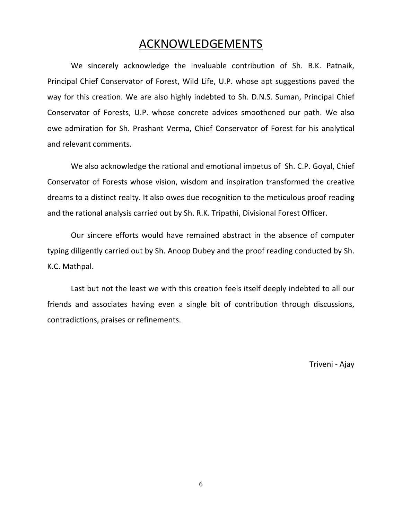# ACKNOWLEDGEMENTS

We sincerely acknowledge the invaluable contribution of Sh. B.K. Patnaik, Principal Chief Conservator of Forest, Wild Life, U.P. whose apt suggestions paved the way for this creation. We are also highly indebted to Sh. D.N.S. Suman, Principal Chief Conservator of Forests, U.P. whose concrete advices smoothened our path. We also owe admiration for Sh. Prashant Verma, Chief Conservator of Forest for his analytical and relevant comments.

We also acknowledge the rational and emotional impetus of Sh. C.P. Goyal, Chief Conservator of Forests whose vision, wisdom and inspiration transformed the creative dreams to a distinct realty. It also owes due recognition to the meticulous proof reading and the rational analysis carried out by Sh. R.K. Tripathi, Divisional Forest Officer.

Our sincere efforts would have remained abstract in the absence of computer typing diligently carried out by Sh. Anoop Dubey and the proof reading conducted by Sh. K.C. Mathpal.

Last but not the least we with this creation feels itself deeply indebted to all our friends and associates having even a single bit of contribution through discussions, contradictions, praises or refinements.

Triveni - Ajay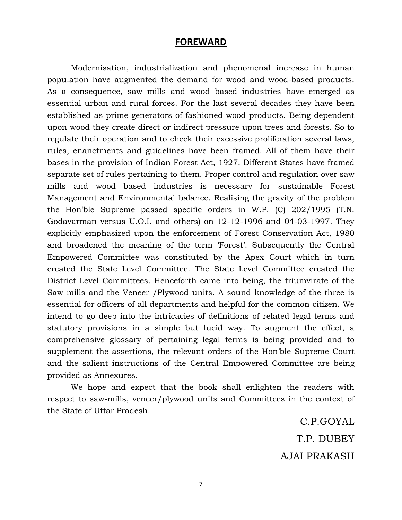# **FOREWARD**

Modernisation, industrialization and phenomenal increase in human population have augmented the demand for wood and wood-based products. As a consequence, saw mills and wood based industries have emerged as essential urban and rural forces. For the last several decades they have been established as prime generators of fashioned wood products. Being dependent upon wood they create direct or indirect pressure upon trees and forests. So to regulate their operation and to check their excessive proliferation several laws, rules, enanctments and guidelines have been framed. All of them have their bases in the provision of Indian Forest Act, 1927. Different States have framed separate set of rules pertaining to them. Proper control and regulation over saw mills and wood based industries is necessary for sustainable Forest Management and Environmental balance. Realising the gravity of the problem the Hon'ble Supreme passed specific orders in W.P. (C) 202/1995 (T.N. Godavarman versus U.O.I. and others) on 12-12-1996 and 04-03-1997. They explicitly emphasized upon the enforcement of Forest Conservation Act, 1980 and broadened the meaning of the term 'Forest'. Subsequently the Central Empowered Committee was constituted by the Apex Court which in turn created the State Level Committee. The State Level Committee created the District Level Committees. Henceforth came into being, the triumvirate of the Saw mills and the Veneer /Plywood units. A sound knowledge of the three is essential for officers of all departments and helpful for the common citizen. We intend to go deep into the intricacies of definitions of related legal terms and statutory provisions in a simple but lucid way. To augment the effect, a comprehensive glossary of pertaining legal terms is being provided and to supplement the assertions, the relevant orders of the Hon'ble Supreme Court and the salient instructions of the Central Empowered Committee are being provided as Annexures.

We hope and expect that the book shall enlighten the readers with respect to saw-mills, veneer/plywood units and Committees in the context of the State of Uttar Pradesh.

> C.P.GOYAL T.P. DUBEY AJAI PRAKASH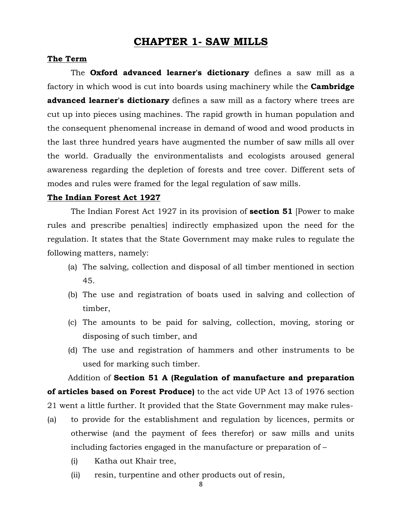# **CHAPTER 1- SAW MILLS**

## **The Term**

The **Oxford advanced learner's dictionary** defines a saw mill as a factory in which wood is cut into boards using machinery while the **Cambridge advanced learner's dictionary** defines a saw mill as a factory where trees are cut up into pieces using machines. The rapid growth in human population and the consequent phenomenal increase in demand of wood and wood products in the last three hundred years have augmented the number of saw mills all over the world. Gradually the environmentalists and ecologists aroused general awareness regarding the depletion of forests and tree cover. Different sets of modes and rules were framed for the legal regulation of saw mills.

## **The Indian Forest Act 1927**

The Indian Forest Act 1927 in its provision of **section 51** [Power to make rules and prescribe penalties] indirectly emphasized upon the need for the regulation. It states that the State Government may make rules to regulate the following matters, namely:

- (a) The salving, collection and disposal of all timber mentioned in section 45.
- (b) The use and registration of boats used in salving and collection of timber,
- (c) The amounts to be paid for salving, collection, moving, storing or disposing of such timber, and
- (d) The use and registration of hammers and other instruments to be used for marking such timber.

Addition of **Section 51 A (Regulation of manufacture and preparation of articles based on Forest Produce)** to the act vide UP Act 13 of 1976 section 21 went a little further. It provided that the State Government may make rules-

- (a) to provide for the establishment and regulation by licences, permits or otherwise (and the payment of fees therefor) or saw mills and units including factories engaged in the manufacture or preparation of –
	- (i) Katha out Khair tree,
	- (ii) resin, turpentine and other products out of resin,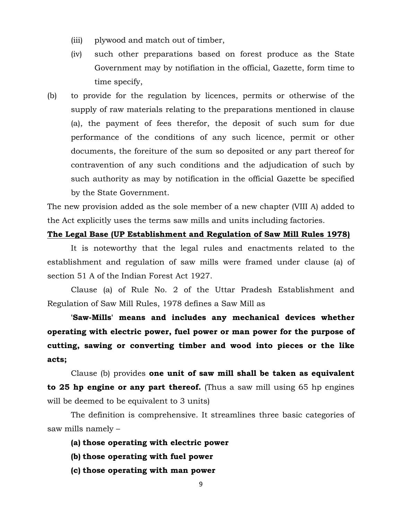- (iii) plywood and match out of timber,
- (iv) such other preparations based on forest produce as the State Government may by notifiation in the official, Gazette, form time to time specify,
- (b) to provide for the regulation by licences, permits or otherwise of the supply of raw materials relating to the preparations mentioned in clause (a), the payment of fees therefor, the deposit of such sum for due performance of the conditions of any such licence, permit or other documents, the foreiture of the sum so deposited or any part thereof for contravention of any such conditions and the adjudication of such by such authority as may by notification in the official Gazette be specified by the State Government.

The new provision added as the sole member of a new chapter (VIII A) added to the Act explicitly uses the terms saw mills and units including factories.

## **The Legal Base (UP Establishment and Regulation of Saw Mill Rules 1978)**

It is noteworthy that the legal rules and enactments related to the establishment and regulation of saw mills were framed under clause (a) of section 51 A of the Indian Forest Act 1927.

Clause (a) of Rule No. 2 of the Uttar Pradesh Establishment and Regulation of Saw Mill Rules, 1978 defines a Saw Mill as

**'Saw-Mills' means and includes any mechanical devices whether operating with electric power, fuel power or man power for the purpose of cutting, sawing or converting timber and wood into pieces or the like acts;** 

Clause (b) provides **one unit of saw mill shall be taken as equivalent to 25 hp engine or any part thereof.** (Thus a saw mill using 65 hp engines will be deemed to be equivalent to 3 units)

The definition is comprehensive. It streamlines three basic categories of saw mills namely –

- **(a) those operating with electric power**
- **(b) those operating with fuel power**
- **(c) those operating with man power**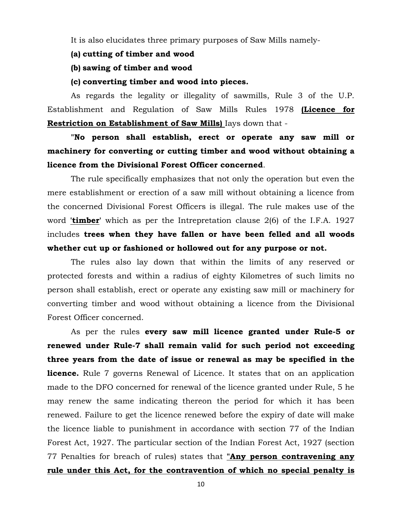It is also elucidates three primary purposes of Saw Mills namely-

- **(a) cutting of timber and wood**
- **(b) sawing of timber and wood**

## **(c) converting timber and wood into pieces.**

As regards the legality or illegality of sawmills, Rule 3 of the U.P. Establishment and Regulation of Saw Mills Rules 1978 **(Licence for Restriction on Establishment of Saw Mills)** Iays down that -

**"No person shall establish, erect or operate any saw mill or machinery for converting or cutting timber and wood without obtaining a licence from the Divisional Forest Officer concerned**.

The rule specifically emphasizes that not only the operation but even the mere establishment or erection of a saw mill without obtaining a licence from the concerned Divisional Forest Officers is illegal. The rule makes use of the word **'timber'** which as per the Intrepretation clause 2(6) of the I.F.A. 1927 includes **trees when they have fallen or have been felled and all woods whether cut up or fashioned or hollowed out for any purpose or not.**

The rules also lay down that within the limits of any reserved or protected forests and within a radius of eighty Kilometres of such limits no person shall establish, erect or operate any existing saw mill or machinery for converting timber and wood without obtaining a licence from the Divisional Forest Officer concerned.

As per the rules **every saw mill licence granted under Rule-5 or renewed under Rule-7 shall remain valid for such period not exceeding three years from the date of issue or renewal as may be specified in the licence.** Rule 7 governs Renewal of Licence. It states that on an application made to the DFO concerned for renewal of the licence granted under Rule, 5 he may renew the same indicating thereon the period for which it has been renewed. Failure to get the licence renewed before the expiry of date will make the licence liable to punishment in accordance with section 77 of the Indian Forest Act, 1927. The particular section of the Indian Forest Act, 1927 (section 77 Penalties for breach of rules) states that **"Any person contravening any rule under this Act, for the contravention of which no special penalty is**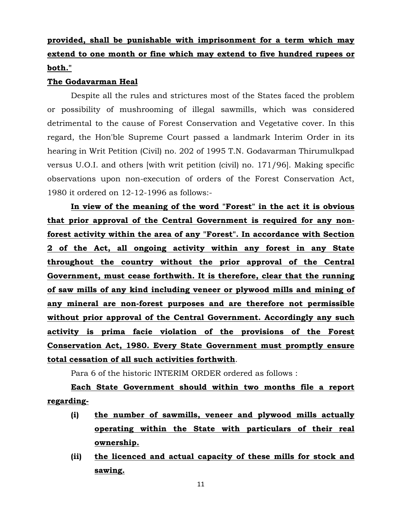# **provided, shall be punishable with imprisonment for a term which may extend to one month or fine which may extend to five hundred rupees or both."**

## **The Godavarman Heal**

Despite all the rules and strictures most of the States faced the problem or possibility of mushrooming of illegal sawmills, which was considered detrimental to the cause of Forest Conservation and Vegetative cover. In this regard, the Hon'ble Supreme Court passed a landmark Interim Order in its hearing in Writ Petition (Civil) no. 202 of 1995 T.N. Godavarman Thirumulkpad versus U.O.I. and others [with writ petition (civil) no. 171/96]. Making specific observations upon non-execution of orders of the Forest Conservation Act, 1980 it ordered on 12-12-1996 as follows:-

**In view of the meaning of the word "Forest" in the act it is obvious that prior approval of the Central Government is required for any nonforest activity within the area of any "Forest". In accordance with Section 2 of the Act, all ongoing activity within any forest in any State throughout the country without the prior approval of the Central Government, must cease forthwith. It is therefore, clear that the running of saw mills of any kind including veneer or plywood mills and mining of any mineral are non-forest purposes and are therefore not permissible without prior approval of the Central Government. Accordingly any such activity is prima facie violation of the provisions of the Forest Conservation Act, 1980. Every State Government must promptly ensure total cessation of all such activities forthwith**.

Para 6 of the historic INTERIM ORDER ordered as follows :

**Each State Government should within two months file a report regarding-**

- **(i) the number of sawmills, veneer and plywood mills actually operating within the State with particulars of their real ownership.**
- **(ii) the licenced and actual capacity of these mills for stock and sawing.**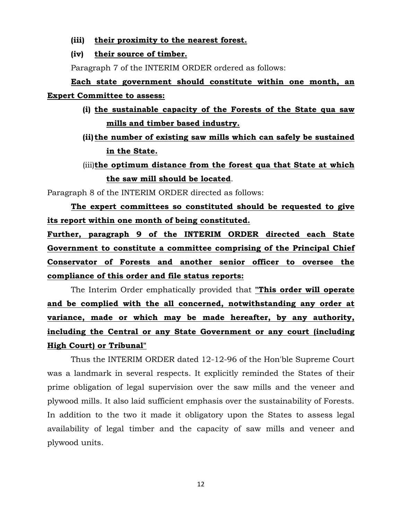**(iii) their proximity to the nearest forest.** 

#### **(iv) their source of timber.**

Paragraph 7 of the INTERIM ORDER ordered as follows:

**Each state government should constitute within one month, an Expert Committee to assess:**

- **(i) the sustainable capacity of the Forests of the State qua saw mills and timber based industry.**
- **(ii) the number of existing saw mills which can safely be sustained in the State.**
- (iii)**the optimum distance from the forest qua that State at which the saw mill should be located**.

Paragraph 8 of the INTERIM ORDER directed as follows:

**The expert committees so constituted should be requested to give its report within one month of being constituted.** 

**Further, paragraph 9 of the INTERIM ORDER directed each State Government to constitute a committee comprising of the Principal Chief Conservator of Forests and another senior officer to oversee the compliance of this order and file status reports:** 

The Interim Order emphatically provided that **"This order will operate and be complied with the all concerned, notwithstanding any order at variance, made or which may be made hereafter, by any authority, including the Central or any State Government or any court (including High Court) or Tribunal"**

Thus the INTERIM ORDER dated 12-12-96 of the Hon'ble Supreme Court was a landmark in several respects. It explicitly reminded the States of their prime obligation of legal supervision over the saw mills and the veneer and plywood mills. It also laid sufficient emphasis over the sustainability of Forests. In addition to the two it made it obligatory upon the States to assess legal availability of legal timber and the capacity of saw mills and veneer and plywood units.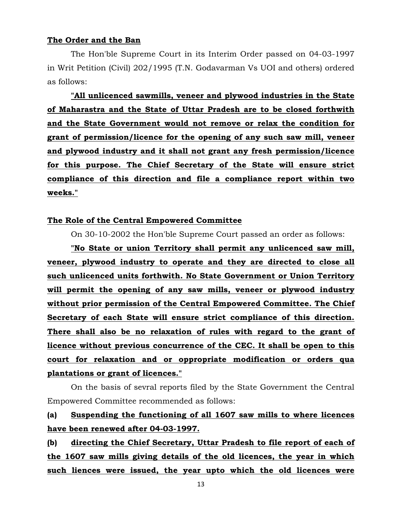## **The Order and the Ban**

The Hon'ble Supreme Court in its Interim Order passed on 04-03-1997 in Writ Petition (Civil) 202/1995 (T.N. Godavarman Vs UOI and others) ordered as follows:

**"All unlicenced sawmills, veneer and plywood industries in the State of Maharastra and the State of Uttar Pradesh are to be closed forthwith and the State Government would not remove or relax the condition for grant of permission/licence for the opening of any such saw mill, veneer and plywood industry and it shall not grant any fresh permission/licence for this purpose. The Chief Secretary of the State will ensure strict compliance of this direction and file a compliance report within two weeks."**

## **The Role of the Central Empowered Committee**

On 30-10-2002 the Hon'ble Supreme Court passed an order as follows:

**"No State or union Territory shall permit any unlicenced saw mill, veneer, plywood industry to operate and they are directed to close all such unlicenced units forthwith. No State Government or Union Territory will permit the opening of any saw mills, veneer or plywood industry without prior permission of the Central Empowered Committee. The Chief Secretary of each State will ensure strict compliance of this direction. There shall also be no relaxation of rules with regard to the grant of licence without previous concurrence of the CEC. It shall be open to this court for relaxation and or oppropriate modification or orders qua plantations or grant of licences."**

On the basis of sevral reports filed by the State Government the Central Empowered Committee recommended as follows:

# **(a) Suspending the functioning of all 1607 saw mills to where licences have been renewed after 04-03-1997.**

**(b) directing the Chief Secretary, Uttar Pradesh to file report of each of the 1607 saw mills giving details of the old licences, the year in which such liences were issued, the year upto which the old licences were**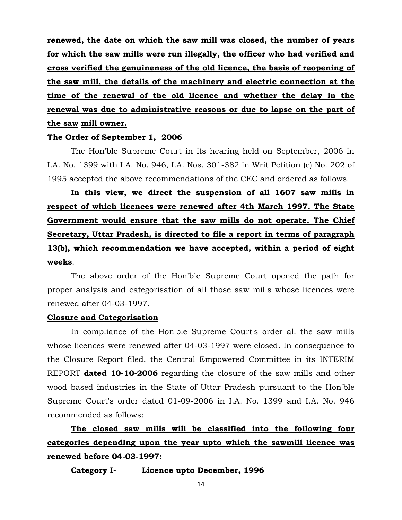**renewed, the date on which the saw mill was closed, the number of years for which the saw mills were run illegally, the officer who had verified and cross verified the genuineness of the old licence, the basis of reopening of the saw mill, the details of the machinery and electric connection at the time of the renewal of the old licence and whether the delay in the renewal was due to administrative reasons or due to lapse on the part of the saw mill owner.** 

# **The Order of September 1, 2006**

The Hon'ble Supreme Court in its hearing held on September, 2006 in I.A. No. 1399 with I.A. No. 946, I.A. Nos. 301-382 in Writ Petition (c) No. 202 of 1995 accepted the above recommendations of the CEC and ordered as follows.

**In this view, we direct the suspension of all 1607 saw mills in respect of which licences were renewed after 4th March 1997. The State Government would ensure that the saw mills do not operate. The Chief Secretary, Uttar Pradesh, is directed to file a report in terms of paragraph 13(b), which recommendation we have accepted, within a period of eight weeks**.

The above order of the Hon'ble Supreme Court opened the path for proper analysis and categorisation of all those saw mills whose licences were renewed after 04-03-1997.

#### **Closure and Categorisation**

In compliance of the Hon'ble Supreme Court's order all the saw mills whose licences were renewed after 04-03-1997 were closed. In consequence to the Closure Report filed, the Central Empowered Committee in its INTERIM REPORT **dated 10-10-2006** regarding the closure of the saw mills and other wood based industries in the State of Uttar Pradesh pursuant to the Hon'ble Supreme Court's order dated 01-09-2006 in I.A. No. 1399 and I.A. No. 946 recommended as follows:

**The closed saw mills will be classified into the following four categories depending upon the year upto which the sawmill licence was renewed before 04-03-1997:** 

**Category I- Licence upto December, 1996**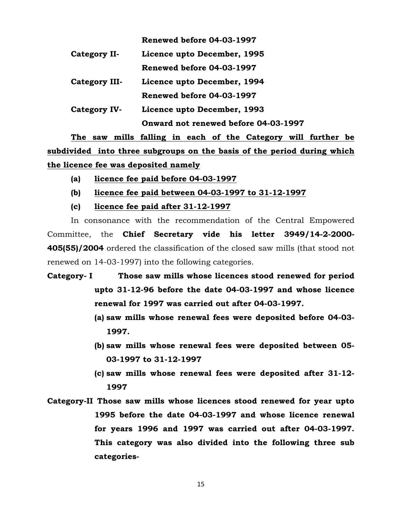|               | Renewed before 04-03-1997            |
|---------------|--------------------------------------|
| Category II-  | Licence upto December, 1995          |
|               | Renewed before 04-03-1997            |
| Category III- | Licence upto December, 1994          |
|               | Renewed before 04-03-1997            |
| Category IV-  | Licence upto December, 1993          |
|               | Onward not renewed before 04-03-1997 |

**The saw mills falling in each of the Category will further be subdivided into three subgroups on the basis of the period during which the licence fee was deposited namely** 

- **(a) licence fee paid before 04-03-1997**
- **(b) licence fee paid between 04-03-1997 to 31-12-1997**
- **(c) licence fee paid after 31-12-1997**

In consonance with the recommendation of the Central Empowered Committee, the **Chief Secretary vide his letter 3949/14-2-2000- 405(55)/2004** ordered the classification of the closed saw mills (that stood not renewed on 14-03-1997) into the following categories.

- **Category- I Those saw mills whose licences stood renewed for period upto 31-12-96 before the date 04-03-1997 and whose licence renewal for 1997 was carried out after 04-03-1997.** 
	- **(a) saw mills whose renewal fees were deposited before 04-03- 1997.**
	- **(b) saw mills whose renewal fees were deposited between 05- 03-1997 to 31-12-1997**
	- **(c) saw mills whose renewal fees were deposited after 31-12- 1997**
- **Category-II Those saw mills whose licences stood renewed for year upto 1995 before the date 04-03-1997 and whose licence renewal for years 1996 and 1997 was carried out after 04-03-1997. This category was also divided into the following three sub categories-**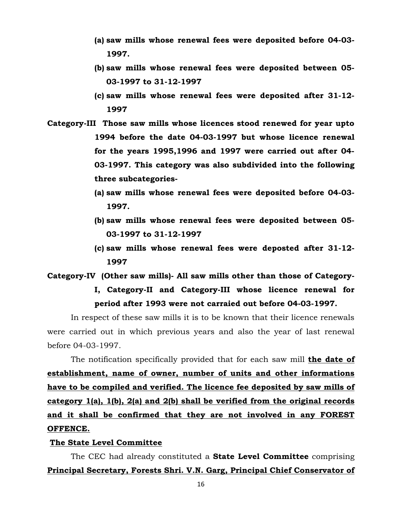- **(a) saw mills whose renewal fees were deposited before 04-03- 1997.**
- **(b) saw mills whose renewal fees were deposited between 05- 03-1997 to 31-12-1997**
- **(c) saw mills whose renewal fees were deposited after 31-12- 1997**
- **Category-III Those saw mills whose licences stood renewed for year upto 1994 before the date 04-03-1997 but whose licence renewal for the years 1995,1996 and 1997 were carried out after 04- 03-1997. This category was also subdivided into the following three subcategories-**
	- **(a) saw mills whose renewal fees were deposited before 04-03- 1997.**
	- **(b) saw mills whose renewal fees were deposited between 05- 03-1997 to 31-12-1997**
	- **(c) saw mills whose renewal fees were deposted after 31-12- 1997**

**Category-IV (Other saw mills)- All saw mills other than those of Category-**

**I, Category-II and Category-III whose licence renewal for period after 1993 were not carraied out before 04-03-1997.** 

In respect of these saw mills it is to be known that their licence renewals were carried out in which previous years and also the year of last renewal before 04-03-1997.

The notification specifically provided that for each saw mill **the date of establishment, name of owner, number of units and other informations have to be compiled and verified. The licence fee deposited by saw mills of category 1(a), 1(b), 2(a) and 2(b) shall be verified from the original records and it shall be confirmed that they are not involved in any FOREST OFFENCE.**

# **The State Level Committee**

The CEC had already constituted a **State Level Committee** comprising **Principal Secretary, Forests Shri. V.N. Garg, Principal Chief Conservator of**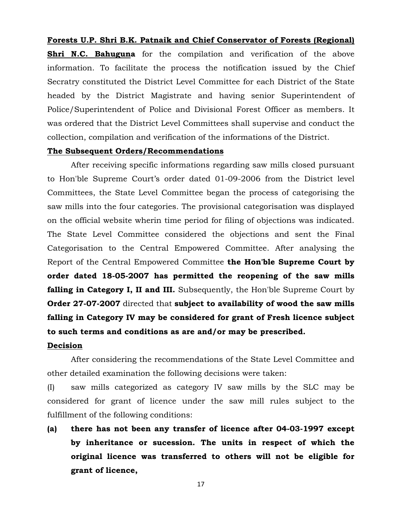# **Forests U.P. Shri B.K. Patnaik and Chief Conservator of Forests (Regional)**

**Shri N.C. Bahuguna** for the compilation and verification of the above information. To facilitate the process the notification issued by the Chief Secratry constituted the District Level Committee for each District of the State headed by the District Magistrate and having senior Superintendent of Police/Superintendent of Police and Divisional Forest Officer as members. It was ordered that the District Level Committees shall supervise and conduct the collection, compilation and verification of the informations of the District.

# **The Subsequent Orders/Recommendations**

After receiving specific informations regarding saw mills closed pursuant to Hon'ble Supreme Court's order dated 01-09-2006 from the District level Committees, the State Level Committee began the process of categorising the saw mills into the four categories. The provisional categorisation was displayed on the official website wherin time period for filing of objections was indicated. The State Level Committee considered the objections and sent the Final Categorisation to the Central Empowered Committee. After analysing the Report of the Central Empowered Committee **the Hon'ble Supreme Court by order dated 18-05-2007 has permitted the reopening of the saw mills falling in Category I, II and III.** Subsequently, the Hon'ble Supreme Court by **Order 27-07-2007** directed that **subject to availability of wood the saw mills falling in Category IV may be considered for grant of Fresh licence subject to such terms and conditions as are and/or may be prescribed.** 

# **Decision**

After considering the recommendations of the State Level Committee and other detailed examination the following decisions were taken:

(I) saw mills categorized as category IV saw mills by the SLC may be considered for grant of licence under the saw mill rules subject to the fulfillment of the following conditions:

**(a) there has not been any transfer of licence after 04-03-1997 except by inheritance or sucession. The units in respect of which the original licence was transferred to others will not be eligible for grant of licence,**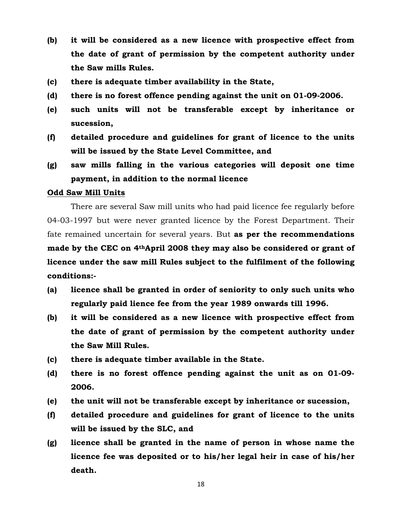- **(b) it will be considered as a new licence with prospective effect from the date of grant of permission by the competent authority under the Saw mills Rules.**
- **(c) there is adequate timber availability in the State,**
- **(d) there is no forest offence pending against the unit on 01-09-2006.**
- **(e) such units will not be transferable except by inheritance or sucession,**
- **(f) detailed procedure and guidelines for grant of licence to the units will be issued by the State Level Committee, and**
- **(g) saw mills falling in the various categories will deposit one time payment, in addition to the normal licence**

## **Odd Saw Mill Units**

There are several Saw mill units who had paid licence fee regularly before 04-03-1997 but were never granted licence by the Forest Department. Their fate remained uncertain for several years. But **as per the recommendations made by the CEC on 4thApril 2008 they may also be considered or grant of licence under the saw mill Rules subject to the fulfilment of the following conditions:-**

- **(a) licence shall be granted in order of seniority to only such units who regularly paid lience fee from the year 1989 onwards till 1996.**
- **(b) it will be considered as a new licence with prospective effect from the date of grant of permission by the competent authority under the Saw Mill Rules.**
- **(c) there is adequate timber available in the State.**
- **(d) there is no forest offence pending against the unit as on 01-09- 2006.**
- **(e) the unit will not be transferable except by inheritance or sucession,**
- **(f) detailed procedure and guidelines for grant of licence to the units will be issued by the SLC, and**
- **(g) licence shall be granted in the name of person in whose name the licence fee was deposited or to his/her legal heir in case of his/her death.**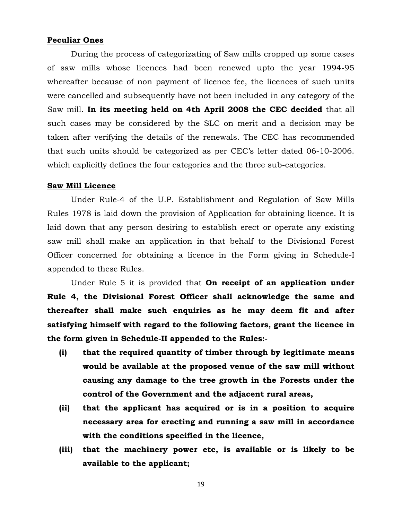#### **Peculiar Ones**

During the process of categorizating of Saw mills cropped up some cases of saw mills whose licences had been renewed upto the year 1994-95 whereafter because of non payment of licence fee, the licences of such units were cancelled and subsequently have not been included in any category of the Saw mill. **In its meeting held on 4th April 2008 the CEC decided** that all such cases may be considered by the SLC on merit and a decision may be taken after verifying the details of the renewals. The CEC has recommended that such units should be categorized as per CEC's letter dated 06-10-2006. which explicitly defines the four categories and the three sub-categories.

#### **Saw Mill Licence**

Under Rule-4 of the U.P. Establishment and Regulation of Saw Mills Rules 1978 is laid down the provision of Application for obtaining licence. It is laid down that any person desiring to establish erect or operate any existing saw mill shall make an application in that behalf to the Divisional Forest Officer concerned for obtaining a licence in the Form giving in Schedule-I appended to these Rules.

Under Rule 5 it is provided that **On receipt of an application under Rule 4, the Divisional Forest Officer shall acknowledge the same and thereafter shall make such enquiries as he may deem fit and after satisfying himself with regard to the following factors, grant the licence in the form given in Schedule-II appended to the Rules:-**

- **(i) that the required quantity of timber through by legitimate means would be available at the proposed venue of the saw mill without causing any damage to the tree growth in the Forests under the control of the Government and the adjacent rural areas,**
- **(ii) that the applicant has acquired or is in a position to acquire necessary area for erecting and running a saw mill in accordance with the conditions specified in the licence,**
- **(iii) that the machinery power etc, is available or is likely to be available to the applicant;**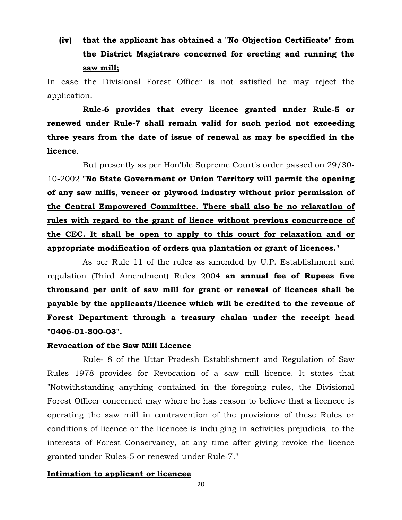# **(iv) that the applicant has obtained a "No Objection Certificate" from the District Magistrare concerned for erecting and running the saw mill;**

In case the Divisional Forest Officer is not satisfied he may reject the application.

**Rule-6 provides that every licence granted under Rule-5 or renewed under Rule-7 shall remain valid for such period not exceeding three years from the date of issue of renewal as may be specified in the licence**.

But presently as per Hon'ble Supreme Court's order passed on 29/30- 10-2002 **"No State Government or Union Territory will permit the opening of any saw mills, veneer or plywood industry without prior permission of the Central Empowered Committee. There shall also be no relaxation of rules with regard to the grant of lience without previous concurrence of the CEC. It shall be open to apply to this court for relaxation and or appropriate modification of orders qua plantation or grant of licences."**

As per Rule 11 of the rules as amended by U.P. Establishment and regulation (Third Amendment) Rules 2004 **an annual fee of Rupees five throusand per unit of saw mill for grant or renewal of licences shall be payable by the applicants/licence which will be credited to the revenue of Forest Department through a treasury chalan under the receipt head "0406-01-800-03".** 

## **Revocation of the Saw Mill Licence**

Rule- 8 of the Uttar Pradesh Establishment and Regulation of Saw Rules 1978 provides for Revocation of a saw mill licence. It states that "Notwithstanding anything contained in the foregoing rules, the Divisional Forest Officer concerned may where he has reason to believe that a licencee is operating the saw mill in contravention of the provisions of these Rules or conditions of licence or the licencee is indulging in activities prejudicial to the interests of Forest Conservancy, at any time after giving revoke the licence granted under Rules-5 or renewed under Rule-7."

## **Intimation to applicant or licencee**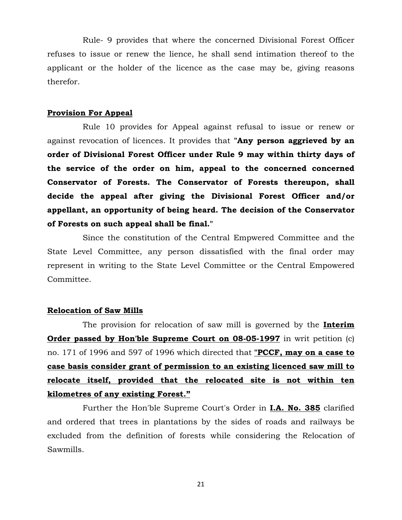Rule- 9 provides that where the concerned Divisional Forest Officer refuses to issue or renew the lience, he shall send intimation thereof to the applicant or the holder of the licence as the case may be, giving reasons therefor.

#### **Provision For Appeal**

Rule 10 provides for Appeal against refusal to issue or renew or against revocation of licences. It provides that **"Any person aggrieved by an order of Divisional Forest Officer under Rule 9 may within thirty days of the service of the order on him, appeal to the concerned concerned Conservator of Forests. The Conservator of Forests thereupon, shall decide the appeal after giving the Divisional Forest Officer and/or appellant, an opportunity of being heard. The decision of the Conservator of Forests on such appeal shall be final."**

Since the constitution of the Central Empwered Committee and the State Level Committee, any person dissatisfied with the final order may represent in writing to the State Level Committee or the Central Empowered Committee.

#### **Relocation of Saw Mills**

The provision for relocation of saw mill is governed by the **Interim Order passed by Hon'ble Supreme Court on 08-05-1997** in writ petition (c) no. 171 of 1996 and 597 of 1996 which directed that **"PCCF, may on a case to case basis consider grant of permission to an existing licenced saw mill to relocate itself, provided that the relocated site is not within ten kilometres of any existing Forest."**

Further the Hon'ble Supreme Court's Order in **I.A. No. 385** clarified and ordered that trees in plantations by the sides of roads and railways be excluded from the definition of forests while considering the Relocation of Sawmills.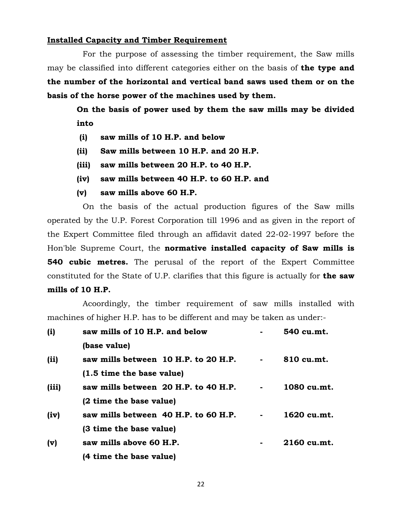#### **Installed Capacity and Timber Requirement**

For the purpose of assessing the timber requirement, the Saw mills may be classified into different categories either on the basis of **the type and the number of the horizontal and vertical band saws used them or on the basis of the horse power of the machines used by them.** 

**On the basis of power used by them the saw mills may be divided into**

- **(i) saw mills of 10 H.P. and below**
- **(ii) Saw mills between 10 H.P. and 20 H.P.**
- **(iii) saw mills between 20 H.P. to 40 H.P.**
- **(iv) saw mills between 40 H.P. to 60 H.P. and**
- **(v) saw mills above 60 H.P.**

On the basis of the actual production figures of the Saw mills operated by the U.P. Forest Corporation till 1996 and as given in the report of the Expert Committee filed through an affidavit dated 22-02-1997 before the Hon'ble Supreme Court, the **normative installed capacity of Saw mills is 540 cubic metres.** The perusal of the report of the Expert Committee constituted for the State of U.P. clarifies that this figure is actually for **the saw mills of 10 H.P.** 

Acoordingly, the timber requirement of saw mills installed with machines of higher H.P. has to be different and may be taken as under:-

| (i)   | saw mills of 10 H.P. and below       | 540 cu.mt.  |
|-------|--------------------------------------|-------------|
|       | (base value)                         |             |
| (iii) | saw mills between 10 H.P. to 20 H.P. | 810 cu.mt.  |
|       | (1.5 time the base value)            |             |
| (iii) | saw mills between 20 H.P. to 40 H.P. | 1080 cu.mt. |
|       | (2 time the base value)              |             |
| (iv)  | saw mills between 40 H.P. to 60 H.P. | 1620 cu.mt. |
|       | (3 time the base value)              |             |
| (v)   | saw mills above 60 H.P.              | 2160 cu.mt. |
|       | (4 time the base value)              |             |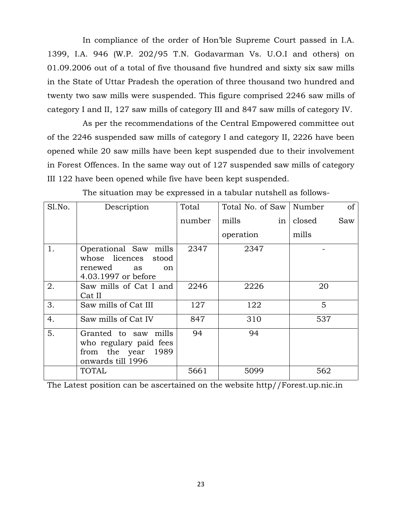In compliance of the order of Hon'ble Supreme Court passed in I.A. 1399, I.A. 946 (W.P. 202/95 T.N. Godavarman Vs. U.O.I and others) on 01.09.2006 out of a total of five thousand five hundred and sixty six saw mills in the State of Uttar Pradesh the operation of three thousand two hundred and twenty two saw mills were suspended. This figure comprised 2246 saw mills of category I and II, 127 saw mills of category III and 847 saw mills of category IV.

As per the recommendations of the Central Empowered committee out of the 2246 suspended saw mills of category I and category II, 2226 have been opened while 20 saw mills have been kept suspended due to their involvement in Forest Offences. In the same way out of 127 suspended saw mills of category III 122 have been opened while five have been kept suspended.

| Sl.No. | Description                                                                                            | Total  | Total No. of Saw | Number<br><sub>of</sub> |
|--------|--------------------------------------------------------------------------------------------------------|--------|------------------|-------------------------|
|        |                                                                                                        | number | mills<br>in      | closed<br>Saw           |
|        |                                                                                                        |        | operation        | mills                   |
| 1.     | Operational Saw mills<br>whose licences stood<br>renewed<br>as<br><sub>on</sub><br>4.03.1997 or before | 2347   | 2347             |                         |
| 2.     | Saw mills of Cat I and<br>Cat II                                                                       | 2246   | 2226             | 20                      |
| 3.     | Saw mills of Cat III                                                                                   | 127    | 122              | 5                       |
| 4.     | Saw mills of Cat IV                                                                                    | 847    | 310              | 537                     |
| 5.     | Granted to saw mills<br>who regulary paid fees<br>from the year 1989<br>onwards till 1996              | 94     | 94               |                         |
|        | TOTAL                                                                                                  | 5661   | 5099             | 562                     |

The situation may be expressed in a tabular nutshell as follows-

The Latest position can be ascertained on the website http//Forest.up.nic.in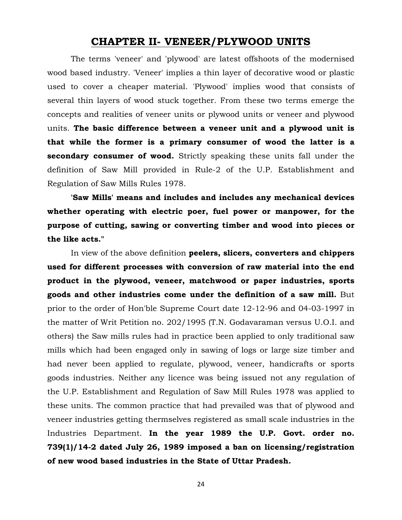# **CHAPTER II- VENEER/PLYWOOD UNITS**

The terms 'veneer' and 'plywood' are latest offshoots of the modernised wood based industry. 'Veneer' implies a thin layer of decorative wood or plastic used to cover a cheaper material. 'Plywood' implies wood that consists of several thin layers of wood stuck together. From these two terms emerge the concepts and realities of veneer units or plywood units or veneer and plywood units. **The basic difference between a veneer unit and a plywood unit is that while the former is a primary consumer of wood the latter is a secondary consumer of wood.** Strictly speaking these units fall under the definition of Saw Mill provided in Rule-2 of the U.P. Establishment and Regulation of Saw Mills Rules 1978.

**'Saw Mills' means and includes and includes any mechanical devices whether operating with electric poer, fuel power or manpower, for the purpose of cutting, sawing or converting timber and wood into pieces or the like acts."**

In view of the above definition **peelers, slicers, converters and chippers used for different processes with conversion of raw material into the end product in the plywood, veneer, matchwood or paper industries, sports goods and other industries come under the definition of a saw mill.** But prior to the order of Hon'ble Supreme Court date 12-12-96 and 04-03-1997 in the matter of Writ Petition no. 202/1995 (T.N. Godavaraman versus U.O.I. and others) the Saw mills rules had in practice been applied to only traditional saw mills which had been engaged only in sawing of logs or large size timber and had never been applied to regulate, plywood, veneer, handicrafts or sports goods industries. Neither any licence was being issued not any regulation of the U.P. Establishment and Regulation of Saw Mill Rules 1978 was applied to these units. The common practice that had prevailed was that of plywood and veneer industries getting thermselves registered as small scale industries in the Industries Department. **In the year 1989 the U.P. Govt. order no. 739(1)/14-2 dated July 26, 1989 imposed a ban on licensing/registration of new wood based industries in the State of Uttar Pradesh.**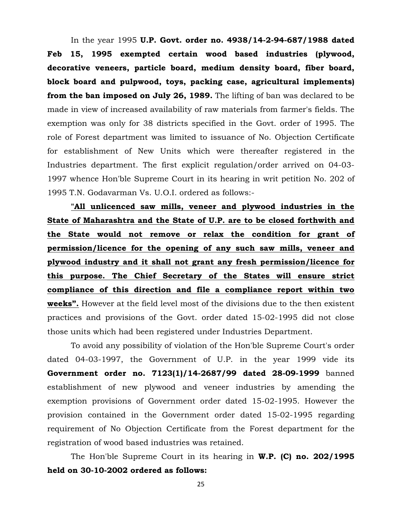In the year 1995 **U.P. Govt. order no. 4938/14-2-94-687/1988 dated Feb 15, 1995 exempted certain wood based industries (plywood, decorative veneers, particle board, medium density board, fiber board, block board and pulpwood, toys, packing case, agricultural implements) from the ban imposed on July 26, 1989.** The lifting of ban was declared to be made in view of increased availability of raw materials from farmer's fields. The exemption was only for 38 districts specified in the Govt. order of 1995. The role of Forest department was limited to issuance of No. Objection Certificate for establishment of New Units which were thereafter registered in the Industries department. The first explicit regulation/order arrived on 04-03- 1997 whence Hon'ble Supreme Court in its hearing in writ petition No. 202 of 1995 T.N. Godavarman Vs. U.O.I. ordered as follows:-

**"All unlicenced saw mills, veneer and plywood industries in the State of Maharashtra and the State of U.P. are to be closed forthwith and the State would not remove or relax the condition for grant of permission/licence for the opening of any such saw mills, veneer and plywood industry and it shall not grant any fresh permission/licence for this purpose. The Chief Secretary of the States will ensure strict compliance of this direction and file a compliance report within two weeks".** However at the field level most of the divisions due to the then existent practices and provisions of the Govt. order dated 15-02-1995 did not close those units which had been registered under Industries Department.

To avoid any possibility of violation of the Hon'ble Supreme Court's order dated 04-03-1997, the Government of U.P. in the year 1999 vide its **Government order no. 7123(1)/14-2687/99 dated 28-09-1999** banned establishment of new plywood and veneer industries by amending the exemption provisions of Government order dated 15-02-1995. However the provision contained in the Government order dated 15-02-1995 regarding requirement of No Objection Certificate from the Forest department for the registration of wood based industries was retained.

The Hon'ble Supreme Court in its hearing in **W.P. (C) no. 202/1995 held on 30-10-2002 ordered as follows:**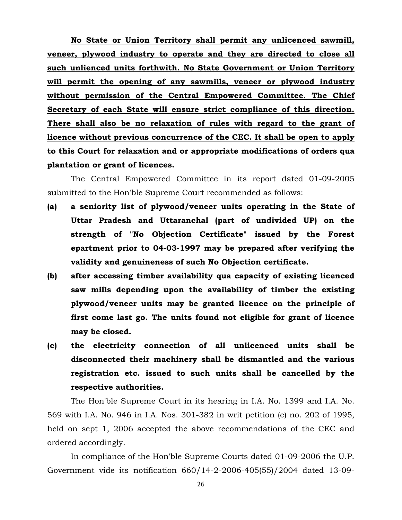**No State or Union Territory shall permit any unlicenced sawmill, veneer, plywood industry to operate and they are directed to close all such unlienced units forthwith. No State Government or Union Territory will permit the opening of any sawmills, veneer or plywood industry without permission of the Central Empowered Committee. The Chief Secretary of each State will ensure strict compliance of this direction. There shall also be no relaxation of rules with regard to the grant of licence without previous concurrence of the CEC. It shall be open to apply to this Court for relaxation and or appropriate modifications of orders qua plantation or grant of licences.** 

The Central Empowered Committee in its report dated 01-09-2005 submitted to the Hon'ble Supreme Court recommended as follows:

- **(a) a seniority list of plywood/veneer units operating in the State of Uttar Pradesh and Uttaranchal (part of undivided UP) on the strength of "No Objection Certificate" issued by the Forest epartment prior to 04-03-1997 may be prepared after verifying the validity and genuineness of such No Objection certificate.**
- **(b) after accessing timber availability qua capacity of existing licenced saw mills depending upon the availability of timber the existing plywood/veneer units may be granted licence on the principle of first come last go. The units found not eligible for grant of licence may be closed.**
- **(c) the electricity connection of all unlicenced units shall be disconnected their machinery shall be dismantled and the various registration etc. issued to such units shall be cancelled by the respective authorities.**

The Hon'ble Supreme Court in its hearing in I.A. No. 1399 and I.A. No. 569 with I.A. No. 946 in I.A. Nos. 301-382 in writ petition (c) no. 202 of 1995, held on sept 1, 2006 accepted the above recommendations of the CEC and ordered accordingly.

In compliance of the Hon'ble Supreme Courts dated 01-09-2006 the U.P. Government vide its notification 660/14-2-2006-405(55)/2004 dated 13-09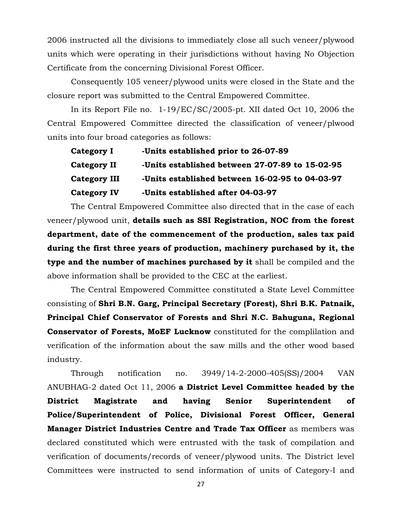2006 instructed all the divisions to immediately close all such veneer/plywood units which were operating in their jurisdictions without having No Objection Certificate from the concerning Divisional Forest Officer.

Consequently 105 veneer/plywood units were closed in the State and the closure report was submitted to the Central Empowered Committee.

In its Report File no. 1-19/EC/SC/2005-pt. XII dated Oct 10, 2006 the Central Empowered Committee directed the classification of veneer/plwood units into four broad categories as follows:

| <b>Category I</b> | -Units established prior to 26-07-89            |
|-------------------|-------------------------------------------------|
| Category II       | -Units established between 27-07-89 to 15-02-95 |
| Category III      | -Units established between 16-02-95 to 04-03-97 |
| Category IV       | -Units established after 04-03-97               |

The Central Empowered Committee also directed that in the case of each veneer/plywood unit, **details such as SSI Registration, NOC from the forest department, date of the commencement of the production, sales tax paid during the first three years of production, machinery purchased by it, the type and the number of machines purchased by it** shall be compiled and the above information shall be provided to the CEC at the earliest.

The Central Empowered Committee constituted a State Level Committee consisting of **Shri B.N. Garg, Principal Secretary (Forest), Shri B.K. Patnaik, Principal Chief Conservator of Forests and Shri N.C. Bahuguna, Regional Conservator of Forests, MoEF Lucknow** constituted for the complilation and verification of the information about the saw mills and the other wood based industry.

Through notification no. 3949/14-2-2000-405(SS)/2004 VAN ANUBHAG-2 dated Oct 11, 2006 **a District Level Committee headed by the District Magistrate and having Senior Superintendent of Police/Superintendent of Police, Divisional Forest Officer, General Manager District Industries Centre and Trade Tax Officer** as members was declared constituted which were entrusted with the task of compilation and verification of documents/records of veneer/plywood units. The District level Committees were instructed to send information of units of Category-I and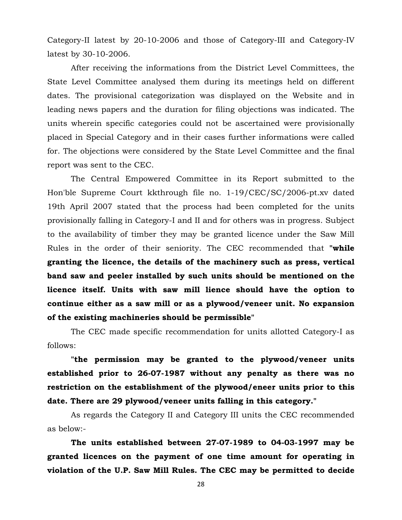Category-II latest by 20-10-2006 and those of Category-III and Category-IV latest by 30-10-2006.

After receiving the informations from the District Level Committees, the State Level Committee analysed them during its meetings held on different dates. The provisional categorization was displayed on the Website and in leading news papers and the duration for filing objections was indicated. The units wherein specific categories could not be ascertained were provisionally placed in Special Category and in their cases further informations were called for. The objections were considered by the State Level Committee and the final report was sent to the CEC.

The Central Empowered Committee in its Report submitted to the Hon'ble Supreme Court kkthrough file no. 1-19/CEC/SC/2006-pt.xv dated 19th April 2007 stated that the process had been completed for the units provisionally falling in Category-I and II and for others was in progress. Subject to the availability of timber they may be granted licence under the Saw Mill Rules in the order of their seniority. The CEC recommended that **"while granting the licence, the details of the machinery such as press, vertical band saw and peeler installed by such units should be mentioned on the licence itself. Units with saw mill lience should have the option to continue either as a saw mill or as a plywood/veneer unit. No expansion of the existing machineries should be permissible"**

The CEC made specific recommendation for units allotted Category-I as follows:

**"the permission may be granted to the plywood/veneer units established prior to 26-07-1987 without any penalty as there was no restriction on the establishment of the plywood/eneer units prior to this date. There are 29 plywood/veneer units falling in this category."** 

As regards the Category II and Category III units the CEC recommended as below:-

**The units established between 27-07-1989 to 04-03-1997 may be granted licences on the payment of one time amount for operating in violation of the U.P. Saw Mill Rules. The CEC may be permitted to decide**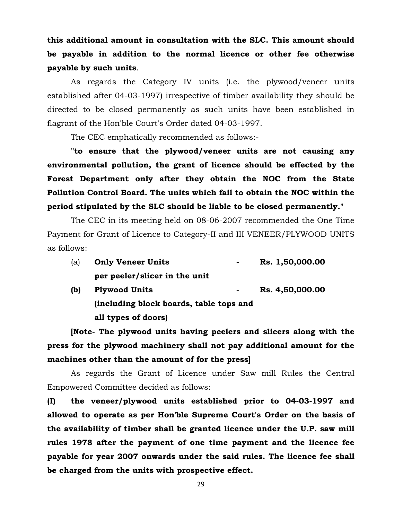# **this additional amount in consultation with the SLC. This amount should be payable in addition to the normal licence or other fee otherwise payable by such units**.

As regards the Category IV units (i.e. the plywood/veneer units established after 04-03-1997) irrespective of timber availability they should be directed to be closed permanently as such units have been established in flagrant of the Hon'ble Court's Order dated 04-03-1997.

The CEC emphatically recommended as follows:-

**"to ensure that the plywood/veneer units are not causing any environmental pollution, the grant of licence should be effected by the Forest Department only after they obtain the NOC from the State Pollution Control Board. The units which fail to obtain the NOC within the period stipulated by the SLC should be liable to be closed permanently."**

The CEC in its meeting held on 08-06-2007 recommended the One Time Payment for Grant of Licence to Category-II and III VENEER/PLYWOOD UNITS as follows:

| (a) | <b>Only Veneer Units</b><br>$\sim$      | Rs. 1,50,000.00 |
|-----|-----------------------------------------|-----------------|
|     | per peeler/slicer in the unit           |                 |
| (b) | <b>Plywood Units</b><br>$\blacksquare$  | Rs. 4,50,000.00 |
|     | (including block boards, table tops and |                 |

**all types of doors)**

**[Note- The plywood units having peelers and slicers along with the press for the plywood machinery shall not pay additional amount for the machines other than the amount of for the press]**

As regards the Grant of Licence under Saw mill Rules the Central Empowered Committee decided as follows:

**(I) the veneer/plywood units established prior to 04-03-1997 and allowed to operate as per Hon'ble Supreme Court's Order on the basis of the availability of timber shall be granted licence under the U.P. saw mill rules 1978 after the payment of one time payment and the licence fee payable for year 2007 onwards under the said rules. The licence fee shall be charged from the units with prospective effect.**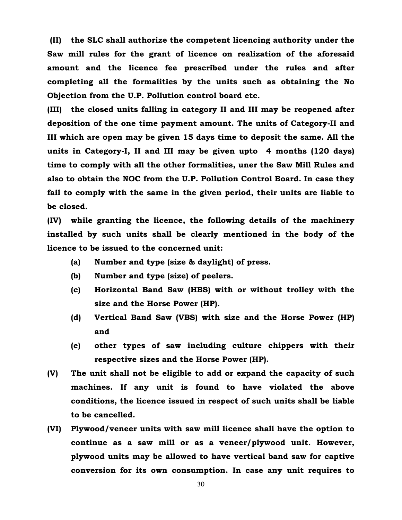**(II) the SLC shall authorize the competent licencing authority under the Saw mill rules for the grant of licence on realization of the aforesaid amount and the licence fee prescribed under the rules and after completing all the formalities by the units such as obtaining the No Objection from the U.P. Pollution control board etc.** 

**(III) the closed units falling in category II and III may be reopened after deposition of the one time payment amount. The units of Category-II and III which are open may be given 15 days time to deposit the same. All the units in Category-I, II and III may be given upto 4 months (120 days) time to comply with all the other formalities, uner the Saw Mill Rules and also to obtain the NOC from the U.P. Pollution Control Board. In case they fail to comply with the same in the given period, their units are liable to be closed.** 

**(IV) while granting the licence, the following details of the machinery installed by such units shall be clearly mentioned in the body of the licence to be issued to the concerned unit:** 

- **(a) Number and type (size & daylight) of press.**
- **(b) Number and type (size) of peelers.**
- **(c) Horizontal Band Saw (HBS) with or without trolley with the size and the Horse Power (HP).**
- **(d) Vertical Band Saw (VBS) with size and the Horse Power (HP) and**
- **(e) other types of saw including culture chippers with their respective sizes and the Horse Power (HP).**
- **(V) The unit shall not be eligible to add or expand the capacity of such machines. If any unit is found to have violated the above conditions, the licence issued in respect of such units shall be liable to be cancelled.**
- **(VI) Plywood/veneer units with saw mill licence shall have the option to continue as a saw mill or as a veneer/plywood unit. However, plywood units may be allowed to have vertical band saw for captive conversion for its own consumption. In case any unit requires to**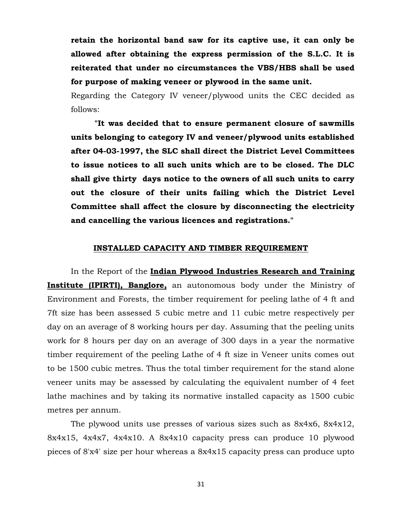**retain the horizontal band saw for its captive use, it can only be allowed after obtaining the express permission of the S.L.C. It is reiterated that under no circumstances the VBS/HBS shall be used for purpose of making veneer or plywood in the same unit.** 

Regarding the Category IV veneer/plywood units the CEC decided as follows:

**"It was decided that to ensure permanent closure of sawmills units belonging to category IV and veneer/plywood units established after 04-03-1997, the SLC shall direct the District Level Committees to issue notices to all such units which are to be closed. The DLC shall give thirty days notice to the owners of all such units to carry out the closure of their units failing which the District Level Committee shall affect the closure by disconnecting the electricity and cancelling the various licences and registrations."**

#### **INSTALLED CAPACITY AND TIMBER REQUIREMENT**

In the Report of the **Indian Plywood Industries Research and Training Institute (IPIRTI), Banglore,** an autonomous body under the Ministry of Environment and Forests, the timber requirement for peeling lathe of 4 ft and 7ft size has been assessed 5 cubic metre and 11 cubic metre respectively per day on an average of 8 working hours per day. Assuming that the peeling units work for 8 hours per day on an average of 300 days in a year the normative timber requirement of the peeling Lathe of 4 ft size in Veneer units comes out to be 1500 cubic metres. Thus the total timber requirement for the stand alone veneer units may be assessed by calculating the equivalent number of 4 feet lathe machines and by taking its normative installed capacity as 1500 cubic metres per annum.

The plywood units use presses of various sizes such as 8x4x6, 8x4x12, 8x4x15, 4x4x7, 4x4x10. A 8x4x10 capacity press can produce 10 plywood pieces of 8'x4' size per hour whereas a 8x4x15 capacity press can produce upto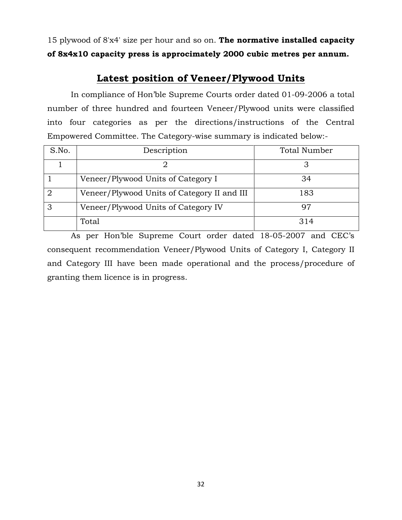15 plywood of 8'x4' size per hour and so on. **The normative installed capacity of 8x4x10 capacity press is approcimately 2000 cubic metres per annum.**

# **Latest position of Veneer/Plywood Units**

In compliance of Hon'ble Supreme Courts order dated 01-09-2006 a total number of three hundred and fourteen Veneer/Plywood units were classified into four categories as per the directions/instructions of the Central Empowered Committee. The Category-wise summary is indicated below:-

| S.No. | Description                                 | <b>Total Number</b> |
|-------|---------------------------------------------|---------------------|
|       |                                             |                     |
|       | Veneer/Plywood Units of Category I          | 34                  |
|       | Veneer/Plywood Units of Category II and III | 183                 |
| З     | Veneer/Plywood Units of Category IV         |                     |
|       | Total                                       | 314                 |

As per Hon'ble Supreme Court order dated 18-05-2007 and CEC's consequent recommendation Veneer/Plywood Units of Category I, Category II and Category III have been made operational and the process/procedure of granting them licence is in progress.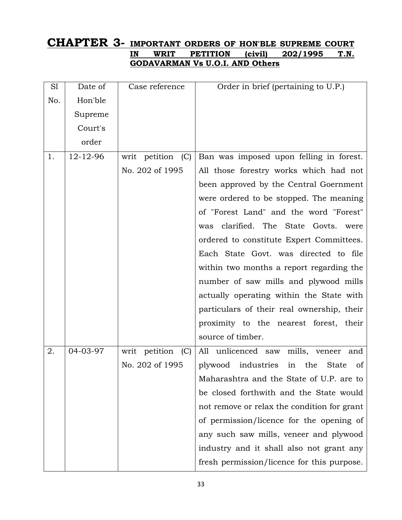# **CHAPTER 3- IMPORTANT ORDERS OF HON'BLE SUPREME COURT IN WRIT PETITION (civil) 202/1995 T.N. GODAVARMAN Vs U.O.I. AND Others**

| S1  | Date of  | Case reference       | Order in brief (pertaining to U.P.)                              |
|-----|----------|----------------------|------------------------------------------------------------------|
| No. | Hon'ble  |                      |                                                                  |
|     | Supreme  |                      |                                                                  |
|     | Court's  |                      |                                                                  |
|     | order    |                      |                                                                  |
| 1.  | 12-12-96 | writ petition (C)    | Ban was imposed upon felling in forest.                          |
|     |          | No. 202 of 1995      | All those forestry works which had not                           |
|     |          |                      | been approved by the Central Goernment                           |
|     |          |                      | were ordered to be stopped. The meaning                          |
|     |          |                      | of "Forest Land" and the word "Forest"                           |
|     |          |                      | clarified. The State Govts. were<br>was                          |
|     |          |                      | ordered to constitute Expert Committees.                         |
|     |          |                      | Each State Govt. was directed to file                            |
|     |          |                      | within two months a report regarding the                         |
|     |          |                      | number of saw mills and plywood mills                            |
|     |          |                      | actually operating within the State with                         |
|     |          |                      | particulars of their real ownership, their                       |
|     |          |                      | proximity to the nearest forest, their                           |
|     |          |                      | source of timber.                                                |
| 2.  | 04-03-97 | writ petition<br>(C) | All unlicenced saw<br>mills, veneer<br>and                       |
|     |          | No. 202 of 1995      | plywood industries<br>in<br>the<br><b>State</b><br><sub>of</sub> |
|     |          |                      | Maharashtra and the State of U.P. are to                         |
|     |          |                      | be closed forthwith and the State would                          |
|     |          |                      | not remove or relax the condition for grant                      |
|     |          |                      | of permission/licence for the opening of                         |
|     |          |                      | any such saw mills, veneer and plywood                           |
|     |          |                      | industry and it shall also not grant any                         |
|     |          |                      | fresh permission/licence for this purpose.                       |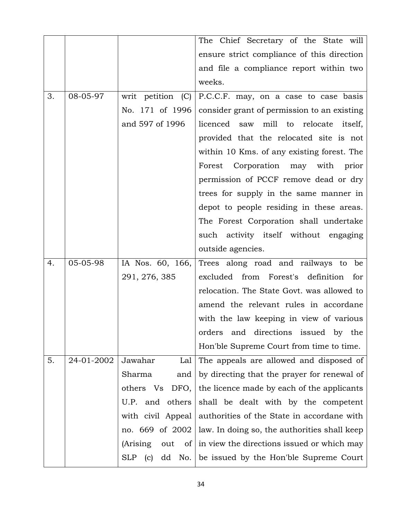|    |            |                                | The Chief Secretary of the State will        |
|----|------------|--------------------------------|----------------------------------------------|
|    |            |                                | ensure strict compliance of this direction   |
|    |            |                                | and file a compliance report within two      |
|    |            |                                | weeks.                                       |
| 3. | 08-05-97   | writ petition (C)              | P.C.C.F. may, on a case to case basis        |
|    |            | No. 171 of 1996                | consider grant of permission to an existing  |
|    |            | and 597 of 1996                | licenced saw mill to relocate<br>itself,     |
|    |            |                                | provided that the relocated site is not      |
|    |            |                                | within 10 Kms. of any existing forest. The   |
|    |            |                                | Corporation may with prior<br>Forest         |
|    |            |                                | permission of PCCF remove dead or dry        |
|    |            |                                | trees for supply in the same manner in       |
|    |            |                                | depot to people residing in these areas.     |
|    |            |                                | The Forest Corporation shall undertake       |
|    |            |                                | such activity itself without engaging        |
|    |            |                                | outside agencies.                            |
| 4. | 05-05-98   | IA Nos. 60, 166,               | Trees along road and railways to<br>be       |
|    |            | 291, 276, 385                  | excluded from Forest's definition<br>for     |
|    |            |                                | relocation. The State Govt. was allowed to   |
|    |            |                                | amend the relevant rules in accordane        |
|    |            |                                | with the law keeping in view of various      |
|    |            |                                | directions issued by the<br>orders<br>and    |
|    |            |                                | Hon'ble Supreme Court from time to time.     |
| 5. | 24-01-2002 | Jawahar<br>Lal                 | The appeals are allowed and disposed of      |
|    |            | Sharma<br>and                  | by directing that the prayer for renewal of  |
|    |            | others Vs<br>DFO,              | the licence made by each of the applicants   |
|    |            | others<br>U.P. and             | shall be dealt with by the competent         |
|    |            | with civil Appeal              | authorities of the State in accordane with   |
|    |            | no. 669 of 2002                | law. In doing so, the authorities shall keep |
|    |            | (Arising)<br>out<br>of         | in view the directions issued or which may   |
|    |            | <b>SLP</b><br>(c)<br>dd<br>No. | be issued by the Hon'ble Supreme Court       |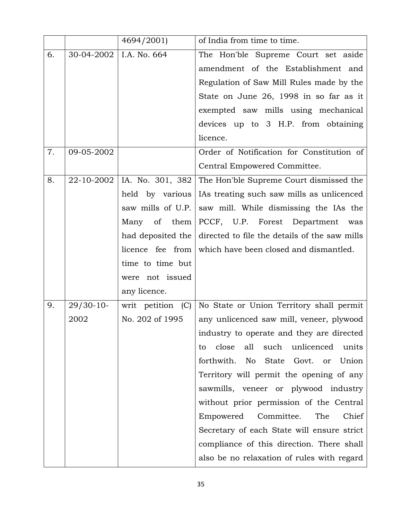|    |             | 4694/2001)        | of India from time to time.                    |
|----|-------------|-------------------|------------------------------------------------|
| 6. | 30-04-2002  | I.A. No. 664      | The Hon'ble Supreme Court set aside            |
|    |             |                   | amendment of the Establishment and             |
|    |             |                   | Regulation of Saw Mill Rules made by the       |
|    |             |                   | State on June 26, 1998 in so far as it         |
|    |             |                   | exempted saw mills using mechanical            |
|    |             |                   | devices up to 3 H.P. from obtaining            |
|    |             |                   | licence.                                       |
| 7. | 09-05-2002  |                   | Order of Notification for Constitution of      |
|    |             |                   | Central Empowered Committee.                   |
| 8. | 22-10-2002  | IA. No. 301, 382  | The Hon'ble Supreme Court dismissed the        |
|    |             | held by various   | IAs treating such saw mills as unlicenced      |
|    |             | saw mills of U.P. | saw mill. While dismissing the IAs the         |
|    |             | Many of them      | PCCF, U.P. Forest Department<br>was            |
|    |             | had deposited the | directed to file the details of the saw mills  |
|    |             | licence fee from  | which have been closed and dismantled.         |
|    |             | time to time but  |                                                |
|    |             | were not issued   |                                                |
|    |             | any licence.      |                                                |
| 9. | $29/30-10-$ | writ petition (C) | No State or Union Territory shall permit       |
|    | 2002        | No. 202 of 1995   | any unlicenced saw mill, veneer, plywood       |
|    |             |                   | industry to operate and they are directed      |
|    |             |                   | close<br>all<br>such unlicenced<br>units<br>to |
|    |             |                   | forthwith.<br>No<br>State Govt.<br>Union<br>or |
|    |             |                   | Territory will permit the opening of any       |
|    |             |                   | sawmills, veneer or plywood industry           |
|    |             |                   | without prior permission of the Central        |
|    |             |                   | Chief<br>Committee.<br>The<br>Empowered        |
|    |             |                   | Secretary of each State will ensure strict     |
|    |             |                   | compliance of this direction. There shall      |
|    |             |                   | also be no relaxation of rules with regard     |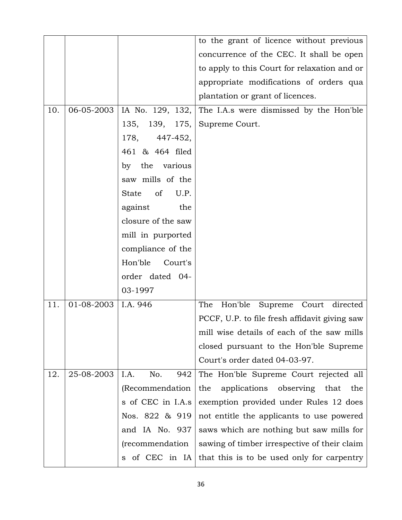|     |            |                            | to the grant of licence without previous        |
|-----|------------|----------------------------|-------------------------------------------------|
|     |            |                            | concurrence of the CEC. It shall be open        |
|     |            |                            | to apply to this Court for relaxation and or    |
|     |            |                            | appropriate modifications of orders qua         |
|     |            |                            | plantation or grant of licences.                |
| 10. | 06-05-2003 | IA No. 129, 132,           | The I.A.s were dismissed by the Hon'ble         |
|     |            | 139, 175,<br>135,          | Supreme Court.                                  |
|     |            | 178, 447-452,              |                                                 |
|     |            | 461 & 464 filed            |                                                 |
|     |            | by the various             |                                                 |
|     |            | saw mills of the           |                                                 |
|     |            | of<br>U.P.<br><b>State</b> |                                                 |
|     |            | against<br>the             |                                                 |
|     |            | closure of the saw         |                                                 |
|     |            | mill in purported          |                                                 |
|     |            | compliance of the          |                                                 |
|     |            | Hon'ble<br>Court's         |                                                 |
|     |            | order dated 04-            |                                                 |
|     |            | 03-1997                    |                                                 |
| 11. | 01-08-2003 | I.A. 946                   | The<br>Hon'ble<br>Supreme Court directed        |
|     |            |                            | PCCF, U.P. to file fresh affidavit giving saw   |
|     |            |                            | mill wise details of each of the saw mills      |
|     |            |                            | closed pursuant to the Hon'ble Supreme          |
|     |            |                            | Court's order dated 04-03-97.                   |
| 12. | 25-08-2003 | I.A.<br>No.<br>942         | The Hon'ble Supreme Court rejected all          |
|     |            | (Recommendation            | applications<br>observing<br>that<br>the<br>the |
|     |            | s of CEC in I.A.s          | exemption provided under Rules 12 does          |
|     |            | Nos. 822 & 919             | not entitle the applicants to use powered       |
|     |            | and IA No. 937             | saws which are nothing but saw mills for        |
|     |            | (recommendation            | sawing of timber irrespective of their claim    |
|     |            | of CEC in IA<br>S.         | that this is to be used only for carpentry      |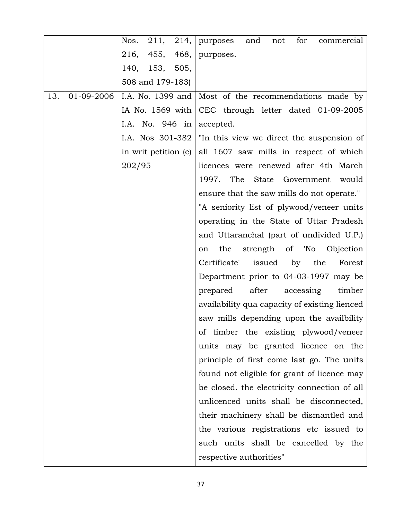|     |            | Nos. 211, 214,   purposes | for<br>and<br>not<br>commercial               |
|-----|------------|---------------------------|-----------------------------------------------|
|     |            | 216,<br>455,<br>468,      | purposes.                                     |
|     |            | 140, 153, 505,            |                                               |
|     |            | 508 and 179-183)          |                                               |
| 13. | 01-09-2006 | I.A. No. 1399 and         | Most of the recommendations made by           |
|     |            | IA No. 1569 with          | CEC through letter dated 01-09-2005           |
|     |            | I.A. No. 946 in           | accepted.                                     |
|     |            | I.A. Nos 301-382          | "In this view we direct the suspension of     |
|     |            | in writ petition (c)      | all 1607 saw mills in respect of which        |
|     |            | 202/95                    | licences were renewed after 4th March         |
|     |            |                           | The<br>State Government<br>1997.<br>would     |
|     |            |                           | ensure that the saw mills do not operate."    |
|     |            |                           | "A seniority list of plywood/veneer units     |
|     |            |                           | operating in the State of Uttar Pradesh       |
|     |            |                           | and Uttaranchal (part of undivided U.P.)      |
|     |            |                           | the<br>strength of 'No<br>Objection<br>on     |
|     |            |                           | Certificate' issued by the<br>Forest          |
|     |            |                           | Department prior to 04-03-1997 may be         |
|     |            |                           | after<br>prepared<br>accessing<br>timber      |
|     |            |                           | availability qua capacity of existing lienced |
|     |            |                           | saw mills depending upon the availbility      |
|     |            |                           | of timber the existing plywood/veneer         |
|     |            |                           | units may be granted licence on the           |
|     |            |                           | principle of first come last go. The units    |
|     |            |                           | found not eligible for grant of licence may   |
|     |            |                           | be closed, the electricity connection of all  |
|     |            |                           | unlicenced units shall be disconnected,       |
|     |            |                           | their machinery shall be dismantled and       |
|     |            |                           | the various registrations etc issued to       |
|     |            |                           | such units shall be cancelled by the          |
|     |            |                           | respective authorities"                       |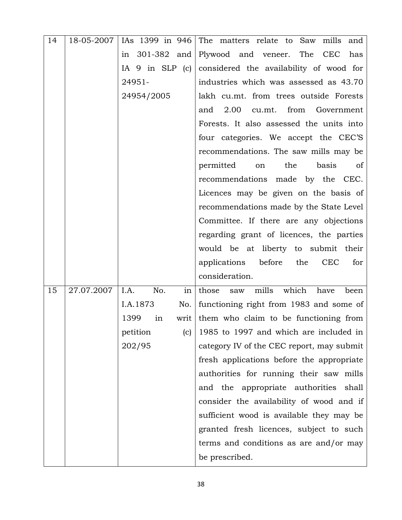| 14 | 18-05-2007 | IAs 1399 in 946      | The matters relate to Saw mills<br>and          |
|----|------------|----------------------|-------------------------------------------------|
|    |            | 301-382<br>and<br>in | Plywood and veneer. The<br>CEC<br>has           |
|    |            | IA $9$ in SLP (c)    | considered the availability of wood for         |
|    |            | 24951-               | industries which was assessed as 43.70          |
|    |            | 24954/2005           | lakh cu.mt. from trees outside Forests          |
|    |            |                      | 2.00<br>and<br>cu.mt.<br>from<br>Government     |
|    |            |                      | Forests. It also assessed the units into        |
|    |            |                      | four categories. We accept the CEC'S            |
|    |            |                      | recommendations. The saw mills may be           |
|    |            |                      | permitted<br>the<br>basis<br>of<br>on           |
|    |            |                      | recommendations<br>made by the CEC.             |
|    |            |                      | Licences may be given on the basis of           |
|    |            |                      | recommendations made by the State Level         |
|    |            |                      | Committee. If there are any objections          |
|    |            |                      | regarding grant of licences, the parties        |
|    |            |                      | would be at liberty to submit their             |
|    |            |                      | applications<br>before the<br><b>CEC</b><br>for |
|    |            |                      | consideration.                                  |
| 15 | 27.07.2007 | I.A.<br>No.<br>in    | which<br>mills<br>those<br>have<br>been<br>saw  |
|    |            | I.A.1873<br>No.      | functioning right from 1983 and some of         |
|    |            | 1399<br>in<br>writ   | them who claim to be functioning from           |
|    |            | petition<br>(c)      | 1985 to 1997 and which are included in          |
|    |            | 202/95               | category IV of the CEC report, may submit       |
|    |            |                      | fresh applications before the appropriate       |
|    |            |                      | authorities for running their saw mills         |
|    |            |                      | and the appropriate authorities shall           |
|    |            |                      | consider the availability of wood and if        |
|    |            |                      | sufficient wood is available they may be        |
|    |            |                      | granted fresh licences, subject to such         |
|    |            |                      | terms and conditions as are and/or may          |
|    |            |                      | be prescribed.                                  |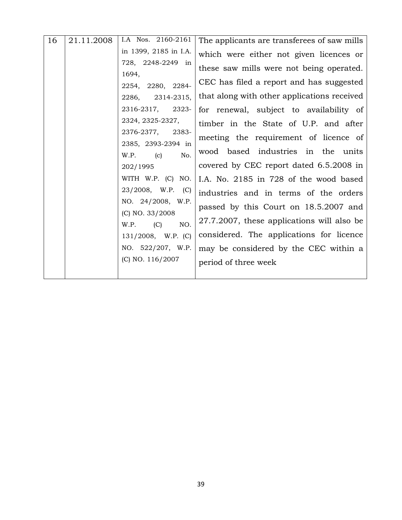| 16 | 21.11.2008 | I.A Nos. 2160-2161                        | The applicants are transferees of saw mills                                             |
|----|------------|-------------------------------------------|-----------------------------------------------------------------------------------------|
|    |            | in 1399, 2185 in I.A.                     | which were either not given licences or                                                 |
|    |            | 728, 2248-2249 in<br>1694,                | these saw mills were not being operated.                                                |
|    |            | 2254, 2280, 2284-<br>2314-2315,<br>2286,  | CEC has filed a report and has suggested<br>that along with other applications received |
|    |            | 2316-2317, 2323-                          | for renewal, subject to availability of                                                 |
|    |            | 2324, 2325-2327,                          | timber in the State of U.P. and after                                                   |
|    |            | 2376-2377,<br>2383-<br>2385, 2393-2394 in | meeting the requirement of licence of                                                   |
|    |            | (c)<br>No.<br>W.P.                        | wood based industries in the units                                                      |
|    |            | 202/1995                                  | covered by CEC report dated 6.5.2008 in                                                 |
|    |            | WITH W.P. (C) NO.                         | I.A. No. 2185 in 728 of the wood based                                                  |
|    |            | 23/2008, W.P. (C)                         | industries and in terms of the orders                                                   |
|    |            | NO. 24/2008, W.P.<br>(C) NO. 33/2008      | passed by this Court on 18.5.2007 and                                                   |
|    |            | NO.<br>(C)<br>W.P.                        | 27.7.2007, these applications will also be                                              |
|    |            | $131/2008$ , W.P. (C)                     | considered. The applications for licence                                                |
|    |            | NO. 522/207, W.P.                         | may be considered by the CEC within a                                                   |
|    |            | (C) NO. 116/2007                          | period of three week                                                                    |
|    |            |                                           |                                                                                         |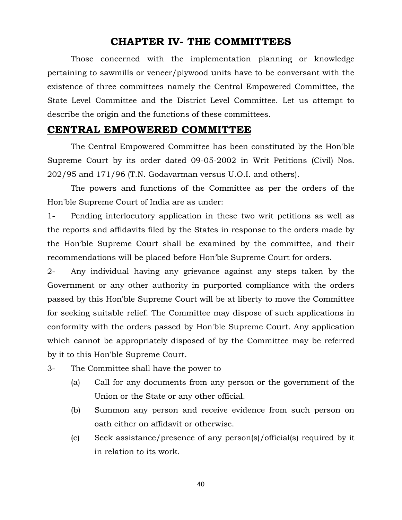# **CHAPTER IV- THE COMMITTEES**

Those concerned with the implementation planning or knowledge pertaining to sawmills or veneer/plywood units have to be conversant with the existence of three committees namely the Central Empowered Committee, the State Level Committee and the District Level Committee. Let us attempt to describe the origin and the functions of these committees.

### **CENTRAL EMPOWERED COMMITTEE**

The Central Empowered Committee has been constituted by the Hon'ble Supreme Court by its order dated 09-05-2002 in Writ Petitions (Civil) Nos. 202/95 and 171/96 (T.N. Godavarman versus U.O.I. and others).

The powers and functions of the Committee as per the orders of the Hon'ble Supreme Court of India are as under:

1- Pending interlocutory application in these two writ petitions as well as the reports and affidavits filed by the States in response to the orders made by the Hon'ble Supreme Court shall be examined by the committee, and their recommendations will be placed before Hon'ble Supreme Court for orders.

2- Any individual having any grievance against any steps taken by the Government or any other authority in purported compliance with the orders passed by this Hon'ble Supreme Court will be at liberty to move the Committee for seeking suitable relief. The Committee may dispose of such applications in conformity with the orders passed by Hon'ble Supreme Court. Any application which cannot be appropriately disposed of by the Committee may be referred by it to this Hon'ble Supreme Court.

- 3- The Committee shall have the power to
	- (a) Call for any documents from any person or the government of the Union or the State or any other official.
	- (b) Summon any person and receive evidence from such person on oath either on affidavit or otherwise.
	- (c) Seek assistance/presence of any person(s)/official(s) required by it in relation to its work.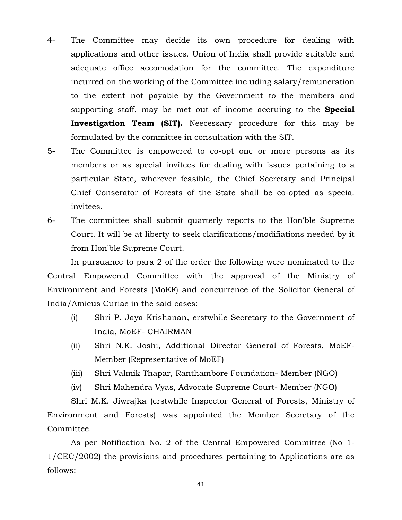- 4- The Committee may decide its own procedure for dealing with applications and other issues. Union of India shall provide suitable and adequate office accomodation for the committee. The expenditure incurred on the working of the Committee including salary/remuneration to the extent not payable by the Government to the members and supporting staff, may be met out of income accruing to the **Special Investigation Team (SIT).** Neecessary procedure for this may be formulated by the committee in consultation with the SIT.
- 5- The Committee is empowered to co-opt one or more persons as its members or as special invitees for dealing with issues pertaining to a particular State, wherever feasible, the Chief Secretary and Principal Chief Conserator of Forests of the State shall be co-opted as special invitees.
- 6- The committee shall submit quarterly reports to the Hon'ble Supreme Court. It will be at liberty to seek clarifications/modifiations needed by it from Hon'ble Supreme Court.

In pursuance to para 2 of the order the following were nominated to the Central Empowered Committee with the approval of the Ministry of Environment and Forests (MoEF) and concurrence of the Solicitor General of India/Amicus Curiae in the said cases:

- (i) Shri P. Jaya Krishanan, erstwhile Secretary to the Government of India, MoEF- CHAIRMAN
- (ii) Shri N.K. Joshi, Additional Director General of Forests, MoEF-Member (Representative of MoEF)
- (iii) Shri Valmik Thapar, Ranthambore Foundation- Member (NGO)
- (iv) Shri Mahendra Vyas, Advocate Supreme Court- Member (NGO)

Shri M.K. Jiwrajka (erstwhile Inspector General of Forests, Ministry of Environment and Forests) was appointed the Member Secretary of the Committee.

As per Notification No. 2 of the Central Empowered Committee (No 1- 1/CEC/2002) the provisions and procedures pertaining to Applications are as follows: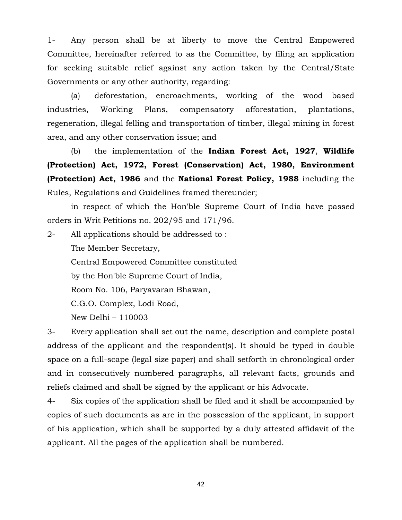1- Any person shall be at liberty to move the Central Empowered Committee, hereinafter referred to as the Committee, by filing an application for seeking suitable relief against any action taken by the Central/State Governments or any other authority, regarding:

(a) deforestation, encroachments, working of the wood based industries, Working Plans, compensatory afforestation, plantations, regeneration, illegal felling and transportation of timber, illegal mining in forest area, and any other conservation issue; and

(b) the implementation of the **Indian Forest Act, 1927**, **Wildlife (Protection) Act, 1972, Forest (Conservation) Act, 1980, Environment (Protection) Act, 1986** and the **National Forest Policy, 1988** including the Rules, Regulations and Guidelines framed thereunder;

in respect of which the Hon'ble Supreme Court of India have passed orders in Writ Petitions no. 202/95 and 171/96.

2- All applications should be addressed to : The Member Secretary, Central Empowered Committee constituted by the Hon'ble Supreme Court of India, Room No. 106, Paryavaran Bhawan, C.G.O. Complex, Lodi Road, New Delhi – 110003

3- Every application shall set out the name, description and complete postal address of the applicant and the respondent(s). It should be typed in double space on a full-scape (legal size paper) and shall setforth in chronological order and in consecutively numbered paragraphs, all relevant facts, grounds and reliefs claimed and shall be signed by the applicant or his Advocate.

4- Six copies of the application shall be filed and it shall be accompanied by copies of such documents as are in the possession of the applicant, in support of his application, which shall be supported by a duly attested affidavit of the applicant. All the pages of the application shall be numbered.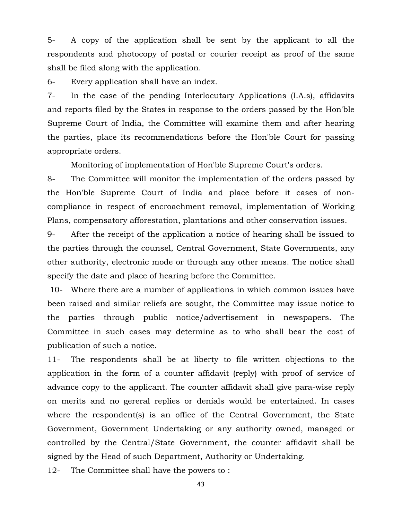5- A copy of the application shall be sent by the applicant to all the respondents and photocopy of postal or courier receipt as proof of the same shall be filed along with the application.

6- Every application shall have an index.

7- In the case of the pending Interlocutary Applications (I.A.s), affidavits and reports filed by the States in response to the orders passed by the Hon'ble Supreme Court of India, the Committee will examine them and after hearing the parties, place its recommendations before the Hon'ble Court for passing appropriate orders.

Monitoring of implementation of Hon'ble Supreme Court's orders.

8- The Committee will monitor the implementation of the orders passed by the Hon'ble Supreme Court of India and place before it cases of noncompliance in respect of encroachment removal, implementation of Working Plans, compensatory afforestation, plantations and other conservation issues.

9- After the receipt of the application a notice of hearing shall be issued to the parties through the counsel, Central Government, State Governments, any other authority, electronic mode or through any other means. The notice shall specify the date and place of hearing before the Committee.

10- Where there are a number of applications in which common issues have been raised and similar reliefs are sought, the Committee may issue notice to the parties through public notice/advertisement in newspapers. The Committee in such cases may determine as to who shall bear the cost of publication of such a notice.

11- The respondents shall be at liberty to file written objections to the application in the form of a counter affidavit (reply) with proof of service of advance copy to the applicant. The counter affidavit shall give para-wise reply on merits and no gereral replies or denials would be entertained. In cases where the respondent(s) is an office of the Central Government, the State Government, Government Undertaking or any authority owned, managed or controlled by the Central/State Government, the counter affidavit shall be signed by the Head of such Department, Authority or Undertaking.

12- The Committee shall have the powers to :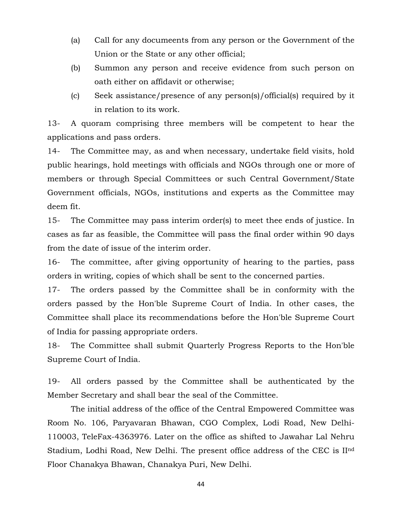- (a) Call for any documeents from any person or the Government of the Union or the State or any other official;
- (b) Summon any person and receive evidence from such person on oath either on affidavit or otherwise;
- (c) Seek assistance/presence of any person(s)/official(s) required by it in relation to its work.

13- A quoram comprising three members will be competent to hear the applications and pass orders.

14- The Committee may, as and when necessary, undertake field visits, hold public hearings, hold meetings with officials and NGOs through one or more of members or through Special Committees or such Central Government/State Government officials, NGOs, institutions and experts as the Committee may deem fit.

15- The Committee may pass interim order(s) to meet thee ends of justice. In cases as far as feasible, the Committee will pass the final order within 90 days from the date of issue of the interim order.

16- The committee, after giving opportunity of hearing to the parties, pass orders in writing, copies of which shall be sent to the concerned parties.

17- The orders passed by the Committee shall be in conformity with the orders passed by the Hon'ble Supreme Court of India. In other cases, the Committee shall place its recommendations before the Hon'ble Supreme Court of India for passing appropriate orders.

18- The Committee shall submit Quarterly Progress Reports to the Hon'ble Supreme Court of India.

19- All orders passed by the Committee shall be authenticated by the Member Secretary and shall bear the seal of the Committee.

The initial address of the office of the Central Empowered Committee was Room No. 106, Paryavaran Bhawan, CGO Complex, Lodi Road, New Delhi-110003, TeleFax-4363976. Later on the office as shifted to Jawahar Lal Nehru Stadium, Lodhi Road, New Delhi. The present office address of the CEC is IInd Floor Chanakya Bhawan, Chanakya Puri, New Delhi.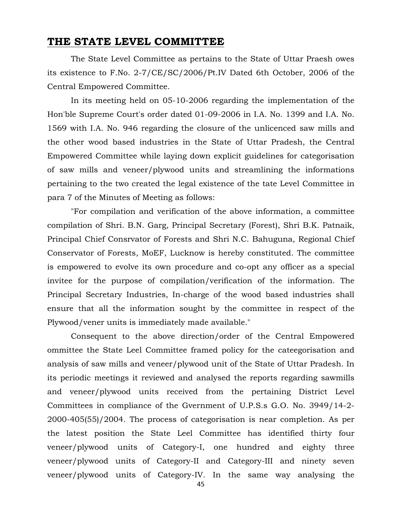### **THE STATE LEVEL COMMITTEE**

The State Level Committee as pertains to the State of Uttar Praesh owes its existence to F.No. 2-7/CE/SC/2006/Pt.IV Dated 6th October, 2006 of the Central Empowered Committee.

In its meeting held on 05-10-2006 regarding the implementation of the Hon'ble Supreme Court's order dated 01-09-2006 in I.A. No. 1399 and I.A. No. 1569 with I.A. No. 946 regarding the closure of the unlicenced saw mills and the other wood based industries in the State of Uttar Pradesh, the Central Empowered Committee while laying down explicit guidelines for categorisation of saw mills and veneer/plywood units and streamlining the informations pertaining to the two created the legal existence of the tate Level Committee in para 7 of the Minutes of Meeting as follows:

"For compilation and verification of the above information, a committee compilation of Shri. B.N. Garg, Principal Secretary (Forest), Shri B.K. Patnaik, Principal Chief Consrvator of Forests and Shri N.C. Bahuguna, Regional Chief Conservator of Forests, MoEF, Lucknow is hereby constituted. The committee is empowered to evolve its own procedure and co-opt any officer as a special invitee for the purpose of compilation/verification of the information. The Principal Secretary Industries, In-charge of the wood based industries shall ensure that all the information sought by the committee in respect of the Plywood/vener units is immediately made available."

Consequent to the above direction/order of the Central Empowered ommittee the State Leel Committee framed policy for the cateegorisation and analysis of saw mills and veneer/plywood unit of the State of Uttar Pradesh. In its periodic meetings it reviewed and analysed the reports regarding sawmills and veneer/plywood units received from the pertaining District Level Committees in compliance of the Gvernment of U.P.S.s G.O. No. 3949/14-2- 2000-405(55)/2004. The process of categorisation is near completion. As per the latest position the State Leel Committee has identified thirty four veneer/plywood units of Category-I, one hundred and eighty three veneer/plywood units of Category-II and Category-III and ninety seven veneer/plywood units of Category-IV. In the same way analysing the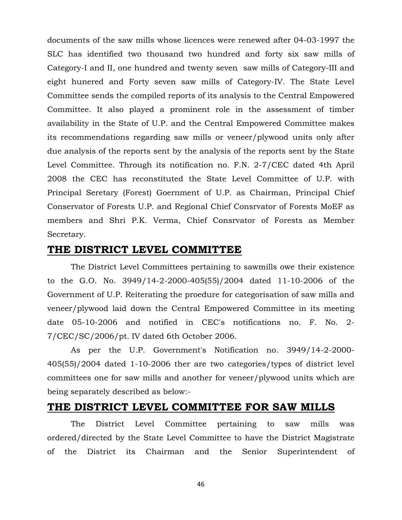documents of the saw mills whose licences were renewed after 04-03-1997 the SLC has identified two thousand two hundred and forty six saw mills of Category-I and II, one hundred and twenty seven saw mills of Category-III and eight hunered and Forty seven saw mills of Category-IV. The State Level Committee sends the compiled reports of its analysis to the Central Empowered Committee. It also played a prominent role in the assessment of timber availability in the State of U.P. and the Central Empowered Committee makes its recommendations regarding saw mills or veneer/plywood units only after due analysis of the reports sent by the analysis of the reports sent by the State Level Committee. Through its notification no. F.N. 2-7/CEC dated 4th April 2008 the CEC has reconstituted the State Level Committee of U.P. with Principal Seretary (Forest) Goernment of U.P. as Chairman, Principal Chief Conservator of Forests U.P. and Regional Chief Consrvator of Forests MoEF as members and Shri P.K. Verma, Chief Consrvator of Forests as Member Secretary.

### **THE DISTRICT LEVEL COMMITTEE**

The District Level Committees pertaining to sawmills owe their existence to the G.O. No. 3949/14-2-2000-405(55)/2004 dated 11-10-2006 of the Government of U.P. Reiterating the proedure for categorisation of saw mills and veneer/plywood laid down the Central Empowered Committee in its meeting date 05-10-2006 and notified in CEC's notifications no. F. No. 2- 7/CEC/SC/2006/pt. IV dated 6th October 2006.

As per the U.P. Government's Notification no. 3949/14-2-2000- 405(55)/2004 dated 1-10-2006 ther are two categories/types of district level committees one for saw mills and another for veneer/plywood units which are being separately described as below:-

### **THE DISTRICT LEVEL COMMITTEE FOR SAW MILLS**

The District Level Committee pertaining to saw mills was ordered/directed by the State Level Committee to have the District Magistrate of the District its Chairman and the Senior Superintendent of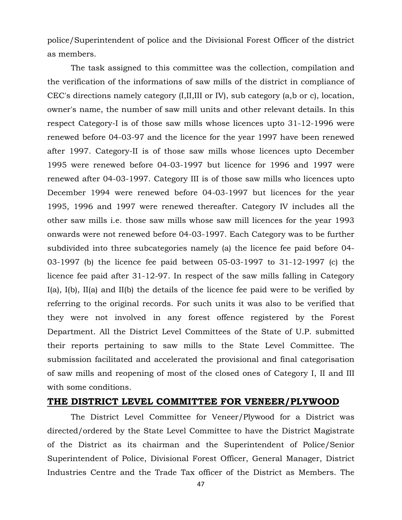police/Superintendent of police and the Divisional Forest Officer of the district as members.

The task assigned to this committee was the collection, compilation and the verification of the informations of saw mills of the district in compliance of CEC's directions namely category (I,II,III or IV), sub category (a,b or c), location, owner's name, the number of saw mill units and other relevant details. In this respect Category-I is of those saw mills whose licences upto 31-12-1996 were renewed before 04-03-97 and the licence for the year 1997 have been renewed after 1997. Category-II is of those saw mills whose licences upto December 1995 were renewed before 04-03-1997 but licence for 1996 and 1997 were renewed after 04-03-1997. Category III is of those saw mills who licences upto December 1994 were renewed before 04-03-1997 but licences for the year 1995, 1996 and 1997 were renewed thereafter. Category IV includes all the other saw mills i.e. those saw mills whose saw mill licences for the year 1993 onwards were not renewed before 04-03-1997. Each Category was to be further subdivided into three subcategories namely (a) the licence fee paid before 04- 03-1997 (b) the licence fee paid between 05-03-1997 to 31-12-1997 (c) the licence fee paid after 31-12-97. In respect of the saw mills falling in Category I(a), I(b), II(a) and II(b) the details of the licence fee paid were to be verified by referring to the original records. For such units it was also to be verified that they were not involved in any forest offence registered by the Forest Department. All the District Level Committees of the State of U.P. submitted their reports pertaining to saw mills to the State Level Committee. The submission facilitated and accelerated the provisional and final categorisation of saw mills and reopening of most of the closed ones of Category I, II and III with some conditions.

#### **THE DISTRICT LEVEL COMMITTEE FOR VENEER/PLYWOOD**

The District Level Committee for Veneer/Plywood for a District was directed/ordered by the State Level Committee to have the District Magistrate of the District as its chairman and the Superintendent of Police/Senior Superintendent of Police, Divisional Forest Officer, General Manager, District Industries Centre and the Trade Tax officer of the District as Members. The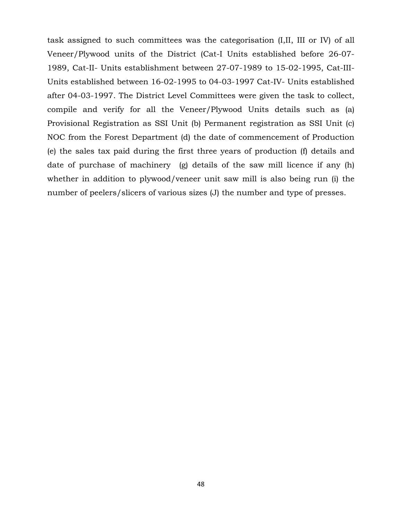task assigned to such committees was the categorisation (I,II, III or IV) of all Veneer/Plywood units of the District (Cat-I Units established before 26-07- 1989, Cat-II- Units establishment between 27-07-1989 to 15-02-1995, Cat-III-Units established between 16-02-1995 to 04-03-1997 Cat-IV- Units established after 04-03-1997. The District Level Committees were given the task to collect, compile and verify for all the Veneer/Plywood Units details such as (a) Provisional Registration as SSI Unit (b) Permanent registration as SSI Unit (c) NOC from the Forest Department (d) the date of commencement of Production (e) the sales tax paid during the first three years of production (f) details and date of purchase of machinery (g) details of the saw mill licence if any (h) whether in addition to plywood/veneer unit saw mill is also being run (i) the number of peelers/slicers of various sizes (J) the number and type of presses.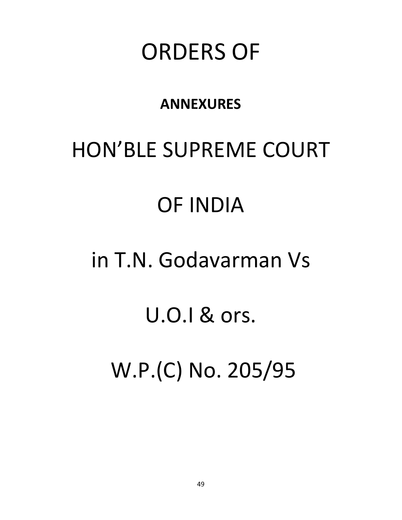# ORDERS OF

# **ANNEXURES**

# HON'BLE SUPREME COURT

# OF INDIA

# in T.N. Godavarman Vs

# U.O.I & ors.

W.P.(C) No. 205/95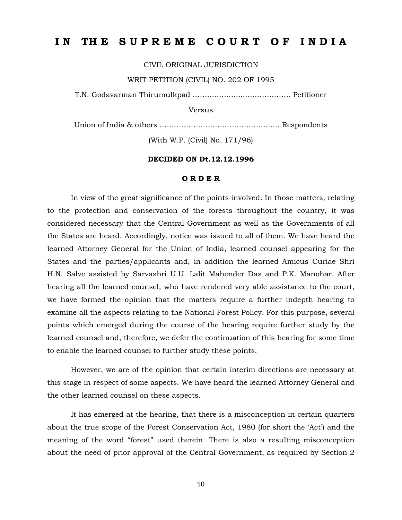# IN THE SUPREME COURT OF INDIA

CIVIL ORIGINAL JURISDICTION

WRIT PETITION (CIVIL) NO. 202 OF 1995

T.N. Godavarman Thirumulkpad ………………....………………. Petitioner

Versus

Union of India & others ………………………………………….. Respondents

(With W.P. (Civil) No. 171/96)

#### **DECIDED ON Dt.12.12.1996**

#### **O R D E R**

In view of the great significance of the points involved. In those matters, relating to the protection and conservation of the forests throughout the country, it was considered necessary that the Central Government as well as the Governments of all the States are heard. Accordingly, notice was issued to all of them. We have heard the learned Attorney General for the Union of India, learned counsel appearing for the States and the parties/applicants and, in addition the learned Amicus Curiae Shri H.N. Salve assisted by Sarvashri U.U. Lalit Mahender Das and P.K. Manohar. After hearing all the learned counsel, who have rendered very able assistance to the court, we have formed the opinion that the matters require a further indepth hearing to examine all the aspects relating to the National Forest Policy. For this purpose, several points which emerged during the course of the hearing require further study by the learned counsel and, therefore, we defer the continuation of this hearing for some time to enable the learned counsel to further study these points.

However, we are of the opinion that certain interim directions are necessary at this stage in respect of some aspects. We have heard the learned Attorney General and the other learned counsel on these aspects.

It has emerged at the hearing, that there is a misconception in certain quarters about the true scope of the Forest Conservation Act, 1980 (for short the 'Act') and the meaning of the word "forest" used therein. There is also a resulting misconception about the need of prior approval of the Central Government, as required by Section 2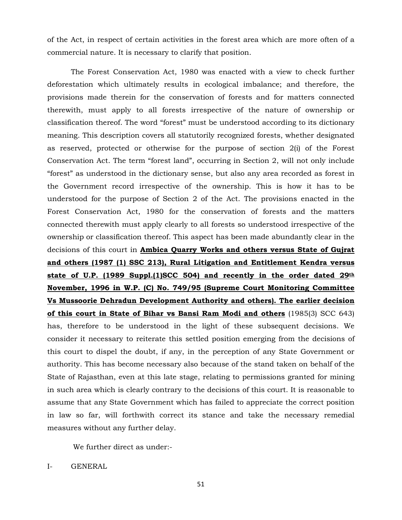of the Act, in respect of certain activities in the forest area which are more often of a commercial nature. It is necessary to clarify that position.

The Forest Conservation Act, 1980 was enacted with a view to check further deforestation which ultimately results in ecological imbalance; and therefore, the provisions made therein for the conservation of forests and for matters connected therewith, must apply to all forests irrespective of the nature of ownership or classification thereof. The word "forest" must be understood according to its dictionary meaning. This description covers all statutorily recognized forests, whether designated as reserved, protected or otherwise for the purpose of section 2(i) of the Forest Conservation Act. The term "forest land", occurring in Section 2, will not only include "forest" as understood in the dictionary sense, but also any area recorded as forest in the Government record irrespective of the ownership. This is how it has to be understood for the purpose of Section 2 of the Act. The provisions enacted in the Forest Conservation Act, 1980 for the conservation of forests and the matters connected therewith must apply clearly to all forests so understood irrespective of the ownership or classification thereof. This aspect has been made abundantly clear in the decisions of this court in **Ambica Quarry Works and others versus State of Gujrat and others (1987 (1) SSC 213), Rural Litigation and Entitlement Kendra versus state of U.P. (1989 Suppl.(1)SCC 504) and recently in the order dated 29th November, 1996 in W.P. (C) No. 749/95 (Supreme Court Monitoring Committee Vs Mussoorie Dehradun Development Authority and others). The earlier decision of this court in State of Bihar vs Bansi Ram Modi and others** (1985(3) SCC 643) has, therefore to be understood in the light of these subsequent decisions. We consider it necessary to reiterate this settled position emerging from the decisions of this court to dispel the doubt, if any, in the perception of any State Government or authority. This has become necessary also because of the stand taken on behalf of the State of Rajasthan, even at this late stage, relating to permissions granted for mining in such area which is clearly contrary to the decisions of this court. It is reasonable to assume that any State Government which has failed to appreciate the correct position in law so far, will forthwith correct its stance and take the necessary remedial measures without any further delay.

We further direct as under:-

I- GENERAL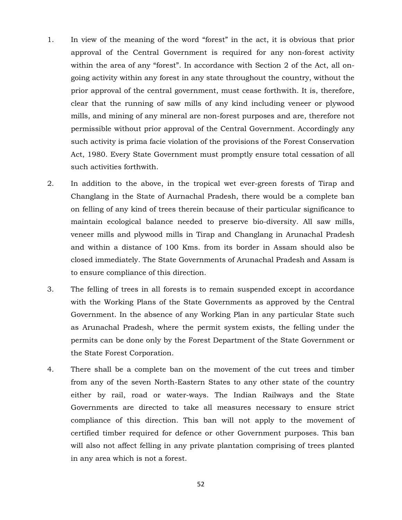- 1. In view of the meaning of the word "forest" in the act, it is obvious that prior approval of the Central Government is required for any non-forest activity within the area of any "forest". In accordance with Section 2 of the Act, all ongoing activity within any forest in any state throughout the country, without the prior approval of the central government, must cease forthwith. It is, therefore, clear that the running of saw mills of any kind including veneer or plywood mills, and mining of any mineral are non-forest purposes and are, therefore not permissible without prior approval of the Central Government. Accordingly any such activity is prima facie violation of the provisions of the Forest Conservation Act, 1980. Every State Government must promptly ensure total cessation of all such activities forthwith.
- 2. In addition to the above, in the tropical wet ever-green forests of Tirap and Changlang in the State of Aurnachal Pradesh, there would be a complete ban on felling of any kind of trees therein because of their particular significance to maintain ecological balance needed to preserve bio-diversity. All saw mills, veneer mills and plywood mills in Tirap and Changlang in Arunachal Pradesh and within a distance of 100 Kms. from its border in Assam should also be closed immediately. The State Governments of Arunachal Pradesh and Assam is to ensure compliance of this direction.
- 3. The felling of trees in all forests is to remain suspended except in accordance with the Working Plans of the State Governments as approved by the Central Government. In the absence of any Working Plan in any particular State such as Arunachal Pradesh, where the permit system exists, the felling under the permits can be done only by the Forest Department of the State Government or the State Forest Corporation.
- 4. There shall be a complete ban on the movement of the cut trees and timber from any of the seven North-Eastern States to any other state of the country either by rail, road or water-ways. The Indian Railways and the State Governments are directed to take all measures necessary to ensure strict compliance of this direction. This ban will not apply to the movement of certified timber required for defence or other Government purposes. This ban will also not affect felling in any private plantation comprising of trees planted in any area which is not a forest.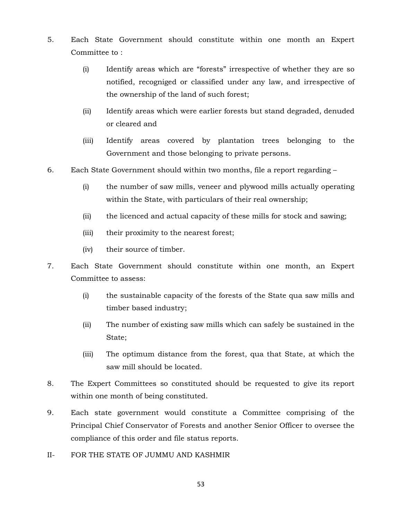- 5. Each State Government should constitute within one month an Expert Committee to :
	- (i) Identify areas which are "forests" irrespective of whether they are so notified, recogniged or classified under any law, and irrespective of the ownership of the land of such forest;
	- (ii) Identify areas which were earlier forests but stand degraded, denuded or cleared and
	- (iii) Identify areas covered by plantation trees belonging to the Government and those belonging to private persons.
- 6. Each State Government should within two months, file a report regarding
	- (i) the number of saw mills, veneer and plywood mills actually operating within the State, with particulars of their real ownership;
	- (ii) the licenced and actual capacity of these mills for stock and sawing;
	- (iii) their proximity to the nearest forest;
	- (iv) their source of timber.
- 7. Each State Government should constitute within one month, an Expert Committee to assess:
	- (i) the sustainable capacity of the forests of the State qua saw mills and timber based industry;
	- (ii) The number of existing saw mills which can safely be sustained in the State;
	- (iii) The optimum distance from the forest, qua that State, at which the saw mill should be located.
- 8. The Expert Committees so constituted should be requested to give its report within one month of being constituted.
- 9. Each state government would constitute a Committee comprising of the Principal Chief Conservator of Forests and another Senior Officer to oversee the compliance of this order and file status reports.
- II- FOR THE STATE OF JUMMU AND KASHMIR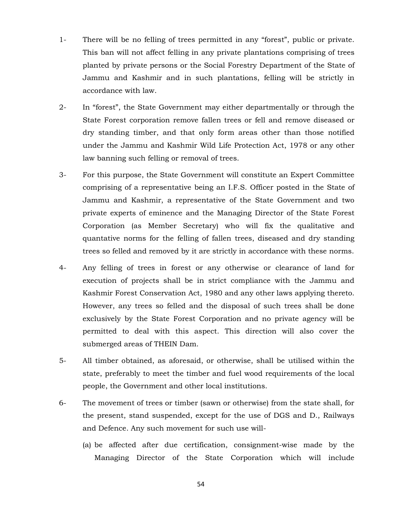- 1- There will be no felling of trees permitted in any "forest", public or private. This ban will not affect felling in any private plantations comprising of trees planted by private persons or the Social Forestry Department of the State of Jammu and Kashmir and in such plantations, felling will be strictly in accordance with law.
- 2- In "forest", the State Government may either departmentally or through the State Forest corporation remove fallen trees or fell and remove diseased or dry standing timber, and that only form areas other than those notified under the Jammu and Kashmir Wild Life Protection Act, 1978 or any other law banning such felling or removal of trees.
- 3- For this purpose, the State Government will constitute an Expert Committee comprising of a representative being an I.F.S. Officer posted in the State of Jammu and Kashmir, a representative of the State Government and two private experts of eminence and the Managing Director of the State Forest Corporation (as Member Secretary) who will fix the qualitative and quantative norms for the felling of fallen trees, diseased and dry standing trees so felled and removed by it are strictly in accordance with these norms.
- 4- Any felling of trees in forest or any otherwise or clearance of land for execution of projects shall be in strict compliance with the Jammu and Kashmir Forest Conservation Act, 1980 and any other laws applying thereto. However, any trees so felled and the disposal of such trees shall be done exclusively by the State Forest Corporation and no private agency will be permitted to deal with this aspect. This direction will also cover the submerged areas of THEIN Dam.
- 5- All timber obtained, as aforesaid, or otherwise, shall be utilised within the state, preferably to meet the timber and fuel wood requirements of the local people, the Government and other local institutions.
- 6- The movement of trees or timber (sawn or otherwise) from the state shall, for the present, stand suspended, except for the use of DGS and D., Railways and Defence. Any such movement for such use will-
	- (a) be affected after due certification, consignment-wise made by the Managing Director of the State Corporation which will include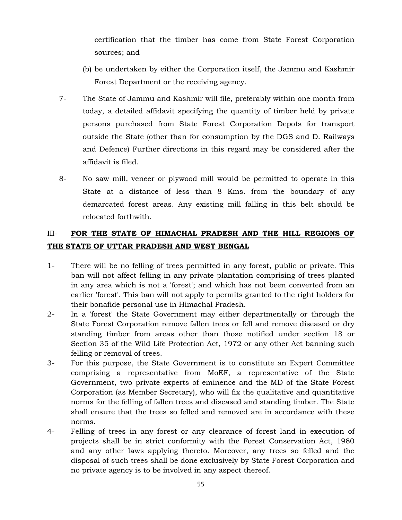certification that the timber has come from State Forest Corporation sources; and

- (b) be undertaken by either the Corporation itself, the Jammu and Kashmir Forest Department or the receiving agency.
- 7- The State of Jammu and Kashmir will file, preferably within one month from today, a detailed affidavit specifying the quantity of timber held by private persons purchased from State Forest Corporation Depots for transport outside the State (other than for consumption by the DGS and D. Railways and Defence) Further directions in this regard may be considered after the affidavit is filed.
- 8- No saw mill, veneer or plywood mill would be permitted to operate in this State at a distance of less than 8 Kms. from the boundary of any demarcated forest areas. Any existing mill falling in this belt should be relocated forthwith.

## III- **FOR THE STATE OF HIMACHAL PRADESH AND THE HILL REGIONS OF THE STATE OF UTTAR PRADESH AND WEST BENGAL**

- 1- There will be no felling of trees permitted in any forest, public or private. This ban will not affect felling in any private plantation comprising of trees planted in any area which is not a 'forest'; and which has not been converted from an earlier 'forest'. This ban will not apply to permits granted to the right holders for their bonafide personal use in Himachal Pradesh.
- 2- In a 'forest' the State Government may either departmentally or through the State Forest Corporation remove fallen trees or fell and remove diseased or dry standing timber from areas other than those notified under section 18 or Section 35 of the Wild Life Protection Act, 1972 or any other Act banning such felling or removal of trees.
- 3- For this purpose, the State Government is to constitute an Expert Committee comprising a representative from MoEF, a representative of the State Government, two private experts of eminence and the MD of the State Forest Corporation (as Member Secretary), who will fix the qualitative and quantitative norms for the felling of fallen trees and diseased and standing timber. The State shall ensure that the trees so felled and removed are in accordance with these norms.
- 4- Felling of trees in any forest or any clearance of forest land in execution of projects shall be in strict conformity with the Forest Conservation Act, 1980 and any other laws applying thereto. Moreover, any trees so felled and the disposal of such trees shall be done exclusively by State Forest Corporation and no private agency is to be involved in any aspect thereof.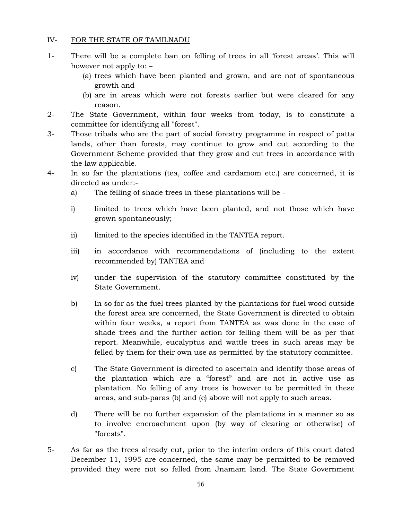#### IV- FOR THE STATE OF TAMILNADU

- 1- There will be a complete ban on felling of trees in all 'forest areas'. This will however not apply to: –
	- (a) trees which have been planted and grown, and are not of spontaneous growth and
	- (b) are in areas which were not forests earlier but were cleared for any reason.
- 2- The State Government, within four weeks from today, is to constitute a committee for identifying all "forest".
- 3- Those tribals who are the part of social forestry programme in respect of patta lands, other than forests, may continue to grow and cut according to the Government Scheme provided that they grow and cut trees in accordance with the law applicable.
- 4- In so far the plantations (tea, coffee and cardamom etc.) are concerned, it is directed as under:
	- a) The felling of shade trees in these plantations will be -
	- i) limited to trees which have been planted, and not those which have grown spontaneously;
	- ii) limited to the species identified in the TANTEA report.
	- iii) in accordance with recommendations of (including to the extent recommended by) TANTEA and
	- iv) under the supervision of the statutory committee constituted by the State Government.
	- b) In so for as the fuel trees planted by the plantations for fuel wood outside the forest area are concerned, the State Government is directed to obtain within four weeks, a report from TANTEA as was done in the case of shade trees and the further action for felling them will be as per that report. Meanwhile, eucalyptus and wattle trees in such areas may be felled by them for their own use as permitted by the statutory committee.
	- c) The State Government is directed to ascertain and identify those areas of the plantation which are a "forest" and are not in active use as plantation. No felling of any trees is however to be permitted in these areas, and sub-paras (b) and (c) above will not apply to such areas.
	- d) There will be no further expansion of the plantations in a manner so as to involve encroachment upon (by way of clearing or otherwise) of "forests".
- 5- As far as the trees already cut, prior to the interim orders of this court dated December 11, 1995 are concerned, the same may be permitted to be removed provided they were not so felled from Jnamam land. The State Government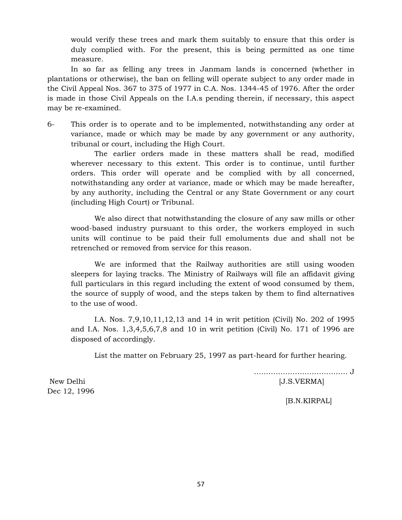would verify these trees and mark them suitably to ensure that this order is duly complied with. For the present, this is being permitted as one time measure.

In so far as felling any trees in Janmam lands is concerned (whether in plantations or otherwise), the ban on felling will operate subject to any order made in the Civil Appeal Nos. 367 to 375 of 1977 in C.A. Nos. 1344-45 of 1976. After the order is made in those Civil Appeals on the I.A.s pending therein, if necessary, this aspect may be re-examined.

6- This order is to operate and to be implemented, notwithstanding any order at variance, made or which may be made by any government or any authority, tribunal or court, including the High Court.

The earlier orders made in these matters shall be read, modified wherever necessary to this extent. This order is to continue, until further orders. This order will operate and be complied with by all concerned, notwithstanding any order at variance, made or which may be made hereafter, by any authority, including the Central or any State Government or any court (including High Court) or Tribunal.

We also direct that notwithstanding the closure of any saw mills or other wood-based industry pursuant to this order, the workers employed in such units will continue to be paid their full emoluments due and shall not be retrenched or removed from service for this reason.

We are informed that the Railway authorities are still using wooden sleepers for laying tracks. The Ministry of Railways will file an affidavit giving full particulars in this regard including the extent of wood consumed by them, the source of supply of wood, and the steps taken by them to find alternatives to the use of wood.

I.A. Nos. 7,9,10,11,12,13 and 14 in writ petition (Civil) No. 202 of 1995 and I.A. Nos. 1,3,4,5,6,7,8 and 10 in writ petition (Civil) No. 171 of 1996 are disposed of accordingly.

List the matter on February 25, 1997 as part-heard for further hearing.

 ………………………………… J New Delhi [J.S.VERMA]

Dec 12, 1996

[B.N.KIRPAL]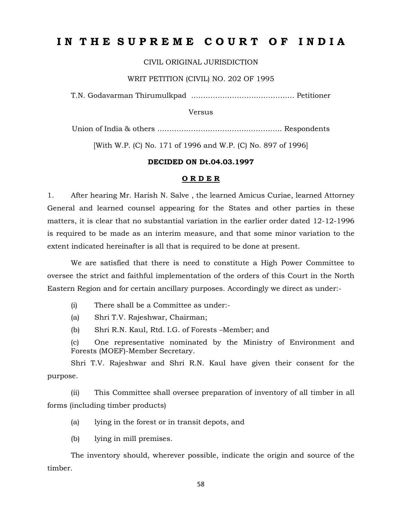# **I N T H E S U P R E M E C O U R T O F I N D I A**

CIVIL ORIGINAL JURISDICTION

WRIT PETITION (CIVIL) NO. 202 OF 1995

T.N. Godavarman Thirumulkpad ……………………………………. Petitioner

Versus

Union of India & others ………………………………..………….. Respondents

[With W.P. (C) No. 171 of 1996 and W.P. (C) No. 897 of 1996]

#### **DECIDED ON Dt.04.03.1997**

#### **O R D E R**

1. After hearing Mr. Harish N. Salve , the learned Amicus Curiae, learned Attorney General and learned counsel appearing for the States and other parties in these matters, it is clear that no substantial variation in the earlier order dated 12-12-1996 is required to be made as an interim measure, and that some minor variation to the extent indicated hereinafter is all that is required to be done at present.

We are satisfied that there is need to constitute a High Power Committee to oversee the strict and faithful implementation of the orders of this Court in the North Eastern Region and for certain ancillary purposes. Accordingly we direct as under:-

(i) There shall be a Committee as under:-

(a) Shri T.V. Rajeshwar, Chairman;

(b) Shri R.N. Kaul, Rtd. I.G. of Forests –Member; and

(c) One representative nominated by the Ministry of Environment and Forests (MOEF)-Member Secretary.

Shri T.V. Rajeshwar and Shri R.N. Kaul have given their consent for the purpose.

(ii) This Committee shall oversee preparation of inventory of all timber in all forms (including timber products)

(a) lying in the forest or in transit depots, and

(b) lying in mill premises.

The inventory should, wherever possible, indicate the origin and source of the timber.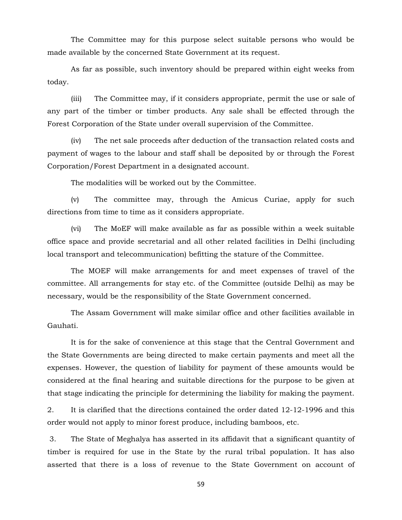The Committee may for this purpose select suitable persons who would be made available by the concerned State Government at its request.

As far as possible, such inventory should be prepared within eight weeks from today.

(iii) The Committee may, if it considers appropriate, permit the use or sale of any part of the timber or timber products. Any sale shall be effected through the Forest Corporation of the State under overall supervision of the Committee.

(iv) The net sale proceeds after deduction of the transaction related costs and payment of wages to the labour and staff shall be deposited by or through the Forest Corporation/Forest Department in a designated account.

The modalities will be worked out by the Committee.

(v) The committee may, through the Amicus Curiae, apply for such directions from time to time as it considers appropriate.

(vi) The MoEF will make available as far as possible within a week suitable office space and provide secretarial and all other related facilities in Delhi (including local transport and telecommunication) befitting the stature of the Committee.

The MOEF will make arrangements for and meet expenses of travel of the committee. All arrangements for stay etc. of the Committee (outside Delhi) as may be necessary, would be the responsibility of the State Government concerned.

The Assam Government will make similar office and other facilities available in Gauhati.

It is for the sake of convenience at this stage that the Central Government and the State Governments are being directed to make certain payments and meet all the expenses. However, the question of liability for payment of these amounts would be considered at the final hearing and suitable directions for the purpose to be given at that stage indicating the principle for determining the liability for making the payment.

2. It is clarified that the directions contained the order dated 12-12-1996 and this order would not apply to minor forest produce, including bamboos, etc.

3. The State of Meghalya has asserted in its affidavit that a significant quantity of timber is required for use in the State by the rural tribal population. It has also asserted that there is a loss of revenue to the State Government on account of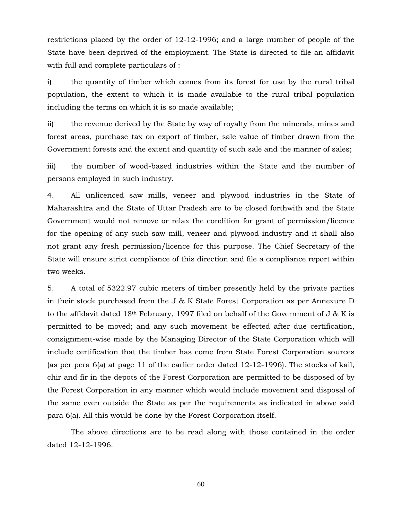restrictions placed by the order of 12-12-1996; and a large number of people of the State have been deprived of the employment. The State is directed to file an affidavit with full and complete particulars of :

i) the quantity of timber which comes from its forest for use by the rural tribal population, the extent to which it is made available to the rural tribal population including the terms on which it is so made available;

ii) the revenue derived by the State by way of royalty from the minerals, mines and forest areas, purchase tax on export of timber, sale value of timber drawn from the Government forests and the extent and quantity of such sale and the manner of sales;

iii) the number of wood-based industries within the State and the number of persons employed in such industry.

4. All unlicenced saw mills, veneer and plywood industries in the State of Maharashtra and the State of Uttar Pradesh are to be closed forthwith and the State Government would not remove or relax the condition for grant of permission/licence for the opening of any such saw mill, veneer and plywood industry and it shall also not grant any fresh permission/licence for this purpose. The Chief Secretary of the State will ensure strict compliance of this direction and file a compliance report within two weeks.

5. A total of 5322.97 cubic meters of timber presently held by the private parties in their stock purchased from the J & K State Forest Corporation as per Annexure D to the affidavit dated 18th February, 1997 filed on behalf of the Government of J & K is permitted to be moved; and any such movement be effected after due certification, consignment-wise made by the Managing Director of the State Corporation which will include certification that the timber has come from State Forest Corporation sources (as per pera 6(a) at page 11 of the earlier order dated 12-12-1996). The stocks of kail, chir and fir in the depots of the Forest Corporation are permitted to be disposed of by the Forest Corporation in any manner which would include movement and disposal of the same even outside the State as per the requirements as indicated in above said para 6(a). All this would be done by the Forest Corporation itself.

The above directions are to be read along with those contained in the order dated 12-12-1996.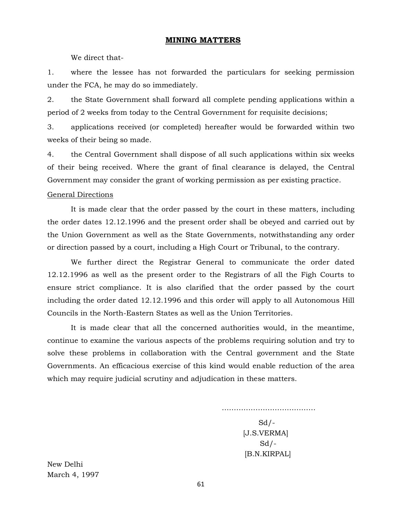#### **MINING MATTERS**

We direct that-

1. where the lessee has not forwarded the particulars for seeking permission under the FCA, he may do so immediately.

2. the State Government shall forward all complete pending applications within a period of 2 weeks from today to the Central Government for requisite decisions;

3. applications received (or completed) hereafter would be forwarded within two weeks of their being so made.

4. the Central Government shall dispose of all such applications within six weeks of their being received. Where the grant of final clearance is delayed, the Central Government may consider the grant of working permission as per existing practice.

#### General Directions

It is made clear that the order passed by the court in these matters, including the order dates 12.12.1996 and the present order shall be obeyed and carried out by the Union Government as well as the State Governments, notwithstanding any order or direction passed by a court, including a High Court or Tribunal, to the contrary.

We further direct the Registrar General to communicate the order dated 12.12.1996 as well as the present order to the Registrars of all the Figh Courts to ensure strict compliance. It is also clarified that the order passed by the court including the order dated 12.12.1996 and this order will apply to all Autonomous Hill Councils in the North-Eastern States as well as the Union Territories.

It is made clear that all the concerned authorities would, in the meantime, continue to examine the various aspects of the problems requiring solution and try to solve these problems in collaboration with the Central government and the State Governments. An efficacious exercise of this kind would enable reduction of the area which may require judicial scrutiny and adjudication in these matters.

> …………………………………  $Sd$  /- [J.S.VERMA]  $Sd$  /-[B.N.KIRPAL]

New Delhi March 4, 1997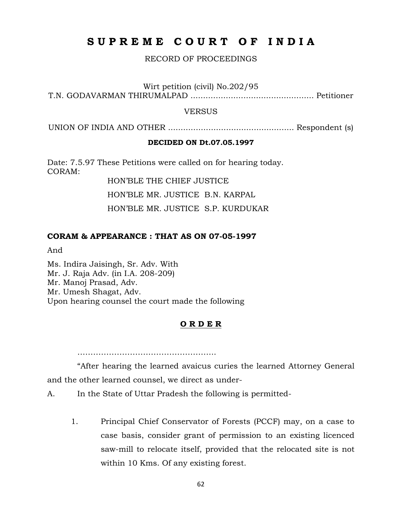# **S U P R E M E C O U R T O F I N D I A**

#### RECORD OF PROCEEDINGS

Wirt petition (civil) No.202/95

T.N. GODAVARMAN THIRUMALPAD ................................................. Petitioner

#### VERSUS

UNION OF INDIA AND OTHER .................................................. Respondent (s)

#### **DECIDED ON Dt.07.05.1997**

Date: 7.5.97 These Petitions were called on for hearing today. CORAM:

HON'BLE THE CHIEF JUSTICE

HON'BLE MR. JUSTICE B.N. KARPAL

HON'BLE MR. JUSTICE S.P. KURDUKAR

#### **CORAM & APPEARANCE : THAT AS ON 07-05-1997**

And

Ms. Indira Jaisingh, Sr. Adv. With Mr. J. Raja Adv. (in I.A. 208-209) Mr. Manoj Prasad, Adv. Mr. Umesh Shagat, Adv. Upon hearing counsel the court made the following

#### **O R D E R**

…………………………………………………………………………………

"After hearing the learned avaicus curies the learned Attorney General and the other learned counsel, we direct as under-

A. In the State of Uttar Pradesh the following is permitted-

1. Principal Chief Conservator of Forests (PCCF) may, on a case to case basis, consider grant of permission to an existing licenced saw-mill to relocate itself, provided that the relocated site is not within 10 Kms. Of any existing forest.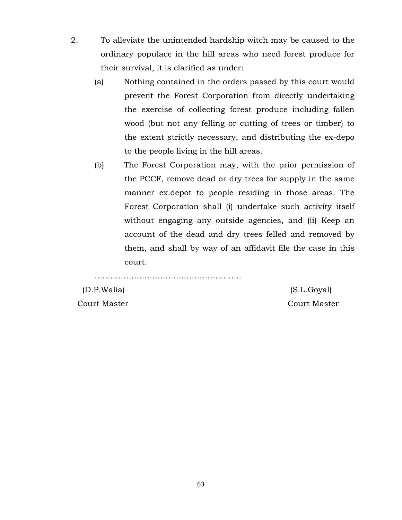- 2. To alleviate the unintended hardship witch may be caused to the ordinary populace in the hill areas who need forest produce for their survival, it is clarified as under:
	- (a) Nothing contained in the orders passed by this court would prevent the Forest Corporation from directly undertaking the exercise of collecting forest produce including fallen wood (but not any felling or cutting of trees or timber) to the extent strictly necessary, and distributing the ex-depo to the people living in the hill areas.
	- (b) The Forest Corporation may, with the prior permission of the PCCF, remove dead or dry trees for supply in the same manner ex.depot to people residing in those areas. The Forest Corporation shall (i) undertake such activity itself without engaging any outside agencies, and (ii) Keep an account of the dead and dry trees felled and removed by them, and shall by way of an affidavit file the case in this court.

……………………………………………………………………………

Court Master Court Master

(D.P.Walia) (S.L.Goyal)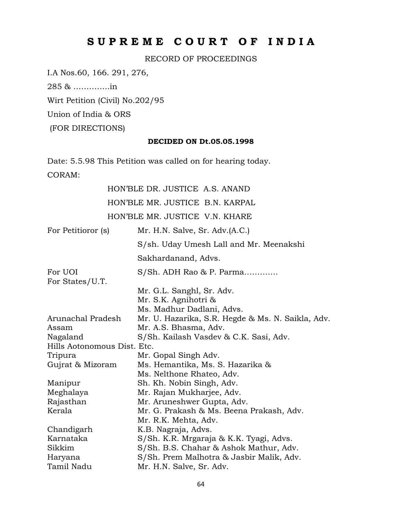# **S U P R E M E C O U R T O F I N D I A**

RECORD OF PROCEEDINGS

I.A Nos.60, 166. 291, 276,

285 & …………..in

Wirt Petition (Civil) No.202/95

Union of India & ORS

(FOR DIRECTIONS)

#### **DECIDED ON Dt.05.05.1998**

Date: 5.5.98 This Petition was called on for hearing today. CORAM:

# HON'BLE DR. JUSTICE A.S. ANAND HON'BLE MR. JUSTICE B.N. KARPAL HON'BLE MR. JUSTICE V.N. KHARE

| For Petitioror (s)          | Mr. H.N. Salve, Sr. Adv.(A.C.)                    |
|-----------------------------|---------------------------------------------------|
|                             | S/sh. Uday Umesh Lall and Mr. Meenakshi           |
|                             | Sakhardanand, Advs.                               |
| For UOI                     | S/Sh. ADH Rao & P. Parma                          |
| For States/U.T.             |                                                   |
|                             | Mr. G.L. Sanghl, Sr. Adv.                         |
|                             | Mr. S.K. Agnihotri &                              |
|                             | Ms. Madhur Dadlani, Advs.                         |
| Arunachal Pradesh           | Mr. U. Hazarika, S.R. Hegde & Ms. N. Saikla, Adv. |
| Assam                       | Mr. A.S. Bhasma, Adv.                             |
| Nagaland                    | S/Sh. Kailash Vasdev & C.K. Sasi, Adv.            |
| Hills Aotonomous Dist. Etc. |                                                   |
| Tripura                     | Mr. Gopal Singh Adv.                              |
| Gujrat & Mizoram            | Ms. Hemantika, Ms. S. Hazarika &                  |
|                             | Ms. Nelthone Rhateo, Adv.                         |
| Manipur                     | Sh. Kh. Nobin Singh, Adv.                         |
| Meghalaya                   | Mr. Rajan Mukharjee, Adv.                         |
| Rajasthan                   | Mr. Aruneshwer Gupta, Adv.                        |
| Kerala                      | Mr. G. Prakash & Ms. Beena Prakash, Adv.          |
|                             | Mr. R.K. Mehta, Adv.                              |
| Chandigarh                  | K.B. Nagraja, Advs.                               |
| Karnataka                   | S/Sh. K.R. Mrgaraja & K.K. Tyagi, Advs.           |
| Sikkim                      | S/Sh. B.S. Chahar & Ashok Mathur, Adv.            |
| Haryana                     | S/Sh. Prem Malhotra & Jasbir Malik, Adv.          |
| Tamil Nadu                  | Mr. H.N. Salve, Sr. Adv.                          |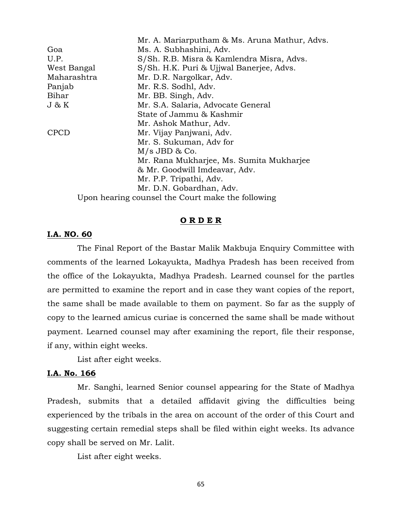|             | Mr. A. Mariarputham & Ms. Aruna Mathur, Advs.     |
|-------------|---------------------------------------------------|
| Goa         | Ms. A. Subhashini, Adv.                           |
| U.P.        | S/Sh. R.B. Misra & Kamlendra Misra, Advs.         |
| West Bangal | S/Sh. H.K. Puri & Ujjwal Banerjee, Advs.          |
| Maharashtra | Mr. D.R. Nargolkar, Adv.                          |
| Panjab      | Mr. R.S. Sodhl, Adv.                              |
| Bihar       | Mr. BB. Singh, Adv.                               |
| J & K       | Mr. S.A. Salaria, Advocate General                |
|             | State of Jammu & Kashmir                          |
|             | Mr. Ashok Mathur, Adv.                            |
| <b>CPCD</b> | Mr. Vijay Panjwani, Adv.                          |
|             | Mr. S. Sukuman, Adv for                           |
|             | $M/s$ JBD & Co.                                   |
|             | Mr. Rana Mukharjee, Ms. Sumita Mukharjee          |
|             | & Mr. Goodwill Imdeavar, Adv.                     |
|             | Mr. P.P. Tripathi, Adv.                           |
|             | Mr. D.N. Gobardhan, Adv.                          |
|             | Upon hearing counsel the Court make the following |

#### **O R D E R**

#### **I.A. NO. 60**

The Final Report of the Bastar Malik Makbuja Enquiry Committee with comments of the learned Lokayukta, Madhya Pradesh has been received from the office of the Lokayukta, Madhya Pradesh. Learned counsel for the partles are permitted to examine the report and in case they want copies of the report, the same shall be made available to them on payment. So far as the supply of copy to the learned amicus curiae is concerned the same shall be made without payment. Learned counsel may after examining the report, file their response, if any, within eight weeks.

List after eight weeks.

#### **I.A. No. 166**

Mr. Sanghi, learned Senior counsel appearing for the State of Madhya Pradesh, submits that a detailed affidavit giving the difficulties being experienced by the tribals in the area on account of the order of this Court and suggesting certain remedial steps shall be filed within eight weeks. Its advance copy shall be served on Mr. Lalit.

List after eight weeks.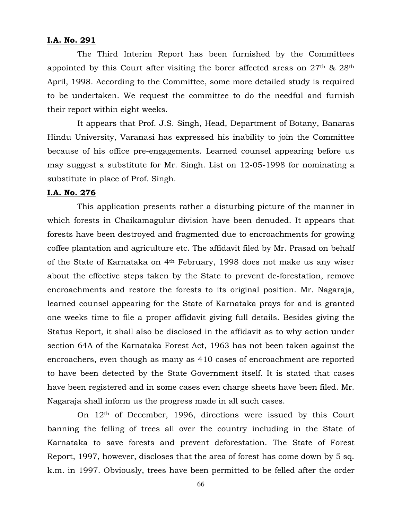#### **I.A. No. 291**

The Third Interim Report has been furnished by the Committees appointed by this Court after visiting the borer affected areas on 27th & 28th April, 1998. According to the Committee, some more detailed study is required to be undertaken. We request the committee to do the needful and furnish their report within eight weeks.

It appears that Prof. J.S. Singh, Head, Department of Botany, Banaras Hindu University, Varanasi has expressed his inability to join the Committee because of his office pre-engagements. Learned counsel appearing before us may suggest a substitute for Mr. Singh. List on 12-05-1998 for nominating a substitute in place of Prof. Singh.

#### **I.A. No. 276**

This application presents rather a disturbing picture of the manner in which forests in Chaikamagulur division have been denuded. It appears that forests have been destroyed and fragmented due to encroachments for growing coffee plantation and agriculture etc. The affidavit filed by Mr. Prasad on behalf of the State of Karnataka on 4th February, 1998 does not make us any wiser about the effective steps taken by the State to prevent de-forestation, remove encroachments and restore the forests to its original position. Mr. Nagaraja, learned counsel appearing for the State of Karnataka prays for and is granted one weeks time to file a proper affidavit giving full details. Besides giving the Status Report, it shall also be disclosed in the affidavit as to why action under section 64A of the Karnataka Forest Act, 1963 has not been taken against the encroachers, even though as many as 410 cases of encroachment are reported to have been detected by the State Government itself. It is stated that cases have been registered and in some cases even charge sheets have been filed. Mr. Nagaraja shall inform us the progress made in all such cases.

On 12th of December, 1996, directions were issued by this Court banning the felling of trees all over the country including in the State of Karnataka to save forests and prevent deforestation. The State of Forest Report, 1997, however, discloses that the area of forest has come down by 5 sq. k.m. in 1997. Obviously, trees have been permitted to be felled after the order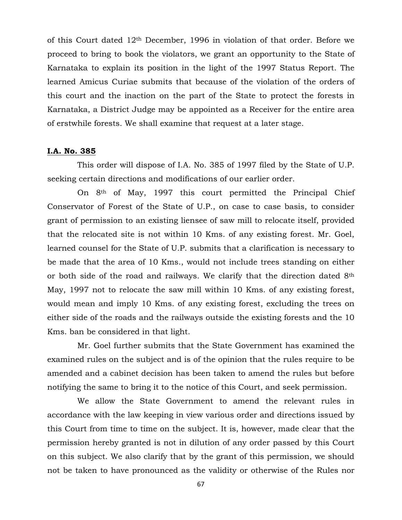of this Court dated 12th December, 1996 in violation of that order. Before we proceed to bring to book the violators, we grant an opportunity to the State of Karnataka to explain its position in the light of the 1997 Status Report. The learned Amicus Curiae submits that because of the violation of the orders of this court and the inaction on the part of the State to protect the forests in Karnataka, a District Judge may be appointed as a Receiver for the entire area of erstwhile forests. We shall examine that request at a later stage.

#### **I.A. No. 385**

This order will dispose of I.A. No. 385 of 1997 filed by the State of U.P. seeking certain directions and modifications of our earlier order.

On 8th of May, 1997 this court permitted the Principal Chief Conservator of Forest of the State of U.P., on case to case basis, to consider grant of permission to an existing liensee of saw mill to relocate itself, provided that the relocated site is not within 10 Kms. of any existing forest. Mr. Goel, learned counsel for the State of U.P. submits that a clarification is necessary to be made that the area of 10 Kms., would not include trees standing on either or both side of the road and railways. We clarify that the direction dated 8th May, 1997 not to relocate the saw mill within 10 Kms. of any existing forest, would mean and imply 10 Kms. of any existing forest, excluding the trees on either side of the roads and the railways outside the existing forests and the 10 Kms. ban be considered in that light.

Mr. Goel further submits that the State Government has examined the examined rules on the subject and is of the opinion that the rules require to be amended and a cabinet decision has been taken to amend the rules but before notifying the same to bring it to the notice of this Court, and seek permission.

We allow the State Government to amend the relevant rules in accordance with the law keeping in view various order and directions issued by this Court from time to time on the subject. It is, however, made clear that the permission hereby granted is not in dilution of any order passed by this Court on this subject. We also clarify that by the grant of this permission, we should not be taken to have pronounced as the validity or otherwise of the Rules nor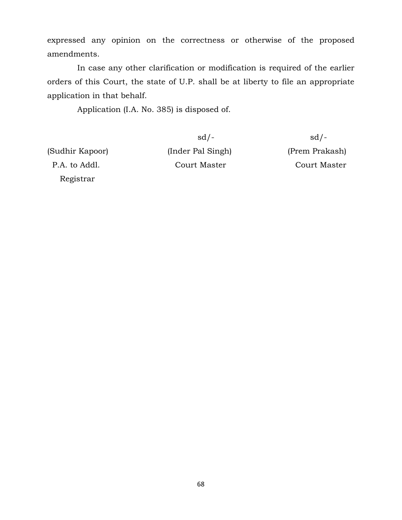expressed any opinion on the correctness or otherwise of the proposed amendments.

In case any other clarification or modification is required of the earlier orders of this Court, the state of U.P. shall be at liberty to file an appropriate application in that behalf.

Application (I.A. No. 385) is disposed of.

Registrar

(Sudhir Kapoor) (Inder Pal Singh) (Prem Prakash) P.A. to Addl. Court Master Court Master

 $sd/-$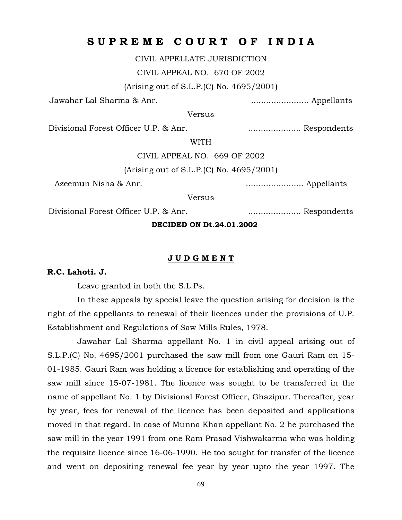## **S U P R E M E C O U R T O F I N D I A**

CIVIL APPELLATE JURISDICTION

CIVIL APPEAL NO. 670 OF 2002

(Arising out of S.L.P.(C) No. 4695/2001)

Jawahar Lal Sharma & Anr. ....................... Appellants

Versus

Divisional Forest Officer U.P. & Anr. ..................... Respondents

WITH

CIVIL APPEAL NO. 669 OF 2002

(Arising out of S.L.P.(C) No. 4695/2001)

Azeemun Nisha & Anr. ....................... Appellants

**Versus** 

Divisional Forest Officer U.P. & Anr. ..................... Respondents

**DECIDED ON Dt.24.01.2002**

#### **J U D G M E N T**

#### **R.C. Lahoti. J.**

Leave granted in both the S.L.Ps.

In these appeals by special leave the question arising for decision is the right of the appellants to renewal of their licences under the provisions of U.P. Establishment and Regulations of Saw Mills Rules, 1978.

Jawahar Lal Sharma appellant No. 1 in civil appeal arising out of S.L.P.(C) No. 4695/2001 purchased the saw mill from one Gauri Ram on 15- 01-1985. Gauri Ram was holding a licence for establishing and operating of the saw mill since 15-07-1981. The licence was sought to be transferred in the name of appellant No. 1 by Divisional Forest Officer, Ghazipur. Thereafter, year by year, fees for renewal of the licence has been deposited and applications moved in that regard. In case of Munna Khan appellant No. 2 he purchased the saw mill in the year 1991 from one Ram Prasad Vishwakarma who was holding the requisite licence since 16-06-1990. He too sought for transfer of the licence and went on depositing renewal fee year by year upto the year 1997. The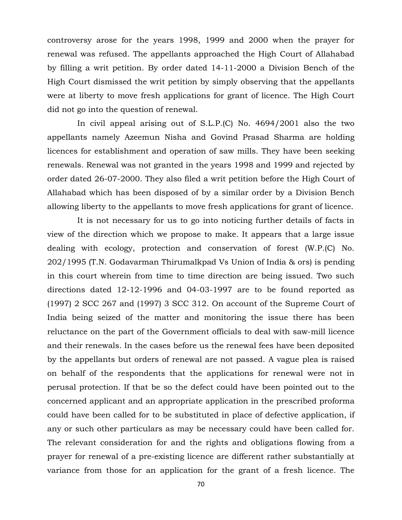controversy arose for the years 1998, 1999 and 2000 when the prayer for renewal was refused. The appellants approached the High Court of Allahabad by filling a writ petition. By order dated 14-11-2000 a Division Bench of the High Court dismissed the writ petition by simply observing that the appellants were at liberty to move fresh applications for grant of licence. The High Court did not go into the question of renewal.

In civil appeal arising out of S.L.P.(C) No. 4694/2001 also the two appellants namely Azeemun Nisha and Govind Prasad Sharma are holding licences for establishment and operation of saw mills. They have been seeking renewals. Renewal was not granted in the years 1998 and 1999 and rejected by order dated 26-07-2000. They also filed a writ petition before the High Court of Allahabad which has been disposed of by a similar order by a Division Bench allowing liberty to the appellants to move fresh applications for grant of licence.

It is not necessary for us to go into noticing further details of facts in view of the direction which we propose to make. It appears that a large issue dealing with ecology, protection and conservation of forest (W.P.(C) No. 202/1995 (T.N. Godavarman Thirumalkpad Vs Union of India & ors) is pending in this court wherein from time to time direction are being issued. Two such directions dated 12-12-1996 and 04-03-1997 are to be found reported as (1997) 2 SCC 267 and (1997) 3 SCC 312. On account of the Supreme Court of India being seized of the matter and monitoring the issue there has been reluctance on the part of the Government officials to deal with saw-mill licence and their renewals. In the cases before us the renewal fees have been deposited by the appellants but orders of renewal are not passed. A vague plea is raised on behalf of the respondents that the applications for renewal were not in perusal protection. If that be so the defect could have been pointed out to the concerned applicant and an appropriate application in the prescribed proforma could have been called for to be substituted in place of defective application, if any or such other particulars as may be necessary could have been called for. The relevant consideration for and the rights and obligations flowing from a prayer for renewal of a pre-existing licence are different rather substantially at variance from those for an application for the grant of a fresh licence. The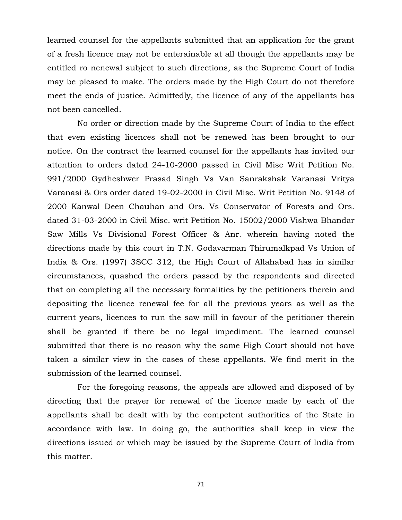learned counsel for the appellants submitted that an application for the grant of a fresh licence may not be enterainable at all though the appellants may be entitled ro nenewal subject to such directions, as the Supreme Court of India may be pleased to make. The orders made by the High Court do not therefore meet the ends of justice. Admittedly, the licence of any of the appellants has not been cancelled.

No order or direction made by the Supreme Court of India to the effect that even existing licences shall not be renewed has been brought to our notice. On the contract the learned counsel for the appellants has invited our attention to orders dated 24-10-2000 passed in Civil Misc Writ Petition No. 991/2000 Gydheshwer Prasad Singh Vs Van Sanrakshak Varanasi Vritya Varanasi & Ors order dated 19-02-2000 in Civil Misc. Writ Petition No. 9148 of 2000 Kanwal Deen Chauhan and Ors. Vs Conservator of Forests and Ors. dated 31-03-2000 in Civil Misc. writ Petition No. 15002/2000 Vishwa Bhandar Saw Mills Vs Divisional Forest Officer & Anr. wherein having noted the directions made by this court in T.N. Godavarman Thirumalkpad Vs Union of India & Ors. (1997) 3SCC 312, the High Court of Allahabad has in similar circumstances, quashed the orders passed by the respondents and directed that on completing all the necessary formalities by the petitioners therein and depositing the licence renewal fee for all the previous years as well as the current years, licences to run the saw mill in favour of the petitioner therein shall be granted if there be no legal impediment. The learned counsel submitted that there is no reason why the same High Court should not have taken a similar view in the cases of these appellants. We find merit in the submission of the learned counsel.

For the foregoing reasons, the appeals are allowed and disposed of by directing that the prayer for renewal of the licence made by each of the appellants shall be dealt with by the competent authorities of the State in accordance with law. In doing go, the authorities shall keep in view the directions issued or which may be issued by the Supreme Court of India from this matter.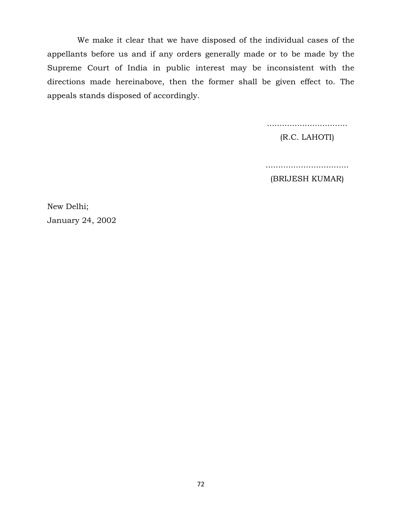We make it clear that we have disposed of the individual cases of the appellants before us and if any orders generally made or to be made by the Supreme Court of India in public interest may be inconsistent with the directions made hereinabove, then the former shall be given effect to. The appeals stands disposed of accordingly.

................................

(R.C. LAHOTI)

.................................

(BRIJESH KUMAR)

New Delhi; January 24, 2002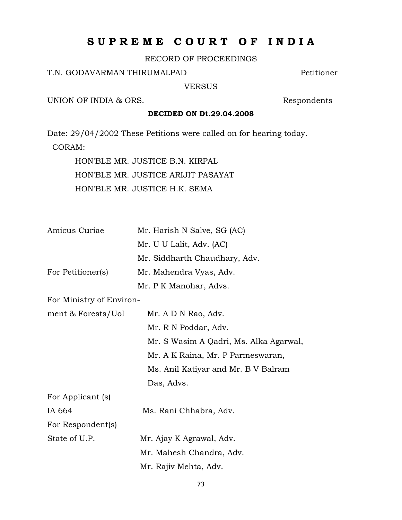# **S U P R E M E C O U R T O F I N D I A**

RECORD OF PROCEEDINGS

## T.N. GODAVARMAN THIRUMALPAD Petitioner

VERSUS

UNION OF INDIA & ORS. Respondents

## **DECIDED ON Dt.29.04.2008**

Date: 29/04/2002 These Petitions were called on for hearing today. CORAM:

> HON'BLE MR. JUSTICE B.N. KIRPAL HON'BLE MR. JUSTICE ARIJIT PASAYAT HON'BLE MR. JUSTICE H.K. SEMA

| Amicus Curiae     | Mr. Harish N Salve, SG (AC)   |
|-------------------|-------------------------------|
|                   | Mr. U U Lalit, Adv. (AC)      |
|                   | Mr. Siddharth Chaudhary, Adv. |
| For Petitioner(s) | Mr. Mahendra Vyas, Adv.       |
|                   | Mr. P K Manohar, Advs.        |

For Ministry of Environ-

| ment & Forests/UoI | Mr. A D N Rao, Adv.                    |
|--------------------|----------------------------------------|
|                    | Mr. R N Poddar, Adv.                   |
|                    | Mr. S Wasim A Qadri, Ms. Alka Agarwal, |
|                    | Mr. A K Raina, Mr. P Parmeswaran,      |
|                    | Ms. Anil Katiyar and Mr. B V Balram    |
|                    | Das, Advs.                             |
| For Applicant (s)  |                                        |

| $= 0.22$ $= 0.22$ $= 0.00$ |                          |
|----------------------------|--------------------------|
| IA 664                     | Ms. Rani Chhabra, Adv.   |
| For Respondent(s)          |                          |
| State of U.P.              | Mr. Ajay K Agrawal, Adv. |
|                            | Mr. Mahesh Chandra, Adv. |
|                            | Mr. Rajiv Mehta, Adv.    |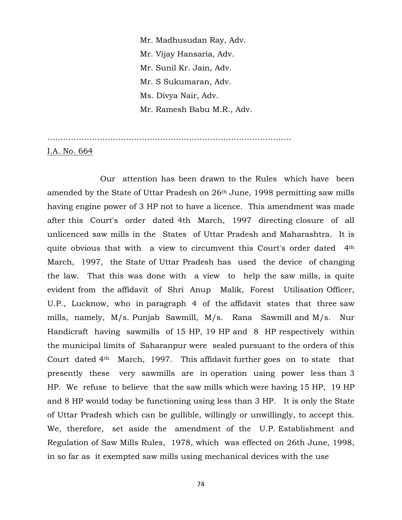Mr. Madhusudan Ray, Adv. Mr. Vijay Hansaria, Adv. Mr. Sunil Kr. Jain, Adv. Mr. S Sukumaran, Adv. Ms. Divya Nair, Adv. Mr. Ramesh Babu M.R., Adv.

…………………………………………………………………………………

I.A. No. 664

 Our attention has been drawn to the Rules which have been amended by the State of Uttar Pradesh on 26th June, 1998 permitting saw mills having engine power of 3 HP not to have a licence. This amendment was made after this Court's order dated 4th March, 1997 directing closure of all unlicenced saw mills in the States of Uttar Pradesh and Maharashtra. It is quite obvious that with a view to circumvent this Court's order dated 4th March, 1997, the State of Uttar Pradesh has used the device of changing the law. That this was done with a view to help the saw mills, is quite evident from the affidavit of Shri Anup Malik, Forest Utilisation Officer, U.P., Lucknow, who in paragraph 4 of the affidavit states that three saw mills, namely, M/s. Punjab Sawmill, M/s. Rana Sawmill and M/s. Nur Handicraft having sawmills of 15 HP, 19 HP and 8 HP respectively within the municipal limits of Saharanpur were sealed pursuant to the orders of this Court dated 4th March, 1997. This affidavit further goes on to state that presently these very sawmills are in operation using power less than 3 HP. We refuse to believe that the saw mills which were having 15 HP, 19 HP and 8 HP would today be functioning using less than 3 HP. It is only the State of Uttar Pradesh which can be gullible, willingly or unwillingly, to accept this. We, therefore, set aside the amendment of the U.P. Establishment and Regulation of Saw Mills Rules, 1978, which was effected on 26th June, 1998, in so far as it exempted saw mills using mechanical devices with the use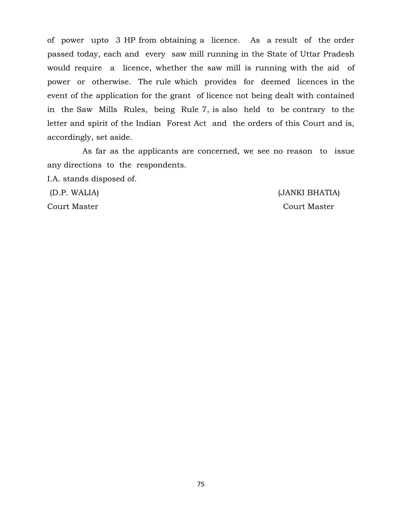of power upto 3 HP from obtaining a licence. As a result of the order passed today, each and every saw mill running in the State of Uttar Pradesh would require a licence, whether the saw mill is running with the aid of power or otherwise. The rule which provides for deemed licences in the event of the application for the grant of licence not being dealt with contained in the Saw Mills Rules, being Rule 7, is also held to be contrary to the letter and spirit of the Indian Forest Act and the orders of this Court and is, accordingly, set aside.

 As far as the applicants are concerned, we see no reason to issue any directions to the respondents.

I.A. stands disposed of.

(D.P. WALIA) (JANKI BHATIA) Court Master Court Master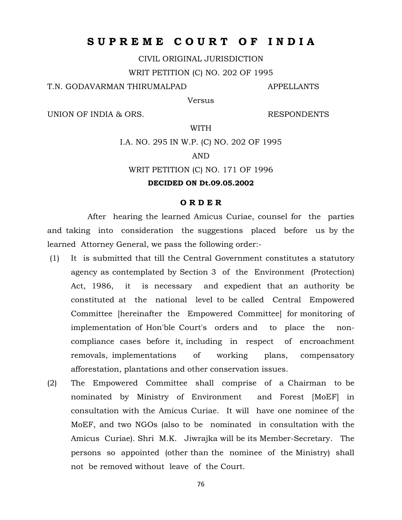## **S U P R E M E C O U R T O F I N D I A**

CIVIL ORIGINAL JURISDICTION

WRIT PETITION (C) NO. 202 OF 1995

T.N. GODAVARMAN THIRUMALPAD **APPELLANTS** 

Versus

UNION OF INDIA & ORS. RESPONDENTS

WITH

I.A. NO. 295 IN W.P. (C) NO. 202 OF 1995

## AND

WRIT PETITION (C) NO. 171 OF 1996

## **DECIDED ON Dt.09.05.2002**

## **O R D E R**

 After hearing the learned Amicus Curiae, counsel for the parties and taking into consideration the suggestions placed before us by the learned Attorney General, we pass the following order:-

- (1) It is submitted that till the Central Government constitutes a statutory agency as contemplated by Section 3 of the Environment (Protection) Act, 1986, it is necessary and expedient that an authority be constituted at the national level to be called Central Empowered Committee [hereinafter the Empowered Committee] for monitoring of implementation of Hon'ble Court's orders and to place the noncompliance cases before it, including in respect of encroachment removals, implementations of working plans, compensatory afforestation, plantations and other conservation issues.
- (2) The Empowered Committee shall comprise of a Chairman to be nominated by Ministry of Environment and Forest [MoEF] in consultation with the Amicus Curiae. It will have one nominee of the MoEF, and two NGOs (also to be nominated in consultation with the Amicus Curiae). Shri M.K. Jiwrajka will be its Member-Secretary. The persons so appointed (other than the nominee of the Ministry) shall not be removed without leave of the Court.

76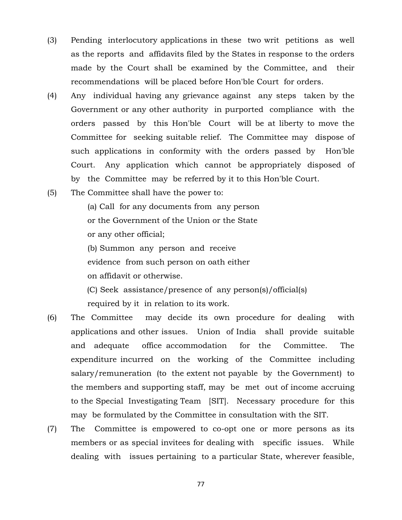- (3) Pending interlocutory applications in these two writ petitions as well as the reports and affidavits filed by the States in response to the orders made by the Court shall be examined by the Committee, and their recommendations will be placed before Hon'ble Court for orders.
- (4) Any individual having any grievance against any steps taken by the Government or any other authority in purported compliance with the orders passed by this Hon'ble Court will be at liberty to move the Committee for seeking suitable relief. The Committee may dispose of such applications in conformity with the orders passed by Hon'ble Court. Any application which cannot be appropriately disposed of by the Committee may be referred by it to this Hon'ble Court.
- (5) The Committee shall have the power to:

 (a) Call for any documents from any person or the Government of the Union or the State or any other official;

 (b) Summon any person and receive evidence from such person on oath either on affidavit or otherwise.

(C) Seek assistance/presence of any person(s)/official(s) required by it in relation to its work.

- (6) The Committee may decide its own procedure for dealing with applications and other issues. Union of India shall provide suitable and adequate office accommodation for the Committee. The expenditure incurred on the working of the Committee including salary/remuneration (to the extent not payable by the Government) to the members and supporting staff, may be met out of income accruing to the Special Investigating Team [SIT]. Necessary procedure for this may be formulated by the Committee in consultation with the SIT.
- (7) The Committee is empowered to co-opt one or more persons as its members or as special invitees for dealing with specific issues. While dealing with issues pertaining to a particular State, wherever feasible,

77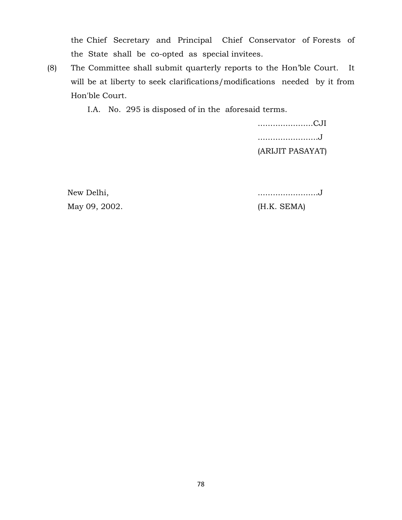the Chief Secretary and Principal Chief Conservator of Forests of the State shall be co-opted as special invitees.

(8) The Committee shall submit quarterly reports to the Hon'ble Court. It will be at liberty to seek clarifications/modifications needed by it from Hon'ble Court.

I.A. No. 295 is disposed of in the aforesaid terms.

 ......................CJI ........................J (ARIJIT PASAYAT)

May 09, 2002. (H.K. SEMA)

New Delhi, ........................J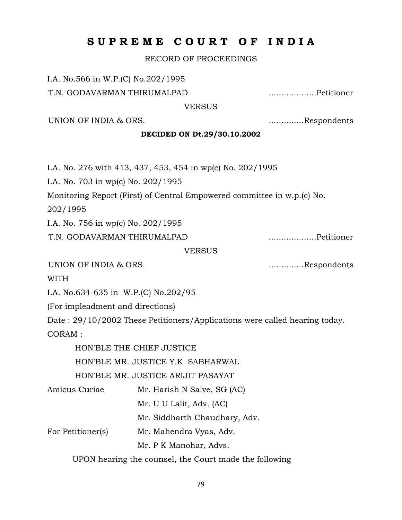# **S U P R E M E C O U R T O F I N D I A**

RECORD OF PROCEEDINGS

I.A. No.566 in W.P.(C) No.202/1995

T.N. GODAVARMAN THIRUMALPAD ...................Petitioner

**VERSUS** 

UNION OF INDIA & ORS.  $\ldots$ ...............Respondents

## **DECIDED ON Dt.29/30.10.2002**

I.A. No. 276 with 413, 437, 453, 454 in wp(c) No. 202/1995

I.A. No. 703 in wp(c) No. 202/1995

Monitoring Report (First) of Central Empowered committee in w.p.(c) No.

202/1995

I.A. No. 756 in wp(c) No. 202/1995

T.N. GODAVARMAN THIRUMALPAD ...................Petitioner

VERSUS

UNION OF INDIA & ORS.  $\ldots$  ...................Respondents

WITH

I.A. No.634-635 in W.P.(C) No.202/95

(For impleadment and directions)

Date : 29/10/2002 These Petitioners/Applications were called hearing today. CORAM :

HON'BLE THE CHIEF JUSTICE

HON'BLE MR. JUSTICE Y.K. SABHARWAL

HON'BLE MR. JUSTICE ARIJIT PASAYAT

Amicus Curiae Mr. Harish N Salve, SG (AC)

Mr. U U Lalit, Adv. (AC)

Mr. Siddharth Chaudhary, Adv.

For Petitioner(s) Mr. Mahendra Vyas, Adv.

Mr. P K Manohar, Advs.

UPON hearing the counsel, the Court made the following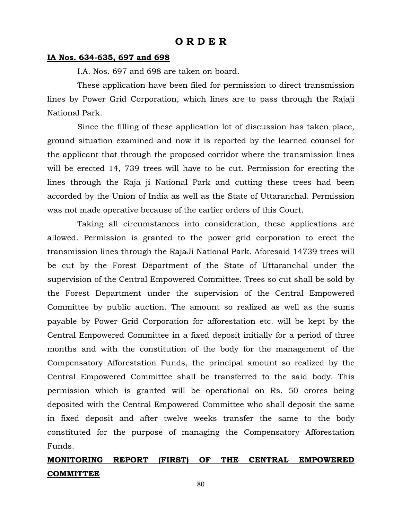## **IA Nos. 634-635, 697 and 698**

I.A. Nos. 697 and 698 are taken on board.

These application have been filed for permission to direct transmission lines by Power Grid Corporation, which lines are to pass through the Rajaji National Park.

Since the filling of these application lot of discussion has taken place, ground situation examined and now it is reported by the learned counsel for the applicant that through the proposed corridor where the transmission lines will be erected 14, 739 trees will have to be cut. Permission for erecting the lines through the Raja ji National Park and cutting these trees had been accorded by the Union of India as well as the State of Uttaranchal. Permission was not made operative because of the earlier orders of this Court.

Taking all circumstances into consideration, these applications are allowed. Permission is granted to the power grid corporation to erect the transmission lines through the RajaJi National Park. Aforesaid 14739 trees will be cut by the Forest Department of the State of Uttaranchal under the supervision of the Central Empowered Committee. Trees so cut shall be sold by the Forest Department under the supervision of the Central Empowered Committee by public auction. The amount so realized as well as the sums payable by Power Grid Corporation for afforestation etc. will be kept by the Central Empowered Committee in a fixed deposit initially for a period of three months and with the constitution of the body for the management of the Compensatory Afforestation Funds, the principal amount so realized by the Central Empowered Committee shall be transferred to the said body. This permission which is granted will be operational on Rs. 50 crores being deposited with the Central Empowered Committee who shall deposit the same in fixed deposit and after twelve weeks transfer the same to the body constituted for the purpose of managing the Compensatory Afforestation Funds.

## **MONITORING REPORT (FIRST) OF THE CENTRAL EMPOWERED COMMITTEE**

80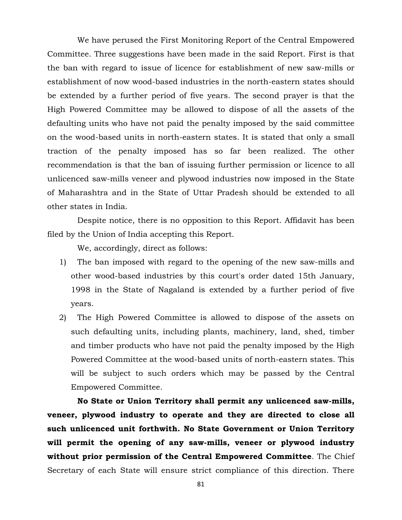We have perused the First Monitoring Report of the Central Empowered Committee. Three suggestions have been made in the said Report. First is that the ban with regard to issue of licence for establishment of new saw-mills or establishment of now wood-based industries in the north-eastern states should be extended by a further period of five years. The second prayer is that the High Powered Committee may be allowed to dispose of all the assets of the defaulting units who have not paid the penalty imposed by the said committee on the wood-based units in north-eastern states. It is stated that only a small traction of the penalty imposed has so far been realized. The other recommendation is that the ban of issuing further permission or licence to all unlicenced saw-mills veneer and plywood industries now imposed in the State of Maharashtra and in the State of Uttar Pradesh should be extended to all other states in India.

Despite notice, there is no opposition to this Report. Affidavit has been filed by the Union of India accepting this Report.

We, accordingly, direct as follows:

- 1) The ban imposed with regard to the opening of the new saw-mills and other wood-based industries by this court's order dated 15th January, 1998 in the State of Nagaland is extended by a further period of five years.
- 2) The High Powered Committee is allowed to dispose of the assets on such defaulting units, including plants, machinery, land, shed, timber and timber products who have not paid the penalty imposed by the High Powered Committee at the wood-based units of north-eastern states. This will be subject to such orders which may be passed by the Central Empowered Committee.

**No State or Union Territory shall permit any unlicenced saw-mills, veneer, plywood industry to operate and they are directed to close all such unlicenced unit forthwith. No State Government or Union Territory will permit the opening of any saw-mills, veneer or plywood industry without prior permission of the Central Empowered Committee**. The Chief Secretary of each State will ensure strict compliance of this direction. There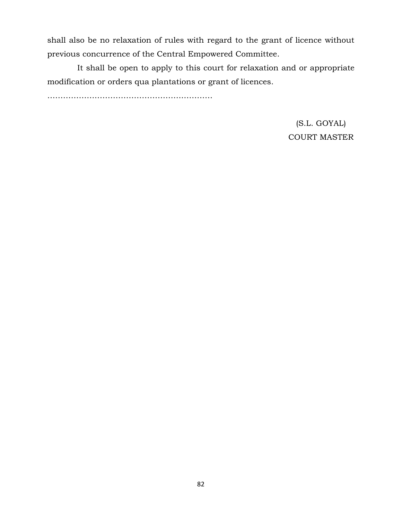shall also be no relaxation of rules with regard to the grant of licence without previous concurrence of the Central Empowered Committee.

It shall be open to apply to this court for relaxation and or appropriate modification or orders qua plantations or grant of licences.

………………………………………………………

(S.L. GOYAL) COURT MASTER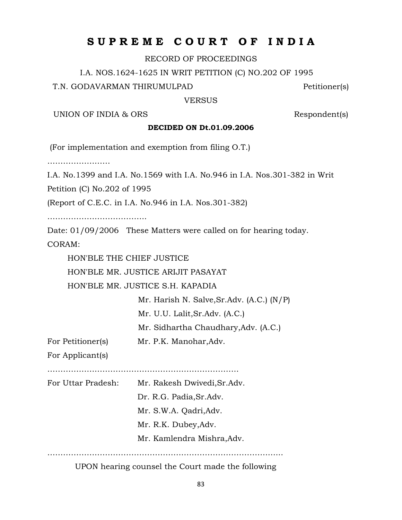## **S U P R E M E C O U R T O F I N D I A**

RECORD OF PROCEEDINGS

I.A. NOS.1624-1625 IN WRIT PETITION (C) NO.202 OF 1995

T.N. GODAVARMAN THIRUMULPAD Petitioner(s)

VERSUS

UNION OF INDIA & ORS Respondent(s)

## **DECIDED ON Dt.01.09.2006**

(For implementation and exemption from filing O.T.)

……………………

I.A. No.1399 and I.A. No.1569 with I.A. No.946 in I.A. Nos.301-382 in Writ

Petition (C) No.202 of 1995

(Report of C.E.C. in I.A. No.946 in I.A. Nos.301-382)

………………………………..

Date: 01/09/2006 These Matters were called on for hearing today. CORAM:

HON'BLE THE CHIEF JUSTICE

HON'BLE MR. JUSTICE ARIJIT PASAYAT

HON'BLE MR. JUSTICE S.H. KAPADIA

 Mr. Harish N. Salve,Sr.Adv. (A.C.) (N/P) Mr. U.U. Lalit,Sr.Adv. (A.C.)

Mr. Sidhartha Chaudhary,Adv. (A.C.)

For Petitioner(s) Mr. P.K. Manohar, Adv.

For Applicant(s)

……………………………………………………………….

For Uttar Pradesh: Mr. Rakesh Dwivedi,Sr.Adv. Dr. R.G. Padia,Sr.Adv. Mr. S.W.A. Qadri,Adv. Mr. R.K. Dubey,Adv. Mr. Kamlendra Mishra,Adv.

UPON hearing counsel the Court made the following

……………………………………………………………………………...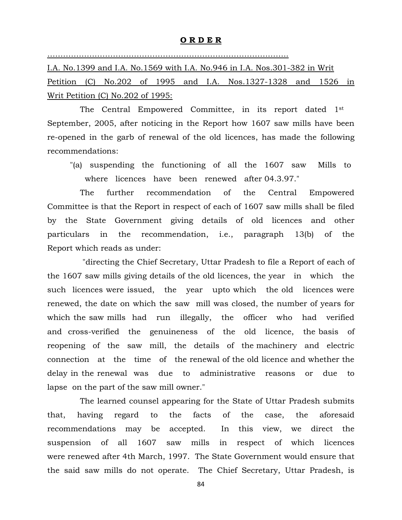#### **O R D E R**

## ………………………………………………………………………………..

I.A. No.1399 and I.A. No.1569 with I.A. No.946 in I.A. Nos.301-382 in Writ Petition (C) No.202 of 1995 and I.A. Nos.1327-1328 and 1526 in Writ Petition (C) No.202 of 1995:

 The Central Empowered Committee, in its report dated 1st September, 2005, after noticing in the Report how 1607 saw mills have been re-opened in the garb of renewal of the old licences, has made the following recommendations:

 "(a) suspending the functioning of all the 1607 saw Mills to where licences have been renewed after 04.3.97."

 The further recommendation of the Central Empowered Committee is that the Report in respect of each of 1607 saw mills shall be filed by the State Government giving details of old licences and other particulars in the recommendation, i.e., paragraph 13(b) of the Report which reads as under:

 "directing the Chief Secretary, Uttar Pradesh to file a Report of each of the 1607 saw mills giving details of the old licences, the year in which the such licences were issued, the year upto which the old licences were renewed, the date on which the saw mill was closed, the number of years for which the saw mills had run illegally, the officer who had verified and cross-verified the genuineness of the old licence, the basis of reopening of the saw mill, the details of the machinery and electric connection at the time of the renewal of the old licence and whether the delay in the renewal was due to administrative reasons or due to lapse on the part of the saw mill owner."

 The learned counsel appearing for the State of Uttar Pradesh submits that, having regard to the facts of the case, the aforesaid recommendations may be accepted. In this view, we direct the suspension of all 1607 saw mills in respect of which licences were renewed after 4th March, 1997. The State Government would ensure that the said saw mills do not operate. The Chief Secretary, Uttar Pradesh, is

84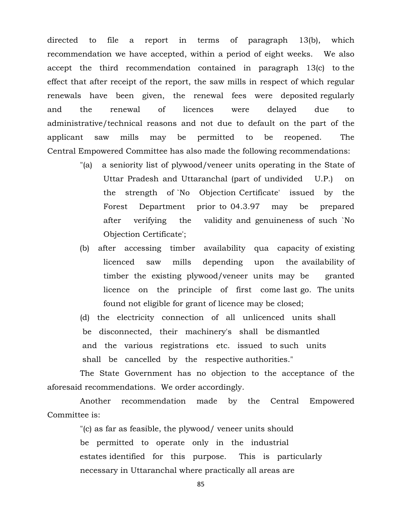directed to file a report in terms of paragraph 13(b), which recommendation we have accepted, within a period of eight weeks. We also accept the third recommendation contained in paragraph 13(c) to the effect that after receipt of the report, the saw mills in respect of which regular renewals have been given, the renewal fees were deposited regularly and the renewal of licences were delayed due to administrative/technical reasons and not due to default on the part of the applicant saw mills may be permitted to be reopened. The Central Empowered Committee has also made the following recommendations:

- "(a) a seniority list of plywood/veneer units operating in the State of Uttar Pradesh and Uttaranchal (part of undivided U.P.) on the strength of `No Objection Certificate' issued by the Forest Department prior to 04.3.97 may be prepared after verifying the validity and genuineness of such `No Objection Certificate';
- (b) after accessing timber availability qua capacity of existing licenced saw mills depending upon the availability of timber the existing plywood/veneer units may be granted licence on the principle of first come last go. The units found not eligible for grant of licence may be closed;

 (d) the electricity connection of all unlicenced units shall be disconnected, their machinery's shall be dismantled and the various registrations etc. issued to such units shall be cancelled by the respective authorities."

 The State Government has no objection to the acceptance of the aforesaid recommendations. We order accordingly.

 Another recommendation made by the Central Empowered Committee is:

> "(c) as far as feasible, the plywood/ veneer units should be permitted to operate only in the industrial estates identified for this purpose. This is particularly necessary in Uttaranchal where practically all areas are

> > 85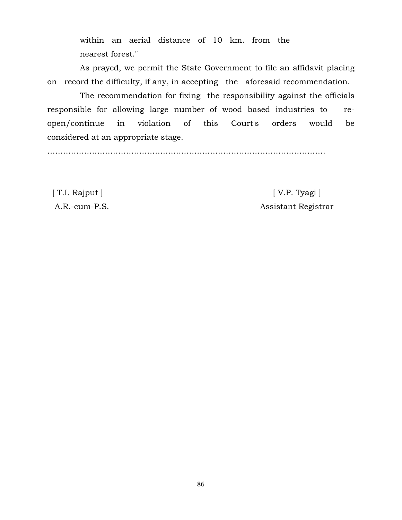within an aerial distance of 10 km. from the nearest forest."

 As prayed, we permit the State Government to file an affidavit placing on record the difficulty, if any, in accepting the aforesaid recommendation.

 The recommendation for fixing the responsibility against the officials responsible for allowing large number of wood based industries to reopen/continue in violation of this Court's orders would be considered at an appropriate stage.

…………………………………………………………………………………………….

 [ T.I. Rajput ] [ V.P. Tyagi ] A.R.-cum-P.S. Assistant Registrar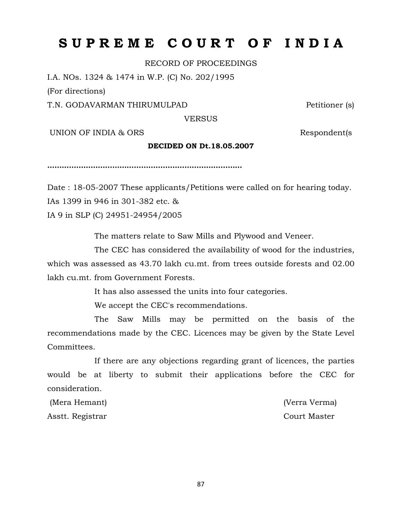# **S U P R E M E C O U R T O F I N D I A**

RECORD OF PROCEEDINGS

I.A. NOs. 1324 & 1474 in W.P. (C) No. 202/1995

(For directions)

T.N. GODAVARMAN THIRUMULPAD Petitioner (s)

VERSUS

UNION OF INDIA & ORS Respondent(s

#### **DECIDED ON Dt.18.05.2007**

**………………………………………………………………………**

Date : 18-05-2007 These applicants/Petitions were called on for hearing today. IAs 1399 in 946 in 301-382 etc. & IA 9 in SLP (C) 24951-24954/2005

The matters relate to Saw Mills and Plywood and Veneer.

The CEC has considered the availability of wood for the industries, which was assessed as 43.70 lakh cu.mt. from trees outside forests and 02.00 lakh cu.mt. from Government Forests.

It has also assessed the units into four categories.

We accept the CEC's recommendations.

The Saw Mills may be permitted on the basis of the recommendations made by the CEC. Licences may be given by the State Level Committees.

If there are any objections regarding grant of licences, the parties would be at liberty to submit their applications before the CEC for consideration.

(Mera Hemant) (Verra Verma) Asstt. Registrar Court Master

87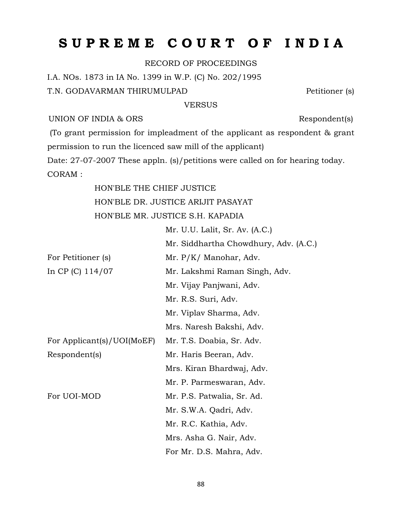# **S U P R E M E C O U R T O F I N D I A**

RECORD OF PROCEEDINGS

I.A. NOs. 1873 in IA No. 1399 in W.P. (C) No. 202/1995 T.N. GODAVARMAN THIRUMULPAD Petitioner (s)

## VERSUS

## UNION OF INDIA & ORS Respondent(s)

(To grant permission for impleadment of the applicant as respondent & grant permission to run the licenced saw mill of the applicant) Date: 27-07-2007 These appln. (s)/petitions were called on for hearing today.

CORAM :

HON'BLE THE CHIEF JUSTICE HON'BLE DR. JUSTICE ARIJIT PASAYAT HON'BLE MR. JUSTICE S.H. KAPADIA

Mr. U.U. Lalit, Sr. Av. (A.C.)

|                            | Mr. Siddhartha Chowdhury, Adv. (A.C.) |
|----------------------------|---------------------------------------|
| For Petitioner (s)         | Mr. P/K/ Manohar, Adv.                |
| In CP (C) $114/07$         | Mr. Lakshmi Raman Singh, Adv.         |
|                            | Mr. Vijay Panjwani, Adv.              |
|                            | Mr. R.S. Suri, Adv.                   |
|                            | Mr. Viplav Sharma, Adv.               |
|                            | Mrs. Naresh Bakshi, Adv.              |
| For Applicant(s)/UOI(MoEF) | Mr. T.S. Doabia, Sr. Adv.             |
| Respondent(s)              | Mr. Haris Beeran, Adv.                |
|                            | Mrs. Kiran Bhardwaj, Adv.             |
|                            | Mr. P. Parmeswaran, Adv.              |
| For UOI-MOD                | Mr. P.S. Patwalia, Sr. Ad.            |
|                            | Mr. S.W.A. Qadri, Adv.                |
|                            | Mr. R.C. Kathia, Adv.                 |
|                            | Mrs. Asha G. Nair, Adv.               |
|                            | For Mr. D.S. Mahra, Adv.              |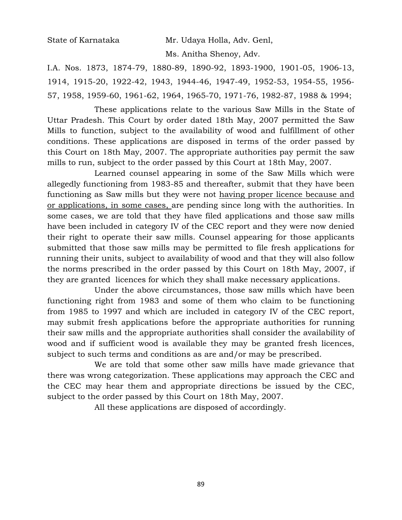State of Karnataka Mr. Udaya Holla, Adv. Genl,

Ms. Anitha Shenoy, Adv.

I.A. Nos. 1873, 1874-79, 1880-89, 1890-92, 1893-1900, 1901-05, 1906-13, 1914, 1915-20, 1922-42, 1943, 1944-46, 1947-49, 1952-53, 1954-55, 1956- 57, 1958, 1959-60, 1961-62, 1964, 1965-70, 1971-76, 1982-87, 1988 & 1994;

These applications relate to the various Saw Mills in the State of Uttar Pradesh. This Court by order dated 18th May, 2007 permitted the Saw Mills to function, subject to the availability of wood and fulfillment of other conditions. These applications are disposed in terms of the order passed by this Court on 18th May, 2007. The appropriate authorities pay permit the saw mills to run, subject to the order passed by this Court at 18th May, 2007.

Learned counsel appearing in some of the Saw Mills which were allegedly functioning from 1983-85 and thereafter, submit that they have been functioning as Saw mills but they were not having proper licence because and or applications, in some cases, are pending since long with the authorities. In some cases, we are told that they have filed applications and those saw mills have been included in category IV of the CEC report and they were now denied their right to operate their saw mills. Counsel appearing for those applicants submitted that those saw mills may be permitted to file fresh applications for running their units, subject to availability of wood and that they will also follow the norms prescribed in the order passed by this Court on 18th May, 2007, if they are granted licences for which they shall make necessary applications.

Under the above circumstances, those saw mills which have been functioning right from 1983 and some of them who claim to be functioning from 1985 to 1997 and which are included in category IV of the CEC report, may submit fresh applications before the appropriate authorities for running their saw mills and the appropriate authorities shall consider the availability of wood and if sufficient wood is available they may be granted fresh licences, subject to such terms and conditions as are and/or may be prescribed.

We are told that some other saw mills have made grievance that there was wrong categorization. These applications may approach the CEC and the CEC may hear them and appropriate directions be issued by the CEC, subject to the order passed by this Court on 18th May, 2007.

All these applications are disposed of accordingly.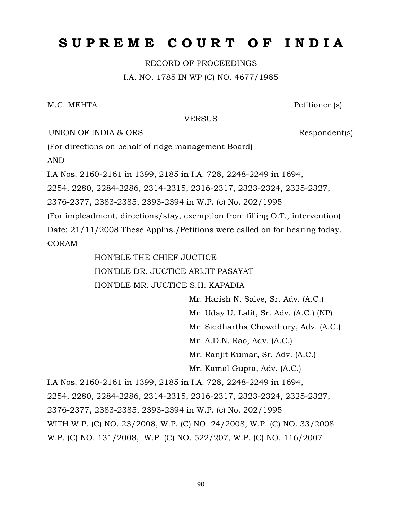# **S U P R E M E C O U R T O F I N D I A**

RECORD OF PROCEEDINGS I.A. NO. 1785 IN WP (C) NO. 4677/1985

M.C. MEHTA Petitioner (s)

#### VERSUS

UNION OF INDIA & ORS Respondent(s)

(For directions on behalf of ridge management Board)

AND

I.A Nos. 2160-2161 in 1399, 2185 in I.A. 728, 2248-2249 in 1694,

2254, 2280, 2284-2286, 2314-2315, 2316-2317, 2323-2324, 2325-2327,

2376-2377, 2383-2385, 2393-2394 in W.P. (c) No. 202/1995

(For impleadment, directions/stay, exemption from filling O.T., intervention)

Date: 21/11/2008 These Applns./Petitions were called on for hearing today. CORAM

HON'BLE THE CHIEF JUCTICE

HON'BLE DR. JUCTICE ARIJIT PASAYAT

HON'BLE MR. JUCTICE S.H. KAPADIA

Mr. Harish N. Salve, Sr. Adv. (A.C.)

Mr. Uday U. Lalit, Sr. Adv. (A.C.) (NP)

Mr. Siddhartha Chowdhury, Adv. (A.C.)

Mr. A.D.N. Rao, Adv. (A.C.)

Mr. Ranjit Kumar, Sr. Adv. (A.C.)

Mr. Kamal Gupta, Adv. (A.C.)

I.A Nos. 2160-2161 in 1399, 2185 in I.A. 728, 2248-2249 in 1694, 2254, 2280, 2284-2286, 2314-2315, 2316-2317, 2323-2324, 2325-2327, 2376-2377, 2383-2385, 2393-2394 in W.P. (c) No. 202/1995 WITH W.P. (C) NO. 23/2008, W.P. (C) NO. 24/2008, W.P. (C) NO. 33/2008 W.P. (C) NO. 131/2008, W.P. (C) NO. 522/207, W.P. (C) NO. 116/2007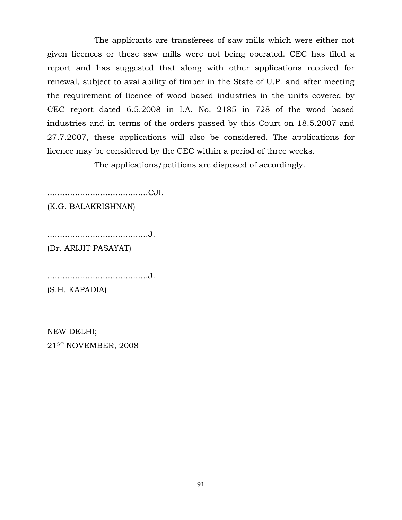The applicants are transferees of saw mills which were either not given licences or these saw mills were not being operated. CEC has filed a report and has suggested that along with other applications received for renewal, subject to availability of timber in the State of U.P. and after meeting the requirement of licence of wood based industries in the units covered by CEC report dated 6.5.2008 in I.A. No. 2185 in 728 of the wood based industries and in terms of the orders passed by this Court on 18.5.2007 and 27.7.2007, these applications will also be considered. The applications for licence may be considered by the CEC within a period of three weeks.

The applications/petitions are disposed of accordingly.

........................................CJI.

(K.G. BALAKRISHNAN)

........................................J.

(Dr. ARIJIT PASAYAT)

........................................J.

(S.H. KAPADIA)

NEW DELHI; 21ST NOVEMBER, 2008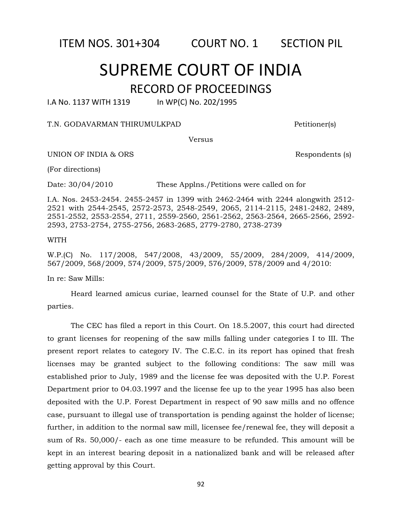ITEM NOS. 301+304 COURT NO. 1 SECTION PIL

# SUPREME COURT OF INDIA RECORD OF PROCEEDINGS

I.A No. 1137 WITH 1319 In WP(C) No. 202/1995

## T.N. GODAVARMAN THIRUMULKPAD Petitioner(s)

Versus

UNION OF INDIA & ORS Respondents (s)

(For directions)

Date: 30/04/2010 These Applns./Petitions were called on for

I.A. Nos. 2453-2454. 2455-2457 in 1399 with 2462-2464 with 2244 alongwith 2512- 2521 with 2544-2545, 2572-2573, 2548-2549, 2065, 2114-2115, 2481-2482, 2489, 2551-2552, 2553-2554, 2711, 2559-2560, 2561-2562, 2563-2564, 2665-2566, 2592- 2593, 2753-2754, 2755-2756, 2683-2685, 2779-2780, 2738-2739

#### WITH

W.P.(C) No. 117/2008, 547/2008, 43/2009, 55/2009, 284/2009, 414/2009, 567/2009, 568/2009, 574/2009, 575/2009, 576/2009, 578/2009 and 4/2010:

In re: Saw Mills:

Heard learned amicus curiae, learned counsel for the State of U.P. and other parties.

The CEC has filed a report in this Court. On 18.5.2007, this court had directed to grant licenses for reopening of the saw mills falling under categories I to III. The present report relates to category IV. The C.E.C. in its report has opined that fresh licenses may be granted subject to the following conditions: The saw mill was established prior to July, 1989 and the license fee was deposited with the U.P. Forest Department prior to 04.03.1997 and the license fee up to the year 1995 has also been deposited with the U.P. Forest Department in respect of 90 saw mills and no offence case, pursuant to illegal use of transportation is pending against the holder of license; further, in addition to the normal saw mill, licensee fee/renewal fee, they will deposit a sum of Rs. 50,000/- each as one time measure to be refunded. This amount will be kept in an interest bearing deposit in a nationalized bank and will be released after getting approval by this Court.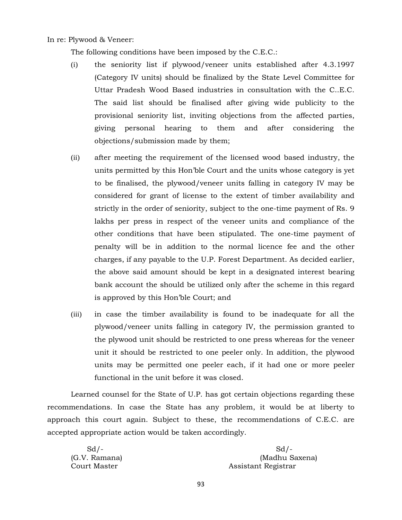In re: Plywood & Veneer:

The following conditions have been imposed by the C.E.C.:

- (i) the seniority list if plywood/veneer units established after 4.3.1997 (Category IV units) should be finalized by the State Level Committee for Uttar Pradesh Wood Based industries in consultation with the C..E.C. The said list should be finalised after giving wide publicity to the provisional seniority list, inviting objections from the affected parties, giving personal hearing to them and after considering the objections/submission made by them;
- (ii) after meeting the requirement of the licensed wood based industry, the units permitted by this Hon'ble Court and the units whose category is yet to be finalised, the plywood/veneer units falling in category IV may be considered for grant of license to the extent of timber availability and strictly in the order of seniority, subject to the one-time payment of Rs. 9 lakhs per press in respect of the veneer units and compliance of the other conditions that have been stipulated. The one-time payment of penalty will be in addition to the normal licence fee and the other charges, if any payable to the U.P. Forest Department. As decided earlier, the above said amount should be kept in a designated interest bearing bank account the should be utilized only after the scheme in this regard is approved by this Hon'ble Court; and
- (iii) in case the timber availability is found to be inadequate for all the plywood/veneer units falling in category IV, the permission granted to the plywood unit should be restricted to one press whereas for the veneer unit it should be restricted to one peeler only. In addition, the plywood units may be permitted one peeler each, if it had one or more peeler functional in the unit before it was closed.

Learned counsel for the State of U.P. has got certain objections regarding these recommendations. In case the State has any problem, it would be at liberty to approach this court again. Subject to these, the recommendations of C.E.C. are accepted appropriate action would be taken accordingly.

 $Sd$ - $Sd$ (G.V. Ramana) (Madhu Saxena) Court Master **Assistant Registrar**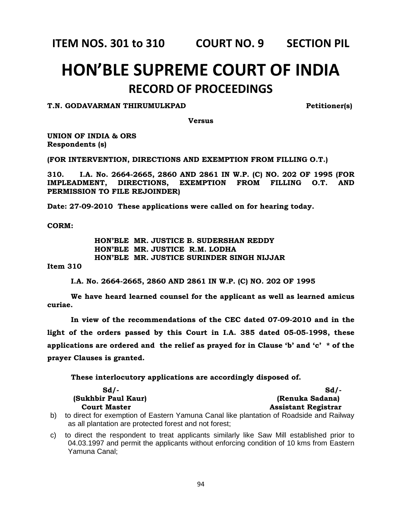**ITEM NOS. 301 to 310 COURT NO. 9 SECTION PIL**

# **HON'BLE SUPREME COURT OF INDIA RECORD OF PROCEEDINGS**

## **T.N. GODAVARMAN THIRUMULKPAD Petitioner(s)**

**Versus**

**UNION OF INDIA & ORS Respondents (s)**

**(FOR INTERVENTION, DIRECTIONS AND EXEMPTION FROM FILLING O.T.)**

**310. I.A. No. 2664-2665, 2860 AND 2861 IN W.P. (C) NO. 202 OF 1995 (FOR IMPLEADMENT, DIRECTIONS, EXEMPTION FROM FILLING O.T. AND PERMISSION TO FILE REJOINDER)**

**Date: 27-09-2010 These applications were called on for hearing today.**

**CORM:**

**HON'BLE MR. JUSTICE B. SUDERSHAN REDDY HON'BLE MR. JUSTICE R.M. LODHA HON'BLE MR. JUSTICE SURINDER SINGH NIJJAR**

**Item 310**

**I.A. No. 2664-2665, 2860 AND 2861 IN W.P. (C) NO. 202 OF 1995**

**We have heard learned counsel for the applicant as well as learned amicus curiae.**

**In view of the recommendations of the CEC dated 07-09-2010 and in the light of the orders passed by this Court in I.A. 385 dated 05-05-1998, these applications are ordered and the relief as prayed for in Clause 'b' and 'c' \* of the prayer Clauses is granted.**

**These interlocutory applications are accordingly disposed of.**

| Sd/-                | $Sd$ .                                                                                |
|---------------------|---------------------------------------------------------------------------------------|
| (Sukhbir Paul Kaur) | (Renuka Sadana)                                                                       |
| <b>Court Master</b> | <b>Assistant Registrar</b>                                                            |
|                     | to direct for exemption of Eastern Yamuna Canal like plantation of Roadside and Railw |

b) to direct for exemption of Eastern Yamuna Canal like plantation of Roadside and Railway as all plantation are protected forest and not forest;

c) to direct the respondent to treat applicants similarly like Saw Mill established prior to 04.03.1997 and permit the applicants without enforcing condition of 10 kms from Eastern Yamuna Canal;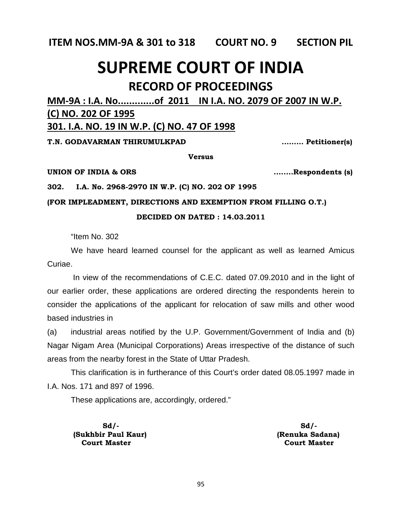**ITEM NOS.MM-9A & 301 to 318 COURT NO. 9 SECTION PIL**

# **SUPREME COURT OF INDIA RECORD OF PROCEEDINGS**

# **MM-9A : I.A. No.............of 2011 IN I.A. NO. 2079 OF 2007 IN W.P. (C) NO. 202 OF 1995 301. I.A. NO. 19 IN W.P. (C) NO. 47 OF 1998**

**T.N. GODAVARMAN THIRUMULKPAD ......... Petitioner(s)**

**Versus**

**UNION OF INDIA & ORS ........Respondents (s)**

**302. I.A. No. 2968-2970 IN W.P. (C) NO. 202 OF 1995** 

## **(FOR IMPLEADMENT, DIRECTIONS AND EXEMPTION FROM FILLING O.T.)**

## **DECIDED ON DATED : 14.03.2011**

"Item No. 302

We have heard learned counsel for the applicant as well as learned Amicus Curiae.

In view of the recommendations of C.E.C. dated 07.09.2010 and in the light of our earlier order, these applications are ordered directing the respondents herein to consider the applications of the applicant for relocation of saw mills and other wood based industries in

(a) industrial areas notified by the U.P. Government/Government of India and (b) Nagar Nigam Area (Municipal Corporations) Areas irrespective of the distance of such areas from the nearby forest in the State of Uttar Pradesh.

This clarification is in furtherance of this Court's order dated 08.05.1997 made in I.A. Nos. 171 and 897 of 1996.

These applications are, accordingly, ordered."

 **Sd/- Sd/- (Sukhbir Paul Kaur) (Renuka Sadana) Court Master Court Master**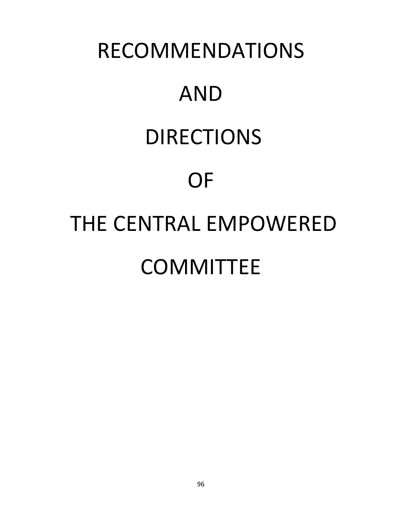# RECOMMENDATIONS AND DIRECTIONS **OF** THE CENTRAL EMPOWERED **COMMITTEE**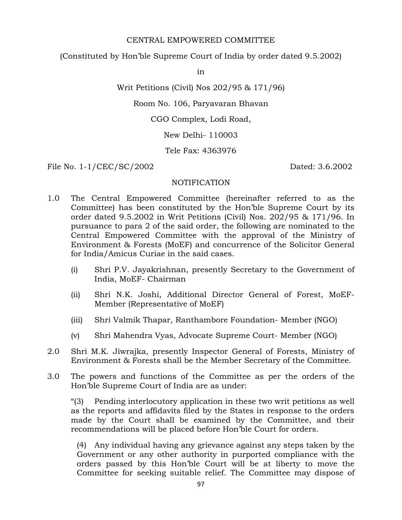## CENTRAL EMPOWERED COMMITTEE

(Constituted by Hon'ble Supreme Court of India by order dated 9.5.2002)

in

Writ Petitions (Civil) Nos 202/95 & 171/96)

Room No. 106, Paryavaran Bhavan

CGO Complex, Lodi Road,

New Delhi- 110003

Tele Fax: 4363976

File No. 1-1/CEC/SC/2002 Dated: 3.6.2002

## NOTIFICATION

- 1.0 The Central Empowered Committee (hereinafter referred to as the Committee) has been constituted by the Hon'ble Supreme Court by its order dated 9.5.2002 in Writ Petitions (Civil) Nos. 202/95 & 171/96. In pursuance to para 2 of the said order, the following are nominated to the Central Empowered Committee with the approval of the Ministry of Environment & Forests (MoEF) and concurrence of the Solicitor General for India/Amicus Curiae in the said cases.
	- (i) Shri P.V. Jayakrishnan, presently Secretary to the Government of India, MoEF- Chairman
	- (ii) Shri N.K. Joshi, Additional Director General of Forest, MoEF-Member (Representative of MoEF)
	- (iii) Shri Valmik Thapar, Ranthambore Foundation- Member (NGO)
	- (v) Shri Mahendra Vyas, Advocate Supreme Court- Member (NGO)
- 2.0 Shri M.K. Jiwrajka, presently Inspector General of Forests, Ministry of Environment & Forests shall be the Member Secretary of the Committee.
- 3.0 The powers and functions of the Committee as per the orders of the Hon'ble Supreme Court of India are as under:

"(3) Pending interlocutory application in these two writ petitions as well as the reports and affidavits filed by the States in response to the orders made by the Court shall be examined by the Committee, and their recommendations will be placed before Hon'ble Court for orders.

(4) Any individual having any grievance against any steps taken by the Government or any other authority in purported compliance with the orders passed by this Hon'ble Court will be at liberty to move the Committee for seeking suitable relief. The Committee may dispose of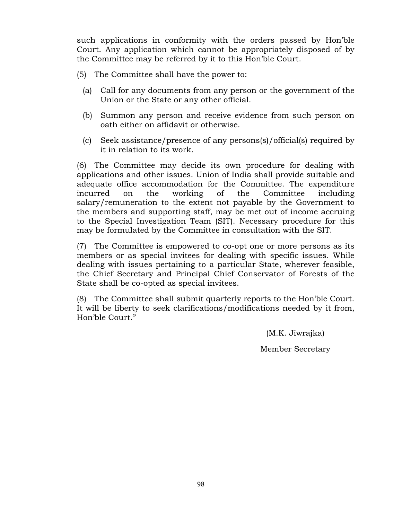such applications in conformity with the orders passed by Hon'ble Court. Any application which cannot be appropriately disposed of by the Committee may be referred by it to this Hon'ble Court.

- (5) The Committee shall have the power to:
	- (a) Call for any documents from any person or the government of the Union or the State or any other official.
	- (b) Summon any person and receive evidence from such person on oath either on affidavit or otherwise.
	- (c) Seek assistance/presence of any persons(s)/official(s) required by it in relation to its work.

(6) The Committee may decide its own procedure for dealing with applications and other issues. Union of India shall provide suitable and adequate office accommodation for the Committee. The expenditure incurred on the working of the Committee including salary/remuneration to the extent not payable by the Government to the members and supporting staff, may be met out of income accruing to the Special Investigation Team (SIT). Necessary procedure for this may be formulated by the Committee in consultation with the SIT.

(7) The Committee is empowered to co-opt one or more persons as its members or as special invitees for dealing with specific issues. While dealing with issues pertaining to a particular State, wherever feasible, the Chief Secretary and Principal Chief Conservator of Forests of the State shall be co-opted as special invitees.

(8) The Committee shall submit quarterly reports to the Hon'ble Court. It will be liberty to seek clarifications/modifications needed by it from, Hon'ble Court."

> (M.K. Jiwrajka) Member Secretary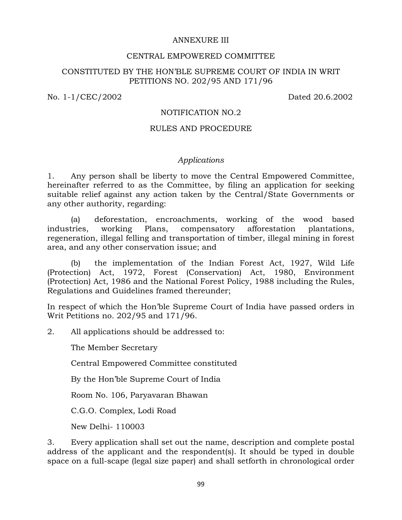## ANNEXURE III

## CENTRAL EMPOWERED COMMITTEE

## CONSTITUTED BY THE HON'BLE SUPREME COURT OF INDIA IN WRIT PETITIONS NO. 202/95 AND 171/96

No. 1-1/CEC/2002 Dated 20.6.2002

## NOTIFICATION NO.2

## RULES AND PROCEDURE

## *Applications*

1. Any person shall be liberty to move the Central Empowered Committee, hereinafter referred to as the Committee, by filing an application for seeking suitable relief against any action taken by the Central/State Governments or any other authority, regarding:

(a) deforestation, encroachments, working of the wood based industries, working Plans, compensatory afforestation plantations, regeneration, illegal felling and transportation of timber, illegal mining in forest area, and any other conservation issue; and

(b) the implementation of the Indian Forest Act, 1927, Wild Life (Protection) Act, 1972, Forest (Conservation) Act, 1980, Environment (Protection) Act, 1986 and the National Forest Policy, 1988 including the Rules, Regulations and Guidelines framed thereunder;

In respect of which the Hon'ble Supreme Court of India have passed orders in Writ Petitions no. 202/95 and 171/96.

2. All applications should be addressed to:

The Member Secretary

Central Empowered Committee constituted

By the Hon'ble Supreme Court of India

Room No. 106, Paryavaran Bhawan

C.G.O. Complex, Lodi Road

New Delhi- 110003

3. Every application shall set out the name, description and complete postal address of the applicant and the respondent(s). It should be typed in double space on a full-scape (legal size paper) and shall setforth in chronological order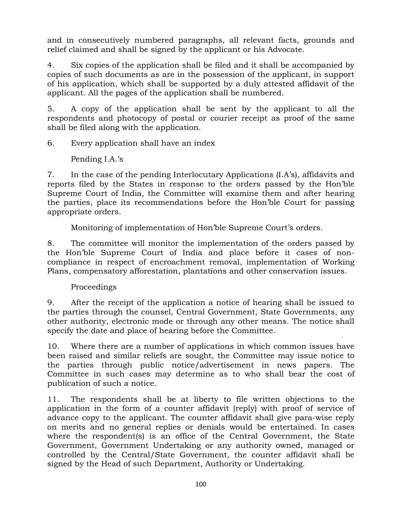and in consecutively numbered paragraphs, all relevant facts, grounds and relief claimed and shall be signed by the applicant or his Advocate.

4. Six copies of the application shall be filed and it shall be accompanied by copies of such documents as are in the possession of the applicant, in support of his application, which shall be supported by a duly attested affidavit of the applicant. All the pages of the application shall be numbered.

5. A copy of the application shall be sent by the applicant to all the respondents and photocopy of postal or courier receipt as proof of the same shall be filed along with the application.

6. Every application shall have an index

Pending I.A.'s

7. In the case of the pending Interlocutary Applications (I.A's), affidavits and reports filed by the States in response to the orders passed by the Hon'ble Supreme Court of India, the Committee will examine them and after hearing the parties, place its recommendations before the Hon'ble Court for passing appropriate orders.

Monitoring of implementation of Hon'ble Supreme Court's orders.

8. The committee will monitor the implementation of the orders passed by the Hon'ble Supreme Court of India and place before it cases of noncompliance in respect of encroachment removal, implementation of Working Plans, compensatory afforestation, plantations and other conservation issues.

## Proceedings

9. After the receipt of the application a notice of hearing shall be issued to the parties through the counsel, Central Government, State Governments, any other authority, electronic mode or through any other means. The notice shall specify the date and place of hearing before the Committee.

10. Where there are a number of applications in which common issues have been raised and similar reliefs are sought, the Committee may issue notice to the parties through public notice/advertisement in news papers. The Committee in such cases may determine as to who shall bear the cost of publication of such a notice.

11. The respondents shall be at liberty to file written objections to the application in the form of a counter affidavit (reply) with proof of service of advance copy to the applicant. The counter affidavit shall give para-wise reply on merits and no general replies or denials would be entertained. In cases where the respondent(s) is an office of the Central Government, the State Government, Government Undertaking or any authority owned, managed or controlled by the Central/State Government, the counter affidavit shall be signed by the Head of such Department, Authority or Undertaking.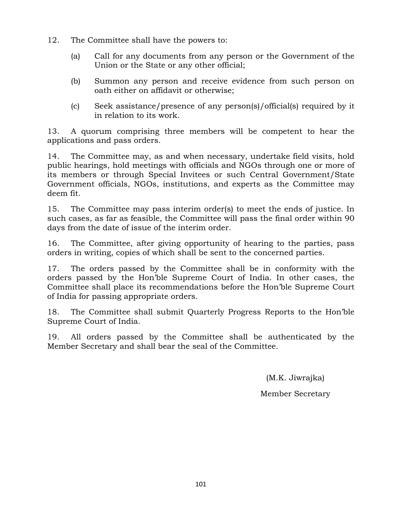- 12. The Committee shall have the powers to:
	- (a) Call for any documents from any person or the Government of the Union or the State or any other official;
	- (b) Summon any person and receive evidence from such person on oath either on affidavit or otherwise;
	- (c) Seek assistance/presence of any person(s)/official(s) required by it in relation to its work.

13. A quorum comprising three members will be competent to hear the applications and pass orders.

14. The Committee may, as and when necessary, undertake field visits, hold public hearings, hold meetings with officials and NGOs through one or more of its members or through Special Invitees or such Central Government/State Government officials, NGOs, institutions, and experts as the Committee may deem fit.

15. The Committee may pass interim order(s) to meet the ends of justice. In such cases, as far as feasible, the Committee will pass the final order within 90 days from the date of issue of the interim order.

16. The Committee, after giving opportunity of hearing to the parties, pass orders in writing, copies of which shall be sent to the concerned parties.

17. The orders passed by the Committee shall be in conformity with the orders passed by the Hon'ble Supreme Court of India. In other cases, the Committee shall place its recommendations before the Hon'ble Supreme Court of India for passing appropriate orders.

18. The Committee shall submit Quarterly Progress Reports to the Hon'ble Supreme Court of India.

19. All orders passed by the Committee shall be authenticated by the Member Secretary and shall bear the seal of the Committee.

(M.K. Jiwrajka)

Member Secretary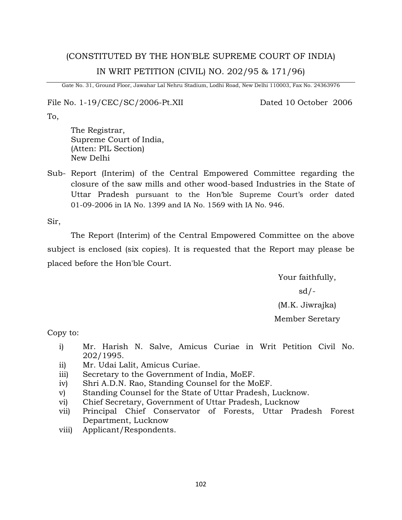# (CONSTITUTED BY THE HON'BLE SUPREME COURT OF INDIA) IN WRIT PETITION (CIVIL) NO. 202/95 & 171/96)

Gate No. 31, Ground Floor, Jawahar Lal Nehru Stadium, Lodhi Road, New Delhi 110003, Fax No. 24363976

File No. 1-19/CEC/SC/2006-Pt.XII Dated 10 October 2006

To,

The Registrar, Supreme Court of India, (Atten: PIL Section) New Delhi

Sub- Report (Interim) of the Central Empowered Committee regarding the closure of the saw mills and other wood-based Industries in the State of Uttar Pradesh pursuant to the Hon'ble Supreme Court's order dated 01-09-2006 in IA No. 1399 and IA No. 1569 with IA No. 946.

Sir,

The Report (Interim) of the Central Empowered Committee on the above subject is enclosed (six copies). It is requested that the Report may please be placed before the Hon'ble Court.

> Your faithfully, sd/- (M.K. Jiwrajka) Member Seretary

Copy to:

- i) Mr. Harish N. Salve, Amicus Curiae in Writ Petition Civil No. 202/1995.
- ii) Mr. Udai Lalit, Amicus Curiae.
- iii) Secretary to the Government of India, MoEF.
- iv) Shri A.D.N. Rao, Standing Counsel for the MoEF.
- v) Standing Counsel for the State of Uttar Pradesh, Lucknow.
- vi) Chief Secretary, Government of Uttar Pradesh, Lucknow
- vii) Principal Chief Conservator of Forests, Uttar Pradesh Forest Department, Lucknow
- viii) Applicant/Respondents.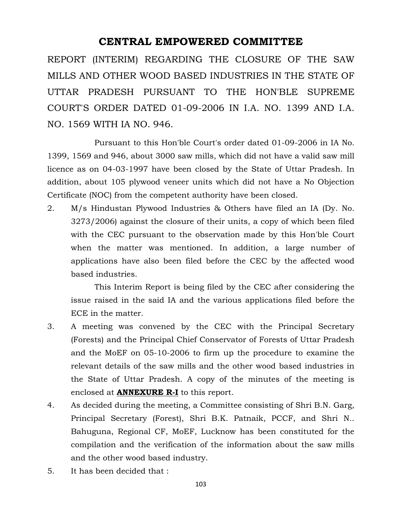## **CENTRAL EMPOWERED COMMITTEE**

REPORT (INTERIM) REGARDING THE CLOSURE OF THE SAW MILLS AND OTHER WOOD BASED INDUSTRIES IN THE STATE OF UTTAR PRADESH PURSUANT TO THE HON'BLE SUPREME COURT'S ORDER DATED 01-09-2006 IN I.A. NO. 1399 AND I.A. NO. 1569 WITH IA NO. 946.

Pursuant to this Hon'ble Court's order dated 01-09-2006 in IA No. 1399, 1569 and 946, about 3000 saw mills, which did not have a valid saw mill licence as on 04-03-1997 have been closed by the State of Uttar Pradesh. In addition, about 105 plywood veneer units which did not have a No Objection Certificate (NOC) from the competent authority have been closed.

2. M/s Hindustan Plywood Industries & Others have filed an IA (Dy. No. 3273/2006) against the closure of their units, a copy of which been filed with the CEC pursuant to the observation made by this Hon'ble Court when the matter was mentioned. In addition, a large number of applications have also been filed before the CEC by the affected wood based industries.

This Interim Report is being filed by the CEC after considering the issue raised in the said IA and the various applications filed before the ECE in the matter.

- 3. A meeting was convened by the CEC with the Principal Secretary (Forests) and the Principal Chief Conservator of Forests of Uttar Pradesh and the MoEF on 05-10-2006 to firm up the procedure to examine the relevant details of the saw mills and the other wood based industries in the State of Uttar Pradesh. A copy of the minutes of the meeting is enclosed at **ANNEXURE R-I** to this report.
- 4. As decided during the meeting, a Committee consisting of Shri B.N. Garg, Principal Secretary (Forest), Shri B.K. Patnaik, PCCF, and Shri N.. Bahuguna, Regional CF, MoEF, Lucknow has been constituted for the compilation and the verification of the information about the saw mills and the other wood based industry.
- 5. It has been decided that :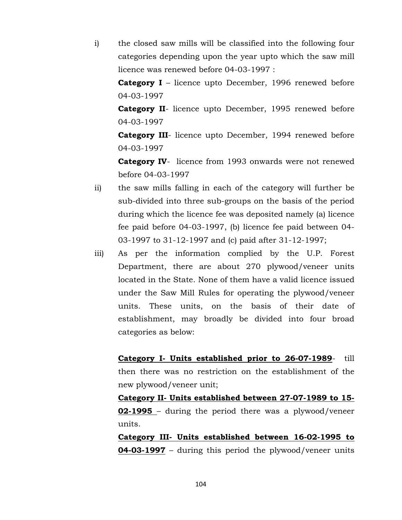i) the closed saw mills will be classified into the following four categories depending upon the year upto which the saw mill licence was renewed before 04-03-1997 :

**Category I** – licence upto December, 1996 renewed before 04-03-1997

**Category II**- licence upto December, 1995 renewed before 04-03-1997

**Category III**- licence upto December, 1994 renewed before 04-03-1997

**Category IV**- licence from 1993 onwards were not renewed before 04-03-1997

- ii) the saw mills falling in each of the category will further be sub-divided into three sub-groups on the basis of the period during which the licence fee was deposited namely (a) licence fee paid before 04-03-1997, (b) licence fee paid between 04- 03-1997 to 31-12-1997 and (c) paid after 31-12-1997;
- iii) As per the information complied by the U.P. Forest Department, there are about 270 plywood/veneer units located in the State. None of them have a valid licence issued under the Saw Mill Rules for operating the plywood/veneer units. These units, on the basis of their date of establishment, may broadly be divided into four broad categories as below:

**Category I- Units established prior to 26-07-1989**- till then there was no restriction on the establishment of the new plywood/veneer unit;

**Category II- Units established between 27-07-1989 to 15- 02-1995** – during the period there was a plywood/veneer units.

**Category III- Units established between 16-02-1995 to 04-03-1997** – during this period the plywood/veneer units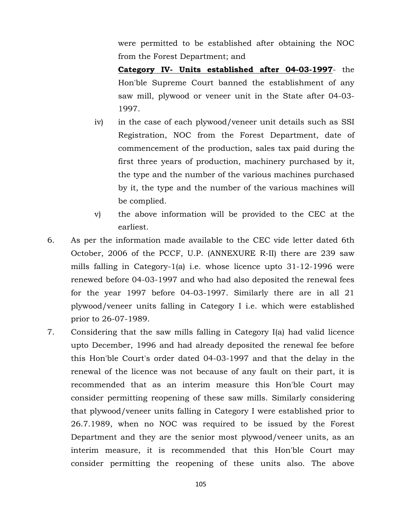were permitted to be established after obtaining the NOC from the Forest Department; and

**Category IV- Units established after 04-03-1997**- the Hon'ble Supreme Court banned the establishment of any saw mill, plywood or veneer unit in the State after 04-03- 1997.

- iv) in the case of each plywood/veneer unit details such as SSI Registration, NOC from the Forest Department, date of commencement of the production, sales tax paid during the first three years of production, machinery purchased by it, the type and the number of the various machines purchased by it, the type and the number of the various machines will be complied.
- v) the above information will be provided to the CEC at the earliest.
- 6. As per the information made available to the CEC vide letter dated 6th October, 2006 of the PCCF, U.P. (ANNEXURE R-II) there are 239 saw mills falling in Category-1(a) i.e. whose licence upto 31-12-1996 were renewed before 04-03-1997 and who had also deposited the renewal fees for the year 1997 before 04-03-1997. Similarly there are in all 21 plywood/veneer units falling in Category I i.e. which were established prior to 26-07-1989.
- 7. Considering that the saw mills falling in Category I(a) had valid licence upto December, 1996 and had already deposited the renewal fee before this Hon'ble Court's order dated 04-03-1997 and that the delay in the renewal of the licence was not because of any fault on their part, it is recommended that as an interim measure this Hon'ble Court may consider permitting reopening of these saw mills. Similarly considering that plywood/veneer units falling in Category I were established prior to 26.7.1989, when no NOC was required to be issued by the Forest Department and they are the senior most plywood/veneer units, as an interim measure, it is recommended that this Hon'ble Court may consider permitting the reopening of these units also. The above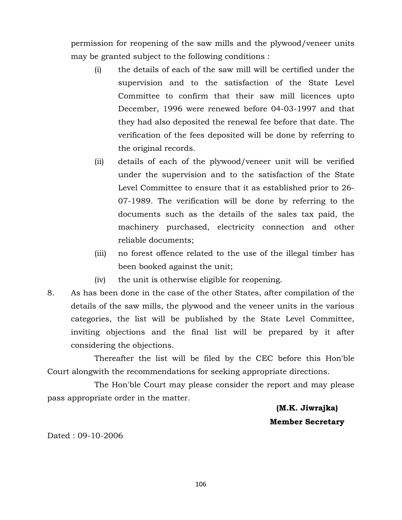permission for reopening of the saw mills and the plywood/veneer units may be granted subject to the following conditions :

- (i) the details of each of the saw mill will be certified under the supervision and to the satisfaction of the State Level Committee to confirm that their saw mill licences upto December, 1996 were renewed before 04-03-1997 and that they had also deposited the renewal fee before that date. The verification of the fees deposited will be done by referring to the original records.
- (ii) details of each of the plywood/veneer unit will be verified under the supervision and to the satisfaction of the State Level Committee to ensure that it as established prior to 26- 07-1989. The verification will be done by referring to the documents such as the details of the sales tax paid, the machinery purchased, electricity connection and other reliable documents;
- (iii) no forest offence related to the use of the illegal timber has been booked against the unit;
- (iv) the unit is otherwise eligible for reopening.
- 8. As has been done in the case of the other States, after compilation of the details of the saw mills, the plywood and the veneer units in the various categories, the list will be published by the State Level Committee, inviting objections and the final list will be prepared by it after considering the objections.

Thereafter the list will be filed by the CEC before this Hon'ble Court alongwith the recommendations for seeking appropriate directions.

The Hon'ble Court may please consider the report and may please pass appropriate order in the matter.

> **(M.K. Jiwrajka) Member Secretary**

Dated : 09-10-2006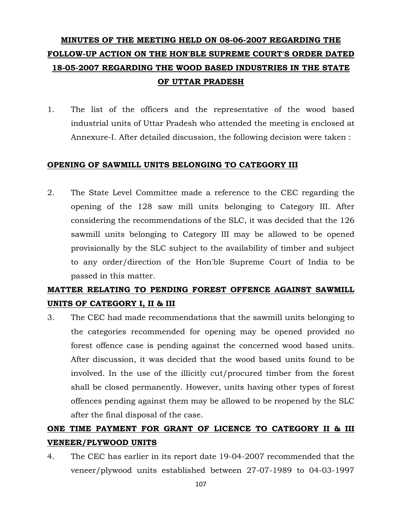# **MINUTES OF THE MEETING HELD ON 08-06-2007 REGARDING THE FOLLOW-UP ACTION ON THE HON'BLE SUPREME COURT'S ORDER DATED 18-05-2007 REGARDING THE WOOD BASED INDUSTRIES IN THE STATE OF UTTAR PRADESH**

1. The list of the officers and the representative of the wood based industrial units of Uttar Pradesh who attended the meeting is enclosed at Annexure-I. After detailed discussion, the following decision were taken :

## **OPENING OF SAWMILL UNITS BELONGING TO CATEGORY III**

2. The State Level Committee made a reference to the CEC regarding the opening of the 128 saw mill units belonging to Category III. After considering the recommendations of the SLC, it was decided that the 126 sawmill units belonging to Category III may be allowed to be opened provisionally by the SLC subject to the availability of timber and subject to any order/direction of the Hon'ble Supreme Court of India to be passed in this matter.

## **MATTER RELATING TO PENDING FOREST OFFENCE AGAINST SAWMILL UNITS OF CATEGORY I, II & III**

3. The CEC had made recommendations that the sawmill units belonging to the categories recommended for opening may be opened provided no forest offence case is pending against the concerned wood based units. After discussion, it was decided that the wood based units found to be involved. In the use of the illicitly cut/procured timber from the forest shall be closed permanently. However, units having other types of forest offences pending against them may be allowed to be reopened by the SLC after the final disposal of the case.

# **ONE TIME PAYMENT FOR GRANT OF LICENCE TO CATEGORY II & III VENEER/PLYWOOD UNITS**

4. The CEC has earlier in its report date 19-04-2007 recommended that the veneer/plywood units established between 27-07-1989 to 04-03-1997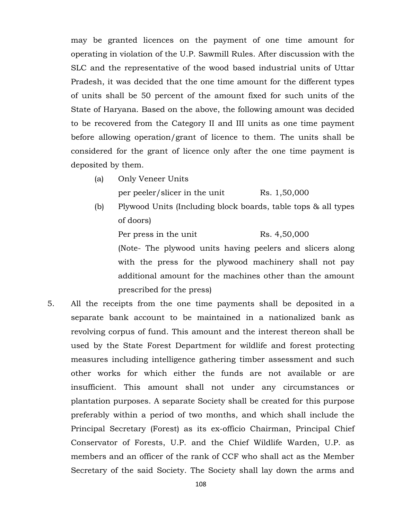may be granted licences on the payment of one time amount for operating in violation of the U.P. Sawmill Rules. After discussion with the SLC and the representative of the wood based industrial units of Uttar Pradesh, it was decided that the one time amount for the different types of units shall be 50 percent of the amount fixed for such units of the State of Haryana. Based on the above, the following amount was decided to be recovered from the Category II and III units as one time payment before allowing operation/grant of licence to them. The units shall be considered for the grant of licence only after the one time payment is deposited by them.

(a) Only Veneer Units

per peeler/slicer in the unit Rs. 1,50,000

(b) Plywood Units (Including block boards, table tops & all types of doors)

Per press in the unit Rs. 4,50,000

(Note- The plywood units having peelers and slicers along with the press for the plywood machinery shall not pay additional amount for the machines other than the amount prescribed for the press)

5. All the receipts from the one time payments shall be deposited in a separate bank account to be maintained in a nationalized bank as revolving corpus of fund. This amount and the interest thereon shall be used by the State Forest Department for wildlife and forest protecting measures including intelligence gathering timber assessment and such other works for which either the funds are not available or are insufficient. This amount shall not under any circumstances or plantation purposes. A separate Society shall be created for this purpose preferably within a period of two months, and which shall include the Principal Secretary (Forest) as its ex-officio Chairman, Principal Chief Conservator of Forests, U.P. and the Chief Wildlife Warden, U.P. as members and an officer of the rank of CCF who shall act as the Member Secretary of the said Society. The Society shall lay down the arms and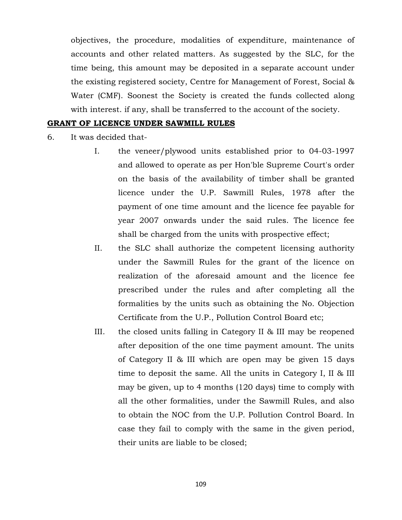objectives, the procedure, modalities of expenditure, maintenance of accounts and other related matters. As suggested by the SLC, for the time being, this amount may be deposited in a separate account under the existing registered society, Centre for Management of Forest, Social & Water (CMF). Soonest the Society is created the funds collected along with interest. if any, shall be transferred to the account of the society.

#### **GRANT OF LICENCE UNDER SAWMILL RULES**

- 6. It was decided that-
	- I. the veneer/plywood units established prior to 04-03-1997 and allowed to operate as per Hon'ble Supreme Court's order on the basis of the availability of timber shall be granted licence under the U.P. Sawmill Rules, 1978 after the payment of one time amount and the licence fee payable for year 2007 onwards under the said rules. The licence fee shall be charged from the units with prospective effect;
	- II. the SLC shall authorize the competent licensing authority under the Sawmill Rules for the grant of the licence on realization of the aforesaid amount and the licence fee prescribed under the rules and after completing all the formalities by the units such as obtaining the No. Objection Certificate from the U.P., Pollution Control Board etc;
	- III. the closed units falling in Category II & III may be reopened after deposition of the one time payment amount. The units of Category II & III which are open may be given 15 days time to deposit the same. All the units in Category I, II & III may be given, up to 4 months (120 days) time to comply with all the other formalities, under the Sawmill Rules, and also to obtain the NOC from the U.P. Pollution Control Board. In case they fail to comply with the same in the given period, their units are liable to be closed;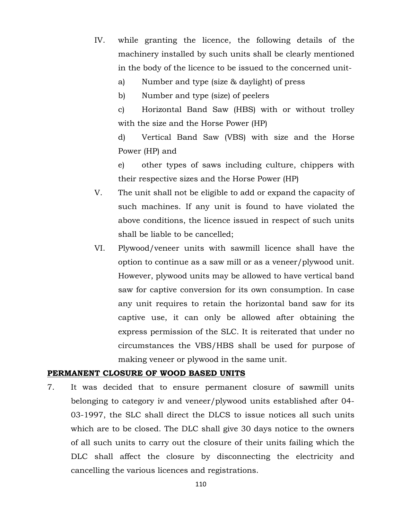- IV. while granting the licence, the following details of the machinery installed by such units shall be clearly mentioned in the body of the licence to be issued to the concerned unit
	- a) Number and type (size & daylight) of press

b) Number and type (size) of peelers

c) Horizontal Band Saw (HBS) with or without trolley with the size and the Horse Power (HP)

d) Vertical Band Saw (VBS) with size and the Horse Power (HP) and

e) other types of saws including culture, chippers with their respective sizes and the Horse Power (HP)

- V. The unit shall not be eligible to add or expand the capacity of such machines. If any unit is found to have violated the above conditions, the licence issued in respect of such units shall be liable to be cancelled;
- VI. Plywood/veneer units with sawmill licence shall have the option to continue as a saw mill or as a veneer/plywood unit. However, plywood units may be allowed to have vertical band saw for captive conversion for its own consumption. In case any unit requires to retain the horizontal band saw for its captive use, it can only be allowed after obtaining the express permission of the SLC. It is reiterated that under no circumstances the VBS/HBS shall be used for purpose of making veneer or plywood in the same unit.

#### **PERMANENT CLOSURE OF WOOD BASED UNITS**

7. It was decided that to ensure permanent closure of sawmill units belonging to category iv and veneer/plywood units established after 04- 03-1997, the SLC shall direct the DLCS to issue notices all such units which are to be closed. The DLC shall give 30 days notice to the owners of all such units to carry out the closure of their units failing which the DLC shall affect the closure by disconnecting the electricity and cancelling the various licences and registrations.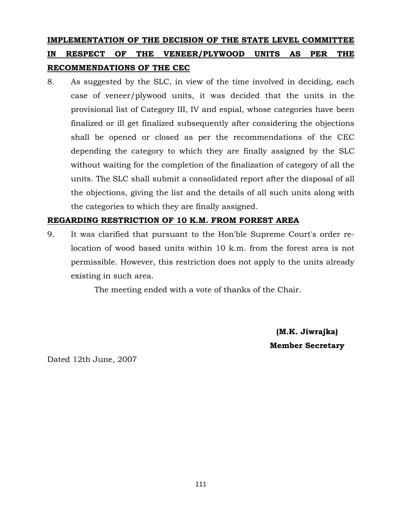## **IMPLEMENTATION OF THE DECISION OF THE STATE LEVEL COMMITTEE IN RESPECT OF THE VENEER/PLYWOOD UNITS AS PER THE RECOMMENDATIONS OF THE CEC**

8. As suggested by the SLC, in view of the time involved in deciding, each case of veneer/plywood units, it was decided that the units in the provisional list of Category III, IV and espial, whose categories have been finalized or ill get finalized subsequently after considering the objections shall be opened or closed as per the recommendations of the CEC depending the category to which they are finally assigned by the SLC without waiting for the completion of the finalization of category of all the units. The SLC shall submit a consolidated report after the disposal of all the objections, giving the list and the details of all such units along with the categories to which they are finally assigned.

### **REGARDING RESTRICTION OF 10 K.M. FROM FOREST AREA**

9. It was clarified that pursuant to the Hon'ble Supreme Court's order relocation of wood based units within 10 k.m. from the forest area is not permissible. However, this restriction does not apply to the units already existing in such area.

The meeting ended with a vote of thanks of the Chair.

**(M.K. Jiwrajka) Member Secretary**

Dated 12th June, 2007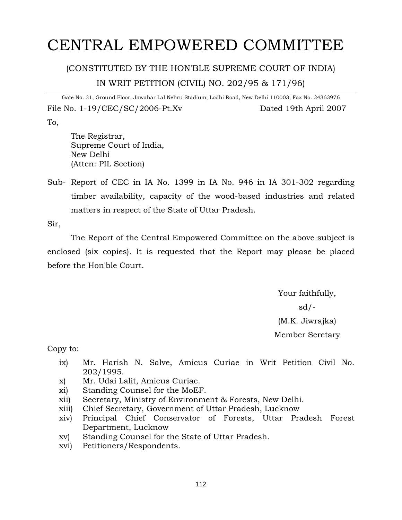# CENTRAL EMPOWERED COMMITTEE

## (CONSTITUTED BY THE HON'BLE SUPREME COURT OF INDIA) IN WRIT PETITION (CIVIL) NO. 202/95 & 171/96)

Gate No. 31, Ground Floor, Jawahar Lal Nehru Stadium, Lodhi Road, New Delhi 110003, Fax No. 24363976 File No. 1-19/CEC/SC/2006-Pt.Xv Dated 19th April 2007 To,

The Registrar, Supreme Court of India, New Delhi (Atten: PIL Section)

Sub- Report of CEC in IA No. 1399 in IA No. 946 in IA 301-302 regarding timber availability, capacity of the wood-based industries and related matters in respect of the State of Uttar Pradesh.

Sir,

The Report of the Central Empowered Committee on the above subject is enclosed (six copies). It is requested that the Report may please be placed before the Hon'ble Court.

> Your faithfully,  $sd/-$ (M.K. Jiwrajka) Member Seretary

Copy to:

- ix) Mr. Harish N. Salve, Amicus Curiae in Writ Petition Civil No. 202/1995.
- x) Mr. Udai Lalit, Amicus Curiae.
- xi) Standing Counsel for the MoEF.
- xii) Secretary, Ministry of Environment & Forests, New Delhi.
- xiii) Chief Secretary, Government of Uttar Pradesh, Lucknow
- xiv) Principal Chief Conservator of Forests, Uttar Pradesh Forest Department, Lucknow
- xv) Standing Counsel for the State of Uttar Pradesh.
- xvi) Petitioners/Respondents.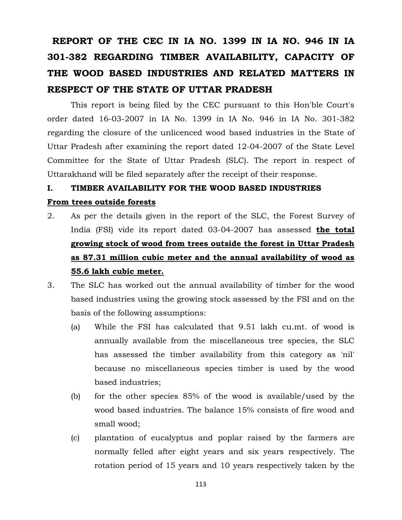# **REPORT OF THE CEC IN IA NO. 1399 IN IA NO. 946 IN IA 301-382 REGARDING TIMBER AVAILABILITY, CAPACITY OF THE WOOD BASED INDUSTRIES AND RELATED MATTERS IN RESPECT OF THE STATE OF UTTAR PRADESH**

This report is being filed by the CEC pursuant to this Hon'ble Court's order dated 16-03-2007 in IA No. 1399 in IA No. 946 in IA No. 301-382 regarding the closure of the unlicenced wood based industries in the State of Uttar Pradesh after examining the report dated 12-04-2007 of the State Level Committee for the State of Uttar Pradesh (SLC). The report in respect of Uttarakhand will be filed separately after the receipt of their response.

### **I. TIMBER AVAILABILITY FOR THE WOOD BASED INDUSTRIES**

#### **From trees outside forests**

- 2. As per the details given in the report of the SLC, the Forest Survey of India (FSI) vide its report dated 03-04-2007 has assessed **the total growing stock of wood from trees outside the forest in Uttar Pradesh as 87.31 million cubic meter and the annual availability of wood as 55.6 lakh cubic meter.**
- 3. The SLC has worked out the annual availability of timber for the wood based industries using the growing stock assessed by the FSI and on the basis of the following assumptions:
	- (a) While the FSI has calculated that 9.51 lakh cu.mt. of wood is annually available from the miscellaneous tree species, the SLC has assessed the timber availability from this category as 'nil' because no miscellaneous species timber is used by the wood based industries;
	- (b) for the other species 85% of the wood is available/used by the wood based industries. The balance 15% consists of fire wood and small wood;
	- (c) plantation of eucalyptus and poplar raised by the farmers are normally felled after eight years and six years respectively. The rotation period of 15 years and 10 years respectively taken by the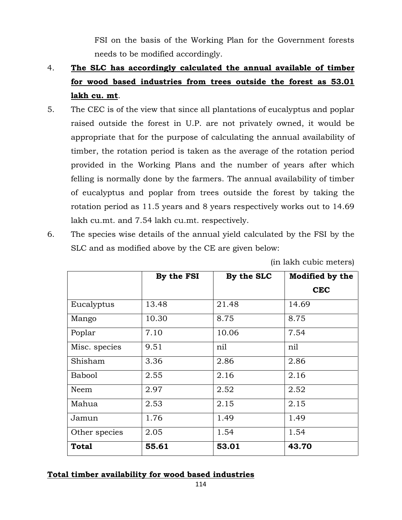FSI on the basis of the Working Plan for the Government forests needs to be modified accordingly.

- 4. **The SLC has accordingly calculated the annual available of timber for wood based industries from trees outside the forest as 53.01 lakh cu. mt**.
- 5. The CEC is of the view that since all plantations of eucalyptus and poplar raised outside the forest in U.P. are not privately owned, it would be appropriate that for the purpose of calculating the annual availability of timber, the rotation period is taken as the average of the rotation period provided in the Working Plans and the number of years after which felling is normally done by the farmers. The annual availability of timber of eucalyptus and poplar from trees outside the forest by taking the rotation period as 11.5 years and 8 years respectively works out to 14.69 lakh cu.mt. and 7.54 lakh cu.mt. respectively.
- 6. The species wise details of the annual yield calculated by the FSI by the SLC and as modified above by the CE are given below:

|               | By the FSI | By the SLC | <b>Modified by the</b> |
|---------------|------------|------------|------------------------|
|               |            |            | <b>CEC</b>             |
| Eucalyptus    | 13.48      | 21.48      | 14.69                  |
| Mango         | 10.30      | 8.75       | 8.75                   |
| Poplar        | 7.10       | 10.06      | 7.54                   |
| Misc. species | 9.51       | nil        | nil                    |
| Shisham       | 3.36       | 2.86       | 2.86                   |
| <b>Babool</b> | 2.55       | 2.16       | 2.16                   |
| Neem          | 2.97       | 2.52       | 2.52                   |
| Mahua         | 2.53       | 2.15       | 2.15                   |
| Jamun         | 1.76       | 1.49       | 1.49                   |
| Other species | 2.05       | 1.54       | 1.54                   |
| <b>Total</b>  | 55.61      | 53.01      | 43.70                  |

(in lakh cubic meters)

### **Total timber availability for wood based industries**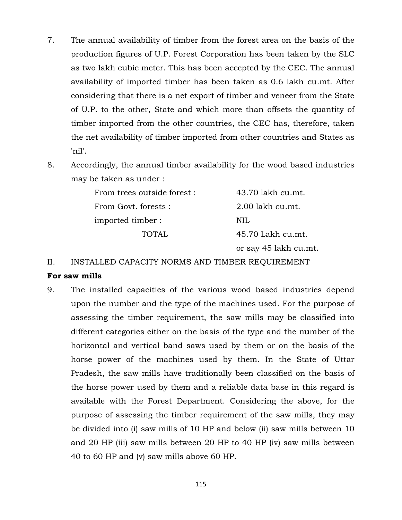- 7. The annual availability of timber from the forest area on the basis of the production figures of U.P. Forest Corporation has been taken by the SLC as two lakh cubic meter. This has been accepted by the CEC. The annual availability of imported timber has been taken as 0.6 lakh cu.mt. After considering that there is a net export of timber and veneer from the State of U.P. to the other, State and which more than offsets the quantity of timber imported from the other countries, the CEC has, therefore, taken the net availability of timber imported from other countries and States as 'nil'.
- 8. Accordingly, the annual timber availability for the wood based industries may be taken as under :

| From trees outside forest : | 43.70 lakh cu.mt.     |
|-----------------------------|-----------------------|
| From Govt. forests :        | 2.00 lakh cu.mt.      |
| imported timber :           | NH.                   |
| <b>TOTAL</b>                | 45.70 Lakh cu.mt.     |
|                             | or say 45 lakh cu.mt. |

II. INSTALLED CAPACITY NORMS AND TIMBER REQUIREMENT

### **For saw mills**

9. The installed capacities of the various wood based industries depend upon the number and the type of the machines used. For the purpose of assessing the timber requirement, the saw mills may be classified into different categories either on the basis of the type and the number of the horizontal and vertical band saws used by them or on the basis of the horse power of the machines used by them. In the State of Uttar Pradesh, the saw mills have traditionally been classified on the basis of the horse power used by them and a reliable data base in this regard is available with the Forest Department. Considering the above, for the purpose of assessing the timber requirement of the saw mills, they may be divided into (i) saw mills of 10 HP and below (ii) saw mills between 10 and 20 HP (iii) saw mills between 20 HP to 40 HP (iv) saw mills between 40 to 60 HP and (v) saw mills above 60 HP.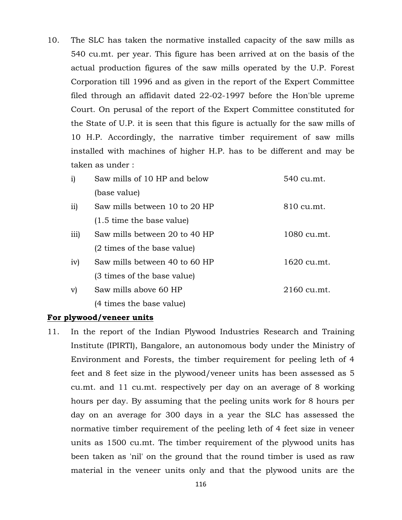10. The SLC has taken the normative installed capacity of the saw mills as 540 cu.mt. per year. This figure has been arrived at on the basis of the actual production figures of the saw mills operated by the U.P. Forest Corporation till 1996 and as given in the report of the Expert Committee filed through an affidavit dated 22-02-1997 before the Hon'ble upreme Court. On perusal of the report of the Expert Committee constituted for the State of U.P. it is seen that this figure is actually for the saw mills of 10 H.P. Accordingly, the narrative timber requirement of saw mills installed with machines of higher H.P. has to be different and may be taken as under :

| i)   | Saw mills of 10 HP and below        | 540 cu.mt.  |
|------|-------------------------------------|-------------|
|      | (base value)                        |             |
| ii)  | Saw mills between 10 to 20 HP       | 810 cu.mt.  |
|      | $(1.5 \text{ time the base value})$ |             |
| iii) | Saw mills between 20 to 40 HP       | 1080 cu.mt. |
|      | (2 times of the base value)         |             |
| iv)  | Saw mills between 40 to 60 HP       | 1620 cu.mt. |
|      | (3 times of the base value)         |             |
| v)   | Saw mills above 60 HP               | 2160 cu.mt. |
|      | (4 times the base value)            |             |

#### **For plywood/veneer units**

11. In the report of the Indian Plywood Industries Research and Training Institute (IPIRTI), Bangalore, an autonomous body under the Ministry of Environment and Forests, the timber requirement for peeling leth of 4 feet and 8 feet size in the plywood/veneer units has been assessed as 5 cu.mt. and 11 cu.mt. respectively per day on an average of 8 working hours per day. By assuming that the peeling units work for 8 hours per day on an average for 300 days in a year the SLC has assessed the normative timber requirement of the peeling leth of 4 feet size in veneer units as 1500 cu.mt. The timber requirement of the plywood units has been taken as 'nil' on the ground that the round timber is used as raw material in the veneer units only and that the plywood units are the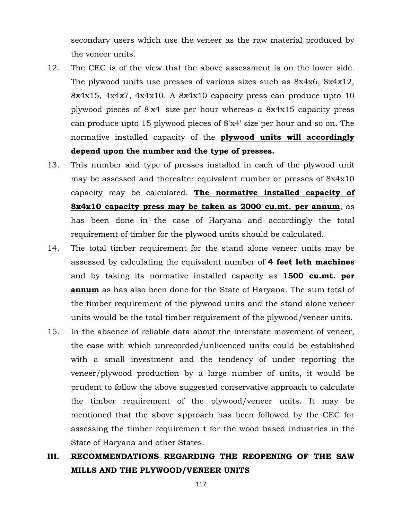secondary users which use the veneer as the raw material produced by the veneer units.

- 12. The CEC is of the view that the above assessment is on the lower side. The plywood units use presses of various sizes such as 8x4x6, 8x4x12, 8x4x15, 4x4x7, 4x4x10. A 8x4x10 capacity press can produce upto 10 plywood pieces of 8'x4' size per hour whereas a 8x4x15 capacity press can produce upto 15 plywood pieces of 8'x4' size per hour and so on. The normative installed capacity of the **plywood units will accordingly depend upon the number and the type of presses.**
- 13. This number and type of presses installed in each of the plywood unit may be assessed and thereafter equivalent number or presses of 8x4x10 capacity may be calculated. **The normative installed capacity of 8x4x10 capacity press may be taken as 2000 cu.mt. per annum**, as has been done in the case of Haryana and accordingly the total requirement of timber for the plywood units should be calculated.
- 14. The total timber requirement for the stand alone veneer units may be assessed by calculating the equivalent number of **4 feet leth machines** and by taking its normative installed capacity as **1500 cu.mt. per annum** as has also been done for the State of Haryana. The sum total of the timber requirement of the plywood units and the stand alone veneer units would be the total timber requirement of the plywood/veneer units.
- 15. In the absence of reliable data about the interstate movement of veneer, the ease with which unrecorded/unlicenced units could be established with a small investment and the tendency of under reporting the veneer/plywood production by a large number of units, it would be prudent to follow the above suggested conservative approach to calculate the timber requirement of the plywood/veneer units. It may be mentioned that the above approach has been followed by the CEC for assessing the timber requiremen t for the wood based industries in the State of Haryana and other States.
- **III. RECOMMENDATIONS REGARDING THE REOPENING OF THE SAW MILLS AND THE PLYWOOD/VENEER UNITS**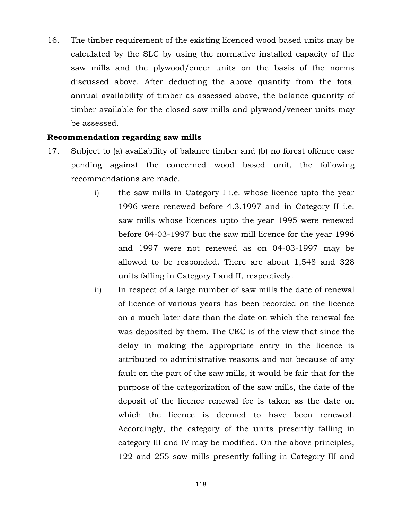16. The timber requirement of the existing licenced wood based units may be calculated by the SLC by using the normative installed capacity of the saw mills and the plywood/eneer units on the basis of the norms discussed above. After deducting the above quantity from the total annual availability of timber as assessed above, the balance quantity of timber available for the closed saw mills and plywood/veneer units may be assessed.

### **Recommendation regarding saw mills**

- 17. Subject to (a) availability of balance timber and (b) no forest offence case pending against the concerned wood based unit, the following recommendations are made.
	- i) the saw mills in Category I i.e. whose licence upto the year 1996 were renewed before 4.3.1997 and in Category II i.e. saw mills whose licences upto the year 1995 were renewed before 04-03-1997 but the saw mill licence for the year 1996 and 1997 were not renewed as on 04-03-1997 may be allowed to be responded. There are about 1,548 and 328 units falling in Category I and II, respectively.
	- ii) In respect of a large number of saw mills the date of renewal of licence of various years has been recorded on the licence on a much later date than the date on which the renewal fee was deposited by them. The CEC is of the view that since the delay in making the appropriate entry in the licence is attributed to administrative reasons and not because of any fault on the part of the saw mills, it would be fair that for the purpose of the categorization of the saw mills, the date of the deposit of the licence renewal fee is taken as the date on which the licence is deemed to have been renewed. Accordingly, the category of the units presently falling in category III and IV may be modified. On the above principles, 122 and 255 saw mills presently falling in Category III and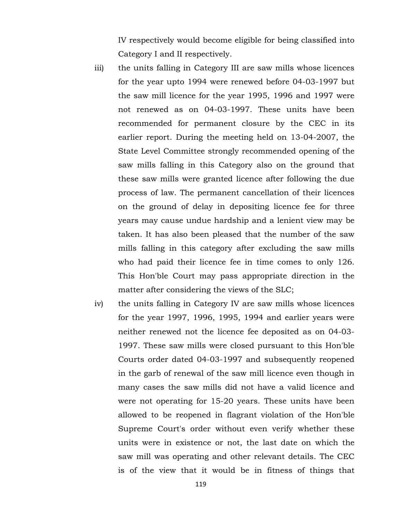IV respectively would become eligible for being classified into Category I and II respectively.

- iii) the units falling in Category III are saw mills whose licences for the year upto 1994 were renewed before 04-03-1997 but the saw mill licence for the year 1995, 1996 and 1997 were not renewed as on 04-03-1997. These units have been recommended for permanent closure by the CEC in its earlier report. During the meeting held on 13-04-2007, the State Level Committee strongly recommended opening of the saw mills falling in this Category also on the ground that these saw mills were granted licence after following the due process of law. The permanent cancellation of their licences on the ground of delay in depositing licence fee for three years may cause undue hardship and a lenient view may be taken. It has also been pleased that the number of the saw mills falling in this category after excluding the saw mills who had paid their licence fee in time comes to only 126. This Hon'ble Court may pass appropriate direction in the matter after considering the views of the SLC;
- iv) the units falling in Category IV are saw mills whose licences for the year 1997, 1996, 1995, 1994 and earlier years were neither renewed not the licence fee deposited as on 04-03- 1997. These saw mills were closed pursuant to this Hon'ble Courts order dated 04-03-1997 and subsequently reopened in the garb of renewal of the saw mill licence even though in many cases the saw mills did not have a valid licence and were not operating for 15-20 years. These units have been allowed to be reopened in flagrant violation of the Hon'ble Supreme Court's order without even verify whether these units were in existence or not, the last date on which the saw mill was operating and other relevant details. The CEC is of the view that it would be in fitness of things that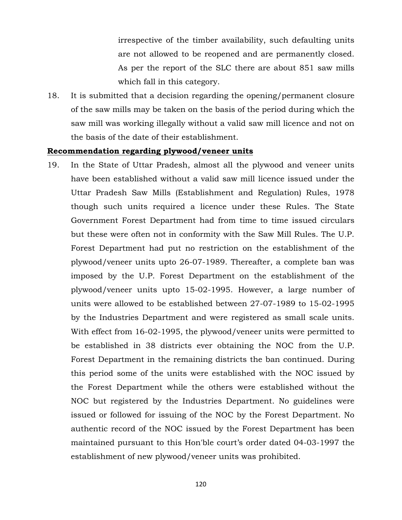irrespective of the timber availability, such defaulting units are not allowed to be reopened and are permanently closed. As per the report of the SLC there are about 851 saw mills which fall in this category.

18. It is submitted that a decision regarding the opening/permanent closure of the saw mills may be taken on the basis of the period during which the saw mill was working illegally without a valid saw mill licence and not on the basis of the date of their establishment.

#### **Recommendation regarding plywood/veneer units**

19. In the State of Uttar Pradesh, almost all the plywood and veneer units have been established without a valid saw mill licence issued under the Uttar Pradesh Saw Mills (Establishment and Regulation) Rules, 1978 though such units required a licence under these Rules. The State Government Forest Department had from time to time issued circulars but these were often not in conformity with the Saw Mill Rules. The U.P. Forest Department had put no restriction on the establishment of the plywood/veneer units upto 26-07-1989. Thereafter, a complete ban was imposed by the U.P. Forest Department on the establishment of the plywood/veneer units upto 15-02-1995. However, a large number of units were allowed to be established between 27-07-1989 to 15-02-1995 by the Industries Department and were registered as small scale units. With effect from 16-02-1995, the plywood/veneer units were permitted to be established in 38 districts ever obtaining the NOC from the U.P. Forest Department in the remaining districts the ban continued. During this period some of the units were established with the NOC issued by the Forest Department while the others were established without the NOC but registered by the Industries Department. No guidelines were issued or followed for issuing of the NOC by the Forest Department. No authentic record of the NOC issued by the Forest Department has been maintained pursuant to this Hon'ble court's order dated 04-03-1997 the establishment of new plywood/veneer units was prohibited.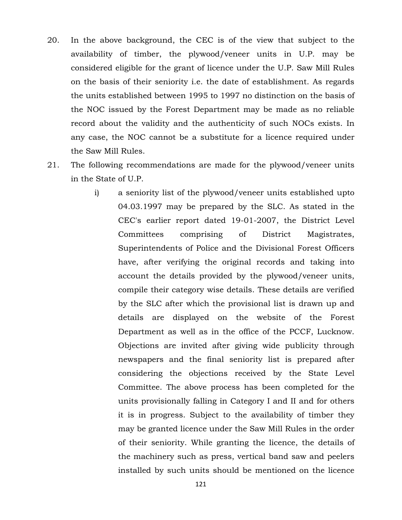- 20. In the above background, the CEC is of the view that subject to the availability of timber, the plywood/veneer units in U.P. may be considered eligible for the grant of licence under the U.P. Saw Mill Rules on the basis of their seniority i.e. the date of establishment. As regards the units established between 1995 to 1997 no distinction on the basis of the NOC issued by the Forest Department may be made as no reliable record about the validity and the authenticity of such NOCs exists. In any case, the NOC cannot be a substitute for a licence required under the Saw Mill Rules.
- 21. The following recommendations are made for the plywood/veneer units in the State of U.P.
	- i) a seniority list of the plywood/veneer units established upto 04.03.1997 may be prepared by the SLC. As stated in the CEC's earlier report dated 19-01-2007, the District Level Committees comprising of District Magistrates, Superintendents of Police and the Divisional Forest Officers have, after verifying the original records and taking into account the details provided by the plywood/veneer units, compile their category wise details. These details are verified by the SLC after which the provisional list is drawn up and details are displayed on the website of the Forest Department as well as in the office of the PCCF, Lucknow. Objections are invited after giving wide publicity through newspapers and the final seniority list is prepared after considering the objections received by the State Level Committee. The above process has been completed for the units provisionally falling in Category I and II and for others it is in progress. Subject to the availability of timber they may be granted licence under the Saw Mill Rules in the order of their seniority. While granting the licence, the details of the machinery such as press, vertical band saw and peelers installed by such units should be mentioned on the licence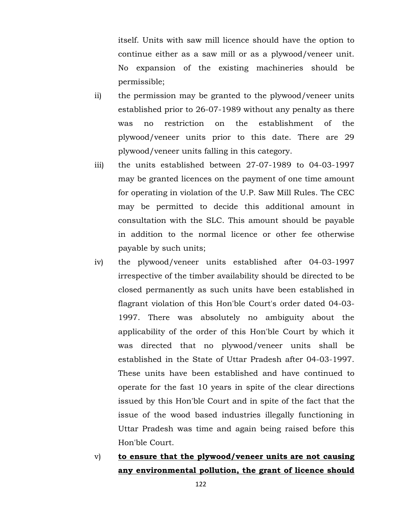itself. Units with saw mill licence should have the option to continue either as a saw mill or as a plywood/veneer unit. No expansion of the existing machineries should be permissible;

- ii) the permission may be granted to the plywood/veneer units established prior to 26-07-1989 without any penalty as there was no restriction on the establishment of the plywood/veneer units prior to this date. There are 29 plywood/veneer units falling in this category.
- iii) the units established between 27-07-1989 to 04-03-1997 may be granted licences on the payment of one time amount for operating in violation of the U.P. Saw Mill Rules. The CEC may be permitted to decide this additional amount in consultation with the SLC. This amount should be payable in addition to the normal licence or other fee otherwise payable by such units;
- iv) the plywood/veneer units established after 04-03-1997 irrespective of the timber availability should be directed to be closed permanently as such units have been established in flagrant violation of this Hon'ble Court's order dated 04-03- 1997. There was absolutely no ambiguity about the applicability of the order of this Hon'ble Court by which it was directed that no plywood/veneer units shall be established in the State of Uttar Pradesh after 04-03-1997. These units have been established and have continued to operate for the fast 10 years in spite of the clear directions issued by this Hon'ble Court and in spite of the fact that the issue of the wood based industries illegally functioning in Uttar Pradesh was time and again being raised before this Hon'ble Court.
- v) **to ensure that the plywood/veneer units are not causing any environmental pollution, the grant of licence should**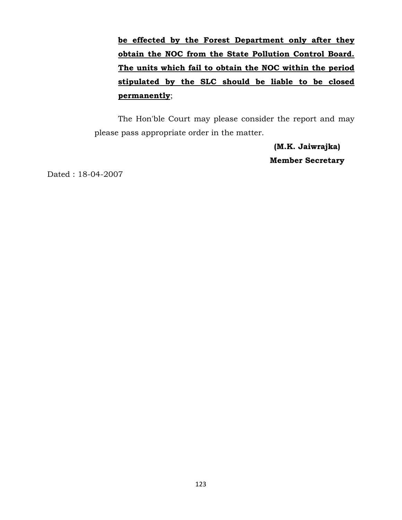**be effected by the Forest Department only after they obtain the NOC from the State Pollution Control Board. The units which fail to obtain the NOC within the period stipulated by the SLC should be liable to be closed permanently**;

The Hon'ble Court may please consider the report and may please pass appropriate order in the matter.

> **(M.K. Jaiwrajka) Member Secretary**

Dated : 18-04-2007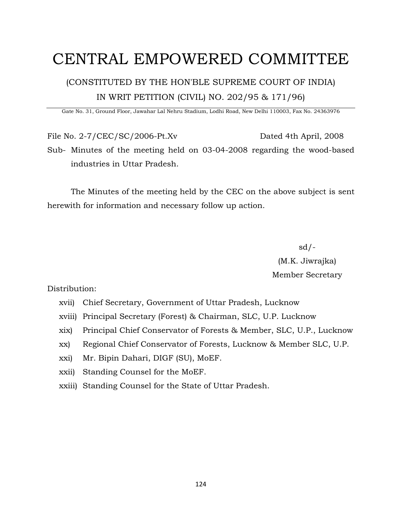# CENTRAL EMPOWERED COMMITTEE

## (CONSTITUTED BY THE HON'BLE SUPREME COURT OF INDIA) IN WRIT PETITION (CIVIL) NO. 202/95 & 171/96)

Gate No. 31, Ground Floor, Jawahar Lal Nehru Stadium, Lodhi Road, New Delhi 110003, Fax No. 24363976

File No. 2-7/CEC/SC/2006-Pt.Xv Dated 4th April, 2008 Sub- Minutes of the meeting held on 03-04-2008 regarding the wood-based industries in Uttar Pradesh.

The Minutes of the meeting held by the CEC on the above subject is sent herewith for information and necessary follow up action.

> sd/- (M.K. Jiwrajka) Member Secretary

Distribution:

- xvii) Chief Secretary, Government of Uttar Pradesh, Lucknow
- xviii) Principal Secretary (Forest) & Chairman, SLC, U.P. Lucknow
- xix) Principal Chief Conservator of Forests & Member, SLC, U.P., Lucknow
- xx) Regional Chief Conservator of Forests, Lucknow & Member SLC, U.P.
- xxi) Mr. Bipin Dahari, DIGF (SU), MoEF.
- xxii) Standing Counsel for the MoEF.
- xxiii) Standing Counsel for the State of Uttar Pradesh.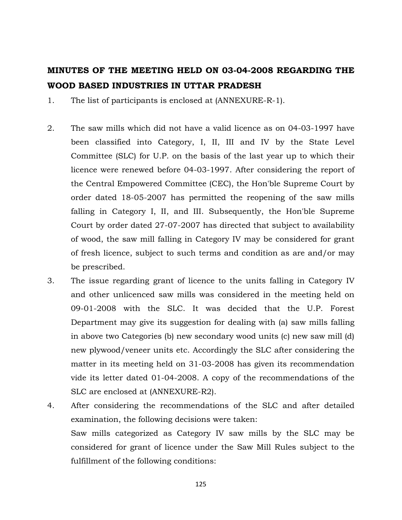## **MINUTES OF THE MEETING HELD ON 03-04-2008 REGARDING THE WOOD BASED INDUSTRIES IN UTTAR PRADESH**

1. The list of participants is enclosed at (ANNEXURE-R-1).

- 2. The saw mills which did not have a valid licence as on 04-03-1997 have been classified into Category, I, II, III and IV by the State Level Committee (SLC) for U.P. on the basis of the last year up to which their licence were renewed before 04-03-1997. After considering the report of the Central Empowered Committee (CEC), the Hon'ble Supreme Court by order dated 18-05-2007 has permitted the reopening of the saw mills falling in Category I, II, and III. Subsequently, the Hon'ble Supreme Court by order dated 27-07-2007 has directed that subject to availability of wood, the saw mill falling in Category IV may be considered for grant of fresh licence, subject to such terms and condition as are and/or may be prescribed.
- 3. The issue regarding grant of licence to the units falling in Category IV and other unlicenced saw mills was considered in the meeting held on 09-01-2008 with the SLC. It was decided that the U.P. Forest Department may give its suggestion for dealing with (a) saw mills falling in above two Categories (b) new secondary wood units (c) new saw mill (d) new plywood/veneer units etc. Accordingly the SLC after considering the matter in its meeting held on 31-03-2008 has given its recommendation vide its letter dated 01-04-2008. A copy of the recommendations of the SLC are enclosed at (ANNEXURE-R2).
- 4. After considering the recommendations of the SLC and after detailed examination, the following decisions were taken: Saw mills categorized as Category IV saw mills by the SLC may be considered for grant of licence under the Saw Mill Rules subject to the fulfillment of the following conditions: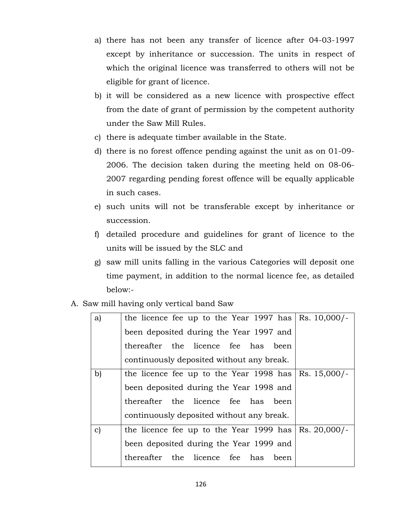- a) there has not been any transfer of licence after 04-03-1997 except by inheritance or succession. The units in respect of which the original licence was transferred to others will not be eligible for grant of licence.
- b) it will be considered as a new licence with prospective effect from the date of grant of permission by the competent authority under the Saw Mill Rules.
- c) there is adequate timber available in the State.
- d) there is no forest offence pending against the unit as on 01-09- 2006. The decision taken during the meeting held on 08-06- 2007 regarding pending forest offence will be equally applicable in such cases.
- e) such units will not be transferable except by inheritance or succession.
- f) detailed procedure and guidelines for grant of licence to the units will be issued by the SLC and
- g) saw mill units falling in the various Categories will deposit one time payment, in addition to the normal licence fee, as detailed below:-
- A. Saw mill having only vertical band Saw

| a) | the licence fee up to the Year 1997 has $\vert$ Rs. 10,000/- |  |
|----|--------------------------------------------------------------|--|
|    | been deposited during the Year 1997 and                      |  |
|    | thereafter the licence fee has been                          |  |
|    | continuously deposited without any break.                    |  |
| b) | the licence fee up to the Year 1998 has $\vert$ Rs. 15,000/- |  |
|    | been deposited during the Year 1998 and                      |  |
|    | thereafter the licence fee has been                          |  |
|    | continuously deposited without any break.                    |  |
| c) | the licence fee up to the Year 1999 has $\vert$ Rs. 20,000/- |  |
|    | been deposited during the Year 1999 and                      |  |
|    | thereafter the licence fee has been                          |  |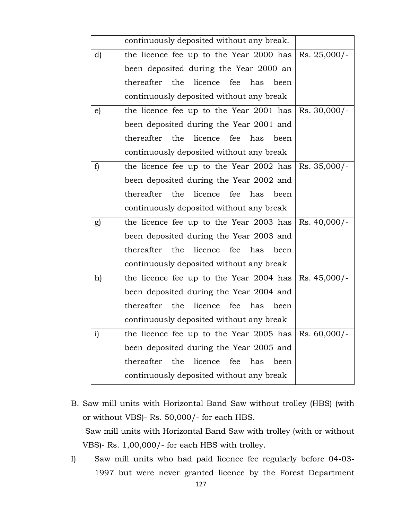|              | continuously deposited without any break.                    |                |
|--------------|--------------------------------------------------------------|----------------|
| d)           | the licence fee up to the Year 2000 has                      | $Rs. 25,000/-$ |
|              | been deposited during the Year 2000 an                       |                |
|              | thereafter the<br>licence fee has<br>been                    |                |
|              | continuously deposited without any break                     |                |
| e)           | the licence fee up to the Year 2001 has $\vert$ Rs. 30,000/- |                |
|              | been deposited during the Year 2001 and                      |                |
|              | thereafter the<br>licence fee<br>has<br>been                 |                |
|              | continuously deposited without any break                     |                |
| f)           | the licence fee up to the Year 2002 has $\vert$ Rs. 35,000/- |                |
|              | been deposited during the Year 2002 and                      |                |
|              | thereafter the<br>licence fee<br>has<br>been                 |                |
|              | continuously deposited without any break                     |                |
| g)           | the licence fee up to the Year 2003 has                      | Rs. 40,000/-   |
|              | been deposited during the Year 2003 and                      |                |
|              | thereafter the licence fee has<br>been                       |                |
|              | continuously deposited without any break                     |                |
| h)           | the licence fee up to the Year 2004 has                      | $Rs. 45,000/-$ |
|              | been deposited during the Year 2004 and                      |                |
|              | thereafter the licence fee has<br>been                       |                |
|              | continuously deposited without any break                     |                |
| $\mathbf{i}$ | the licence fee up to the Year 2005 has $\vert$ Rs. 60,000/- |                |
|              | been deposited during the Year 2005 and                      |                |
|              | thereafter<br>the<br>licence<br>fee<br>has<br>been           |                |
|              | continuously deposited without any break                     |                |

- B. Saw mill units with Horizontal Band Saw without trolley (HBS) (with or without VBS)- Rs. 50,000/- for each HBS. Saw mill units with Horizontal Band Saw with trolley (with or without VBS)- Rs. 1,00,000/- for each HBS with trolley.
- I) Saw mill units who had paid licence fee regularly before 04-03- 1997 but were never granted licence by the Forest Department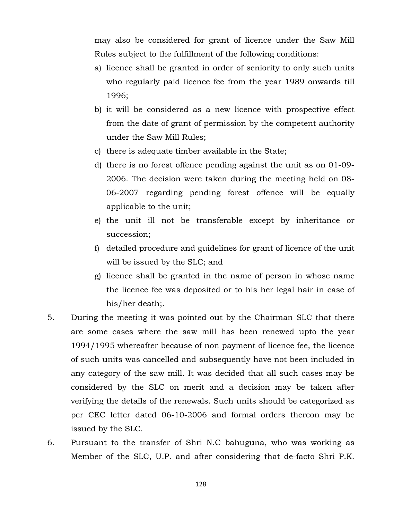may also be considered for grant of licence under the Saw Mill Rules subject to the fulfillment of the following conditions:

- a) licence shall be granted in order of seniority to only such units who regularly paid licence fee from the year 1989 onwards till 1996;
- b) it will be considered as a new licence with prospective effect from the date of grant of permission by the competent authority under the Saw Mill Rules;
- c) there is adequate timber available in the State;
- d) there is no forest offence pending against the unit as on 01-09- 2006. The decision were taken during the meeting held on 08- 06-2007 regarding pending forest offence will be equally applicable to the unit;
- e) the unit ill not be transferable except by inheritance or succession;
- f) detailed procedure and guidelines for grant of licence of the unit will be issued by the SLC; and
- g) licence shall be granted in the name of person in whose name the licence fee was deposited or to his her legal hair in case of his/her death;.
- 5. During the meeting it was pointed out by the Chairman SLC that there are some cases where the saw mill has been renewed upto the year 1994/1995 whereafter because of non payment of licence fee, the licence of such units was cancelled and subsequently have not been included in any category of the saw mill. It was decided that all such cases may be considered by the SLC on merit and a decision may be taken after verifying the details of the renewals. Such units should be categorized as per CEC letter dated 06-10-2006 and formal orders thereon may be issued by the SLC.
- 6. Pursuant to the transfer of Shri N.C bahuguna, who was working as Member of the SLC, U.P. and after considering that de-facto Shri P.K.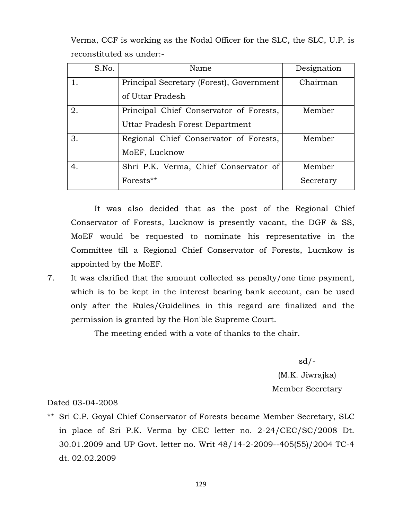Verma, CCF is working as the Nodal Officer for the SLC, the SLC, U.P. is reconstituted as under:-

| S.No. | Name                                     | Designation |
|-------|------------------------------------------|-------------|
|       | Principal Secretary (Forest), Government | Chairman    |
|       | of Uttar Pradesh                         |             |
| 2.    | Principal Chief Conservator of Forests,  | Member      |
|       | Uttar Pradesh Forest Department          |             |
| 3.    | Regional Chief Conservator of Forests,   | Member      |
|       | MoEF, Lucknow                            |             |
| 4.    | Shri P.K. Verma, Chief Conservator of    | Member      |
|       | Forests**                                | Secretary   |

It was also decided that as the post of the Regional Chief Conservator of Forests, Lucknow is presently vacant, the DGF & SS, MoEF would be requested to nominate his representative in the Committee till a Regional Chief Conservator of Forests, Lucnkow is appointed by the MoEF.

7. It was clarified that the amount collected as penalty/one time payment, which is to be kept in the interest bearing bank account, can be used only after the Rules/Guidelines in this regard are finalized and the permission is granted by the Hon'ble Supreme Court.

The meeting ended with a vote of thanks to the chair.

sd/- (M.K. Jiwrajka) Member Secretary

### Dated 03-04-2008

\*\* Sri C.P. Goyal Chief Conservator of Forests became Member Secretary, SLC in place of Sri P.K. Verma by CEC letter no. 2-24/CEC/SC/2008 Dt. 30.01.2009 and UP Govt. letter no. Writ 48/14-2-2009--405(55)/2004 TC-4 dt. 02.02.2009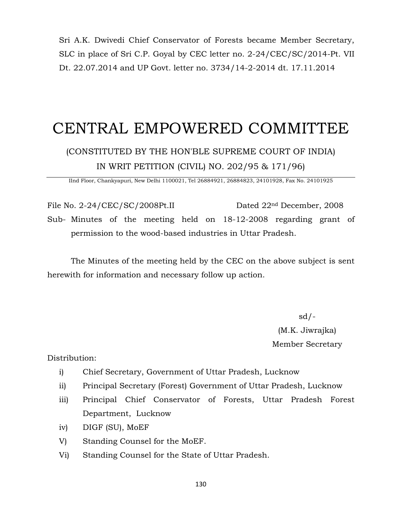Sri A.K. Dwivedi Chief Conservator of Forests became Member Secretary, SLC in place of Sri C.P. Goyal by CEC letter no. 2-24/CEC/SC/2014-Pt. VII Dt. 22.07.2014 and UP Govt. letter no. 3734/14-2-2014 dt. 17.11.2014

# CENTRAL EMPOWERED COMMITTEE

## (CONSTITUTED BY THE HON'BLE SUPREME COURT OF INDIA) IN WRIT PETITION (CIVIL) NO. 202/95 & 171/96)

IInd Floor, Chankyapuri, New Delhi 1100021, Tel 26884921, 26884823, 24101928, Fax No. 24101925

File No. 2-24/CEC/SC/2008Pt.II Dated 22<sup>nd</sup> December, 2008 Sub- Minutes of the meeting held on 18-12-2008 regarding grant of permission to the wood-based industries in Uttar Pradesh.

The Minutes of the meeting held by the CEC on the above subject is sent herewith for information and necessary follow up action.

> sd/- (M.K. Jiwrajka) Member Secretary

Distribution:

- i) Chief Secretary, Government of Uttar Pradesh, Lucknow
- ii) Principal Secretary (Forest) Government of Uttar Pradesh, Lucknow
- iii) Principal Chief Conservator of Forests, Uttar Pradesh Forest Department, Lucknow
- iv) DIGF (SU), MoEF
- V) Standing Counsel for the MoEF.
- Vi) Standing Counsel for the State of Uttar Pradesh.

130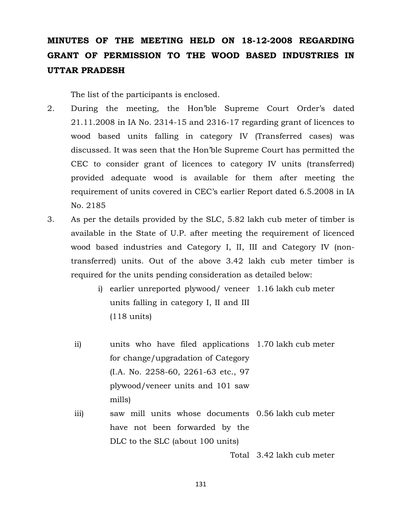## **MINUTES OF THE MEETING HELD ON 18-12-2008 REGARDING GRANT OF PERMISSION TO THE WOOD BASED INDUSTRIES IN UTTAR PRADESH**

The list of the participants is enclosed.

- 2. During the meeting, the Hon'ble Supreme Court Order's dated 21.11.2008 in IA No. 2314-15 and 2316-17 regarding grant of licences to wood based units falling in category IV (Transferred cases) was discussed. It was seen that the Hon'ble Supreme Court has permitted the CEC to consider grant of licences to category IV units (transferred) provided adequate wood is available for them after meeting the requirement of units covered in CEC's earlier Report dated 6.5.2008 in IA No. 2185
- 3. As per the details provided by the SLC, 5.82 lakh cub meter of timber is available in the State of U.P. after meeting the requirement of licenced wood based industries and Category I, II, III and Category IV (nontransferred) units. Out of the above 3.42 lakh cub meter timber is required for the units pending consideration as detailed below:
	- i) earlier unreported plywood/ veneer 1.16 lakh cub meter units falling in category I, II and III (118 units)
	- ii) units who have filed applications 1.70 lakh cub meter for change/upgradation of Category (I.A. No. 2258-60, 2261-63 etc., 97 plywood/veneer units and 101 saw mills)
	- iii) saw mill units whose documents 0.56 lakh cub meter have not been forwarded by the DLC to the SLC (about 100 units)

Total 3.42 lakh cub meter

131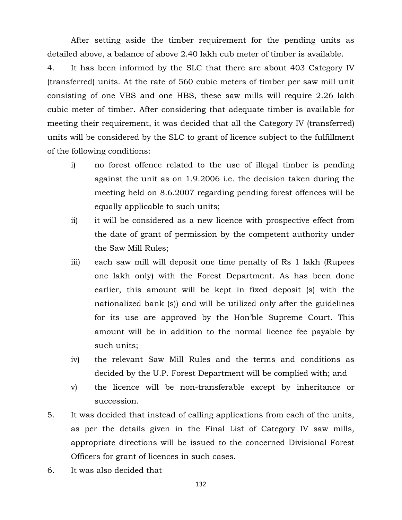After setting aside the timber requirement for the pending units as detailed above, a balance of above 2.40 lakh cub meter of timber is available.

4. It has been informed by the SLC that there are about 403 Category IV (transferred) units. At the rate of 560 cubic meters of timber per saw mill unit consisting of one VBS and one HBS, these saw mills will require 2.26 lakh cubic meter of timber. After considering that adequate timber is available for meeting their requirement, it was decided that all the Category IV (transferred) units will be considered by the SLC to grant of licence subject to the fulfillment of the following conditions:

- i) no forest offence related to the use of illegal timber is pending against the unit as on 1.9.2006 i.e. the decision taken during the meeting held on 8.6.2007 regarding pending forest offences will be equally applicable to such units;
- ii) it will be considered as a new licence with prospective effect from the date of grant of permission by the competent authority under the Saw Mill Rules;
- iii) each saw mill will deposit one time penalty of Rs 1 lakh (Rupees one lakh only) with the Forest Department. As has been done earlier, this amount will be kept in fixed deposit (s) with the nationalized bank (s)) and will be utilized only after the guidelines for its use are approved by the Hon'ble Supreme Court. This amount will be in addition to the normal licence fee payable by such units;
- iv) the relevant Saw Mill Rules and the terms and conditions as decided by the U.P. Forest Department will be complied with; and
- v) the licence will be non-transferable except by inheritance or succession.
- 5. It was decided that instead of calling applications from each of the units, as per the details given in the Final List of Category IV saw mills, appropriate directions will be issued to the concerned Divisional Forest Officers for grant of licences in such cases.
- 6. It was also decided that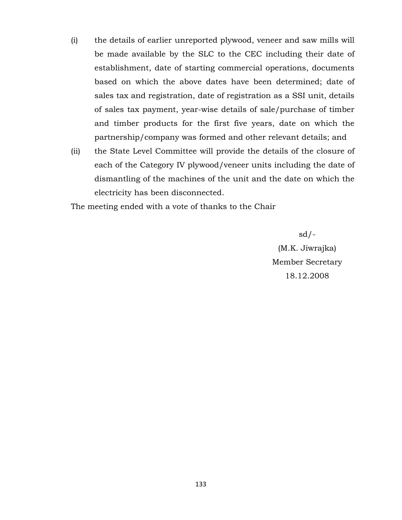- (i) the details of earlier unreported plywood, veneer and saw mills will be made available by the SLC to the CEC including their date of establishment, date of starting commercial operations, documents based on which the above dates have been determined; date of sales tax and registration, date of registration as a SSI unit, details of sales tax payment, year-wise details of sale/purchase of timber and timber products for the first five years, date on which the partnership/company was formed and other relevant details; and
- (ii) the State Level Committee will provide the details of the closure of each of the Category IV plywood/veneer units including the date of dismantling of the machines of the unit and the date on which the electricity has been disconnected.

The meeting ended with a vote of thanks to the Chair

sd/- (M.K. Jiwrajka) Member Secretary 18.12.2008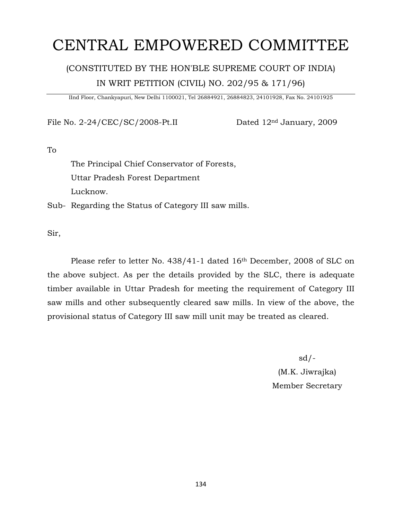# CENTRAL EMPOWERED COMMITTEE

## (CONSTITUTED BY THE HON'BLE SUPREME COURT OF INDIA) IN WRIT PETITION (CIVIL) NO. 202/95 & 171/96)

IInd Floor, Chankyapuri, New Delhi 1100021, Tel 26884921, 26884823, 24101928, Fax No. 24101925

File No. 2-24/CEC/SC/2008-Pt.II Dated 12<sup>nd</sup> January, 2009

To

The Principal Chief Conservator of Forests, Uttar Pradesh Forest Department Lucknow.

Sub- Regarding the Status of Category III saw mills.

Sir,

Please refer to letter No. 438/41-1 dated 16th December, 2008 of SLC on the above subject. As per the details provided by the SLC, there is adequate timber available in Uttar Pradesh for meeting the requirement of Category III saw mills and other subsequently cleared saw mills. In view of the above, the provisional status of Category III saw mill unit may be treated as cleared.

> sd/- (M.K. Jiwrajka) Member Secretary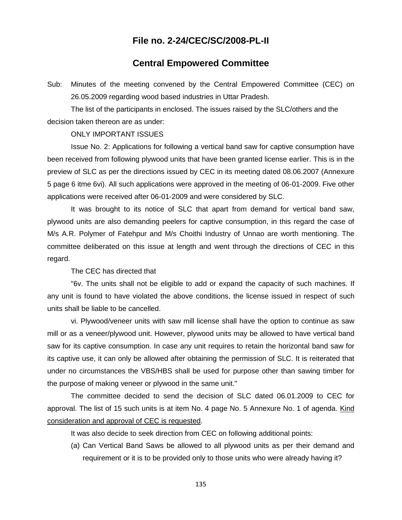### **File no. 2-24/CEC/SC/2008-PL-II**

### **Central Empowered Committee**

Sub: Minutes of the meeting convened by the Central Empowered Committee (CEC) on 26.05.2009 regarding wood based industries in Uttar Pradesh.

The list of the participants in enclosed. The issues raised by the SLC/others and the decision taken thereon are as under:

#### ONLY IMPORTANT ISSUES

Issue No. 2: Applications for following a vertical band saw for captive consumption have been received from following plywood units that have been granted license earlier. This is in the preview of SLC as per the directions issued by CEC in its meeting dated 08.06.2007 (Annexure 5 page 6 itme 6vi). All such applications were approved in the meeting of 06-01-2009. Five other applications were received after 06-01-2009 and were considered by SLC.

It was brought to its notice of SLC that apart from demand for vertical band saw, plywood units are also demanding peelers for captive consumption, in this regard the case of M/s A.R. Polymer of Fatehpur and M/s Choithi Industry of Unnao are worth mentioning. The committee deliberated on this issue at length and went through the directions of CEC in this regard.

The CEC has directed that

"6v. The units shall not be eligible to add or expand the capacity of such machines. If any unit is found to have violated the above conditions, the license issued in respect of such units shall be liable to be cancelled.

vi. Plywood/veneer units with saw mill license shall have the option to continue as saw mill or as a veneer/plywood unit. However, plywood units may be allowed to have vertical band saw for its captive consumption. In case any unit requires to retain the horizontal band saw for its captive use, it can only be allowed after obtaining the permission of SLC. It is reiterated that under no circumstances the VBS/HBS shall be used for purpose other than sawing timber for the purpose of making veneer or plywood in the same unit."

The committee decided to send the decision of SLC dated 06.01.2009 to CEC for approval. The list of 15 such units is at item No. 4 page No. 5 Annexure No. 1 of agenda. Kind consideration and approval of CEC is requested.

It was also decide to seek direction from CEC on following additional points:

(a) Can Vertical Band Saws be allowed to all plywood units as per their demand and requirement or it is to be provided only to those units who were already having it?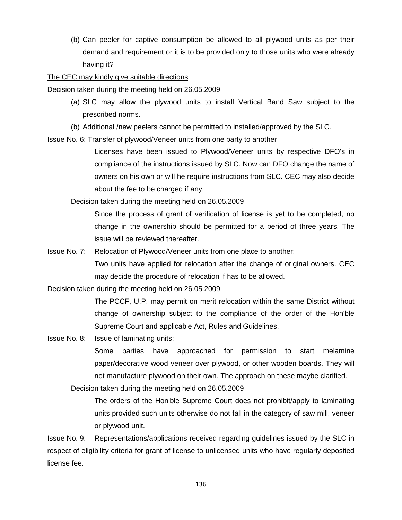(b) Can peeler for captive consumption be allowed to all plywood units as per their demand and requirement or it is to be provided only to those units who were already having it?

The CEC may kindly give suitable directions

Decision taken during the meeting held on 26.05.2009

- (a) SLC may allow the plywood units to install Vertical Band Saw subject to the prescribed norms.
- (b) Additional /new peelers cannot be permitted to installed/approved by the SLC.

Issue No. 6: Transfer of plywood/Veneer units from one party to another

Licenses have been issued to Plywood/Veneer units by respective DFO's in compliance of the instructions issued by SLC. Now can DFO change the name of owners on his own or will he require instructions from SLC. CEC may also decide about the fee to be charged if any.

Decision taken during the meeting held on 26.05.2009

Since the process of grant of verification of license is yet to be completed, no change in the ownership should be permitted for a period of three years. The issue will be reviewed thereafter.

Issue No. 7: Relocation of Plywood/Veneer units from one place to another:

Two units have applied for relocation after the change of original owners. CEC may decide the procedure of relocation if has to be allowed.

Decision taken during the meeting held on 26.05.2009

The PCCF, U.P. may permit on merit relocation within the same District without change of ownership subject to the compliance of the order of the Hon'ble Supreme Court and applicable Act, Rules and Guidelines.

Issue No. 8: Issue of laminating units:

Some parties have approached for permission to start melamine paper/decorative wood veneer over plywood, or other wooden boards. They will not manufacture plywood on their own. The approach on these maybe clarified.

Decision taken during the meeting held on 26.05.2009

The orders of the Hon'ble Supreme Court does not prohibit/apply to laminating units provided such units otherwise do not fall in the category of saw mill, veneer or plywood unit.

Issue No. 9: Representations/applications received regarding guidelines issued by the SLC in respect of eligibility criteria for grant of license to unlicensed units who have regularly deposited license fee.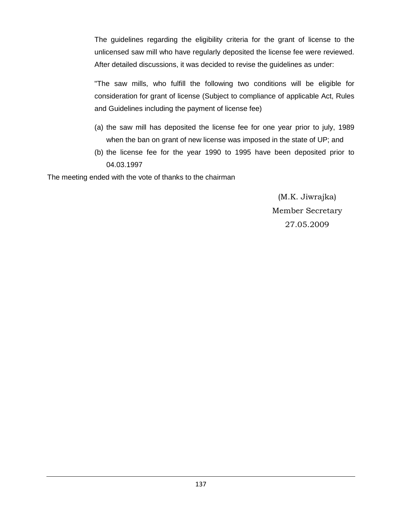The guidelines regarding the eligibility criteria for the grant of license to the unlicensed saw mill who have regularly deposited the license fee were reviewed. After detailed discussions, it was decided to revise the guidelines as under:

"The saw mills, who fulfill the following two conditions will be eligible for consideration for grant of license (Subject to compliance of applicable Act, Rules and Guidelines including the payment of license fee)

- (a) the saw mill has deposited the license fee for one year prior to july, 1989 when the ban on grant of new license was imposed in the state of UP; and
- (b) the license fee for the year 1990 to 1995 have been deposited prior to 04.03.1997

The meeting ended with the vote of thanks to the chairman

(M.K. Jiwrajka) Member Secretary 27.05.2009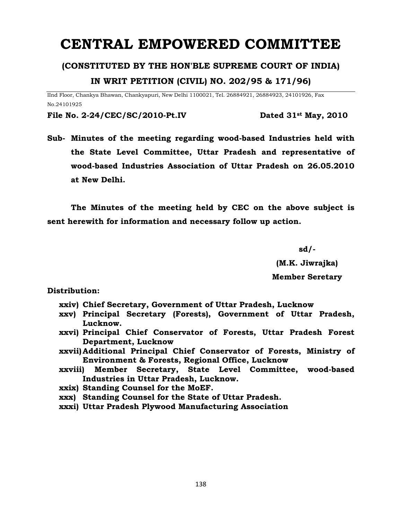# **CENTRAL EMPOWERED COMMITTEE**

### **(CONSTITUTED BY THE HON'BLE SUPREME COURT OF INDIA)**

### **IN WRIT PETITION (CIVIL) NO. 202/95 & 171/96)**

IInd Floor, Chankya Bhawan, Chankyapuri, New Delhi 1100021, Tel. 26884921, 26884923, 24101926, Fax No.24101925

**File No. 2-24/CEC/SC/2010-Pt.IV Dated 31st May, 2010**

**Sub- Minutes of the meeting regarding wood-based Industries held with the State Level Committee, Uttar Pradesh and representative of wood-based Industries Association of Uttar Pradesh on 26.05.2010 at New Delhi.**

**The Minutes of the meeting held by CEC on the above subject is sent herewith for information and necessary follow up action.**

**sd/-**

**(M.K. Jiwrajka) Member Seretary**

**Distribution:** 

- **xxiv) Chief Secretary, Government of Uttar Pradesh, Lucknow**
- **xxv) Principal Secretary (Forests), Government of Uttar Pradesh, Lucknow.**
- **xxvi) Principal Chief Conservator of Forests, Uttar Pradesh Forest Department, Lucknow**
- **xxvii) Additional Principal Chief Conservator of Forests, Ministry of Environment & Forests, Regional Office, Lucknow**
- **xxviii) Member Secretary, State Level Committee, wood-based Industries in Uttar Pradesh, Lucknow.**
- **xxix) Standing Counsel for the MoEF.**
- **xxx) Standing Counsel for the State of Uttar Pradesh.**
- **xxxi) Uttar Pradesh Plywood Manufacturing Association**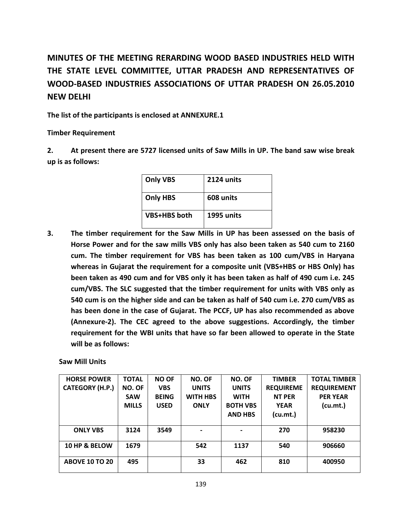## **MINUTES OF THE MEETING RERARDING WOOD BASED INDUSTRIES HELD WITH THE STATE LEVEL COMMITTEE, UTTAR PRADESH AND REPRESENTATIVES OF WOOD-BASED INDUSTRIES ASSOCIATIONS OF UTTAR PRADESH ON 26.05.2010 NEW DELHI**

**The list of the participants is enclosed at ANNEXURE.1**

**Timber Requirement**

**2. At present there are 5727 licensed units of Saw Mills in UP. The band saw wise break up is as follows:** 

| <b>Only VBS</b>     | 2124 units |
|---------------------|------------|
| <b>Only HBS</b>     | 608 units  |
| <b>VBS+HBS</b> both | 1995 units |

**3. The timber requirement for the Saw Mills in UP has been assessed on the basis of Horse Power and for the saw mills VBS only has also been taken as 540 cum to 2160 cum. The timber requirement for VBS has been taken as 100 cum/VBS in Haryana whereas in Gujarat the requirement for a composite unit (VBS+HBS or HBS Only) has been taken as 490 cum and for VBS only it has been taken as half of 490 cum i.e. 245 cum/VBS. The SLC suggested that the timber requirement for units with VBS only as 540 cum is on the higher side and can be taken as half of 540 cum i.e. 270 cum/VBS as has been done in the case of Gujarat. The PCCF, UP has also recommended as above (Annexure-2). The CEC agreed to the above suggestions. Accordingly, the timber requirement for the WBI units that have so far been allowed to operate in the State will be as follows:**

**Saw Mill Units**

| <b>HORSE POWER</b>     | <b>TOTAL</b> | <b>NO OF</b> | NO. OF          | NO. OF          | <b>TIMBER</b>    | <b>TOTAL TIMBER</b> |
|------------------------|--------------|--------------|-----------------|-----------------|------------------|---------------------|
| <b>CATEGORY (H.P.)</b> | NO. OF       | <b>VBS</b>   | <b>UNITS</b>    | <b>UNITS</b>    | <b>REQUIREME</b> | <b>REQUIREMENT</b>  |
|                        | <b>SAW</b>   | <b>BEING</b> | <b>WITH HBS</b> | <b>WITH</b>     | <b>NT PER</b>    | <b>PER YEAR</b>     |
|                        | <b>MILLS</b> | <b>USED</b>  | <b>ONLY</b>     | <b>BOTH VBS</b> | <b>YEAR</b>      | (cu.mt.)            |
|                        |              |              |                 | <b>AND HBS</b>  | (cu.mt.)         |                     |
|                        |              |              |                 |                 |                  |                     |
| <b>ONLY VBS</b>        | 3124         | 3549         |                 |                 | 270              | 958230              |
|                        |              |              |                 |                 |                  |                     |
| 10 HP & BELOW          | 1679         |              | 542             | 1137            | 540              | 906660              |
|                        |              |              |                 |                 |                  |                     |
| <b>ABOVE 10 TO 20</b>  | 495          |              | 33              | 462             | 810              | 400950              |
|                        |              |              |                 |                 |                  |                     |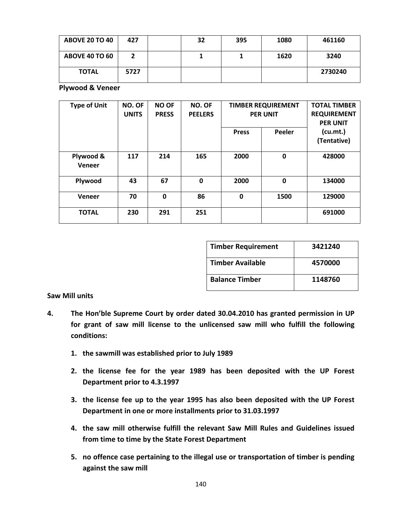| <b>ABOVE 20 TO 40</b> | 427  | 32 | 395 | 1080 | 461160  |
|-----------------------|------|----|-----|------|---------|
| <b>ABOVE 40 TO 60</b> |      |    |     | 1620 | 3240    |
| <b>TOTAL</b>          | 5727 |    |     |      | 2730240 |

**Plywood & Veneer**

| <b>Type of Unit</b> | NO. OF<br><b>UNITS</b> | <b>NO OF</b><br><b>PRESS</b> | NO. OF<br><b>PEELERS</b> | <b>TIMBER REQUIREMENT</b><br><b>PER UNIT</b> |             | <b>TOTAL TIMBER</b><br><b>REQUIREMENT</b><br><b>PER UNIT</b> |
|---------------------|------------------------|------------------------------|--------------------------|----------------------------------------------|-------------|--------------------------------------------------------------|
|                     |                        |                              |                          | <b>Press</b>                                 | Peeler      | (cu.mt.)<br>(Tentative)                                      |
| Plywood &<br>Veneer | 117                    | 214                          | 165                      | 2000                                         | $\mathbf 0$ | 428000                                                       |
| Plywood             | 43                     | 67                           | 0                        | 2000                                         | $\mathbf 0$ | 134000                                                       |
| Veneer              | 70                     | 0                            | 86                       | $\mathbf 0$                                  | 1500        | 129000                                                       |
| <b>TOTAL</b>        | 230                    | 291                          | 251                      |                                              |             | 691000                                                       |

| <b>Timber Requirement</b> | 3421240 |
|---------------------------|---------|
| <b>Timber Available</b>   | 4570000 |
| <b>Balance Timber</b>     | 1148760 |

#### **Saw Mill units**

- **4. The Hon'ble Supreme Court by order dated 30.04.2010 has granted permission in UP for grant of saw mill license to the unlicensed saw mill who fulfill the following conditions:**
	- **1. the sawmill was established prior to July 1989**
	- **2. the license fee for the year 1989 has been deposited with the UP Forest Department prior to 4.3.1997**
	- **3. the license fee up to the year 1995 has also been deposited with the UP Forest Department in one or more installments prior to 31.03.1997**
	- **4. the saw mill otherwise fulfill the relevant Saw Mill Rules and Guidelines issued from time to time by the State Forest Department**
	- **5. no offence case pertaining to the illegal use or transportation of timber is pending against the saw mill**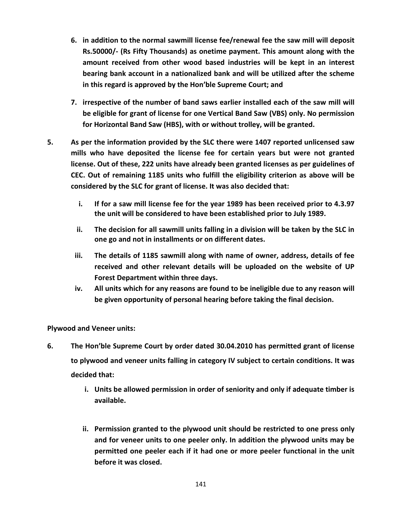- **6. in addition to the normal sawmill license fee/renewal fee the saw mill will deposit Rs.50000/- (Rs Fifty Thousands) as onetime payment. This amount along with the amount received from other wood based industries will be kept in an interest bearing bank account in a nationalized bank and will be utilized after the scheme in this regard is approved by the Hon'ble Supreme Court; and**
- **7. irrespective of the number of band saws earlier installed each of the saw mill will be eligible for grant of license for one Vertical Band Saw (VBS) only. No permission for Horizontal Band Saw (HBS), with or without trolley, will be granted.**
- **5. As per the information provided by the SLC there were 1407 reported unlicensed saw mills who have deposited the license fee for certain years but were not granted license. Out of these, 222 units have already been granted licenses as per guidelines of CEC. Out of remaining 1185 units who fulfill the eligibility criterion as above will be considered by the SLC for grant of license. It was also decided that:**
	- **i. If for a saw mill license fee for the year 1989 has been received prior to 4.3.97 the unit will be considered to have been established prior to July 1989.**
	- **ii. The decision for all sawmill units falling in a division will be taken by the SLC in one go and not in installments or on different dates.**
	- **iii. The details of 1185 sawmill along with name of owner, address, details of fee received and other relevant details will be uploaded on the website of UP Forest Department within three days.**
	- **iv. All units which for any reasons are found to be ineligible due to any reason will be given opportunity of personal hearing before taking the final decision.**

**Plywood and Veneer units:**

- **6. The Hon'ble Supreme Court by order dated 30.04.2010 has permitted grant of license to plywood and veneer units falling in category IV subject to certain conditions. It was decided that:**
	- **i. Units be allowed permission in order of seniority and only if adequate timber is available.**
	- **ii. Permission granted to the plywood unit should be restricted to one press only and for veneer units to one peeler only. In addition the plywood units may be permitted one peeler each if it had one or more peeler functional in the unit before it was closed.**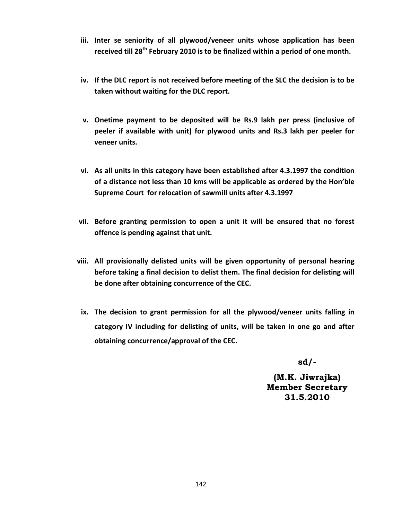- **iii. Inter se seniority of all plywood/veneer units whose application has been received till 28th February 2010 is to be finalized within a period of one month.**
- **iv. If the DLC report is not received before meeting of the SLC the decision is to be taken without waiting for the DLC report.**
- **v. Onetime payment to be deposited will be Rs.9 lakh per press (inclusive of peeler if available with unit) for plywood units and Rs.3 lakh per peeler for veneer units.**
- **vi. As all units in this category have been established after 4.3.1997 the condition of a distance not less than 10 kms will be applicable as ordered by the Hon'ble Supreme Court for relocation of sawmill units after 4.3.1997**
- **vii. Before granting permission to open a unit it will be ensured that no forest offence is pending against that unit.**
- **viii. All provisionally delisted units will be given opportunity of personal hearing before taking a final decision to delist them. The final decision for delisting will be done after obtaining concurrence of the CEC.**
- **ix. The decision to grant permission for all the plywood/veneer units falling in category IV including for delisting of units, will be taken in one go and after obtaining concurrence/approval of the CEC.**

**sd/-**

**(M.K. Jiwrajka) Member Secretary 31.5.2010**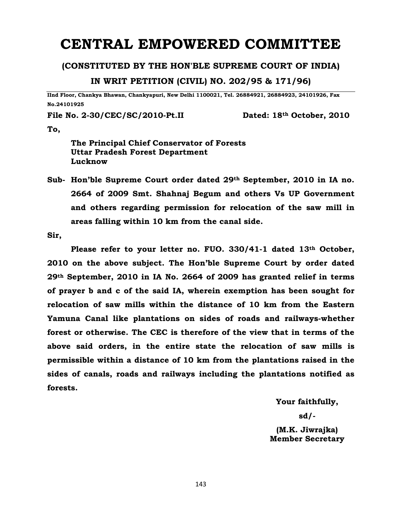# **CENTRAL EMPOWERED COMMITTEE**

#### **(CONSTITUTED BY THE HON'BLE SUPREME COURT OF INDIA)**

**IN WRIT PETITION (CIVIL) NO. 202/95 & 171/96)**

**IInd Floor, Chankya Bhawan, Chankyapuri, New Delhi 1100021, Tel. 26884921, 26884923, 24101926, Fax No.24101925**

**File No. 2-30/CEC/SC/2010-Pt.II Dated: 18th October, 2010**

**To,** 

**The Principal Chief Conservator of Forests Uttar Pradesh Forest Department Lucknow**

**Sub- Hon'ble Supreme Court order dated 29th September, 2010 in IA no. 2664 of 2009 Smt. Shahnaj Begum and others Vs UP Government and others regarding permission for relocation of the saw mill in areas falling within 10 km from the canal side.**

**Sir,** 

**Please refer to your letter no. FUO. 330/41-1 dated 13th October, 2010 on the above subject. The Hon'ble Supreme Court by order dated 29th September, 2010 in IA No. 2664 of 2009 has granted relief in terms of prayer b and c of the said IA, wherein exemption has been sought for relocation of saw mills within the distance of 10 km from the Eastern Yamuna Canal like plantations on sides of roads and railways-whether forest or otherwise. The CEC is therefore of the view that in terms of the above said orders, in the entire state the relocation of saw mills is permissible within a distance of 10 km from the plantations raised in the sides of canals, roads and railways including the plantations notified as forests.**

**Your faithfully,**

**sd/-**

**(M.K. Jiwrajka) Member Secretary**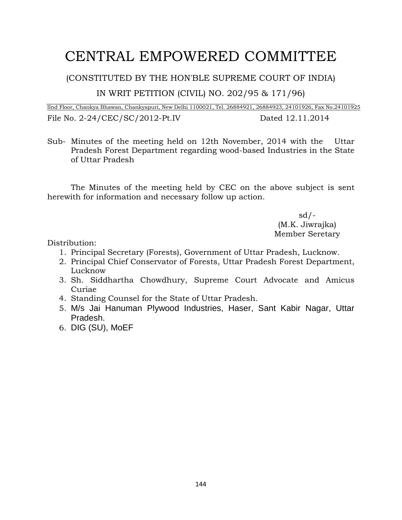# CENTRAL EMPOWERED COMMITTEE

(CONSTITUTED BY THE HON'BLE SUPREME COURT OF INDIA)

IN WRIT PETITION (CIVIL) NO. 202/95 & 171/96)

IInd Floor, Chankya Bhawan, Chankyapuri, New Delhi 1100021, Tel. 26884921, 26884923, 24101926, Fax No.24101925 File No. 2-24/CEC/SC/2012-Pt.IV Dated 12.11.2014

Sub- Minutes of the meeting held on 12th November, 2014 with the Uttar Pradesh Forest Department regarding wood-based Industries in the State of Uttar Pradesh

The Minutes of the meeting held by CEC on the above subject is sent herewith for information and necessary follow up action.

> sd/- (M.K. Jiwrajka) Member Seretary

Distribution:

- 1. Principal Secretary (Forests), Government of Uttar Pradesh, Lucknow.
- 2. Principal Chief Conservator of Forests, Uttar Pradesh Forest Department, Lucknow
- 3. Sh. Siddhartha Chowdhury, Supreme Court Advocate and Amicus Curiae
- 4. Standing Counsel for the State of Uttar Pradesh.
- 5. M/s Jai Hanuman Plywood Industries, Haser, Sant Kabir Nagar, Uttar Pradesh.
- 6. DIG (SU), MoEF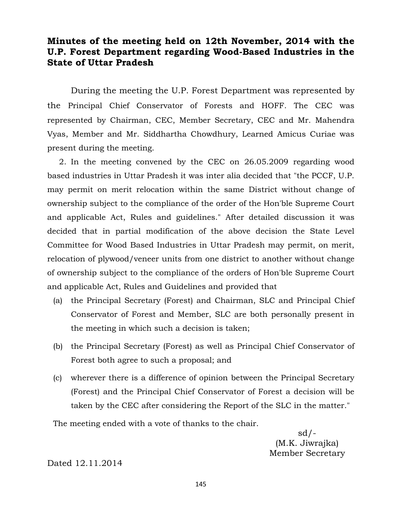#### **Minutes of the meeting held on 12th November, 2014 with the U.P. Forest Department regarding Wood-Based Industries in the State of Uttar Pradesh**

During the meeting the U.P. Forest Department was represented by the Principal Chief Conservator of Forests and HOFF. The CEC was represented by Chairman, CEC, Member Secretary, CEC and Mr. Mahendra Vyas, Member and Mr. Siddhartha Chowdhury, Learned Amicus Curiae was present during the meeting.

2. In the meeting convened by the CEC on 26.05.2009 regarding wood based industries in Uttar Pradesh it was inter alia decided that "the PCCF, U.P. may permit on merit relocation within the same District without change of ownership subject to the compliance of the order of the Hon'ble Supreme Court and applicable Act, Rules and guidelines." After detailed discussion it was decided that in partial modification of the above decision the State Level Committee for Wood Based Industries in Uttar Pradesh may permit, on merit, relocation of plywood/veneer units from one district to another without change of ownership subject to the compliance of the orders of Hon'ble Supreme Court and applicable Act, Rules and Guidelines and provided that

- (a) the Principal Secretary (Forest) and Chairman, SLC and Principal Chief Conservator of Forest and Member, SLC are both personally present in the meeting in which such a decision is taken;
- (b) the Principal Secretary (Forest) as well as Principal Chief Conservator of Forest both agree to such a proposal; and
- (c) wherever there is a difference of opinion between the Principal Secretary (Forest) and the Principal Chief Conservator of Forest a decision will be taken by the CEC after considering the Report of the SLC in the matter."

The meeting ended with a vote of thanks to the chair.

 $sd/$ -(M.K. Jiwrajka) Member Secretary

Dated 12.11.2014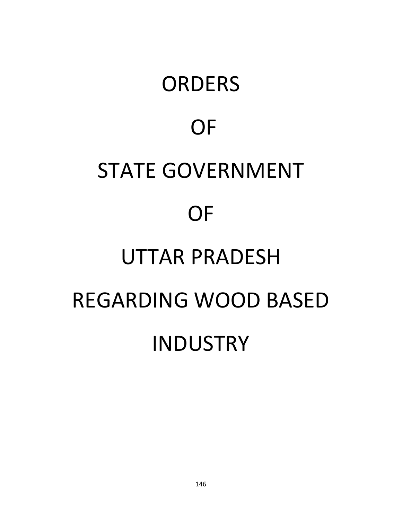# **ORDERS** OF STATE GOVERNMENT OF UTTAR PRADESH REGARDING WOOD BASED INDUSTRY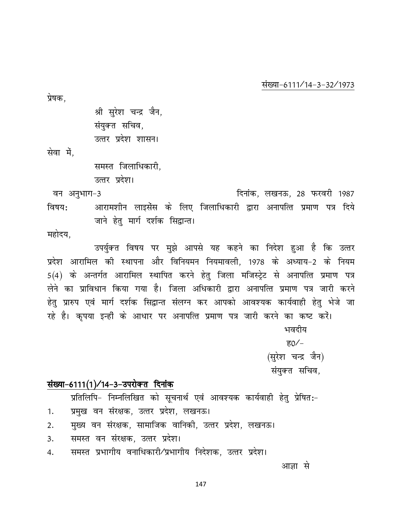#### संख्या-6111/14-3-32/1973

प्रेषक.

श्री सुरेश चन्द्र जैन, संयुक्त सचिव, उत्तर प्रदेश शासन।

सेवा में,

समस्त जिलाधिकारी.

उत्तर प्रदेश।

दिनांक, लखनऊ, 28 फरवरी 1987 वन अनुभाग-3 आरामशीन लाइसेंस के लिए जिलाधिकारी द्वारा अनापत्ति प्रमाण पत्र दिये विषय: जाने हेतु मार्ग दर्शक सिद्वान्त।

महोदय,

उपर्युक्त विषय पर मुझे आपसे यह कहने का निदेश हुआ है कि उत्तर प्रदेश आरामिल की स्थापना और विनियमन नियमावली. 1978 के अध्याय-2 के नियम 5(4) के अन्तर्गत आरामिल स्थापित करने हेत जिला मजिस्टेट से अनापत्ति प्रमाण पत्र लेने का प्राविधान किया गया है। जिला अधिकारी द्वारा अनापत्ति प्रमाण पत्र जारी करने हेतु प्रारुप एवं मार्ग दर्शक सिद्वान्त संलग्न कर आपको आवश्यक कार्यवाही हेतु भेजे जा रहे है। कृपया इन्हीं के आधार पर अनापत्ति प्रमाण पत्र जारी करने का कष्ट करें। भवदीय ह $0/-$ 

> (सुरेश चन्द्र जैन) संयुक्त सचिव,

#### संख्या-6111(1)/14-3-उपरोक्त दिनांक

प्रतिलिपि- निम्नलिखित को सूचनार्थ एवं आवश्यक कार्यवाही हेतु प्रेषित:-

- प्रमुख वन संरक्षक, उत्तर प्रदेश, लखनऊ। 1.
- मुख्य वन संरक्षक, सामाजिक वानिकी, उत्तर प्रदेश, लखनऊ।  $2.$
- समस्त वन संरक्षक. उत्तर प्रदेश।  $\overline{3}$ .
- समस्त प्रभागीय वनाधिकारी/प्रभागीय निदेशक, उत्तर प्रदेश। 4.

आज्ञा से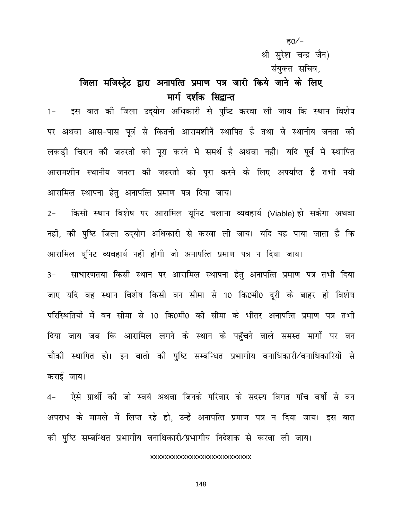ह $0/-$ 

श्री सुरेश चन्द्र जैन)

संयक्त सचिव.

## जिला मजिस्ट्रेट द्वारा अनापत्ति प्रमाण पत्र जारी किये जाने के लिए मार्ग दर्शक सिद्वान्त

इस बात की जिला उद्योग अधिकारी से पुष्टि करवा ली जाय कि स्थान विशेष  $1 -$ पर अथवा आस-पास पूर्व से कितनी आरामशीनें स्थापित है तथा वे स्थानीय जनता की लकड़ी चिरान की जरुरतों को पूरा करने में समर्थ है अथवा नहीं। यदि पूर्व में स्थापित आरामशीन स्थानीय जनता की जरुरतो को पूरा करने के लिए अपर्याप्त है तभी नयी आरामिल स्थापना हेतु अनापत्ति प्रमाण पत्र दिया जाय।

किसी स्थान विशेष पर आरामिल यूनिट चलाना व्यवहार्य (Viable) हो सकेगा अथवा  $2 -$ नहीं, की पुष्टि जिला उद्योग अधिकारी से करवा ली जाय। यदि यह पाया जाता है कि आरामिल यूनिट व्यवहार्य नहीं होगी जो अनापत्ति प्रमाण पत्र न दिया जाय। साधारणतया किसी स्थान पर आरामिल स्थापना हेतु अनापत्ति प्रमाण पत्र तभी दिया  $3-$ जाए यदि वह स्थान विशेष किसी वन सीमा से 10 कि0मी0 दूरी के बाहर हो विशेष परिस्थितियों में वन सीमा से 10 कि0मी0 की सीमा के भीतर अनापत्ति प्रमाण पत्र तभी दिया जाय जब कि आरामिल लगने के स्थान के पहुँचने वाले समस्त मार्गो पर वन चौकी स्थापित हो। इन बातो की पुष्टि सम्बन्धित प्रभागीय वनाधिकारी⁄वनाधिकारियों से कराई जाय।

ऐसे प्रार्थी की जो स्वयं अथवा जिनके परिवार के सदस्य विगत पॉच वर्षो से वन  $4-$ अपराध के मामले में लिप्त रहे हो, उन्हें अनापत्ति प्रमाण पत्र न दिया जाय। इस बात की पुष्टि सम्बन्धित प्रभागीय वनाधिकारी/प्रभागीय निदेशक से करवा ली जाय।

#### **XXXXXXXXXXXXXXXXXXXXXXXXXXX**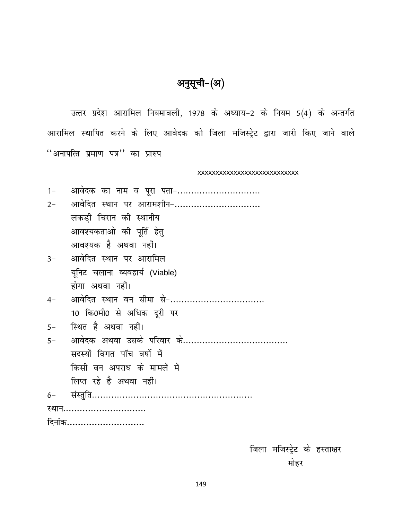## अनुसूची-(अ)

उत्तर प्रदेश आरामिल नियमावली, 1978 के अध्याय-2 के नियम 5(4) के अन्तर्गत आरामिल स्थापित करने के लिए आवेदक को जिला मजिस्ट्रेट द्वारा जारी किए जाने वाले ''अनापत्ति प्रमाण पत्र'' का प्रारुप

XXXXXXXXXXXXXXXXXXXXXXXXXX

| $1 -$                          | आवेदक का नाम व पूरा पता-    |  |  |  |
|--------------------------------|-----------------------------|--|--|--|
| $2 -$                          | आवेदित स्थान पर आरामशीन-    |  |  |  |
|                                | लकडी चिरान की स्थानीय       |  |  |  |
|                                | आवश्यकताओ की पूर्ति हेतु    |  |  |  |
|                                | आवश्यक है अथवा नहीं।        |  |  |  |
|                                | 3- आवेदित स्थान पर आरामिल   |  |  |  |
| यूनिट चलाना व्यवहार्य (Viable) |                             |  |  |  |
|                                | होगा अथवा नहीं।             |  |  |  |
| $4-$                           | आवेदित स्थान वन सीमा से-    |  |  |  |
|                                | 10 कि0मी0 से अधिक दूरी पर   |  |  |  |
|                                | 5- स्थित है अथवा नहीं।      |  |  |  |
| $5-$                           |                             |  |  |  |
|                                | सदस्यों विगत पॉच वर्षो में  |  |  |  |
|                                | किसी वन अपराध के मामलें में |  |  |  |
|                                | लिप्त रहे है अथवा नहीं।     |  |  |  |
|                                |                             |  |  |  |
| स्थान                          |                             |  |  |  |
| दिनांक                         |                             |  |  |  |
|                                |                             |  |  |  |

जिला मजिस्ट्रेट के हस्ताक्षर मोहर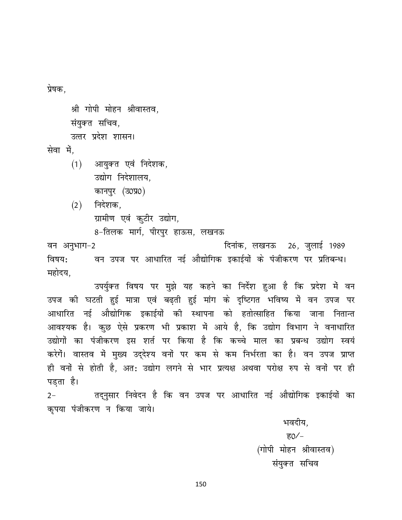प्रेषक,

श्री गोपी मोहन श्रीवास्तव. संयुक्त सचिव, उत्तर प्रदेश शासन।

सेवा में.

आयुक्त एवं निदेशक,  $(1)$ उद्योग निदेशालय. कानपुर (उ0प्र0)

निदेशक,  $(2)$ ग्रामीण एवं कुटीर उद्योग,

8-तिलक मार्ग, पीरपुर हाऊस, लखनऊ

दिनांक, लखनऊ 26, जलाई 1989 वन अनुभाग-2 वन उपज पर आधारित नई औद्योगिक इकाईयों के पंजीकरण पर प्रतिबन्ध। विषय: महोदय,

उपर्युक्त विषय पर मुझे यह कहने का निर्देश हुआ है कि प्रदेश में वन उपज की घटती हुई मात्रा एवं बढ़ती हुई मांग के दृष्टिगत भविष्य में वन उपज पर आधारित नई औद्योगिक इकाईयों की स्थापना को हतोत्साहित किया जाना नितान्त आवश्यक है। कुछ ऐसे प्रकरण भी प्रकाश में आये है, कि उद्योग विभाग ने वनाधारित उद्योगों का पंजीकरण इस शर्त पर किया है कि कच्चे माल का प्रबन्ध उद्योग स्वयं करेगें। वास्तव में मुख्य उद्देश्य वनों पर कम से कम निर्भरता का है। वन उपज प्राप्त ही वनों से होती है, अत: उद्योग लगने से भार प्रत्यक्ष अथवा परोक्ष रुप से वनों पर ही पड़ता है।

तद्नुसार निवेदन है कि वन उपज पर आधारित नई औद्योगिक इकाईयों का  $2 -$ कृपया पंजीकरण न किया जाये।

> भवदीय, ह $0/-$ (गोपी मोहन श्रीवास्तव) संयुक्त सचिव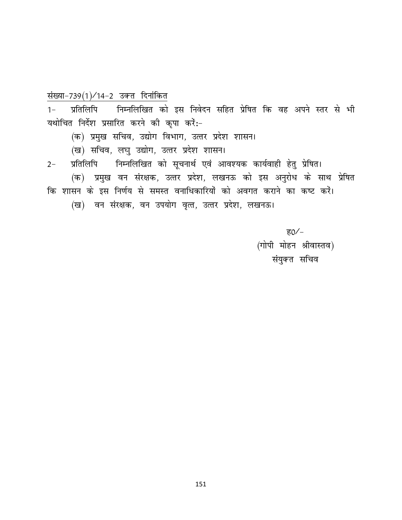#### संख्या-739(1)/14-2 उक्त दिनांकित

प्रतिलिपि निम्नलिखित को इस निवेदन सहित प्रेषित कि वह अपने स्तर से भी  $1 -$ यथोचित निर्देश प्रसारित करने की कृपा करें:-

(क) प्रमुख सचिव, उद्योग विभाग, उत्तर प्रदेश शासन।

- (ख) सचिव, लघु उद्योग, उत्तर प्रदेश शासन।
- प्रतिलिपि निम्नलिखित को सूचनार्थ एवं आवश्यक कार्यवाही हेतु प्रेषित।  $2 -$

(क) प्रमुख वन संरक्षक, उत्तर प्रदेश, लखनऊ को इस अनुरोध के साथ प्रेषित कि शासन के इस निर्णय से समस्त वनाधिकारियों को अवगत कराने का कष्ट करें।

(ख) वन संरक्षक, वन उपयोग वृत्त, उत्तर प्रदेश, लखनऊ।

ह $0/-$ (गोपी मोहन श्रीवास्तव) संयुक्त सचिव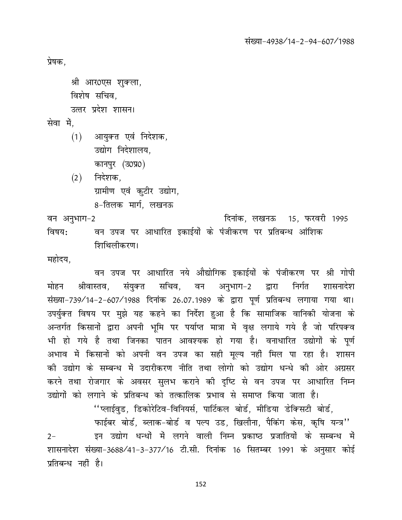संख्या-4938/14-2-94-607/1988

प्रेषक.

श्री आर0एस शुक्ला, विशेष सचिव,

उत्तर प्रदेश शासन।

सेवा में.

- $(1)$ आयुक्त एवं निदेशक, उद्योग निदेशालय, कानपुर (उ०प्र०)
- निदेशक.  $(2)$ ग्रामीण एवं कुटीर उद्योग, 8-तिलक मार्ग, लखनऊ

वन अनुभाग-2 दिनांक, लखनऊ 15, फरवरी 1995 वन उपज पर आधारित इकाईयों के पंजीकरण पर प्रतिबन्ध आंशिक विषय: शिथिलीकरण।

महोदय.

वन उपज पर आधारित नये औद्योगिक इकाईयों के पंजीकरण पर श्री गोपी श्रीवास्तव, संयुक्त सचिव, वन अनुभाग-2 द्वारा मोहन निर्गत शासनादेश संख्या-739/14-2-607/1988 दिनांक 26.07.1989 के द्वारा पूर्ण प्रतिबन्ध लगाया गया था। उपर्युक्त विषय पर मुझे यह कहने का निर्देश हुआ है कि सामाजिक वानिकी योजना के अन्तर्गत किसानों द्वारा अपनी भूमि पर पर्याप्त मात्रा में वृक्ष लगाये गये है जो परिपक्व भी हो गये है तथा जिनका पातन आवश्यक हो गया है। वनाधारित उद्योगों के पूर्ण अभाव में किसानों को अपनी वन उपज का सही मुल्य नहीं मिल पा रहा है। शासन की उद्योग के सम्बन्ध में उदारीकरण नीति तथा लोगो को उद्योग धन्धे की ओर अग्रसर करने तथा रोजगार के अवसर सुलभ कराने की दृष्टि से वन उपज पर आधारित निम्न उद्योगों को लगाने के प्रतिबन्ध को तत्कालिक प्रभाव से समाप्त किया जाता है।

''प्लाईवुड, डिकोरेटिव-विनियर्स, पार्टिकल बोर्ड, मीडिया डेक्सिटी बोर्ड,

फाईबर बोर्ड, ब्लाक-बोर्ड व पल्प उड, खिलौना, पैकिंग केस, कृषि यन्त्र'' इन उद्योग धन्धों में लगने वाली निम्न प्रकाष्ठ प्रजातियों के सम्बन्ध में  $2 -$ शासनादेश संख्या-3688/41-3-377/16 टी.सी. दिनांक 16 सितम्बर 1991 के अनुसार कोई प्रतिबन्ध नहीं है।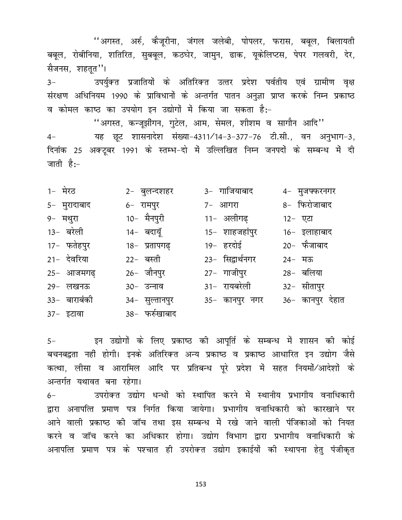''अगस्त, अर्रु, कैजूरीना, जंगल जलेबी, पोपलर, फरास, बबूल, बिलायती बबूल, रोबीनिया, शतिरित, सुबबूल, कठघेर, जामुन, ढाक, यूकेलिप्टस, पेपर गलवरी, देर, सैजनस, शहतृत''।

उपर्युक्त प्रजातियों के अतिरिक्त उत्तर प्रदेश पर्वतीय एवं ग्रामीण वृक्ष  $3-$ संरक्षण अधिनियम 1990 के प्राविधानों के अन्तर्गत पातन अनुज्ञा प्राप्त करके निम्न प्रकाष्ठ व कोमल काष्ठ का उपयोग इन उद्योगों में किया जा सकता है:-

''अगस्त, कन्जूझीगन, गुटेल, आम, सेमल, शीशम व सागौन आदि'' यह छूट शासनादेश संख्या-4311/14-3-377-76 टी.सी., वन अनुभाग-3,  $4-$ दिनांक 25 अक्टूबर 1991 के स्तम्भ-दो में उल्लिखित निम्न जनपदों के सम्बन्ध में दी जाती है:-

| 1- मेरठ      | 2- बुलन्दशहर   | 3- गाजियाबाद     | 4- मुजफ्फरनगर    |
|--------------|----------------|------------------|------------------|
| 5- मुरादाबाद | 6- रामपुर      | 7- आगरा          | 8- फिरोजाबाद     |
| 9- मथुरा     | 10- मैनपुरी    | 11- अलीगढ़       | 12- एटा          |
| 13- बरेली    | 14- बदायूँ     | 15- शाहजहांपुर   | 16- इलाहाबाद     |
| 17- फतेहपुर  | 18- प्रतापगढ़  | 19- हरदोई        | 20- फैजाबाद      |
| 21- देवरिया  | 22- बस्ती      | 23- सिद्वार्थनगर | 24- मऊ           |
| 25- आजमगढ    | 26- जौनपुर     | 27−ागजीपुर       | 28- बलिया        |
| 29- लखनऊ     | 30- उन्नाव     | 31- रायबरेली     | 32-सीतापुर       |
| 33- बाराबंकी | 34-सुल्तानपुर  | 35- कानपुर नगर   | 36- कानपुर देहात |
| 37- इटावा    | 38- फर्रुखाबाद |                  |                  |

इन उद्योगों के लिए प्रकाष्ठ की आपूर्ति के सम्बन्ध में शासन की कोई  $5-$ बचनबद्वता नहीं होगी। इनके अतिरिक्त अन्य प्रकाष्ठ व प्रकाष्ठ आधारित इन उद्योग जैसे कत्था, लीसा व आरामिल आदि पर प्रतिबन्ध पूरे प्रदेश में सहत नियमों/आदेशों के अन्तर्गत यथावत बना रहेगा। उपरोक्त उद्योग धन्धों को स्थापित करने में स्थानीय प्रभागीय वनाधिकारी  $6-$ द्वारा अनापत्ति प्रमाण पत्र निर्गत किया जायेगा। प्रभागीय वनाधिकारी को कारखाने पर आने वाली प्रकाष्ठ की जॉच तथा इस सम्बन्ध में रखे जाने वाली पंजिकाओं को नियत करने व जॉच करने का अधिकार होगा। उद्योग विभाग द्वारा प्रभागीय वनाधिकारी के अनापत्ति प्रमाण पत्र के पश्चात ही उपरोक्त उद्योग इकाईयों की स्थापना हेतु पंजीकृत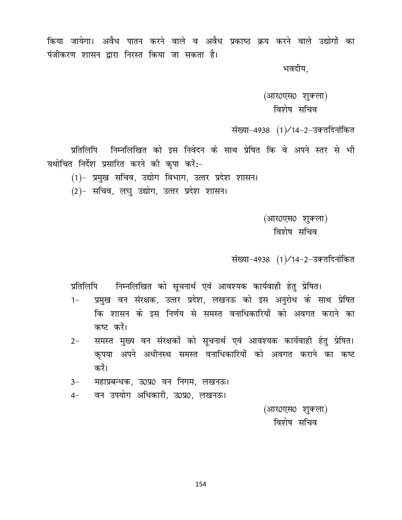किया जायेगा। अवैध पातन करने वाले व अवैध प्रकाष्ठ क्रय करने वाले उद्योगों का पंजीकरण शासन द्वारा निरस्त किया जा सकता है।

भवदीय.

(आर0एस0 शुक्ला) विशेष सचिव

संख्या-4938 (1)/14-2-उक्तदिनांकित

प्रतिलिपि निम्नलिखित को इस निवेदन के साथ प्रेषित कि वे अपने स्तर से भी यथोचित निर्देश प्रसारित करने की कपा करें:-

(1)- प्रमुख सचिव, उद्योग विभाग, उत्तर प्रदेश शासन।

(2)- सचिव, लघु उद्योग, उत्तर प्रदेश शासन।

(आर0एस0 शुक्ला) विशेष सचिव

संख्या-4938 (1)/14-2-उक्तदिनांकित

प्रतिलिपि निम्नलिखित को सूचनार्थ एवं आवश्यक कार्यवाही हेतु प्रेषित।

- प्रमुख वन संरक्षक, उत्तर प्रदेश, लखनऊ को इस अनुरोध के साथ प्रेषित  $1 -$ कि शासन के इस निर्णय से समस्त वनाधिकारियों को अवगत कराने का कष्ट करें।
- समस्त मुख्य वन संरक्षकों को सूचनार्थ एवं आवश्यक कार्यवाही हेतु प्रेषित।  $2 -$ कपया अपने अधीनस्थ समस्त वनाधिकारियों को अवगत कराने का कष्ट करें।
- महाप्रबन्धक, उ0प्र0 वन निगम, लखनऊ।  $3-$
- वन उपयोग अधिकारी, उ0प्र0, लखनऊ।  $4-$

(आर0एस0 शुक्ला) विशेष सचिव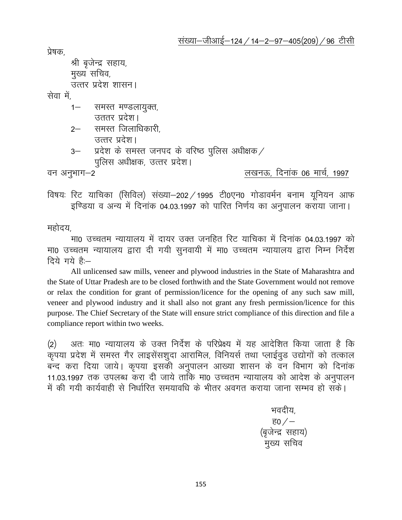प्रेषक

```
श्री बृजेन्द्र सहाय,
मुख्य सचिव,
```
उत्तर प्रदेश शासन।

सेवा में

- 1– समस्त मण्डलायुक्त,
	- उततर प्रदेश।
- $2-$  समस्त जिलाधिकारी, उत्तर प्रदेश।
- $3-$  प्रदेश के समस्त जनपद के वरिष्ठ पुलिस अधीक्षक / पुलिस अधीक्षक, उत्तर प्रदेश।

 $\overline{a}$ न अनुभाग $-2$   $\overline{a}$  and  $\overline{a}$  and  $\overline{a}$  and  $\overline{a}$  are  $\overline{a}$  and  $\overline{a}$  and  $\overline{a}$  are  $\overline{a}$  and  $\overline{a}$  are  $\overline{a}$  and  $\overline{a}$  are  $\overline{a}$  and  $\overline{a}$  are  $\overline{a}$  and  $\overline{a}$  are  $\overline$ 

विषयः रिट याचिका (सिविल) संख्या-202 / 1995 टी0एन0 गोडावर्मन बनाम यूनियन आफ इण्डिया व अन्य में दिनांक 04.03.1997 को पारित निर्णय का अनुपालन कराया जाना।

महोदय,

मा0 उच्चतम न्यायालय में दायर उक्त जनहित रिट याचिका में दिनांक 04.03.1997 को मा0 उच्चतम न्यायालय द्वारा दी गयी सुनवायी में मा0 उच्चतम न्यायालय द्वारा निम्न निर्देश दिये गये हैं:-

All unlicensed saw mills, veneer and plywood industries in the State of Maharashtra and the State of Uttar Pradesh are to be closed forthwith and the State Government would not remove or relax the condition for grant of permission/licence for the opening of any such saw mill, veneer and plywood industry and it shall also not grant any fresh permission/licence for this purpose. The Chief Secretary of the State will ensure strict compliance of this direction and file a compliance report within two weeks.

(2) अतः मा0 न्यायालय के उक्त निर्देश के परिप्रेक्ष्य में यह आदेशित किया जाता है कि कृपया प्रदेश में समस्त गैर लाइसेंसशुदा आरामिल, विनियर्स तथा प्लाईवुड उद्योगों को तत्काल बन्द करा दिया जाये। कृपया इसकी अनुपालन आख्या शासन के वन विभाग को दिनांक 11.03.1997 तक उपलब्ध करा दी जाये ताकि मा0 उच्चतम न्यायालय को आदेश के अनुपालन में की गयी कार्यवाही से निर्धारित समयावधि के भीतर अवगत कराया जाना सम्भव हो सकें।

भवदीय. <u>ਵ $0$  /  $-$ </u> (बृजेन्द्र सहाय) मुख्य सचिव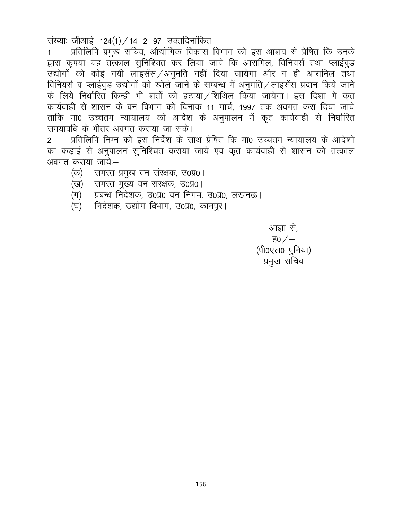<u>संख्याः जीआई–124(1) / 14–2–97–उक्तदिनांकित</u>

 $1 -$ द्वारा कृपया यह तत्काल सुनिश्चित कर लिया जाये कि आरामिल, विनियर्स तथा प्लाईवुड उद्योगों को कोई नयी लाइसेंस/अनुमति नहीं दिया जायेगा और न ही आरामिल तथा विनियर्स व प्लाईवुड उद्योगों को खोले जाने के सम्बन्ध में अनुमति/लाइसेंस प्रदान किये जाने के लिये निर्धारित किन्हीं भी शर्तो को हटाया/शिथिल किया जायेगा। इस दिशा में कृत कार्यवाही से शासन के वन विभाग को दिनांक 11 मार्च, 1997 तक अवगत करा दिया जाये ताकि मा0 उच्चतम न्यायालय को आदेश के अनुपालन में कृत कार्यवाही से निर्धारित समयावधि के भीतर अवगत कराया जा सके।

प्रतिलिपि निम्न को इस निर्देश के साथ प्रेषित कि मा0 उच्चतम न्यायालय के आदेशों  $2 -$ का कड़ाई से अनुपालन सुनिश्चित कराया जाये एवं कृत कार्यवाही से शासन को तत्काल अवगत कराया जाये:--

- (क) समस्त प्रमुख वन संरक्षक, उ०प्र०।
- (ख) समस्त मुख्य वन संरक्षक, उ०प्र०।
- (ग) प्रबन्ध निदेशक, उ0प्र0 वन निगम, उ0प्र0, लखनऊ।
- निदेशक, उद्योग विभाग, उ०प्र०, कानपुर। (घ)

आज्ञा से, ह $0/$ (पी0एल0 पुनिया) प्रमुख सचिव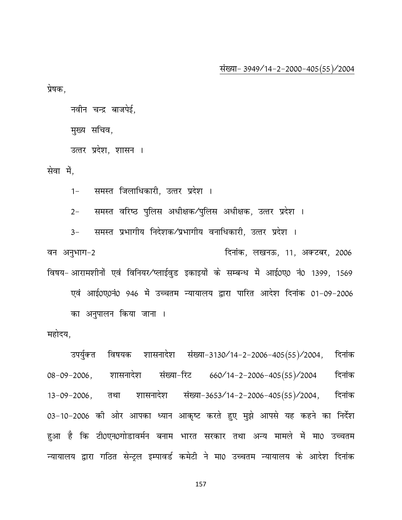संख्या- 3949/14-2-2000-405(55)/2004

प्रेषक,

नवीन चन्द्र बाजपेई,

मुख्य सचिव,

उत्तर प्रदेश, शासन ।

सेवा में.

समस्त जिलाधिकारी, उत्तर प्रदेश ।  $1 -$ 

समस्त वरिष्ठ पुलिस अधीक्षक/पुलिस अधीक्षक, उत्तर प्रदेश ।  $2 -$ 

समस्त प्रभागीय निदेशक⁄प्रभागीय वनाधिकारी, उत्तर प्रदेश ।  $3-$ वन अनुभाग-2 दिनांक, लखनऊ, 11, अक्टबर, 2006 विषय- आरामशीनों एवं विनियर/प्लाईवुड इकाइयों के सम्बन्ध में आई0ए0 नं0 1399, 1569 एवं आई0ए0नं0 946 में उच्चतम न्यायालय द्वारा पारित आदेश दिनांक 01-09-2006 का अनुपालन किया जाना ।

#### महोदय,

विषयक शासनादेश संख्या-3130/14-2-2006-405(55)/2004, उपर्युक्त दिनांक संख्या-रिट 660/14-2-2006-405(55)/2004  $08 - 09 - 2006$ , शासनादेश दिनांक शासनादेश संख्या-3653/14-2-2006-405(55)/2004,  $13 - 09 - 2006$ , तथा दिनांक 03-10-2006 की ओर आपका ध्यान आकृष्ट करते हुए मुझे आपसे यह कहने का निर्देश हुआ है कि टी0एन0गोडावर्मन बनाम भारत सरकार तथा अन्य मामले में मा0 उच्चतम न्यायालय द्वारा गठित सेन्ट्ल इम्पावर्ड कमेटी ने मा0 उच्चतम न्यायालय के आदेश दिनांक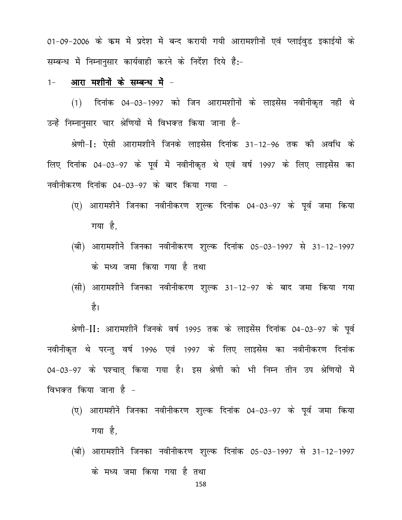01-09-2006 के कम में प्रदेश में बन्द करायी गयी आरामशीनों एवं प्लाईवुड इकाईयों के सम्बन्ध में निम्नानुसार कार्यवाही करने के निर्देश दिये हैं:-

#### $1-$  आरा मशीनों के सम्बन्ध में -

 $(1)$  दिनांक 04-03-1997 को जिन आरामशीनों के लाइसेंस नवीनीकृत नहीं थे उन्हें निम्नानुसार चार श्रेणियों में विभक्त किया जाना है-

श्रेणी-I: ऐसी आरामशीनें जिनके लाइसेंस दिनांक 31-12-96 तक की अवधि के लिए दिनांक 04-03-97 के पूर्व में नवीनीकृत थे एवं वर्ष 1997 के लिए लाइसेंस का नवीनीकरण दिनांक 04-03-97 के बाद किया गया -

- (ए) आरामशीनें जिनका नवीनीकरण शुल्क दिनांक 04-03-97 के पूर्व जमा किया गया है,
- (बी) आरामशीनें जिनका नवीनीकरण शुल्क दिनांक 05-03-1997 से 31-12-1997 के मध्य जमा किया गया है तथा
- (सी) आरामशीनें जिनका नवीनीकरण शुल्क 31-12-97 के बाद जमा किया गया है।

श्रेणी-II: आरामशीनें जिनके वर्ष 1995 तक के लाइसेंस दिनांक 04-03-97 के पूर्व नवीनीकृत थे परन्तु वर्ष 1996 एवं 1997 के लिए लाइसेंस का नवीनीकरण दिनांक 04-03-97 के पश्चात् किया गया है। इस श्रेणी को भी निम्न तीन उप श्रेणियों में विभक्त किया जाना है  $-$ 

- (ए) आरामशीनें जिनका नवीनीकरण शुल्क दिनांक 04-03-97 के पूर्व जमा किया गया $\dot{\vec{g}}$ .
- (बी) आरामशीनें जिनका नवीनीकरण शुल्क दिनांक 05-03-1997 से 31-12-1997 के मध्य जमा किया गया है तथा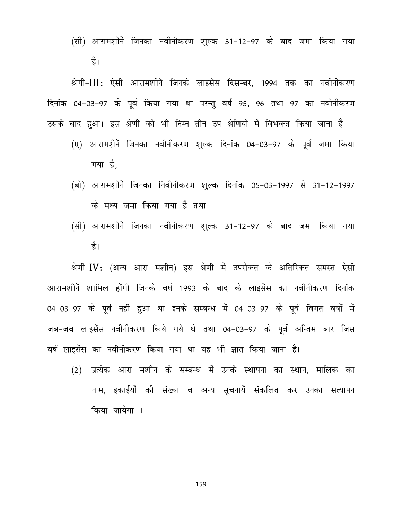(सी) आरामशीनें जिनका नवीनीकरण शुल्क 31-12-97 के बाद जमा किया गया है।

श्रेणी-III: ऐसी आरामशीनें जिनके लाइसेंस दिसम्बर, 1994 तक का नवीनीकरण दिनांक 04-03-97 के पूर्व किया गया था परन्तु वर्ष 95, 96 तथा 97 का नवीनीकरण उसके बाद हुआ। इस श्रेणी को भी निम्न तीन उप श्रेणियों में विभक्त किया जाना है -

- (ए) आरामशीनें जिनका नवीनीकरण शुल्क दिनांक 04-03-97 के पूर्व जमा किया गया है,
- (बी) आरामशीनें जिनका निवीनीकरण शुल्क दिनांक 05-03-1997 से 31-12-1997 के मध्य जमा किया गया है तथा
- (सी) आरामशीनें जिनका नवीनीकरण शुल्क 31-12-97 के बाद जमा किया गया है।

श्रेणी-IV: (अन्य आरा मशीन) इस श्रेणी में उपरोक्त के अतिरिक्त समस्त ऐसी आरामशीनें शामिल होंगी जिनके वर्ष 1993 के बाद के लाइसेंस का नवीनीकरण दिनांक 04-03-97 के पूर्व नहीं हुआ था इनके सम्बन्ध में 04-03-97 के पूर्व विगत वर्षों में जब-जब लाइसेंस नवीनीकरण किये गये थे तथा 04-03-97 के पूर्व अन्तिम बार जिस वर्ष लाइसेंस का नवीनीकरण किया गया था यह भी ज्ञात किया जाना है।

(2) प्रत्येक आरा मशीन के सम्बन्ध में उनके स्थापना का स्थान, मालिक का नाम, इकाईयों की संख्या व अन्य सूचनायें संकलित कर उनका सत्यापन किया जायेगा ।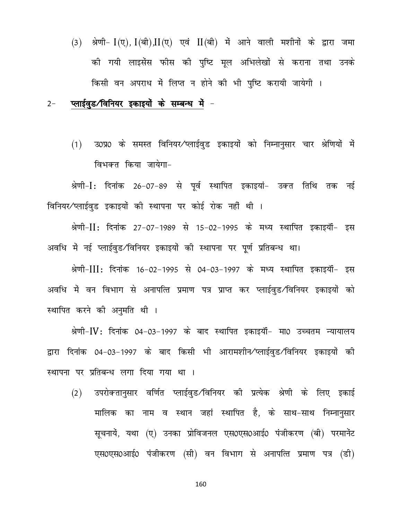(3) श्रेणी-  $I(\nabla)$ ,  $I(\vec{a}h)$ ,  $II(\nabla)$  एवं  $II(\vec{a}h)$  में आने वाली मशीनों के द्वारा जमा की गयी लाइसेंस फौस की पुष्टि मूल अभिलेखों से कराना तथा उनके किसी वन अपराध में लिप्त न होने की भी पुष्टि करायी जायेगी ।

#### प्लाईवुड/विनियर इकाइयों के सम्बन्ध में - $2 -$

उ0प्र0 के समस्त विनियर∕प्लाईवुड इकाइयों को निम्नानुसार चार श्रेणियों में  $(1)$ विभक्त किया जायेगा-

श्रेणी-I: दिनांक 26-07-89 से पूर्व स्थापित इकाइयां- उक्त तिथि तक नई विनियर∕प्लाईवुड इकाइयों की स्थापना पर कोई रोक नहीं थी ।

श्रेणी-II: दिनांक 27-07-1989 से 15-02-1995 के मध्य स्थापित इकाइयॉं- इस अवधि में नई प्लाईवुड/विनियर इकाइयों की स्थापना पर पूर्ण प्रतिबन्ध था।

श्रेणी-III: दिनांक 16-02-1995 से 04-03-1997 के मध्य स्थापित इकाइयॉं- इस अवधि में वन विभाग से अनापत्ति प्रमाण पत्र प्राप्त कर प्लाईवुड/विनियर इकाइयों को स्थापित करने की अनुमति थी ।

श्रेणी-IV: दिनांक 04-03-1997 के बाद स्थापित इकाइयॉं- मा0 उच्चतम न्यायालय द्वारा दिनांक 04-03-1997 के बाद किसी भी आरामशीन⁄प्लाईवुड/विनियर इकाइयों की स्थापना पर प्रतिबन्ध लगा दिया गया था ।

उपरोक्तानुसार वर्णित प्लाईवुड/विनियर की प्रत्येक श्रेणी के लिए इकाई  $(2)$ मालिक का नाम व स्थान जहां स्थापित है, के साथ-साथ निम्नानुसार सूचनायें, यथा (ए) उनका प्रोविजनल एस0एस0आई0 पंजीकरण (बी) परमानेंट एस0एस0आई0 पंजीकरण (सी) वन विभाग से अनापत्ति प्रमाण पत्र (डी)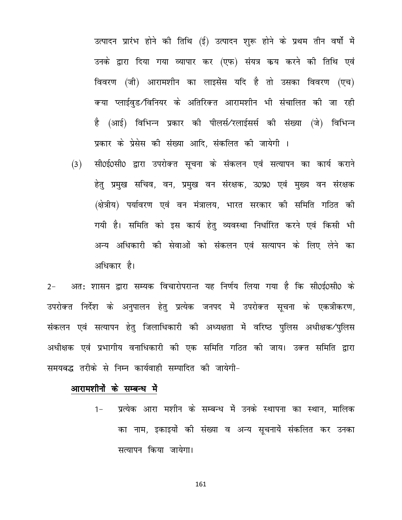उत्पादन प्रारंभ होने की तिथि (ई) उत्पादन शुरू होने के प्रथम तीन वर्षो में उनके द्वारा दिया गया व्यापार कर (एफ) संयत्र कय करने की तिथि एवं विवरण (जी) आरामशीन का लाइसेंस यदि है तो उसका विवरण (एच) क्या प्लाईवुड/विनियर के अतिरिक्त आरामशीन भी संचालित की जा रही है (आई) विभिन्न प्रकार की पीलर्स⁄रलाईसर्स की संख्या (जे) विभिन्न प्रकार के प्रेसेस की संख्या आदि, संकलित की जायेगी ।

सी0ई0सी0 द्वारा उपरोक्त सूचना के संकलन एवं सत्यापन का कार्य कराने  $(3)$ हेतु प्रमुख सचिव, वन, प्रमुख वन संरक्षक, उ0प्र0 एवं मुख्य वन संरक्षक (क्षेत्रीय) पर्यावरण एवं वन मंत्रालय, भारत सरकार की समिति गठित की गयी है। समिति को इस कार्य हेतु व्यवस्था निर्धारित करने एवं किसी भी अन्य अधिकारी की सेवाओं को संकलन एवं सत्यापन के लिए लेने का अधिकार है।

अत: शासन द्वारा सम्यक विचारोपरान्त यह निर्णय लिया गया है कि सी0ई0सी0 के  $2 -$ उपरोक्त निर्देश के अनुपालन हेतु प्रत्येक जनपद में उपरोक्त सूचना के एकत्रीकरण, संकलन एवं सत्यापन हेतु जिलाधिकारी की अध्यक्षता में वरिष्ठ पुलिस अधीक्षक/पुलिस अधीक्षक एवं प्रभागीय वनाधिकारी की एक समिति गठित की जाय। उक्त समिति द्वारा समयबद्ध तरीके से निम्न कार्यवाही सम्पादित की जायेगी-

#### आरामशीनों के सम्बन्ध में

प्रत्येक आरा मशीन के सम्बन्ध में उनके स्थापना का स्थान, मालिक  $1 -$ का नाम, इकाइयों की संख्या व अन्य सूचनायें संकलित कर उनका सत्यापन किया जायेगा।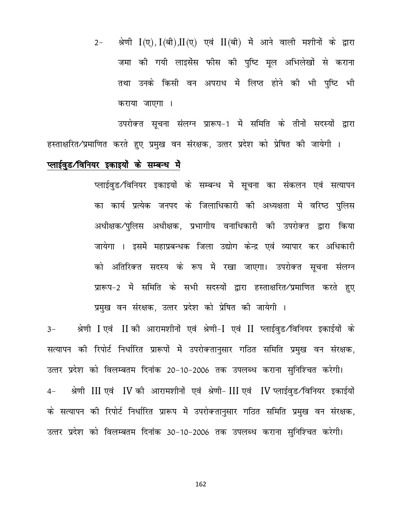श्रेणी  $I(\nabla)$ ,  $I(\nabla)$ , $II(\nabla)$  एवं  $II(\nabla)$  में आने वाली मशीनों के द्वारा  $2 -$ जमा की गयी लाइसेंस फीस की पुष्टि मूल अभिलेखों से कराना तथा उनके किसी वन अपराध में लिप्त होने की भी पुष्टि भी कराया जाएगा ।

उपरोक्त सूचना संलग्न प्रारूप-1 में समिति के तीनों सदस्यों द्वारा हस्ताक्षरित⁄प्रमाणित करते हुए प्रमुख वन संरक्षक, उत्तर प्रदेश को प्रेषित की जायेगी ।

#### प्लाईवुड/विनियर इकाइयों के सम्बन्ध में

प्लाईवुड/विनियर इकाइयों के सम्बन्ध में सूचना का संकलन एवं सत्यापन का कार्य प्रत्येक जनपद के जिलाधिकारी की अध्यक्षता में वरिष्ठ पुलिस अधीक्षक/पुलिस अधीक्षक, प्रभागीय वनाधिकारी की उपरोक्त द्वारा किया जायेगा । इसमें महाप्रबन्धक जिला उद्योग केन्द्र एवं व्यापार कर अधिकारी को अतिरिक्त सदस्य के रूप में रखा जाएगा। उपरोक्त सूचना संलग्न प्रारूप-2 में समिति के सभी सदस्यों द्वारा हस्ताक्षरित/प्रमाणित करते हुए प्रमुख वन संरक्षक, उत्तर प्रदेश को प्रेषित की जायेगी ।

श्रेणी I एवं II की आरामशीनों एवं श्रेणी-I एवं II प्लाईवुड/विनियर इकाईयों के  $3-$ सत्यापन की रिपोर्ट निर्धारित प्रारूपों में उपरोक्तानुसार गठित समिति प्रमुख वन संरक्षक, उत्तर प्रदेश को विलम्बतम दिनांक 20-10-2006 तक उपलब्ध कराना सुनिश्चित करेगी। श्रेणी III एवं IV की आरामशीनों एवं श्रेणी-III एवं IV प्लाईवुड/विनियर इकाईयों  $4-$ के सत्यापन की रिपोर्ट निर्धारित प्रारूप में उपरोक्तानुसार गठित समिति प्रमुख वन संरक्षक, उत्तर प्रदेश को विलम्बतम दिनांक 30-10-2006 तक उपलब्ध कराना सुनिश्चित करेगी।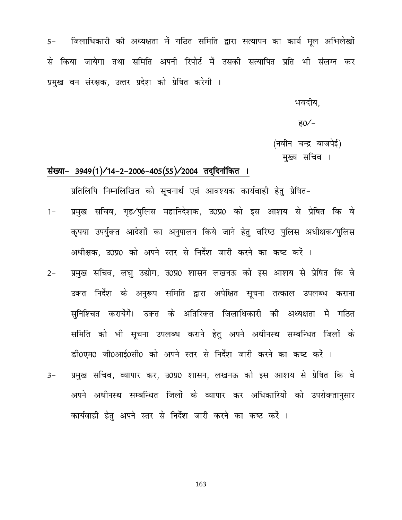जिलाधिकारी की अध्यक्षता में गठित समिति द्वारा सत्यापन का कार्य मूल अभिलेखों  $5-$ से किया जायेगा तथा समिति अपनी रिपोर्ट में उसकी सत्यापित प्रति भी संलग्न कर प्रमुख वन संरक्षक, उत्तर प्रदेश को प्रेषित करेगी ।

भवदीय.

ह0⁄ $-$ 

(नवीन चन्द्र बाजपेई)

मुख्य सचिव ।

#### संख्या- 3949(1)/14-2-2006-405(55)/2004 तदुदिनांकित ।

प्रतिलिपि निम्नलिखित को सुचनार्थ एवं आवश्यक कार्यवाही हेतु प्रेषित-

- प्रमुख सचिव, गृह/पुलिस महानिदेशक, उ0प्र0 को इस आशय से प्रेषित कि वे  $1 -$ कृपया उपर्युक्त आदेशों का अनुपालन किये जाने हेतु वरिष्ठ पुलिस अधीक्षक⁄पुलिस अधीक्षक, उ0प्र0 को अपने स्तर से निर्देश जारी करने का कष्ट करें ।
- प्रमुख सचिव, लघु उद्योग, उ0प्र0 शासन लखनऊ को इस आशय से प्रेषित कि वे  $2 -$ उकत निर्देश के अनुरूप समिति द्वारा अपेक्षित सृचना तत्काल उपलब्ध कराना सुनिश्चित करायेंगें। उक्त के अतिरिक्त जिलाधिकारी की अध्यक्षता में गठित समिति को भी सूचना उपलब्ध कराने हेतु अपने अधीनस्थ सम्बन्धित जिलों के डी0एम0 जी0आई0सी0 को अपने स्तर से निर्देश जारी करने का कष्ट करें ।
- प्रमुख सचिव, व्यापार कर, उ0प्र0 शासन, लखनऊ को इस आशय से प्रेषित कि वे  $3-$ अपने अधीनस्थ सम्बन्धित जिलों के व्यापार कर अधिकारियों को उपरोक्तानुसार कार्यवाही हेतु अपने स्तर से निर्देश जारी करने का कष्ट करें ।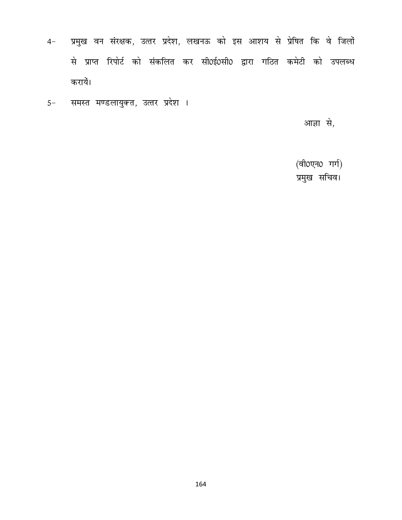- प्रमुख वन संरक्षक, उत्तर प्रदेश, लखनऊ को इस आशय से प्रेषित कि वे जिलों  $4-$ से प्राप्त रिपोर्ट को संकलित कर सी0ई0सी0 द्वारा गठित कमेटी को उपलब्ध करायें।
- समस्त मण्डलायुक्त, उत्तर प्रदेश ।  $5-$

आज्ञा से,

(वी0एन0 गर्ग) प्रमुख सचिव।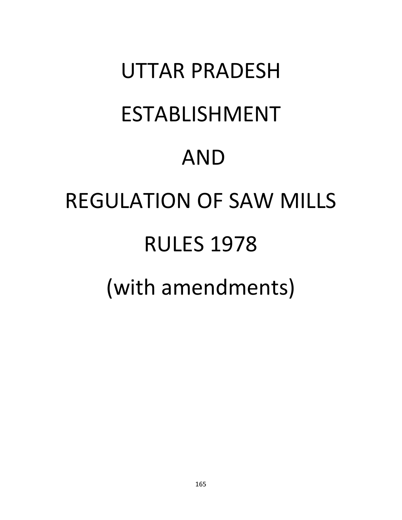# UTTAR PRADESH ESTABLISHMENT AND REGULATION OF SAW MILLS RULES 1978 (with amendments)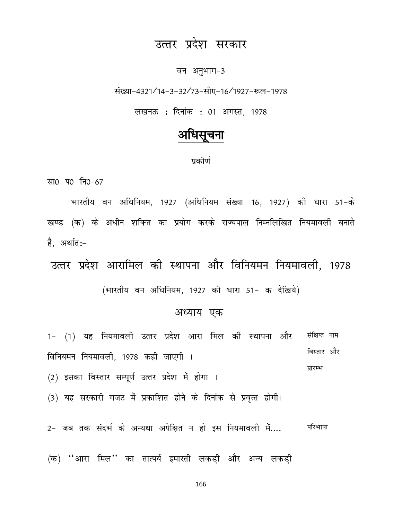## उत्तर प्रदेश सरकार

#### वन अनुभाग-3

संख्या-4321/14-3-32/73-सीए-16/1927-रूल-1978

लखनऊ : दिनांक : 01 अगस्त, 1978

### अधिसचना

#### पकीर्ण

सा0 प0 नि0-67

भारतीय वन अधिनियम, 1927 (अधिनियम संख्या 16, 1927) की धारा 51-के खण्ड (क) के अधीन शक्ति का प्रयोग करके राज्यपाल निम्नलिखित नियमावली बनाते है. अर्थात:-

उत्तर प्रदेश आरामिल की स्थापना और विनियमन नियमावली, 1978 (भारतीय वन अधिनियम, 1927 की धारा 51- क देखिये)

#### अध्याय एक

1- (1) यह नियमावली उत्तर प्रदेश आरा मिल की स्थापना और संक्षिप्त नाम विस्तार और विनियमन नियमावली, 1978 कही जाएगी । प्रारम्भ

(2) इसका विस्तार सम्पूर्ण उत्तर प्रदेश में होगा ।

(3) यह सरकारी गजट में प्रकाशित होने के दिनांक से प्रवृत्त होगी।

2- जब तक संदर्भ के अन्यथा अपेक्षित न हो इस नियमावली में.... परिभाषा

(क) ''आरा मिल'' का तात्पर्य इमारती लकड़ी और अन्य लकड़ी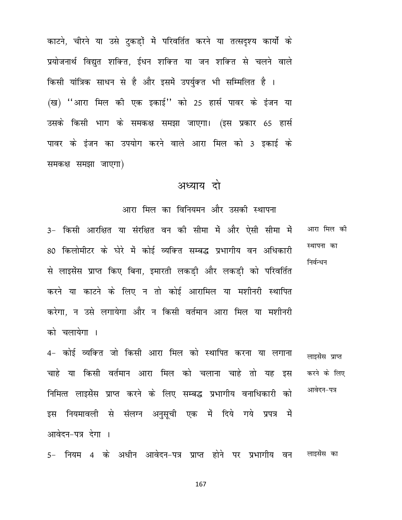काटने, चीरने या उसे टुकड़ों में परिवर्तित करने या तत्सदृश्य कार्यो के प्रयोजनार्थ विद्युत शक्ति, ईधन शक्ति या जन शक्ति से चलने वाले किसी यांत्रिक साधन से है और इसमें उपर्युक्त भी सम्मिलित है । (ख) ''आरा मिल की एक इकाई'' को 25 हार्स पावर के इंजन या उसके किसी भाग के समकक्ष समझा जाएगा। (इस प्रकार 65 हार्स पावर के इंजन का उपयोग करने वाले आरा मिल को 3 इकाई के समकक्ष समझा जाएगा)

#### अध्याय दो

आरा मिल का विनियमन और उसकी स्थापना

3- किसी आरक्षित या संरक्षित वन की सीमा में और ऐसी सीमा में आरा मिल की स्थापना का 80 किलोमीटर के घेरे में कोई व्यक्ति सम्बद्ध प्रभागीय वन अधिकारी निर्वन्धन से लाइसेंस प्राप्त किए बिना, इमारती लकडी और लकडी को परिवर्तित करने या काटने के लिए न तो कोई आरामिल या मशीनरी स्थापित करेगा. न उसे लगायेगा और न किसी वर्तमान आरा मिल या मशीनरी को चलायेगा ।

4- कोई व्यक्ति जो किसी आरा मिल को स्थापित करना या लगाना लाइसेंस प्राप्त चाहे या किसी वर्तमान आरा मिल को चलाना चाहे तो यह इस करने के लिए आवेदन-पत्र निमित्त लाइसेंस प्राप्त करने के लिए सम्बद्ध प्रभागीय वनाधिकारी को इस नियमावली से संलग्न अनुसूची एक में दिये गये प्रपत्र में आवेदन-पत्र देगा ।

5- नियम 4 के अधीन आवेदन-पत्र प्राप्त होने पर प्रभागीय वन लाइसंस का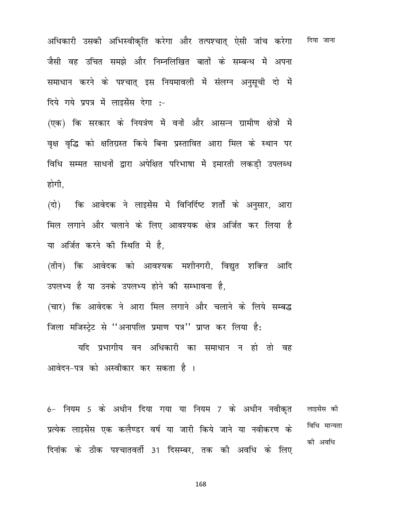अधिकारी उसकी अभिस्वीकृति करेगा और तत्पश्चात् ऐसी जांच करेगा किया जाना जैसी वह उचित समझे और निम्नलिखित बातों के सम्बन्ध में अपना समाधान करने के पश्चात् इस नियमावली में संलग्न अनुसूची दो में दिये गये प्रपत्र में लाइसेंस देगा :-

(एक) कि सरकार के नियत्रंण में वनों और आसन्न ग्रामीण क्षेत्रों में वृक्ष वृद्धि को क्षतिग्रस्त किये बिना प्रस्तावित आरा मिल के स्थान पर विधि सम्मत साधनों द्वारा अपेक्षित परिभाषा में इमारती लकड़ी उपलब्ध होगी.

कि आवेदक ने लाइसेंस में विनिर्दिष्ट शर्तो के अनुसार, आरा (दो) मिल लगाने और चलाने के लिए आवश्यक क्षेत्र अर्जित कर लिया है या अर्जित करने की स्थिति में है.

(तीन) कि आवेदक को आवश्यक मशीनगरी, विद्युत शक्नित आदि उपलभ्य है या उनके उपलभ्य होने की सम्भावना है,

(चार) कि आवेदक ने आरा मिल लगाने और चलाने के लिये सम्बद्ध जिला मजिस्ट्रेट से "अनापत्ति प्रमाण पत्र" प्राप्त कर लिया है:

यदि प्रभागीय वन अधिकारी का समाधान न हो तो वह आवेदन-पत्र को अस्वीकार कर सकता है ।

6- नियम 5 के अधीन दिया गया या नियम 7 के अधीन नवीक़त लाइसेंस की विधि मान्यता प्रत्येक लाइसेंस एक कलैण्डर वर्ष या जारी किये जाने या नवीकरण के की अवधि दिनांक के ठीक पश्चातवर्ती 31 दिसम्बर, तक की अवधि के लिए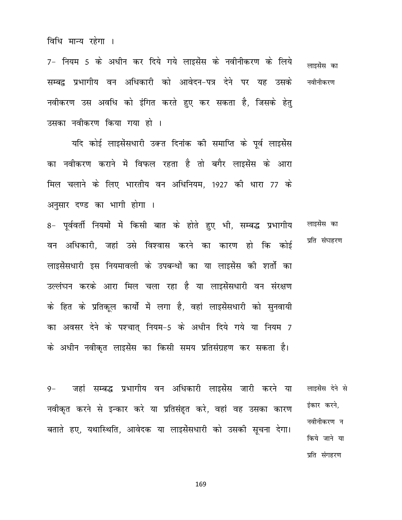7- नियम 5 के अधीन कर दिये गये लाइसेंस के नवीनीकरण के लिये लाइसेंस का सम्बद्व प्रभागीय वन अधिकारी को आवेदन-पत्र देने पर यह उसके नवीनीकरण नवीकरण उस अवधि को इंगित करते हुए कर सकता है, जिसके हेतु उसका नवीकरण किया गया हो ।

यदि कोई लाइसेंसधारी उक्त दिनांक की समाप्ति के पूर्व लाइसेंस का नवीकरण कराने में विफल रहता है तो बगैर लाइसेंस के आरा मिल चलाने के लिए भारतीय वन अधिनियम, 1927 की धारा 77 के अनुसार दण्ड का भागी होगा ।

8- पूर्ववर्ती नियमों में किसी बात के होते हुए भी, सम्बद्ध प्रभागीय लाइसेंस का प्रति संघहरण वन अधिकारी, जहां उसे विश्वास करने का कारण हो कि कोई लाइसेंसधारी इस नियमावली के उपबन्धों का या लाइसेंस की शर्तो का उल्लंघन करके आरा मिल चला रहा है या लाइसेंसधारी वन संरक्षण के हित के प्रतिकल कार्यो में लगा है, वहां लाइसेंसधारी को सुनवायी का अवसर देने के पश्चात् नियम-5 के अधीन दिये गये या नियम 7 के अधीन नवीकृत लाइसेंस का किसी समय प्रतिसंग्रहण कर सकता है।

जहां सम्बद्ध प्रभागीय वन अधिकारी लाइसेंस जारी करने या लाइसेंस देने से  $9-$ इंकार करने, नवीकृत करने से इन्कार करे या प्रतिसंहत करे, वहां वह उसका कारण नवीनीकरण न बताते हए, यथास्थिति, आवेदक या लाइसेंसधारी को उसकी सूचना देगा। किये जाने या प्रति संगहरण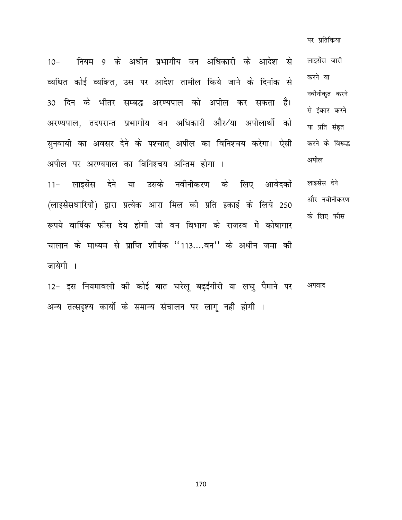पर प्रतिकिया

नियम 9 के अधीन प्रभागीय वन अधिकारी के आदेश से लाइसेंस जारी  $10 -$ करने या व्यथित कोई व्यक्ति, उस पर आदेश तामील किये जाने के दिनांक से नवीनीकृत करने 30 दिन के भीतर सम्बद्ध अरण्यपाल को अपील कर सकता है। से इंकार करने अरण्यपाल, तदपरान्त प्रभागीय वन अधिकारी और⁄या अपीलार्थी को या प्रति संहत सुनवायी का अवसर देने के पश्चात् अपील का विनिश्चय करेगा। ऐसी करने के विरूद्ध अपील अपील पर अरण्यपाल का विनिश्चय अन्तिम होगा । 11- लाइसेंस देने या उसके नवीनीकरण के लिए आवेदकों लाइसेंस देने और नवीनीकरण (लाइसेंसधारियों) द्वारा प्रत्येक आरा मिल की प्रति इकाई के लिये 250 के लिए फीस रूपये वार्षिक फीस देय होगी जो वन विभाग के राजस्व में कोषागार चालान के माध्यम से प्राप्ति शीर्षक ''113....वन'' के अधीन जमा की

जायेगी ।

12- इस नियमावली की कोई बात घरेलू बढईगीरी या लघु पैमाने पर अपवाद अन्य तत्सदृश्य कार्यो के समान्य संचालन पर लागू नहीं होगी ।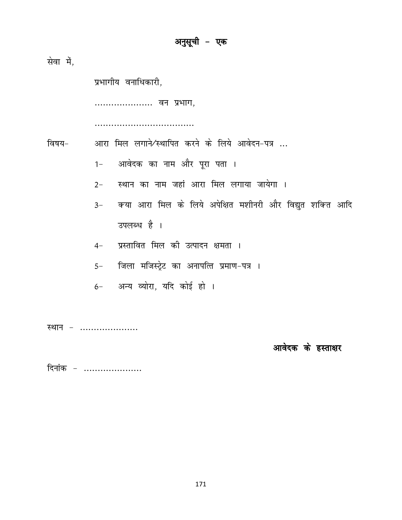सेवा में,

प्रभागीय वनाधिकारी,

..................... वन प्रभाग,

....................................

आरा मिल लगाने/स्थापित करने के लिये आवेदन-पत्र ... विषय–

- आवेदक का नाम और पूरा पता ।  $1 -$
- स्थान का नाम जहां आरा मिल लगाया जायेगा ।  $2 -$
- क्या आरा मिल के लिये अपेक्षित मशीनरी और विद्युत शक्ति आदि  $3-$ उपलब्ध है ।
- प्रस्तावित मिल की उत्पादन क्षमता ।  $4-$
- जिला मजिस्ट्रेट का अनापत्ति प्रमाण-पत्र ।  $5-$
- 6- अन्य व्योरा, यदि कोई हो ।

स्थान – .....................

आवेदक के हस्ताक्षर

दिनांक - .....................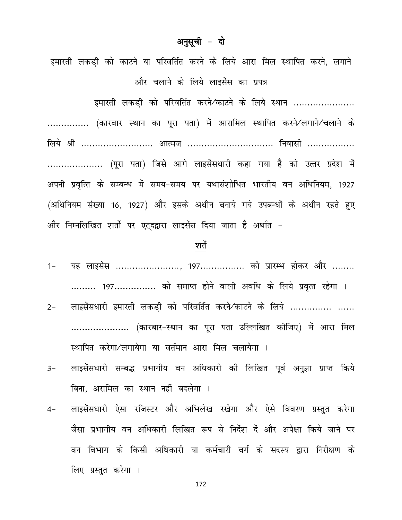### अनुसूची - दो

इमारती लकडी को काटने या परिवर्तित करने के लिये आरा मिल स्थापित करने, लगाने और चलाने के लिये लाइसेंस का प्रपत्र

इमारती लकडी को परिवर्तित करने ⁄काटने के लिये स्थान ..................... ............... (कारवार स्थान का पूरा पता) में आरामिल स्थापित करने⁄लगाने⁄चलाने के लिये श्री ......................... आत्मज .............................. निवासी ................. .................... (पूरा पता) जिसे आगे लाइसेंसधारी कहा गया है को उत्तर प्रदेश में अपनी प्रवृत्ति के सम्बन्ध में समय-समय पर यथासंशोधित भारतीय वन अधिनियम, 1927 (अधिनियम संख्या 16, 1927) और इसके अधीन बनाये गये उपबन्धों के अधीन रहते हुए और निम्नलिखित शर्तो पर एतुदद्वारा लाइसेंस दिया जाता है अर्थात -

#### शर्ते

- यह लाइसेंस ......................., 197................. को प्रारम्भ होकर और ........  $1 -$ ......... 197............... को समाप्त होने वाली अवधि के लिये प्रवृत्त रहेगा ।
- लाइसेंसधारी इमारती लकडी को परिवर्तित करने⁄काटने के लिये ............... ......  $2 -$ ..................... (कारबार-स्थान का पूरा पता उल्लिखित कीजिए) में आरा मिल स्थापित करेगा/लगायेगा या वर्तमान आरा मिल चलायेगा ।
- लाइसेंसधारी सम्बद्ध प्रभागीय वन अधिकारी की लिखित पूर्व अनुज्ञा प्राप्त किये  $3-$ बिना, अरामिल का स्थान नहीं बदलेगा ।
- लाइसेंसधारी ऐसा रजिस्टर और अभिलेख रखेगा और ऐसे विवरण प्रस्तुत करेगा  $4-$ जैसा प्रभागीय वन अधिकारी लिखित रूप से निर्देश दें और अपेक्षा किये जाने पर वन विभाग के किसी अधिकारी या कर्मचारी वर्ग के सदस्य द्वारा निरीक्षण के लिए प्रस्तुत करेगा ।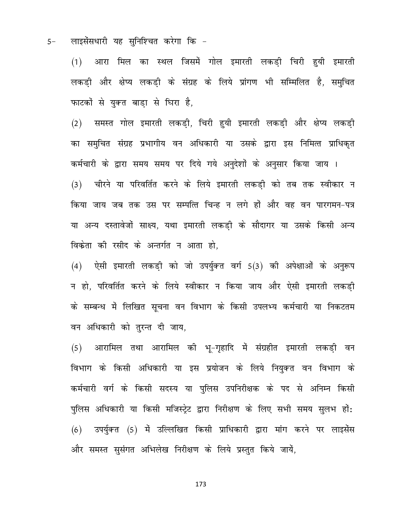लाइसेंसधारी यह सुनिश्चित करेगा कि - $5-$ 

> (1) आरा मिल का स्थल जिसमें गोल इमारती लकड़ी चिरी हुयी इमारती लकड़ी और क्षेप्य लकड़ी के संग्रह के लिये प्रांगण भी सम्मिलित है, समुचित फाटकों से युक्त बाडा से घिरा है,

> (2) समस्त गोल इमारती लकड़ी, चिरी हुयी इमारती लकड़ी और क्षेप्य लकड़ी का समुचित संग्रह प्रभागीय वन अधिकारी या उसके द्वारा इस निमित्त प्राधिकृत कर्मचारी के द्वारा समय समय पर दिये गये अनुदेशों के अनुसार किया जाय । (3) जीरने या परिवर्तित करने के लिये इमारती लकडी को तब तक स्वीकार न किया जाय जब तक उस पर सम्पत्ति चिन्ह न लगे हों और वह वन पारगमन-पत्र या अन्य दस्तावेजों साक्ष्य, यथा इमारती लकडी के सौदागर या उसके किसी अन्य विक्रेता की रसीद के अन्तर्गत न आता हो.

> $(4)$  ऐसी इमारती लकड़ी को जो उपर्युक्त वर्ग 5(3) की अपेक्षाओं के अनुरूप न हो, परिवर्तित करने के लिये स्वीकार न किया जाय और ऐसी इमारती लकड़ी के सम्बन्ध में लिखित सृचना वन विभाग के किसी उपलभ्य कर्मचारी या निकटतम वन अधिकारी को तुरन्त दी जाय,

> (5) आरामिल तथा आरामिल की भू-गृहादि में संग्रहीत इमारती लकड़ी वन विभाग के किसी अधिकारी या इस प्रयोजन के लिये नियुक्त वन विभाग के कर्मचारी वर्ग के किसी सदस्य या पुलिस उपनिरीक्षक के पद से अनिम्न किसी पुलिस अधिकारी या किसी मजिस्ट्रेट द्वारा निरीक्षण के लिए सभी समय सुलभ हों: (6) उपर्युक्त (5) में उल्लिखित किसी प्राधिकारी द्वारा मांग करने पर लाइसेंस और समस्त सुसंगत अभिलेख निरीक्षण के लिये प्रस्तुत किये जायें,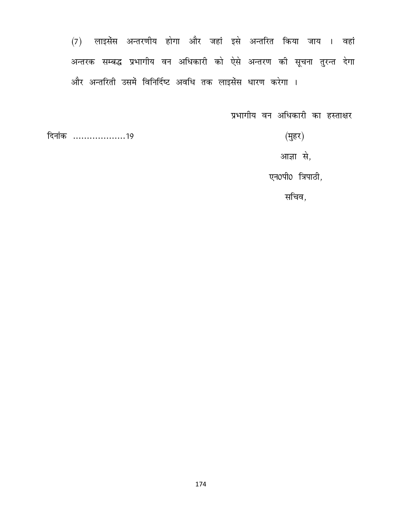(7) लाइसेंस अन्तरणीय होगा और जहां इसे अन्तरित किया जाय । वहां अन्तरक सम्बद्ध प्रभागीय वन अधिकारी को ऐसे अन्तरण की सूचना तुरन्त देगा और अन्तरिती उसमें विनिर्दिष्ट अवधि तक लाइसेंस धारण करेगा ।

प्रभागीय वन अधिकारी का हस्ताक्षर

 $($ मुहर $)$ 

दिनांक ....................19

आज्ञा से,

एन0पी0 त्रिपाठी,

सचिव,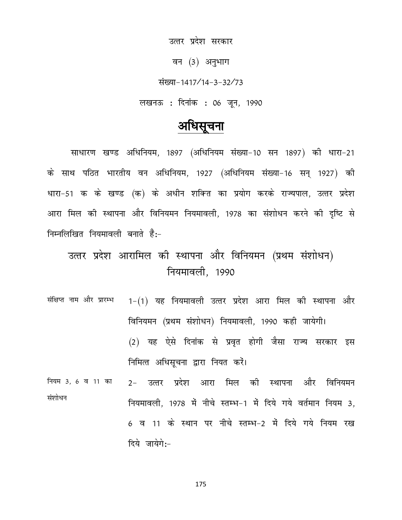उत्तर प्रदेश सरकार

वन (3) अनुभाग

संख्या-1417/14-3-32/73

लखनऊ : दिनांक : 06 जून, 1990

## अधिसूचना

साधारण खण्ड अधिनियम, 1897 (अधिनियम संख्या-10 सन 1897) की धारा-21 के साथ पठित भारतीय वन अधिनियम, 1927 (अधिनियम संख्या-16 सन् 1927) की धारा-51 क के खण्ड (क) के अधीन शक्ति का प्रयोग करके राज्यपाल, उत्तर प्रदेश आरा मिल की स्थापना और विनियमन नियमावली, 1978 का संशोधन करने की दृष्टि से निम्नलिखित नियमावली बनाते हैं:-

## उत्तर प्रदेश आरामिल की स्थापना और विनियमन (प्रथम संशोधन) नियमावली, 1990

संक्षिप्त नाम और प्रारम्भ 1-(1) यह नियमावली उत्तर प्रदेश आरा मिल की स्थापना और विनियमन (प्रथम संशोधन) नियमावली, 1990 कही जायेगी। (2) यह ऐसे दिनांक से प्रवृत होगी जैसा राज्य सरकार इस निमित्त अधिसूचना द्वारा नियत करें।

नियम 3, 6 व 11 का 2- उत्तर प्रदेश आरा मिल की स्थापना और विनियमन संशोधन नियमावली, 1978 में नीचे स्तम्भ-1 में दिये गये वर्तमान नियम 3, 6 व 11 के स्थान पर नीचे स्तम्भ-2 में दिये गये नियम रख दिये जायेगे:-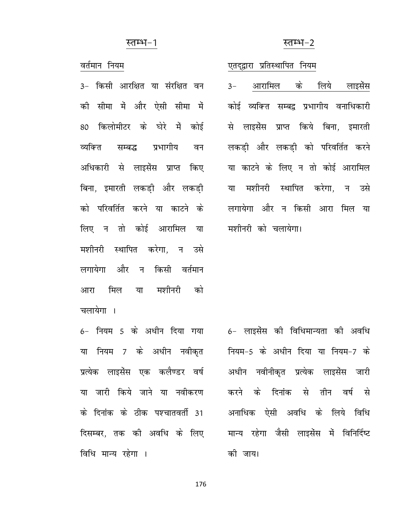#### स्तम्भ–2

#### स्तम्भ–1

वर्तमान नियम

3- किसी आरक्षित या संरक्षित वन की सीमा में और ऐसी सीमा में 80 किलोमीटर के घेरे में कोई व्यक्ति सम्बद्ध प्रभागीय वन अधिकारी से लाइसेंस प्राप्त किए बिना. इमारती लकडी और लकडी को परिवर्तित करने या काटने के लिए न तो कोई आरामिल या मशीनरी स्थापित करेगा. न उसे लगायेगा और न किसी वर्तमान आरा मिल या मशीनरी को चलायेगा ।

6- नियम 5 के अधीन दिया गया या नियम 7 के अधीन नवीकृत प्रत्येक लाइसेंस एक कलैण्डर वर्ष या जारी किये जाने या नवीकरण के दिनांक के ठीक पश्चातवर्ती 31 दिसम्बर, तक की अवधि के लिए विधि मान्य रहेगा ।

#### एतदुद्वारा प्रतिस्थापित नियम

आरामिल के लिये लाइसेंस  $3-$ कोई व्यक्ति सम्बद्ग प्रभागीय वनाधिकारी से लाइसेंस प्राप्त किये बिना. इमारती लकडी और लकडी को परिवर्तित करने या काटने के लिए न तो कोई आरामिल या मशीनरी स्थापित करेगा. न उसे लगायेगा और न किसी आरा मिल या मशीनरी को चलायेगा।

6- लाइसेंस की विधिमान्यता की अवधि नियम-5 के अधीन दिया या नियम-7 के अधीन नवीनीकृत प्रत्येक लाइसेंस जारी करने के दिनांक से तीन वर्ष से अनाधिक ऐसी अवधि के लिये विधि मान्य रहेगा जैसी लाइसेंस में विनिर्दिष्ट की जाय।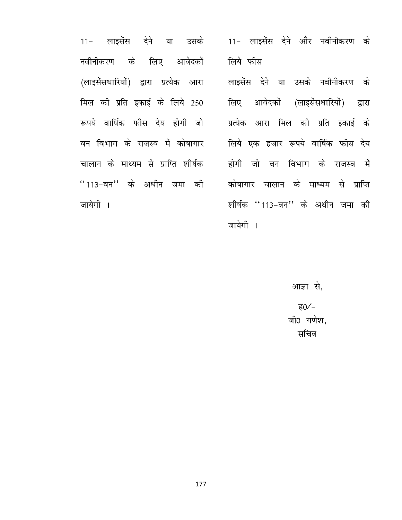11- लाइसेंस देने या उसके नवीनीकरण के लिए आवेदकों (लाइसेंसधारियों) द्वारा प्रत्येक आरा मिल की प्रति इकाई के लिये 250 रूपये वार्षिक फीस देय होगी जो वन विभाग के राजस्व में कोषागार चालान के माध्यम से प्राप्ति शीर्षक ''113-वन'' के अधीन जमा की जायेगी ।

11- लाइसेंस देने और नवीनीकरण के लिये फीस

लाइसेंस देने या उसके नवीनीकरण के लिए आवेदकों (लाइसेंसधारियों) द्रारा प्रत्येक आरा मिल की प्रति इकाई के लिये एक हजार रूपये वार्षिक फीस देय होगी जो वन विभाग के राजस्व में कोषागार चालान के माध्यम से प्राप्ति शीर्षक "113-वन" के अधीन जमा की जायेगी ।

> आज्ञा से, ह0⁄ – जी0 गणेश, सचिव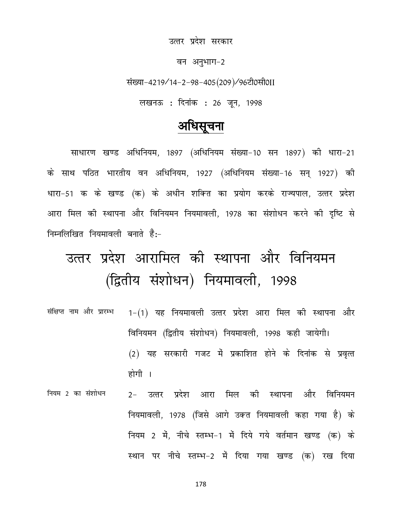उत्तर प्रदेश सरकार

वन अनुभाग-2

संख्या-4219/14-2-98-405(209)/96टी0सी0II

लखनऊ : दिनांक : 26 जून, 1998

## अधिसूचना

साधारण खण्ड अधिनियम, 1897 (अधिनियम संख्या-10 सन 1897) की धारा-21 के साथ पठित भारतीय वन अधिनियम, 1927 (अधिनियम संख्या-16 सन् 1927) की धारा-51 क के खण्ड (क) के अधीन शक्ति का प्रयोग करके राज्यपाल, उत्तर प्रदेश आरा मिल की स्थापना और विनियमन नियमावली, 1978 का संशोधन करने की दृष्टि से निम्नलिखित नियमावली बनाते हैं:-

# उत्तर प्रदेश आरामिल की स्थापना और विनियमन (द्वितीय संशोधन) नियमावली, 1998

- संक्षिप्त नाम और प्रारम्भ 1-(1) यह नियमावली उत्तर प्रदेश आरा मिल की स्थापना और विनियमन (द्वितीय संशोधन) नियमावली, 1998 कही जायेगी। (2) यह सरकारी गजट में प्रकाशित होने के दिनांक से प्रवृत्त होगी ।
- नियम 2 का संशोधन 2- उत्तर प्रदेश आरा मिल की स्थापना और विनियमन नियमावली, 1978 (जिसे आगे उक्त नियमावली कहा गया है) के नियम 2 में, नीचे स्तम्भ-1 में दिये गये वर्तमान खण्ड (क) के स्थान पर नीचे स्तम्भ-2 में दिया गया खण्ड (क) रख दिया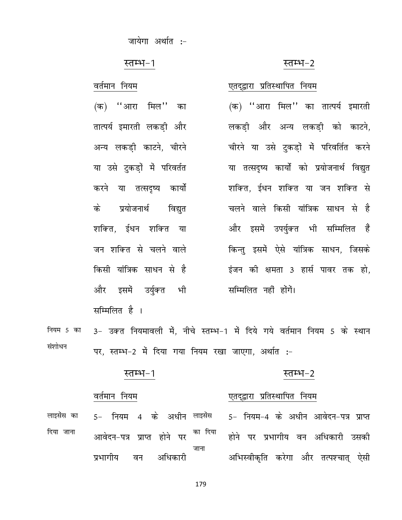जायेगा अर्थात :-

#### स्तम्भ–2

एतदुद्वारा प्रतिस्थापित नियम

#### स्तम्भ-1

#### वर्तमान नियम

(क) ''आरा मिल'' का तात्पर्य इमारती लकडी और अन्य लकडी काटने, चीरने या उसे टुकड़ों में परिवर्तत करने या तत्सदृष्य कार्यो प्रयोजनार्थ के विद्युत शक्ति, ईधन शक्ति या जन शक्ति से चलने वाले किसी यांत्रिक साधन से है और इसमें उर्युक्त भी सम्मिलित है ।

(क) ''आरा मिल'' का तात्पर्य इमारती लकडी और अन्य लकडी को काटने, चीरने या उसे टुकड़ों में परिवर्तित करने या तत्सदृष्य कार्यो को प्रयोजनार्थ विद्युत शक्ति. ईधन शक्ति या जन शक्ति से चलने वाले किसी यांत्रिक साधन से है और इसमें उपर्युक्त भी सम्मिलित हैं किन्तु इसमें ऐसे यांत्रिक साधन, जिसके इंजन की क्षमता 3 हार्स पावर तक हो, सम्मिलित नहीं होंगें।

3- उक्त नियमावली में, नीचे स्तम्भ-1 में दिये गये वर्तमान नियम 5 के स्थान नियम 5 का संशोधन पर, स्तम्भ-2 में दिया गया नियम रखा जाएगा, अर्थात :-

#### स्तम्भ-1 स्तम्भ–2

#### वर्तमान नियम एतद्द्वारा प्रतिस्थापित नियम 5- नियम 4 के अधीन लाइसेंस लाइसेंस का 5- नियम-4 के अधीन आवेदन-पत्र प्राप्त दिया जाना का दिया आवेदन-पत्र प्राप्त होने पर होने पर प्रभागीय वन अधिकारी उसकी जाना अभिस्वीकृति करेगा और तत्पश्चात् ऐसी प्रभागीय अधिकारी वन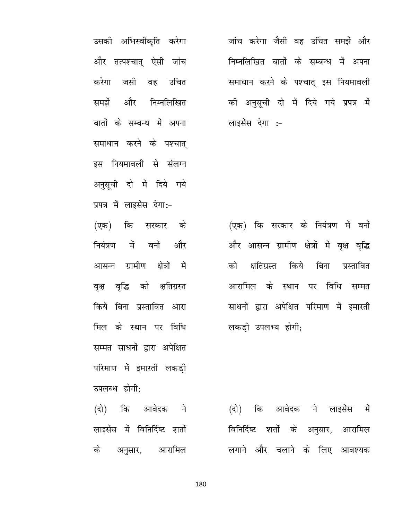उसकी अभिस्वीकृति करेगा और तत्पश्चात् ऐसी जांच जसी वह उचित करेगा समझें और निम्नलिखित बातों के सम्बन्ध में अपना समाधान करने के पश्चात् इस नियमावली से संलग्न अनुसूची दो में दिये गये प्रपत्र में लाइसेंस देगा:-

(एक) कि सरकार के नियंत्रण में वनों और आसन्न ग्रामीण क्षेत्रों में वृक्ष वृद्धि को क्षतिग्रस्त किये बिना प्रस्तावित आरा मिल के स्थान पर विधि सम्मत साधनों द्वारा अपेक्षित परिमाण में इमारती लकडी उपलब्ध होगी;

(दो) कि आवेदक ने लाइसेंस में विनिर्दिष्ट शर्तो के अनुसार, आरामिल

जांच करेगा जैसी वह उचित समझें और निम्नलिखित बातों के सम्बन्ध में अपना समाधान करने के पश्चात् इस नियमावली की अनुसूची दो में दिये गये प्रपत्र में लाइसेंस देगा :-

(एक) कि सरकार के नियंत्रण में वनों और आसन्न ग्रामीण क्षेत्रों में वृक्ष वृद्धि किये बिना को क्षतिग्रस्त प्रस्तावित आरामिल के स्थान पर विधि सम्मत साधनों द्वारा अपेक्षित परिमाण में इमारती लकडी उपलभ्य होगी;

(दो) कि आवेदक ने लाइसेंस में विनिर्दिष्ट शर्तो के अनुसार, आरामिल लगाने और चलाने के लिए आवश्यक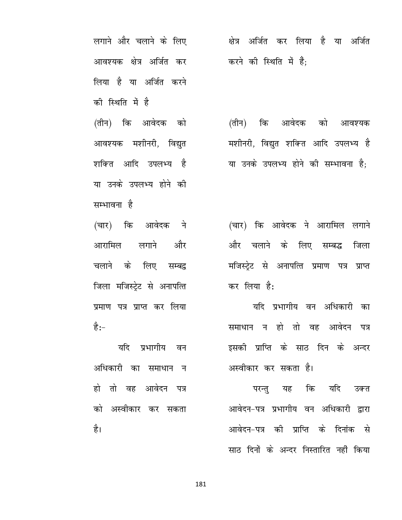लगाने और चलाने के लिए आवश्यक क्षेत्र अर्जित कर लिया है या अर्जित करने को स्थिति में है

(तीन) कि आवेदक को आवश्यक मशीनरी, विद्युत शक्ति आदि उपलभ्य है या उनके उपलभ्य होने की सम्भावना है

(चार) कि आवेदक ने आरामिल लगाने और चलाने के लिए सम्बद्ध जिला मजिस्टेट से अनापत्ति प्रमाण पत्र प्राप्त कर लिया है:–

यदि प्रभागीय वन अधिकारी का समाधान न हो तो वह आवेदन पत्र को अस्वीकार कर सकता है।

क्षेत्र अर्जित कर लिया है या अर्जित करने की स्थिति में हैं:

(तीन) कि आवेदक को आवश्यक मशीनरी, विद्युत शक्ति आदि उपलभ्य है या उनके उपलभ्य होने की सम्भावना है:

(चार) कि आवेदक ने आरामिल लगाने और चलाने के लिए सम्बद्ध जिला मजिस्ट्रेट से अनापत्ति प्रमाण पत्र प्राप्त कर लिया है:

यदि प्रभागीय वन अधिकारी का समाधान न हो तो वह आवेदन पत्र इसकी प्राप्ति के साठ दिन के अन्दर अस्वीकार कर सकता है।

परन्तु यह कि यदि उक्त आवेदन-पत्र प्रभागीय वन अधिकारी द्वारा आवेदन-पत्र की प्राप्ति के दिनांक से साठ दिनों के अन्दर निस्तारित नहीं किया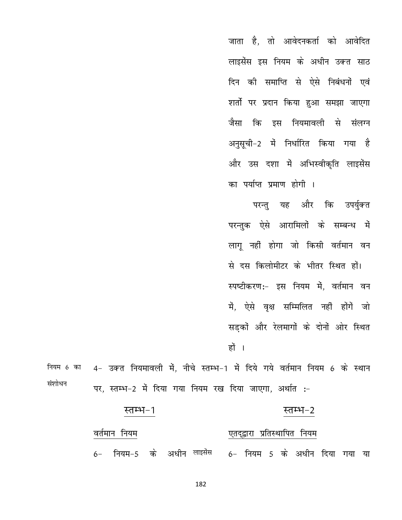जाता है, तो आवेदनकर्ता को आवेदित लाइसेंस इस नियम के अधीन उक्त साठ दिन की समाप्ति से ऐसे निबंधनों एवं शर्तो पर प्रदान किया हुआ समझा जाएगा जैसा कि इस नियमावली से संलग्न अनुसूची−2 में निर्धारित किया गया है और उस दशा में अभिस्वीकृति लाइसेंस का पर्याप्त प्रमाण होगी ।

परन्तु यह और कि उपर्युक्त परन्तुक ऐसे आरामिलों के सम्बन्ध में लागू नहीं होगा जो किसी वर्तमान वन से दस किलोमीटर के भीतर स्थित हों। स्पष्टीकरण:- इस नियम में. वर्तमान वन में, ऐसे वृक्ष सम्मिलित नहीं होंगें जो सडकों और रेलमागों के दोनों ओर स्थित हों ।

4- उक्त नियमावली में, नीचे स्तम्भ-1 में दिये गये वर्तमान नियम 6 के स्थान नियम 6 का संशोधन पर, स्तम्भ-2 में दिया गया नियम रख दिया जाएगा, अर्थात :-

#### स्तम्भ-1 स्तम्भ–2

#### वर्तमान नियम एतदुद्वारा प्रतिस्थापित नियम

6- नियम-5 के अधीन लाइसेंस 6- नियम 5 के अधीन दिया गया या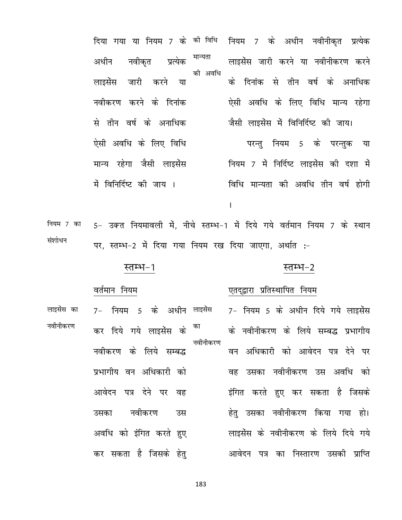नियम 7 के अधीन नवीनीकृत प्रत्येक दिया गया या नियम 7 के की विधि मान्यता नवीकत प्रत्येक लाइसेंस जारी करने या नवीनीकरण करने अधीन की अवधि के दिनांक से तीन वर्ष के अनाधिक लाइसेंस जारी करने या नवीकरण करने के दिनांक ऐसी अवधि के लिए विधि मान्य रहेगा जैसी लाइसेंस में विनिर्दिष्ट की जाय। से तीन वर्ष के अनाधिक ऐसी अवधि के लिए विधि परन्तु नियम 5 के परन्तुक या मान्य रहेगा जैसी लाइसेंस नियम 7 में निर्दिष्ट लाइसेंस की दशा में विधि मान्यता की अवधि तीन वर्ष होगी में विनिर्दिष्ट की जाय ।

 $\mathbf{I}$ 

5- उक्त नियमावली में, नीचे स्तम्भ-1 में दिये गये वर्तमान नियम 7 के स्थान नियम 7 का संशोधन पर, स्तम्भ-2 में दिया गया नियम रख दिया जाएगा, अर्थात :-

#### स्तम्भ–2

#### स्तम्भ–1

वर्तमान नियम

#### एतदुद्वारा प्रतिस्थापित नियम

7- नियम 5 के अधीन दिये गये लाइसेंस लाइसेंस का 7- नियम 5 के अधीन लाइसेंस नवीनीकरण कर दिये गये लाइसेंस के के नवीनीकरण के लिये सम्बद्ध प्रभागीय नवीनीकरण नवीकरण के लिये सम्बद्ध वन अधिकारी को आवेदन पत्र देने पर प्रभागीय वन अधिकारी को वह उसका नवीनीकरण उस अवधि को आवेदन पत्र देने पर वह इंगित करते हुए कर सकता है जिसके हेतु उसका नवीनीकरण किया गया हो। नवीकरण उसका उस अवधि को इंगित करते हए लाइसेंस के नवीनीकरण के लिये दिये गये कर सकता है जिसके हेतु आवेदन पत्र का निस्तारण उसकी प्राप्ति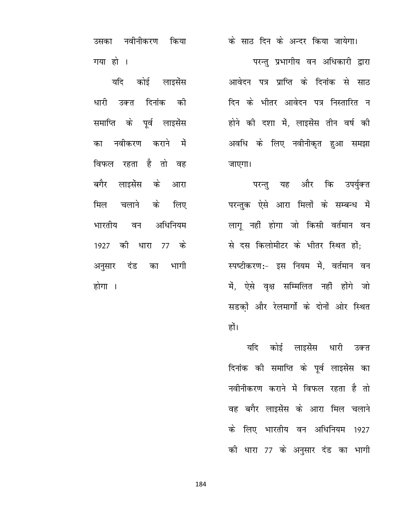उसका नवीनीकरण किया गया हो ।

यदि कोई लाइसेंस धारी उक्त दिनांक को समाप्ति के पूर्व लाइसेंस का नवीकरण कराने में विफल रहता है तो वह बगैर लाइसेंस के आरा मिल चलाने के लिए भारतीय वन अधिनियम 1927 की धारा 77 के अनुसार दंड का भागी होगा ।

के साठ दिन के अन्दर किया जायेगा।

परन्तु प्रभागीय वन अधिकारी द्वारा आवेदन पत्र प्राप्ति के दिनांक से साठ दिन के भीतर आवेदन पत्र निस्तारित न होने की दशा में, लाइसेंस तीन वर्ष की अवधि के लिए नवीनीकृत हुआ समझा जाएगा।

परन्तु यह और कि उपर्युक्त परन्तुक ऐसे आरा मिलों के सम्बन्ध में लागू नहीं होगा जो किसी वर्तमान वन से दस किलोमीटर के भीतर स्थित हों: स्पष्टीकरण:- इस नियम में, वर्तमान वन में, ऐसे वक्ष सम्मिलित नहीं होंगे जो सडकों और रेलमार्गों के दोनों ओर स्थित हों।

यदि कोई लाइसेंस धारी उक्त दिनांक की समाप्ति के पूर्व लाइसेंस का नवीनीकरण कराने में विफल रहता है तो वह बगैर लाइसेंस के आरा मिल चलाने के लिए भारतीय वन अधिनियम 1927 की धारा 77 के अनुसार दंड का भागी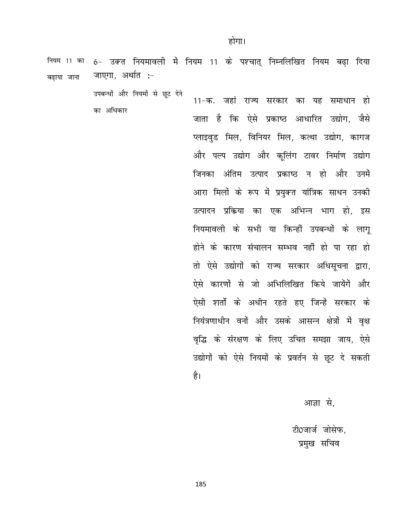6- उक्त नियमावली में नियम 11 के पश्चात् निम्नलिखित नियम बढ़ा दिया नियम 11 का जाएगा, अर्थात :-बढाया जाना

> उपबन्धों और नियमों से छूट देने का अधिकार

11-क. जहां राज्य सरकार का यह समाधान हो जाता है कि ऐसे प्रकाष्ठ आधारित उद्योग, जैसे प्लाइवड मिल, विनियर मिल, कत्था उद्योग, कागज और पल्प उद्योग और कूलिंग टावर निर्माण उद्योग जिनका अंतिम उत्पाद प्रकाष्ठ न हो और उनमें आरा मिलों के रूप में प्रयुक्त यांत्रिक साधन उनकी उत्पादन प्रकिया का एक अभिन्न भाग हो, इस नियमावली के सभी या किन्हीं उपबन्धों के लाग् होने के कारण संचालन सम्भव नहीं हो पा रहा हो तो ऐसे उद्योगों को राज्य सरकार अधिसूचना द्वारा, ऐसे कारणों से जो अभिलिखित किये जायेंगें और ऐसी शर्तों के अधीन रहते हुए जिन्हें सरकार के नियंत्रणाधीन वनों और उसके आसन्न क्षेत्रों में वृक्ष वृद्धि के संरक्षण के लिए उचित समझा जाय, ऐसे उद्योगों को ऐसे नियमों के प्रवर्तन से छूट दे सकती है।

आज्ञा से,

टी0जार्ज जोसेफ, प्रमुख सचिव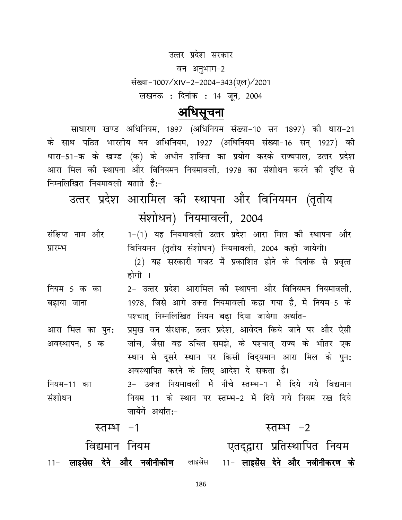उत्तर प्रदेश सरकार

वन अनुभाग-2 संख्या-1007/XIV-2-2004-343(एल)/2001 लखनऊ : दिनांक : 14 जून, 2004

## अधिसूचना

साधारण खण्ड अधिनियम, 1897 (अधिनियम संख्या-10 सन 1897) की धारा-21 के साथ पठित भारतीय वन अधिनियम, 1927 (अधिनियम संख्या-16 सन् 1927) को धारा-51-क के खण्ड (क) के अधीन शक्ति का प्रयोग करके राज्यपाल, उत्तर प्रदेश आरा मिल की स्थापना और विनियमन नियमावली, 1978 का संशोधन करने की दृष्टि से निम्नलिखित नियमावली बताते हैं:-

उत्तर प्रदेश आरामिल की स्थापना और विनियमन (तृतीय संशोधन) नियमावली, 2004

1-(1) यह नियमावली उत्तर प्रदेश आरा मिल की स्थापना और संक्षिप्त नाम और विनियमन (तृतीय संशोधन) नियमावली, 2004 कही जायेगी। प्रारम्भ (2) यह सरकारी गजट में प्रकाशित होने के दिनांक से प्रवृत्त होगी ।

2- उत्तर प्रदेश आरामिल की स्थापना और विनियमन नियमावली, नियम 5 क का 1978, जिसे आगे उक्त नियमावली कहा गया है, में नियम-5 के बढ़ाया जाना पश्चात् निम्नलिखित नियम बढ़ा दिया जायेगा अर्थात-

प्रमुख वन संरक्षक, उत्तर प्रदेश, आवेदन किये जाने पर और ऐसी आरा मिल का पुन: जांच, जैसा वह उचित समझे, के पश्चात् राज्य के भीतर एक अवस्थापन, 5 क स्थान से दूसरे स्थान पर किसी विद्यमान आरा मिल के पुन: अवस्थापित करने के लिए आदेश दे सकता है।

3- उक्त नियमावली में नीचे स्तम्भ-1 में दिये गये विद्यमान नियम-11 का संशोधन नियम 11 के स्थान पर स्तम्भ-2 में दिये गये नियम रख दिये जायेंगें अर्थात:-

|  | स्तम्भ –1     |                                                                      |  |                              | स्तम्भ –2 |  |  |
|--|---------------|----------------------------------------------------------------------|--|------------------------------|-----------|--|--|
|  | विद्यमान नियम |                                                                      |  | एतदुद्वारा प्रतिस्थापित नियम |           |  |  |
|  |               | 11- लाइसेंस देने और नवीनीकीण लाइसेंस 11- लाइसेंस देने और नवीनीकरण के |  |                              |           |  |  |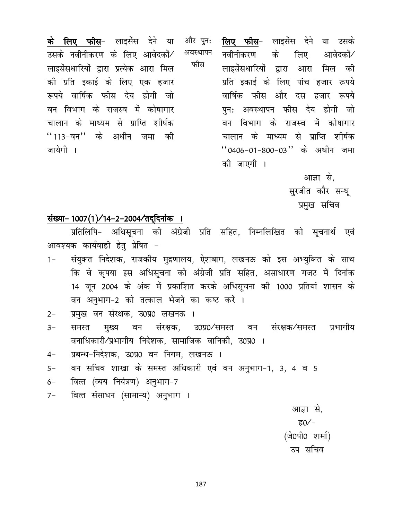**के लिए फीस**- लाइसेंस देने या और पुन: अवस्थापन उसके नवीनीकरण के लिए आवेदकों/ फीस लाइसेंसधारियों द्वारा प्रत्येक आरा मिल की प्रति इकाई के लिए एक हजार रूपये वार्षिक फीस देय होगी जो वन विभाग के राजस्व में कोषागार चालान के माध्यम से प्राप्ति शीर्षक ''113-वन'' के अधीन जमा को जायेगी ।

**लिए फीस**- लाइसेंस देने या उसके नवीनीकरण के लिए आवेदकों⁄ लाइसेंसधारियों द्वारा आरा मिल की प्रति इकाई के लिए पांच हजार रूपये वार्षिक फीस और दस हजार रूपये पन: अवस्थापन फीस देय होगी जो वन विभाग के राजस्व में कोषागार चालान के माध्यम से प्राप्ति शीर्षक "0406-01-800-03" के अधीन जमा की जाएगी ।

> आज्ञा से. सूरजीत कौर सन्ध् प्रमुख सचिव

### संख्या- 1007(1)/14-2-2004/तद्दिनांक ।

प्रतिलिपि- अधिसूचना की अंग्रेजी प्रति सहित, निम्नलिखित को सूचनार्थ एवं आवश्यक कार्यवाही हेत् प्रेषित -

- संयुक्त निदेशक, राजकीय मुद्रणालय, ऐशबाग, लखनऊ को इस अभ्युक्ति के साथ  $1 -$ कि वे कृपया इस अधिसूचना को अंग्रेजी प्रति सहित, असाधारण गजट में दिनांक 14 जून 2004 के अंक में प्रकाशित करके अधिसूचना की 1000 प्रतियां शासन के वन अनुभाग-2 को तत्काल भेजने का कष्ट करें ।
- प्रमुख वन संरक्षक, उ0प्र0 लखनऊ ।  $2 -$
- उ0प्र0⁄समस्त वन संरक्षक⁄समस्त समस्त मुख्य संरक्षक, प्रभागीय  $3-$ वन वनाधिकारी/प्रभागीय निदेशक, सामाजिक वानिकी, उ0प्र0 ।
- प्रबन्ध-निदेशक, उ0प्र0 वन निगम, लखनऊ ।  $4-$
- वन सचिव शाखा के समस्त अधिकारी एवं वन अनुभाग-1, 3, 4 व 5  $5-$
- वित्त (व्यय नियंत्रण) अनुभाग-7  $6-$
- वित्त संसाधन (सामान्य) अनुभाग ।  $7-$

आज्ञा से, ह0⁄ – (जे0पी0 शर्मा) उप सचिव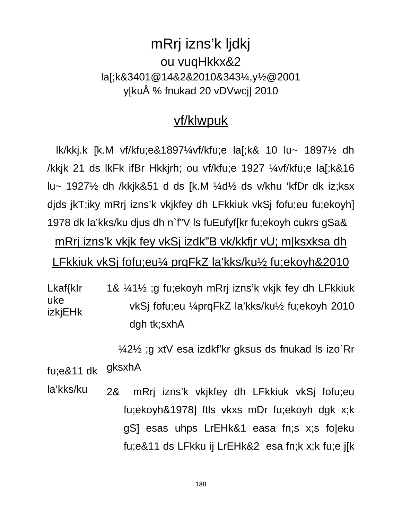# mRrj izns'k ljdkj ou vugHkkx&2 la[;k&3401@14&2&2010&343¼,y½@2001 y[kuÅ % fnukad 20 vDVwcj] 2010

## vf/klwpuk

Ik/kkj.k [k.M vf/kfu;e&1897¼vf/kfu;e la[;k& 10 lu~ 1897½ dh /kkjk 21 ds lkFk ifBr Hkkjrh; ou vf/kfu;e 1927 ¼vf/kfu;e la[;k&16 lu~ 1927½ dh /kkjk&51 d ds [k.M ¼d½ ds v/khu 'kfDr dk iz;ksx djds jkT; iky mRrj izns'k vkjkfey dh LFkkiuk vkSj fofu; eu fu; ekoyh] 1978 dk la'kks/ku djus dh n`f"V Is fuEufyf[kr fu; ekoyh cukrs gSa&

mRrj izns'k vkjk fey vkSj izdk"B vk/kkfjr vU; m|ksxksa dh LFkkiuk vkSj fofu;eu¼ prqFkZ la'kks/ku½ fu;ekoyh&2010

Lkaf{klr 1& 1/2; g fu; ekoyh mRrj izns'k vkjk fey dh LFkkiuk uke vkSi fofu;eu ¼prqFkZ la'kks/ku½ fu;ekoyh 2010 **izkjEHk** dgh tk; sxhA

1/421/<sub>2</sub> ;g xtV esa izdkf'kr gksus ds fnukad Is izo Rr

gksxhA fu:e&11 dk

la'kks/ku mRrj izns'k vkjkfey dh LFkkiuk vkSj fofu;eu **2&** fu;ekoyh&1978] ftls vkxs mDr fu;ekoyh dgk x;k gS] esas uhps LrEHk&1 easa fn;s x;s fo|eku fu;e&11 ds LFkku ij LrEHk&2 esa fn;k x;k fu;e j[k]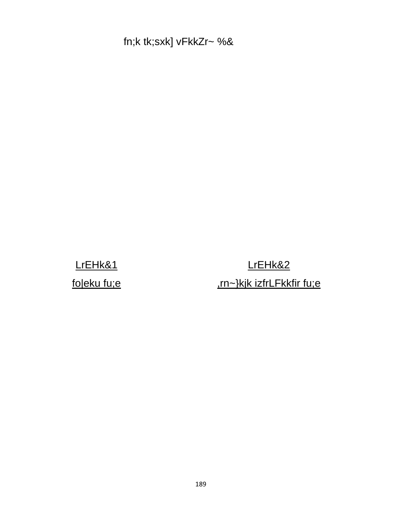fn;k tk;sxk] vFkkZr~ %&

LrEHk&1 foleku fu;e

LrEHk&2 .rn~}kjk izfrLFkkfir fu;e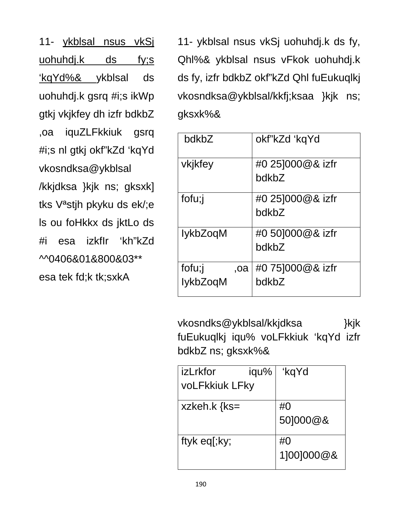11- ykblsal nsus vkSi uohuhdj.k ds  $f_{V,S}$ kgYd%& ykblsal ds uohuhdj.k gsrq #i;s ikWp gtkj vkjkfey dh izfr bdkbZ iquZLFkkiuk gsrq ,oa #i;s nl gtkj okf"kZd 'kqYd vkosndksa@ykblsal /kkjdksa }kjk ns; gksxk] tks V<sup>a</sup>stih pkyku ds ek/;e Is ou foHkkx ds jktLo ds 'kh"kZd izkflr #i esa ^^0406&01&800&03\*\* esa tek fd;k tk;sxkA

11- ykblsal nsus vkSj uohuhdj.k ds fy, Qhl%& ykblsal nsus vFkok uohuhdj.k ds fy, izfr bdkbZ okf"kZd Qhl fuEukuqlkj vkosndksa@ykblsal/kkfj;ksaa }kjk ns; gksxk%&

| bdkbZ                     | okf"kZd 'kqYd             |
|---------------------------|---------------------------|
| vkjkfey                   | #0 25]000@& izfr<br>bdkbZ |
| fofu;j                    | #0 251000@& izfr<br>bdkbZ |
| IykbZoqM                  | #0 501000@& izfr<br>bdkbZ |
| fofu;j<br>,oa<br>lykbZoqM | #0 751000@& izfr<br>bdkbZ |

vkosndks@ykblsal/kkjdksa }kjk fuEukuqlkj iqu% voLFkkiuk 'kqYd izfr bdkbZ ns; gksxk%&

| l izLrkfor            | iqu% | 'kqYd      |
|-----------------------|------|------------|
| <b>voLFkkiuk LFky</b> |      |            |
| xzkeh. $k$ {ks=       |      | #0         |
|                       |      | 501000@&   |
| ftyk eq[;ky;          |      | #0         |
|                       |      | 1]00]000@& |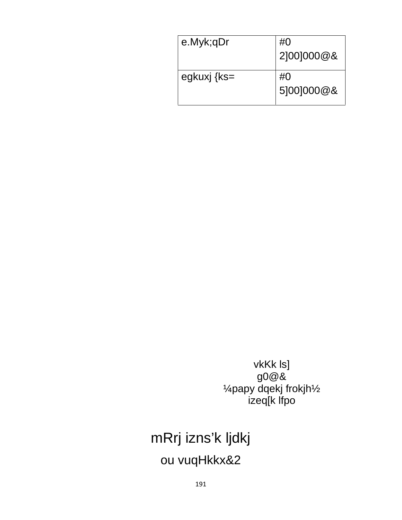| e.Myk;qDr   | #0<br>2 00 000@8         |
|-------------|--------------------------|
| egkuxj {ks= | # $\Omega$<br>5 00 000@8 |

vkKk ls] g0@&<br>4papy dqekj frokjh1/2 izeq[k lfpo

# mRrj izns'k ljdkj ou vuqHkkx&2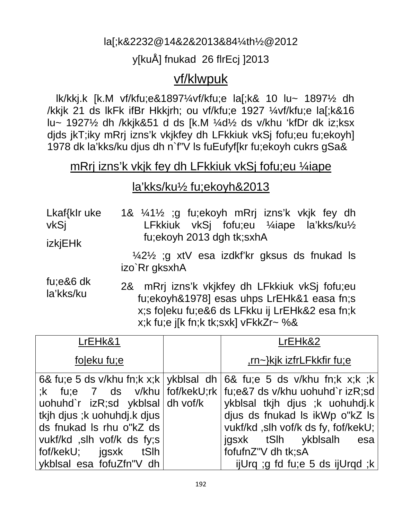## la[;k&2232@14&2&2013&84¼th½@2012

## y[kuÅ] fnukad 26 flrEcj ]2013

## vf/klwpuk

 lk/kkj.k [k.M vf/kfu;e&1897¼vf/kfu;e la[;k& 10 lu~ 1897½ dh /kkjk 21 ds lkFk ifBr Hkkjrh; ou vf/kfu;e 1927 ¼vf/kfu;e la[;k&16 lu~ 1927½ dh /kkjk&51 d ds [k.M ¼d½ ds v/khu 'kfDr dk iz;ksx djds jkT;iky mRrj izns'k vkjkfey dh LFkkiuk vkSj fofu;eu fu;ekoyh] 1978 dk la'kks/ku djus dh n`f"V ls fuEufyf[kr fu;ekoyh cukrs gSa&

## mRrj izns'k vkjk fey dh LFkkiuk vkSj fofu;eu ¼iape

## la'kks/ku½ fu;ekoyh&2013

Lkaf{kIr uke vkSj izkjEHk 1& ¼1½ ;g fu;ekoyh mRrj izns'k vkjk fey dh LFkkiuk vkSj fofu;eu ¼iape la'kks/ku½ fu;ekoyh 2013 dgh tk;sxhA

> ¼2½ ;g xtV esa izdkf'kr gksus ds fnukad ls izo`Rr gksxhA

fu;e&6 dk la'kks/ku 2& mRrj izns'k vkjkfey dh LFkkiuk vkSj fofu;eu fu;ekoyh&1978] esas uhps LrEHk&1 easa fn;s x;s fo|eku fu;e&6 ds LFkku ij LrEHk&2 esa fn;k x;k fu;e j[k fn;k tk;sxk] vFkkZr~ %&

| LrEHk&1                                                                                     | LrEHk&2                                                                                                                                                                                                                                                     |
|---------------------------------------------------------------------------------------------|-------------------------------------------------------------------------------------------------------------------------------------------------------------------------------------------------------------------------------------------------------------|
| foleku fu;e                                                                                 | ,rn~}kjk izfrLFkkfir fu;e                                                                                                                                                                                                                                   |
| uohuhd`r izR;sd ykblsal dh vof/k<br>tkjh djus ;k uohuhdj.k djus<br>ds fnukad Is rhu o"kZ ds | 6& fu;e 5 ds v/khu fn;k x;k   ykblsal dh   6& fu;e 5 ds v/khu fn;k x;k ;k<br>$k$ fu;e 7 ds v/khu   fof/kekU;rk   fu;e&7 ds v/khu uohuhd`r izR;sd<br>ykblsal tkih dius ;k uohuhdi.k<br>dius ds fnukad ls ikWp o"kZ ls<br>vukf/kd, slh vof/k ds fy, fof/kekU; |
| vukf/kd , slh vof/k ds fy; s<br>fof/kekU; igsxk tSlh<br>ykblsal esa fofuZfn"V dh            | jgsxk tSlh ykblsalh<br>esa<br>fofufnZ"V dh tk;sA<br>ijUrg ;g fd fu;e 5 ds ijUrgd ;k                                                                                                                                                                         |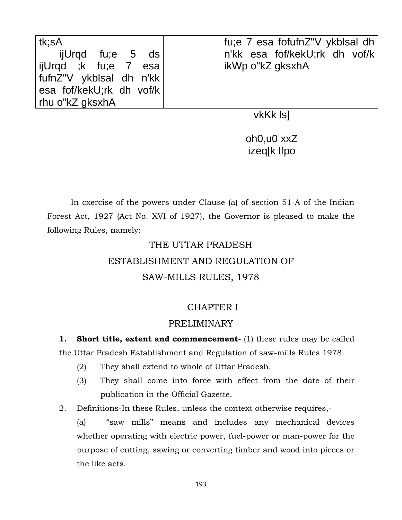| ∣tk:sA                   | fu;e 7 esa fofufnZ"V ykblsal dh |
|--------------------------|---------------------------------|
| ijUrqd fu;e 5 ds         | n'kk esa fof/kekU;rk dh vof/k   |
| ijUrqd ;k fu;e 7 esa     | ∣ikWp o"kZ gksxhA               |
| fufnZ"V ykblsal dh n'kk  |                                 |
| esa fof/kekU;rk dh vof/k |                                 |
| ∣ rhu o"kZ gksxhA        |                                 |

vkKk ls]

oh0,u0 xxZ izeq[k lfpo

In cxercise of the powers under Clause (a) of section 51-A of the Indian Forest Act, 1927 (Act No. XVI of 1927), the Governor is pleased to make the following Rules, namely:

# THE UTTAR PRADESH

# ESTABLISHMENT AND REGULATION OF

## SAW-MILLS RULES, 1978

## CHAPTER I

## PRELIMINARY

**1.** Short title, extent and commencement- (1) these rules may be called the Uttar Pradesh Establishment and Regulation of saw-mills Rules 1978.

- (2) They shall extend to whole of Uttar Pradesh.
- (3) They shall come into force with effect from the date of their publication in the Official Gazette.
- 2. Definitions-In these Rules, unless the context otherwise requires,-

(a) "saw mills" means and includes any mechanical devices whether operating with electric power, fuel-power or man-power for the purpose of cutting, sawing or converting timber and wood into pieces or the like acts.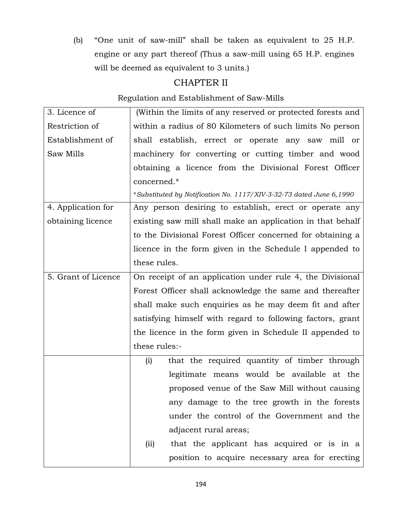(b) "One unit of saw-mill" shall be taken as equivalent to 25 H.P. engine or any part thereof (Thus a saw-mill using 65 H.P. engines will be deemed as equivalent to 3 units.)

## CHAPTER II

### Regulation and Establishment of Saw-Mills

| (Within the limits of any reserved or protected forests and         |  |  |  |  |  |
|---------------------------------------------------------------------|--|--|--|--|--|
| within a radius of 80 Kilometers of such limits No person           |  |  |  |  |  |
| shall establish, errect or operate any saw mill or                  |  |  |  |  |  |
| machinery for converting or cutting timber and wood                 |  |  |  |  |  |
| obtaining a licence from the Divisional Forest Officer              |  |  |  |  |  |
| concerned.*                                                         |  |  |  |  |  |
| *Substituted by Notification No. 1117/XIV-3-32-73 dated June 6,1990 |  |  |  |  |  |
| Any person desiring to establish, erect or operate any              |  |  |  |  |  |
| existing saw mill shall make an application in that behalf          |  |  |  |  |  |
| to the Divisional Forest Officer concerned for obtaining a          |  |  |  |  |  |
| licence in the form given in the Schedule I appended to             |  |  |  |  |  |
| these rules.                                                        |  |  |  |  |  |
| On receipt of an application under rule 4, the Divisional           |  |  |  |  |  |
| Forest Officer shall acknowledge the same and thereafter            |  |  |  |  |  |
| shall make such enquiries as he may deem fit and after              |  |  |  |  |  |
| satisfying himself with regard to following factors, grant          |  |  |  |  |  |
| the licence in the form given in Schedule II appended to            |  |  |  |  |  |
| these rules:-                                                       |  |  |  |  |  |
| that the required quantity of timber through<br>(i)                 |  |  |  |  |  |
| legitimate means would be available at the                          |  |  |  |  |  |
| proposed venue of the Saw Mill without causing                      |  |  |  |  |  |
| any damage to the tree growth in the forests                        |  |  |  |  |  |
| under the control of the Government and the                         |  |  |  |  |  |
| adjacent rural areas;                                               |  |  |  |  |  |
| that the applicant has acquired or is in a<br>(ii)                  |  |  |  |  |  |
| position to acquire necessary area for erecting                     |  |  |  |  |  |
|                                                                     |  |  |  |  |  |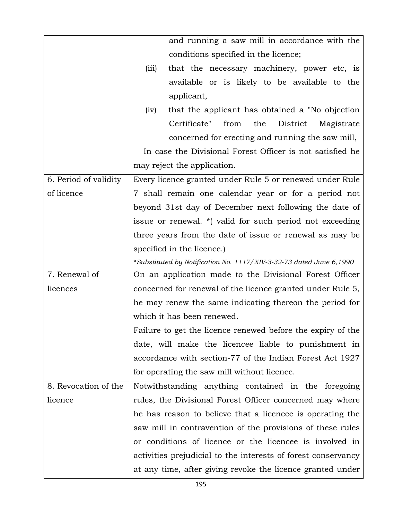|                       | and running a saw mill in accordance with the                       |  |  |  |  |  |
|-----------------------|---------------------------------------------------------------------|--|--|--|--|--|
|                       | conditions specified in the licence;                                |  |  |  |  |  |
|                       | that the necessary machinery, power etc, is<br>(iii)                |  |  |  |  |  |
|                       | available or is likely to be available to the                       |  |  |  |  |  |
|                       | applicant,                                                          |  |  |  |  |  |
|                       | that the applicant has obtained a "No objection"<br>(iv)            |  |  |  |  |  |
|                       | Certificate"<br>District<br>from<br>the<br>Magistrate               |  |  |  |  |  |
|                       | concerned for erecting and running the saw mill,                    |  |  |  |  |  |
|                       | In case the Divisional Forest Officer is not satisfied he           |  |  |  |  |  |
|                       | may reject the application.                                         |  |  |  |  |  |
| 6. Period of validity | Every licence granted under Rule 5 or renewed under Rule            |  |  |  |  |  |
| of licence            | 7 shall remain one calendar year or for a period not                |  |  |  |  |  |
|                       | beyond 31st day of December next following the date of              |  |  |  |  |  |
|                       | issue or renewal. * (valid for such period not exceeding            |  |  |  |  |  |
|                       | three years from the date of issue or renewal as may be             |  |  |  |  |  |
|                       | specified in the licence.                                           |  |  |  |  |  |
|                       |                                                                     |  |  |  |  |  |
|                       | *Substituted by Notification No. 1117/XIV-3-32-73 dated June 6,1990 |  |  |  |  |  |
| 7. Renewal of         | On an application made to the Divisional Forest Officer             |  |  |  |  |  |
| licences              | concerned for renewal of the licence granted under Rule 5,          |  |  |  |  |  |
|                       | he may renew the same indicating thereon the period for             |  |  |  |  |  |
|                       | which it has been renewed.                                          |  |  |  |  |  |
|                       | Failure to get the licence renewed before the expiry of the         |  |  |  |  |  |
|                       | date, will make the licencee liable to punishment in                |  |  |  |  |  |
|                       | accordance with section-77 of the Indian Forest Act 1927            |  |  |  |  |  |
|                       | for operating the saw mill without licence.                         |  |  |  |  |  |
| 8. Revocation of the  | Notwithstanding anything contained in the foregoing                 |  |  |  |  |  |
| licence               | rules, the Divisional Forest Officer concerned may where            |  |  |  |  |  |
|                       | he has reason to believe that a licencee is operating the           |  |  |  |  |  |
|                       | saw mill in contravention of the provisions of these rules          |  |  |  |  |  |
|                       | or conditions of licence or the licencee is involved in             |  |  |  |  |  |
|                       | activities prejudicial to the interests of forest conservancy       |  |  |  |  |  |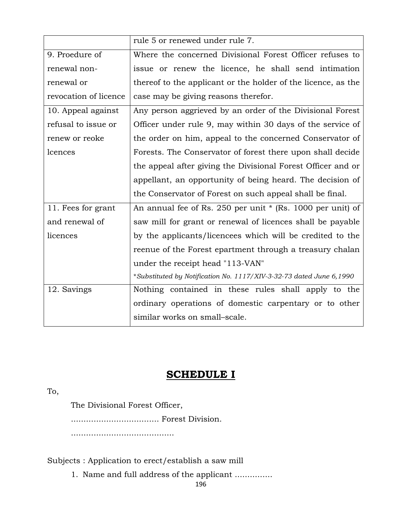|                       | rule 5 or renewed under rule 7.                                     |  |  |  |  |  |
|-----------------------|---------------------------------------------------------------------|--|--|--|--|--|
| 9. Proedure of        | Where the concerned Divisional Forest Officer refuses to            |  |  |  |  |  |
| renewal non-          | issue or renew the licence, he shall send intimation                |  |  |  |  |  |
| renewal or            | thereof to the applicant or the holder of the licence, as the       |  |  |  |  |  |
| revocation of licence | case may be giving reasons therefor.                                |  |  |  |  |  |
| 10. Appeal against    | Any person aggrieved by an order of the Divisional Forest           |  |  |  |  |  |
| refusal to issue or   | Officer under rule 9, may within 30 days of the service of          |  |  |  |  |  |
| renew or reoke        | the order on him, appeal to the concerned Conservator of            |  |  |  |  |  |
| lcences               | Forests. The Conservator of forest there upon shall decide          |  |  |  |  |  |
|                       | the appeal after giving the Divisional Forest Officer and or        |  |  |  |  |  |
|                       | appellant, an opportunity of being heard. The decision of           |  |  |  |  |  |
|                       | the Conservator of Forest on such appeal shall be final.            |  |  |  |  |  |
| 11. Fees for grant    | An annual fee of Rs. 250 per unit * (Rs. 1000 per unit) of          |  |  |  |  |  |
| and renewal of        | saw mill for grant or renewal of licences shall be payable          |  |  |  |  |  |
| licences              | by the applicants/licencees which will be credited to the           |  |  |  |  |  |
|                       | reenue of the Forest epartment through a treasury chalan            |  |  |  |  |  |
|                       | under the receipt head "113-VAN"                                    |  |  |  |  |  |
|                       | *Substituted by Notification No. 1117/XIV-3-32-73 dated June 6,1990 |  |  |  |  |  |
| 12. Savings           | Nothing contained in these rules shall apply to the                 |  |  |  |  |  |
|                       | ordinary operations of domestic carpentary or to other              |  |  |  |  |  |
|                       | similar works on small-scale.                                       |  |  |  |  |  |

## **SCHEDULE I**

To,

The Divisional Forest Officer,

................................... Forest Division.

.........................................

Subjects : Application to erect/establish a saw mill

1. Name and full address of the applicant ...............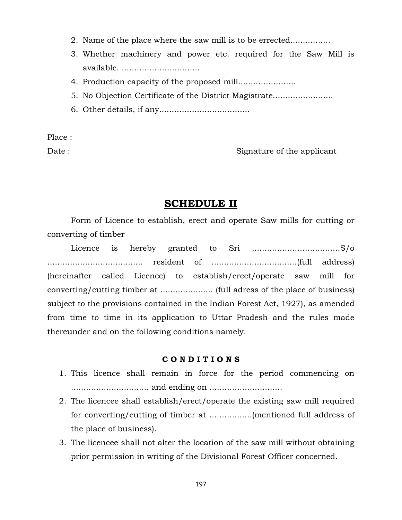- 2. Name of the place where the saw mill is to be errected................
- 3. Whether machinery and power etc. required for the Saw Mill is available. ................................
- 4. Production capacity of the proposed mill.......................
- 5. No Objection Certificate of the District Magistrate........................
- 6. Other details, if any....................................

Place :

Date : Signature of the applicant

### **SCHEDULE II**

Form of Licence to establish, erect and operate Saw mills for cutting or converting of timber

Licence is hereby granted to Sri ...................................S/o ...................................... resident of ..................................(full address) (hereinafter called Licence) to establish/erect/operate saw mill for converting/cutting timber at ..................... (full adress of the place of business) subject to the provisions contained in the Indian Forest Act, 1927), as amended from time to time in its application to Uttar Pradesh and the rules made thereunder and on the following conditions namely.

#### **C O N D I T I O N S**

- 1. This licence shall remain in force for the period commencing on ............................... and ending on .............................
- 2. The licencee shall establish/erect/operate the existing saw mill required for converting/cutting of timber at .................(mentioned full address of the place of business).
- 3. The licencee shall not alter the location of the saw mill without obtaining prior permission in writing of the Divisional Forest Officer concerned.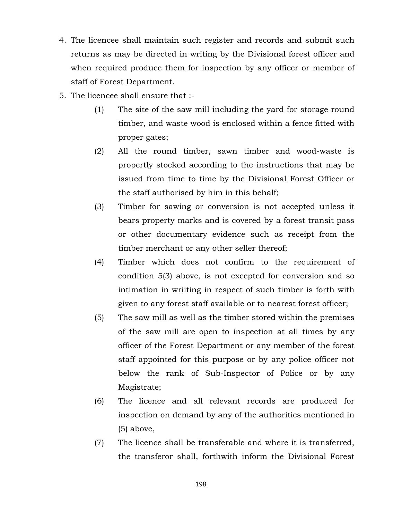- 4. The licencee shall maintain such register and records and submit such returns as may be directed in writing by the Divisional forest officer and when required produce them for inspection by any officer or member of staff of Forest Department.
- 5. The licencee shall ensure that :-
	- (1) The site of the saw mill including the yard for storage round timber, and waste wood is enclosed within a fence fitted with proper gates;
	- (2) All the round timber, sawn timber and wood-waste is propertly stocked according to the instructions that may be issued from time to time by the Divisional Forest Officer or the staff authorised by him in this behalf;
	- (3) Timber for sawing or conversion is not accepted unless it bears property marks and is covered by a forest transit pass or other documentary evidence such as receipt from the timber merchant or any other seller thereof;
	- (4) Timber which does not confirm to the requirement of condition 5(3) above, is not excepted for conversion and so intimation in wriiting in respect of such timber is forth with given to any forest staff available or to nearest forest officer;
	- (5) The saw mill as well as the timber stored within the premises of the saw mill are open to inspection at all times by any officer of the Forest Department or any member of the forest staff appointed for this purpose or by any police officer not below the rank of Sub-Inspector of Police or by any Magistrate;
	- (6) The licence and all relevant records are produced for inspection on demand by any of the authorities mentioned in (5) above,
	- (7) The licence shall be transferable and where it is transferred, the transferor shall, forthwith inform the Divisional Forest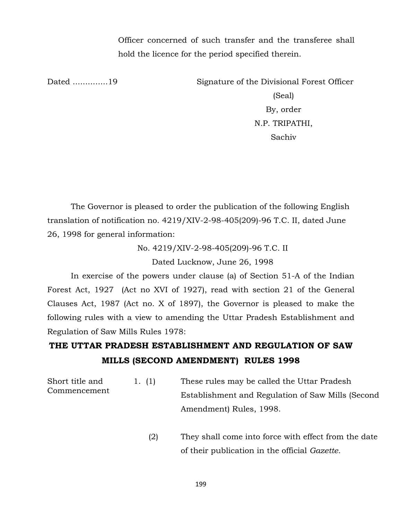Officer concerned of such transfer and the transferee shall hold the licence for the period specified therein.

Dated ..............19 Signature of the Divisional Forest Officer

(Seal) By, order N.P. TRIPATHI, Sachiv

The Governor is pleased to order the publication of the following English translation of notification no. 4219/XIV-2-98-405(209)-96 T.C. II, dated June 26, 1998 for general information:

> No. 4219/XIV-2-98-405(209)-96 T.C. II Dated Lucknow, June 26, 1998

In exercise of the powers under clause (a) of Section 51-A of the Indian Forest Act, 1927 (Act no XVI of 1927), read with section 21 of the General Clauses Act, 1987 (Act no. X of 1897), the Governor is pleased to make the following rules with a view to amending the Uttar Pradesh Establishment and Regulation of Saw Mills Rules 1978:

## **THE UTTAR PRADESH ESTABLISHMENT AND REGULATION OF SAW MILLS (SECOND AMENDMENT) RULES 1998**

| Short title and | 1. (1) | These rules may be called the Uttar Pradesh       |
|-----------------|--------|---------------------------------------------------|
| Commencement    |        | Establishment and Regulation of Saw Mills (Second |
|                 |        | Amendment) Rules, 1998.                           |

 (2) They shall come into force with effect from the date of their publication in the official *Gazette.*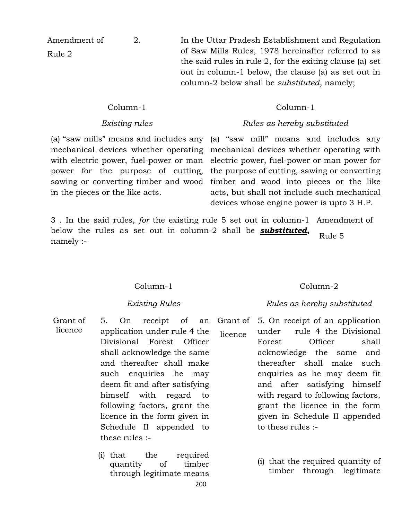Amendment of

Rule 2

2. In the Uttar Pradesh Establishment and Regulation of Saw Mills Rules, 1978 hereinafter referred to as the said rules in rule 2, for the exiting clause (a) set out in column-1 below, the clause (a) as set out in column-2 below shall be *substituted*, namely;

#### Column-1

#### *Existing rules*

mechanical devices whether operating with electric power, fuel-power or man power for the purpose of cutting, in the pieces or the like acts.

### (a) "saw mills" means and includes any (a) "saw mill" means and includes any sawing or converting timber and wood timber and wood into pieces or the like mechanical devices whether operating with electric power, fuel-power or man power for the purpose of cutting, sawing or converting acts, but shall not include such mechanical devices whose engine power is upto 3 H.P.

Column-1

*Rules as hereby substituted*

3 . In the said rules, *for* the existing rule 5 set out in column-1 Amendment of below the rules as set out in column-2 shall be *substituted***,** namely :- Rule 5

#### Column-1

#### *Existing Rules*

- Grant of licence 5. On receipt of an application under rule 4 the Divisional Forest Officer shall acknowledge the same and thereafter shall make such enquiries he may deem fit and after satisfying himself with regard to following factors, grant the licence in the form given in Schedule II appended to these rules :-
	- 200 (i) that the required quantity of timber through legitimate means

### Column-2

#### *Rules as hereby substituted*

- Grant of licence 5. On receipt of an application under rule 4 the Divisional Forest Officer shall acknowledge the same and thereafter shall make such enquiries as he may deem fit and after satisfying himself with regard to following factors, grant the licence in the form given in Schedule II appended to these rules :-
	- (i) that the required quantity of timber through legitimate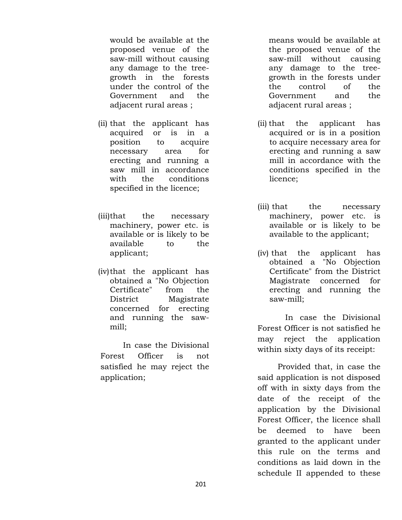would be available at the proposed venue of the saw-mill without causing any damage to the treegrowth in the forests under the control of the Government and the adjacent rural areas ;

- (ii) that the applicant has acquired or is in a position to acquire necessary area for erecting and running a saw mill in accordance with the conditions specified in the licence;
- (iii)that the necessary machinery, power etc. is available or is likely to be available to the applicant;
- (iv)that the applicant has obtained a "No Objection Certificate" from the District Magistrate concerned for erecting and running the sawmill;

 In case the Divisional Forest Officer is not satisfied he may reject the application;

means would be available at the proposed venue of the saw-mill without causing any damage to the treegrowth in the forests under the control of the Government and the adjacent rural areas ;

- (ii) that the applicant has acquired or is in a position to acquire necessary area for erecting and running a saw mill in accordance with the conditions specified in the licence;
- (iii) that the necessary machinery, power etc. is available or is likely to be available to the applicant;
- (iv) that the applicant has obtained a "No Objection Certificate" from the District Magistrate concerned for erecting and running the saw-mill;

 In case the Divisional Forest Officer is not satisfied he may reject the application within sixty days of its receipt:

 Provided that, in case the said application is not disposed off with in sixty days from the date of the receipt of the application by the Divisional Forest Officer, the licence shall be deemed to have been granted to the applicant under this rule on the terms and conditions as laid down in the schedule II appended to these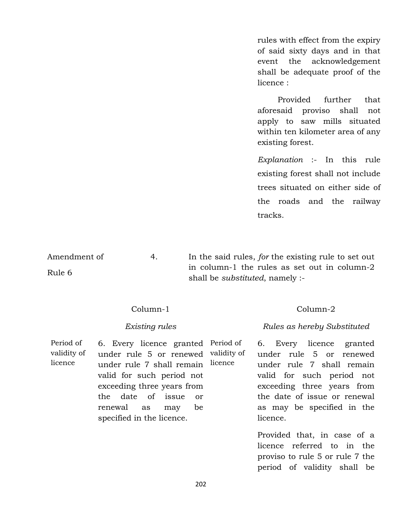rules with effect from the expiry of said sixty days and in that event the acknowledgement shall be adequate proof of the licence :

 Provided further that aforesaid proviso shall not apply to saw mills situated within ten kilometer area of any existing forest.

*Explanation* :- In this rule existing forest shall not include trees situated on either side of the roads and the railway tracks.

Amendment of Rule 6 4. In the said rules, *for* the existing rule to set out in column-1 the rules as set out in column-2 shall be *substituted*, namely :-

Column-1

#### *Existing rules*

Period of validity of licence 6. Every licence granted Period of under rule 5 or renewed validity of under rule 7 shall remain licence valid for such period not exceeding three years from the date of issue or renewal as may be specified in the licence.

Column-2

#### *Rules as hereby Substituted*

6. Every licence granted under rule 5 or renewed under rule 7 shall remain valid for such period not exceeding three years from the date of issue or renewal as may be specified in the licence.

Provided that, in case of a licence referred to in the proviso to rule 5 or rule 7 the period of validity shall be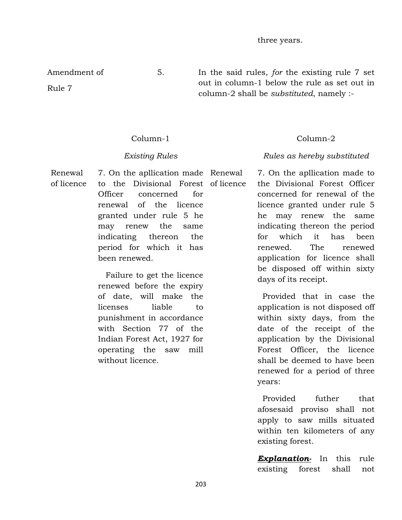Amendment of

Rule 7

Column-1

#### *Existing Rules*

Renewal of licence

7. On the apllication made Renewal to the Divisional Forest of licence Officer concerned for renewal of the licence granted under rule 5 he may renew the same indicating thereon the period for which it has been renewed.

 Failure to get the licence renewed before the expiry of date, will make the licenses liable to punishment in accordance with Section 77 of the Indian Forest Act, 1927 for operating the saw mill without licence.

5. In the said rules, *for* the existing rule 7 set out in column-1 below the rule as set out in column-2 shall be *substituted*, namely :-

### Column-2

#### *Rules as hereby substituted*

7. On the apllication made to the Divisional Forest Officer concerned for renewal of the licence granted under rule 5 he may renew the same indicating thereon the period for which it has been renewed. The renewed application for licence shall be disposed off within sixty days of its receipt.

 Provided that in case the application is not disposed off within sixty days, from the date of the receipt of the application by the Divisional Forest Officer, the licence shall be deemed to have been renewed for a period of three years:

 Provided futher that afosesaid proviso shall not apply to saw mills situated within ten kilometers of any existing forest.

*Explanation-* In this rule existing forest shall not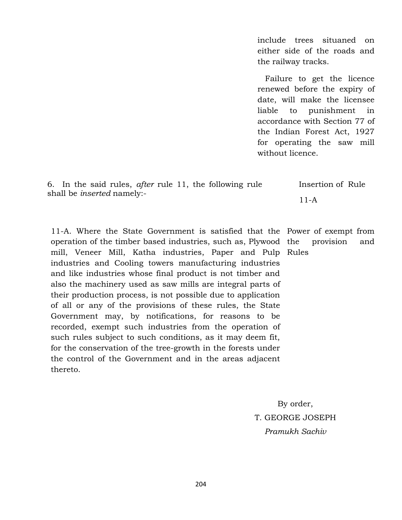include trees situaned on either side of the roads and the railway tracks.

 Failure to get the licence renewed before the expiry of date, will make the licensee liable to punishment in accordance with Section 77 of the Indian Forest Act, 1927 for operating the saw mill without licence.

| 6. In the said rules, <i>after</i> rule 11, the following rule |  |  |  |  |  |          | Insertion of Rule |  |  |
|----------------------------------------------------------------|--|--|--|--|--|----------|-------------------|--|--|
| shall be <i>inserted</i> namely:-                              |  |  |  |  |  | $11 - A$ |                   |  |  |

11-A. Where the State Government is satisfied that the Power of exempt from operation of the timber based industries, such as, Plywood mill, Veneer Mill, Katha industries, Paper and Pulp Rules industries and Cooling towers manufacturing industries and like industries whose final product is not timber and also the machinery used as saw mills are integral parts of their production process, is not possible due to application of all or any of the provisions of these rules, the State Government may, by notifications, for reasons to be recorded, exempt such industries from the operation of such rules subject to such conditions, as it may deem fit, for the conservation of the tree-growth in the forests under the control of the Government and in the areas adjacent thereto.

provision and

By order, T. GEORGE JOSEPH *Pramukh Sachiv*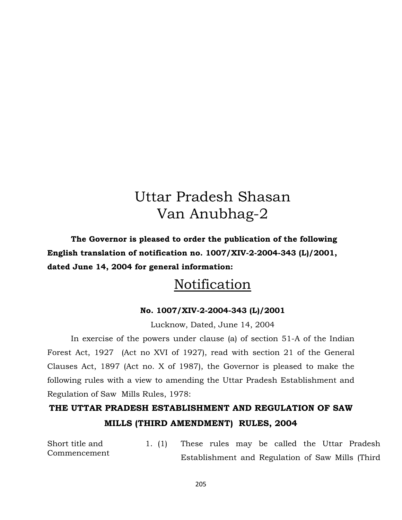# Uttar Pradesh Shasan Van Anubhag-2

**The Governor is pleased to order the publication of the following English translation of notification no. 1007/XIV-2-2004-343 (L)/2001, dated June 14, 2004 for general information:**

# Notification

### **No. 1007/XIV-2-2004-343 (L)/2001**

Lucknow, Dated, June 14, 2004

In exercise of the powers under clause (a) of section 51-A of the Indian Forest Act, 1927 (Act no XVI of 1927), read with section 21 of the General Clauses Act, 1897 (Act no. X of 1987), the Governor is pleased to make the following rules with a view to amending the Uttar Pradesh Establishment and Regulation of Saw Mills Rules, 1978:

## **THE UTTAR PRADESH ESTABLISHMENT AND REGULATION OF SAW MILLS (THIRD AMENDMENT) RULES, 2004**

Short title and Commencement 1. (1) These rules may be called the Uttar Pradesh Establishment and Regulation of Saw Mills (Third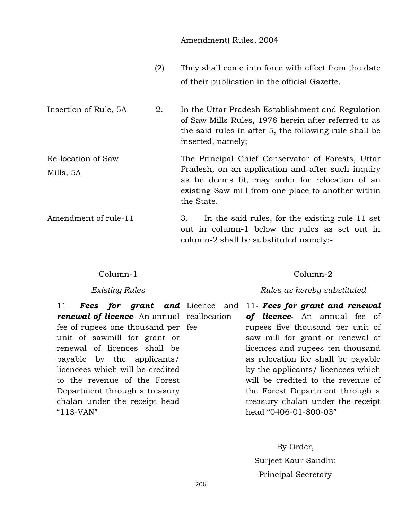#### Amendment) Rules, 2004

- (2) They shall come into force with effect from the date of their publication in the official Gazette.
- Insertion of Rule, 5A 2. In the Uttar Pradesh Establishment and Regulation of Saw Mills Rules, 1978 herein after referred to as the said rules in after 5, the following rule shall be inserted, namely;
- Re-location of Saw Mills, 5A The Principal Chief Conservator of Forests, Uttar Pradesh, on an application and after such inquiry as he deems fit, may order for relocation of an existing Saw mill from one place to another within the State.
- Amendment of rule-11 3. In the said rules, for the existing rule 11 set out in column-1 below the rules as set out in column-2 shall be substituted namely:-

#### Column-1

#### *Existing Rules*

**renewal of licence**- An annual reallocation fee of rupees one thousand per fee unit of sawmill for grant or renewal of licences shall be payable by the applicants/ licencees which will be credited to the revenue of the Forest Department through a treasury chalan under the receipt head "113-VAN"

11- **Fees for grant and** Licence and 11- **Fees for grant and renewal** *of licence***-** An annual fee of rupees five thousand per unit of saw mill for grant or renewal of licences and rupees ten thousand as relocation fee shall be payable by the applicants/ licencees which will be credited to the revenue of the Forest Department through a treasury chalan under the receipt head "0406-01-800-03"

> By Order, Surjeet Kaur Sandhu Principal Secretary

#### 206

#### Column-2

#### *Rules as hereby substituted*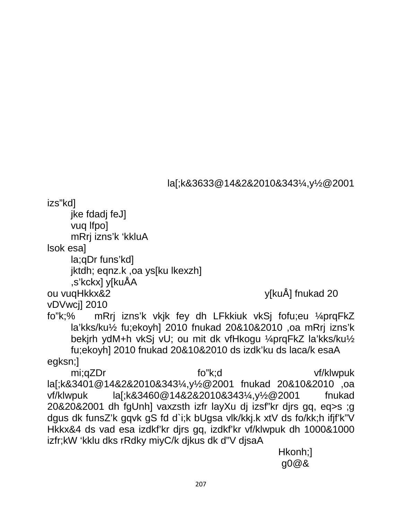la[;k&3633@14&2&2010&343¼,y½@2001

izs"kd]

jke fdadj feJ]

vug Ifpo]

mRrj izns'k 'kkluA

Isok esal

la; qDr funs' kdl

jktdh; eqnz.k, oa ys[ku lkexzh]

,s'kckx] y[kuÅA

ou vuqHkkx&2

y[kuÅ] fnukad 20

vDVwcj1 2010

mRrj izns'k vkjk fey dh LFkkiuk vkSj fofu;eu ¼prqFkZ  $fo"k;\%$ la'kks/ku1/2 fu;ekoyh] 2010 fnukad 20&10&2010 ,oa mRrj izns'k bekirh ydM+h vkSj vU; ou mit dk vfHkogu ¼prgFkZ la'kks/ku½ fu;ekoyh] 2010 fnukad 20&10&2010 ds izdk'ku ds laca/k esaA

egksn;]

fo"k:d mi;qZDr vf/klwpuk la[;k&3401@14&2&2010&343¼,y½@2001 fnukad 20&10&2010 ,oa la[;k&3460@14&2&2010&343¼,y½@2001 vf/klwpuk fnukad 20&20&2001 dh fgUnh] vaxzsth izfr layXu dj izsf"kr djrs gq, eq>s ;g dgus dk funsZ'k gqvk gS fd d`i;k bUgsa vlk/kkj.k xtV ds fo/kk;h ifjf'k"V Hkkx&4 ds vad esa izdkf'kr djrs gq, izdkf'kr vf/klwpuk dh 1000&1000 izfr;kW 'kklu dks rRdky miyC/k dikus dk d"V disaA

Hkonh;1 q0@&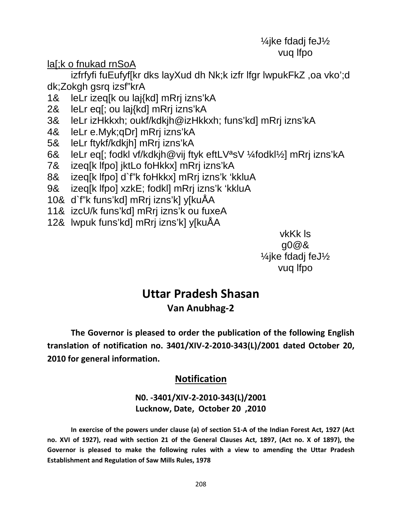## ¼jke fdadj feJ½ vuq lfpo

## la[;k o fnukad rnSoA

izfrfyfi fuEufyf[kr dks layXud dh Nk;k izfr lfgr lwpukFkZ ,oa vko';d dk;Zokgh gsrq izsf"krA

- 1& leLr izeq[k ou laj{kd] mRrj izns'kA
- 2& leLr eq[; ou laj{kd] mRrj izns'kA
- 3& leLr izHkkxh; oukf/kdkjh@izHkkxh; funs'kd] mRrj izns'kA
- 4& leLr e.Myk;qDr] mRrj izns'kA
- 5& leLr ftykf/kdkjh] mRrj izns'kA
- 6& leLr eq[; fodkl vf/kdkjh@vij ftyk eftLVªsV ¼fodkl½] mRrj izns'kA
- 7& izeq[k lfpo] jktLo foHkkx] mRrj izns'kA
- 8& izeq[k lfpo] d`f"k foHkkx] mRrj izns'k 'kkluA
- 9& izeq[k lfpo] xzkE; fodkl] mRrj izns'k 'kkluA
- 10& d`f"k funs'kd] mRrj izns'k] y[kuÅA
- 11& izcU/k funs'kd] mRrj izns'k ou fuxeA
- 12& lwpuk funs'kd] mRrj izns'k] y[kuÅA

vkKk ls g0@& ¼jke fdadj feJ½ vuq lfpo

## **Uttar Pradesh Shasan Van Anubhag-2**

**The Governor is pleased to order the publication of the following English translation of notification no. 3401/XIV-2-2010-343(L)/2001 dated October 20, 2010 for general information.**

## **Notification**

## **N0. -3401/XIV-2-2010-343(L)/2001 Lucknow, Date, October 20 ,2010**

**In exercise of the powers under clause (a) of section 51-A of the Indian Forest Act, 1927 (Act no. XVI of 1927), read with section 21 of the General Clauses Act, 1897, (Act no. X of 1897), the Governor is pleased to make the following rules with a view to amending the Uttar Pradesh Establishment and Regulation of Saw Mills Rules, 1978**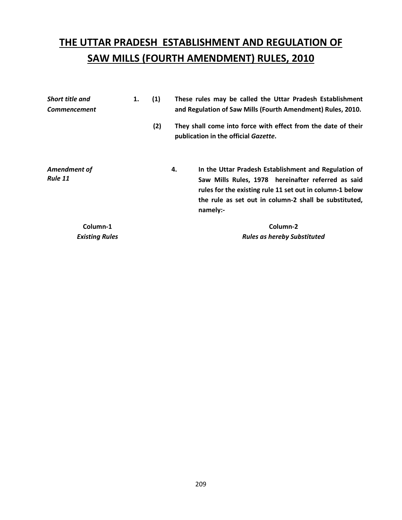# **THE UTTAR PRADESH ESTABLISHMENT AND REGULATION OF SAW MILLS (FOURTH AMENDMENT) RULES, 2010**

| <b>Short title and</b>         | 1. | (1) | These rules may be called the Uttar Pradesh Establishment |                                                                                                                                                                                                                                 |  |  |  |  |
|--------------------------------|----|-----|-----------------------------------------------------------|---------------------------------------------------------------------------------------------------------------------------------------------------------------------------------------------------------------------------------|--|--|--|--|
| <b>Commencement</b>            |    |     |                                                           | and Regulation of Saw Mills (Fourth Amendment) Rules, 2010.                                                                                                                                                                     |  |  |  |  |
|                                |    | (2) |                                                           | They shall come into force with effect from the date of their<br>publication in the official Gazette.                                                                                                                           |  |  |  |  |
| Amendment of<br><b>Rule 11</b> |    |     | 4.                                                        | In the Uttar Pradesh Establishment and Regulation of<br>Saw Mills Rules, 1978 hereinafter referred as said<br>rules for the existing rule 11 set out in column-1 below<br>the rule as set out in column-2 shall be substituted, |  |  |  |  |
|                                |    |     |                                                           | namely:-                                                                                                                                                                                                                        |  |  |  |  |
| Column-1                       |    |     |                                                           | Column-2                                                                                                                                                                                                                        |  |  |  |  |
| <b>Existing Rules</b>          |    |     |                                                           | <b>Rules as hereby Substituted</b>                                                                                                                                                                                              |  |  |  |  |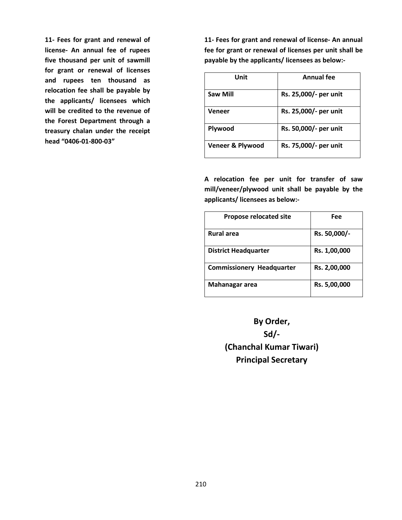**11- Fees for grant and renewal of license- An annual fee of rupees five thousand per unit of sawmill for grant or renewal of licenses and rupees ten thousand as relocation fee shall be payable by the applicants/ licensees which will be credited to the revenue of the Forest Department through a treasury chalan under the receipt head "0406-01-800-03"**

**11- Fees for grant and renewal of license- An annual fee for grant or renewal of licenses per unit shall be payable by the applicants/ licensees as below:-**

| Unit             | Annual fee            |
|------------------|-----------------------|
| Saw Mill         | Rs. 25,000/- per unit |
| Veneer           | Rs. 25,000/- per unit |
| Plywood          | Rs. 50,000/- per unit |
| Veneer & Plywood | Rs. 75,000/- per unit |

**A relocation fee per unit for transfer of saw mill/veneer/plywood unit shall be payable by the applicants/ licensees as below:-**

| Propose relocated site           | Fee          |
|----------------------------------|--------------|
| <b>Rural area</b>                | Rs. 50,000/- |
| <b>District Headquarter</b>      | Rs. 1,00,000 |
| <b>Commissionery Headquarter</b> | Rs. 2,00,000 |
| Mahanagar area                   | Rs. 5,00,000 |

**By Order, Sd/- (Chanchal Kumar Tiwari) Principal Secretary**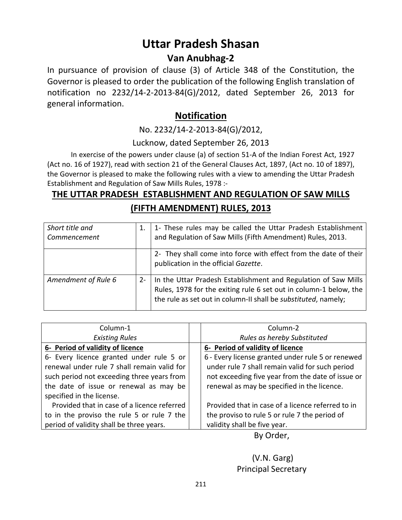## **Uttar Pradesh Shasan**

## **Van Anubhag-2**

In pursuance of provision of clause (3) of Article 348 of the Constitution, the Governor is pleased to order the publication of the following English translation of notification no 2232/14-2-2013-84(G)/2012, dated September 26, 2013 for general information.

## **Notification**

No. 2232/14-2-2013-84(G)/2012,

### Lucknow, dated September 26, 2013

In exercise of the powers under clause (a) of section 51-A of the Indian Forest Act, 1927 (Act no. 16 of 1927), read with section 21 of the General Clauses Act, 1897, (Act no. 10 of 1897), the Governor is pleased to make the following rules with a view to amending the Uttar Pradesh Establishment and Regulation of Saw Mills Rules, 1978 :-

## **THE UTTAR PRADESH ESTABLISHMENT AND REGULATION OF SAW MILLS (FIFTH AMENDMENT) RULES, 2013**

| Short title and<br>Commencement |       | 1- These rules may be called the Uttar Pradesh Establishment<br>and Regulation of Saw Mills (Fifth Amendment) Rules, 2013.                                                                            |
|---------------------------------|-------|-------------------------------------------------------------------------------------------------------------------------------------------------------------------------------------------------------|
|                                 |       | 2- They shall come into force with effect from the date of their<br>publication in the official Gazette.                                                                                              |
| Amendment of Rule 6             | $2 -$ | In the Uttar Pradesh Establishment and Regulation of Saw Mills<br>Rules, 1978 for the exiting rule 6 set out in column-1 below, the<br>the rule as set out in column-II shall be substituted, namely; |

| Column-1                                    | Column-2                                          |
|---------------------------------------------|---------------------------------------------------|
| <b>Existing Rules</b>                       | Rules as hereby Substituted                       |
| 6- Period of validity of licence            | 6- Period of validity of licence                  |
| 6- Every licence granted under rule 5 or    | 6 - Every license granted under rule 5 or renewed |
| renewal under rule 7 shall remain valid for | under rule 7 shall remain valid for such period   |
| such period not exceeding three years from  | not exceeding five year from the date of issue or |
| the date of issue or renewal as may be      | renewal as may be specified in the licence.       |
| specified in the license.                   |                                                   |
| Provided that in case of a licence referred | Provided that in case of a licence referred to in |
| to in the proviso the rule 5 or rule 7 the  | the proviso to rule 5 or rule 7 the period of     |
| period of validity shall be three years.    | validity shall be five year.                      |

By Order,

## (V.N. Garg) Principal Secretary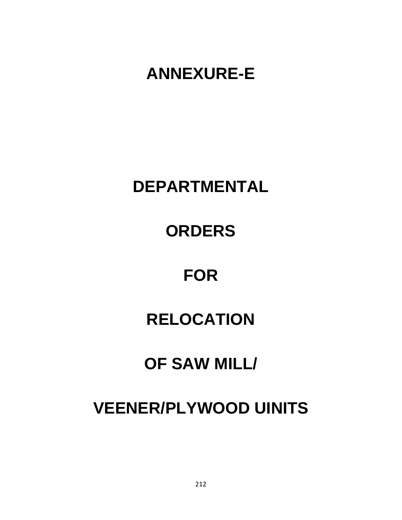# **ANNEXURE-E**

# **DEPARTMENTAL**

# **ORDERS**

# **FOR**

# **RELOCATION**

# **OF SAW MILL/**

# **VEENER/PLYWOOD UINITS**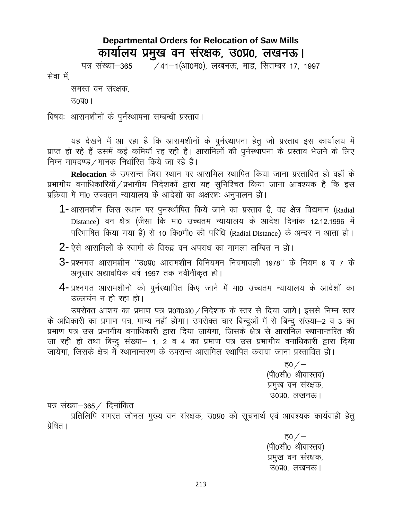## **Departmental Orders for Relocation of Saw Mills** कार्यालय प्रमुख वन संरक्षक, उ0प्र0, लखनऊ।

∕ 41−1(आ0म0), लखनऊ, माह, सितम्बर 17, 1997 पत्र संख्या–365

सेवा में,

समस्त वन संरक्षक,

 $30\%$ ।

विषयः आरामशीनों के पूर्नस्थापना सम्बन्धी प्रस्ताव।

यह देखने में आ रहा है कि आरामशीनों के पुर्नस्थापना हेतु जो प्रस्ताव इस कार्यालय में प्राप्त हो रहे हैं उसमें कई कमियाँ रह रही है। आरामिलों की पुर्नस्थापना के प्रस्ताव भेजने के लिए निम्न मापदण्ड / मानक निर्धारित किये जा रहे हैं।

Relocation के उपरान्त जिस स्थान पर आरामिल स्थापित किया जाना प्रस्तावित हो वहाँ के प्रभागीय वनाधिकारियों / प्रभागीय निदेशकों द्वारा यह सुनिश्चित किया जाना आवश्यक है कि इस प्रक्रिया में मा0 उच्चतम न्यायालय के आदेशों का अक्षरशः अनुपालन हो।

- 1-आरामशीन जिस स्थान पर पुनर्स्थापित किये जाने का प्रस्ताव है, वह क्षेत्र विद्यमान (Radial Distance) वन क्षेत्र (जैसा कि मा0 उच्चतम न्यायालय के आदेश दिनांक 12.12.1996 में परिभाषित किया गया है) से 10 कि0मी0 की परिधि (Radial Distance) के अन्दर न आता हो।
- $2$  ऐसे आरामिलों के स्वामी के विरुद्ध वन अपराध का मामला लम्बित न हो।
- $3$  प्रश्नगत आरामशीन "उ0प्र0 आरामशीन विनियमन नियमावली 1978" के नियम 6 व 7 के अनुसार अद्यावधिक वर्ष 1997 तक नवीनीकृत हो।
- 4- प्रश्नगत आरामशीनो को पुर्नस्थापित किए जाने में मा0 उच्चतम न्यायालय के आदेशों का उल्लघंन न हो रहा हो।

उपरोक्त आशय का प्रमाण पत्र प्र0व0अ0 / निदेशक के स्तर से दिया जाये। इससे निम्न स्तर के अधिकारी का प्रमाण पत्र, मान्य नहीं होगा। उपरोक्त चार बिन्दुओं में से बिन्दू संख्या-2 व 3 का प्रमाण पत्र उस प्रभागीय वनाधिकारी द्वारा दिया जायेगा, जिसके क्षेत्र से आरामिल स्थानान्तरित की जा रही हो तथा बिन्दु संख्या- 1, 2 व 4 का प्रमाण पत्र उस प्रभागीय वनाधिकारी द्वारा दिया जायेगा, जिसके क्षेत्र में स्थानान्तरण के उपरान्त आरामिल स्थापित कराया जाना प्रस्तावित हो।

> <u>ਵ $0$  / –</u> (पी0सी0 श्रीवास्तव) प्रमुख वन संरक्षक, उ०प्र०, लखनऊ।

### पत्र संख्या-365 / दिनांकित

प्रतिलिपि समस्त जोनल मुख्य वन संरक्षक, उ0प्र0 को सूचनार्थ एवं आवश्यक कार्यवाही हेतु प्रेषित ।

> <u>ਵ $0$  / –</u> (पी0सी0 श्रीवास्तव) प्रमुख वन संरक्षक, उ०प्र०, लखनऊ।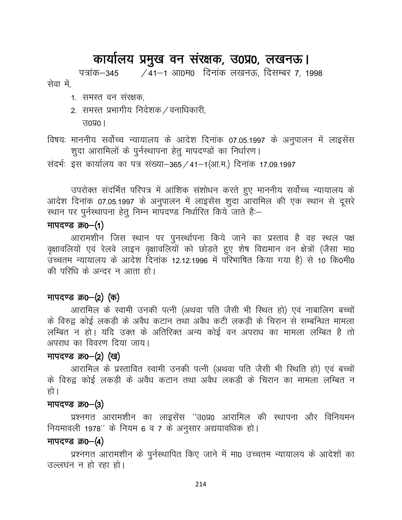## कार्यालय प्रमुख वन संरक्षक, उ0प्र0, लखनऊ।

पत्रांक-345 /41-1 आ0म0 दिनांक लखनऊ, दिसम्बर 7, 1998 सेवा में

- 1. समस्त वन संरक्षक,
- 2. समस्त प्रभागीय निदेशक / वनाधिकारी,

 $30\,001$ 

विषयः माननीय सर्वोच्च न्यायालय के आदेश दिनांक 07.05.1997 के अनुपालन में लाइसेंस शुदा आरामिलों के पुर्नस्थापना हेतु मापदण्डों का निर्धारण।

संदर्भः इस कार्यालय का पत्र संख्या-365 / 41-1(आ.म.) दिनांक 17.09.1997

उपरोक्त संदर्भित परिपत्र में आंशिक संशोधन करते हुए माननीय सर्वोच्च न्यायालय के आदेश दिनांक 07.05.1997 के अनुपालन में लाइसेंस शुदा आरामिल की एक स्थान से दूसरे स्थान पर पुर्नस्थापना हेतु निम्न माँपदण्ड निर्धारित किये जाते है:-

## मापदण्ड क्र0-(1)

आरामशीन जिस स्थान पर पुनर्स्थापना किये जाने का प्रस्ताव है वह स्थल पक्ष वृक्षावलियों एवं रेलवे लाइन वृक्षावलियों को छोड़ते हुए शेष विद्यमान वन क्षेत्रों (जैसा मा0 उच्चतम न्यायालय के आदेश दिनांक 12.12.1996 में परिभाषित किया गया है) से 10 कि0मी0 की परिधि के अन्दर न आता हो।

## मापदण्ड क्र0–(2) (क)

आरामिल के स्वामी उनकी पत्नी (अथवा पति जैसी भी स्थित हो) एवं नाबालिग बच्चों के विरुद्व कोई लकड़ी के अवैध कटान तथा अवैध कटी लकड़ी के चिरान से सम्बन्धित मामला लम्बित न हो। यदि उक्त के अतिरिक्त अन्य कोई वन अपराध का मामला लम्बित है तो अपराध का विवरण दिया जाय।

## मापदण्ड क्र0-(2) (ख)

आरामिल के प्रस्तावित स्वामी उनकी पत्नी (अथवा पति जैसी भी स्थिति हो) एवं बच्चों के विरुद्व कोई लकड़ी के अवैध कटान तथा अवैध लकड़ी के चिरान का मामला लम्बित न हो ।

### मापदण्ड क्र0–(3)

प्रश्नगत आरामशीन का लाइसेंस ''उ0प्र0 आरामिल की स्थापना और विनियमन नियमावली 1978" के नियम 6 व 7 के अनुसार अद्ययावधिक हो।

### मापदण्ड क्र0–(4)

प्रश्नगत आरामशीन के पुर्नस्थापित किए जाने में मा0 उच्चतम न्यायालय के आदेशों का उल्लघंन न हो रहा हो।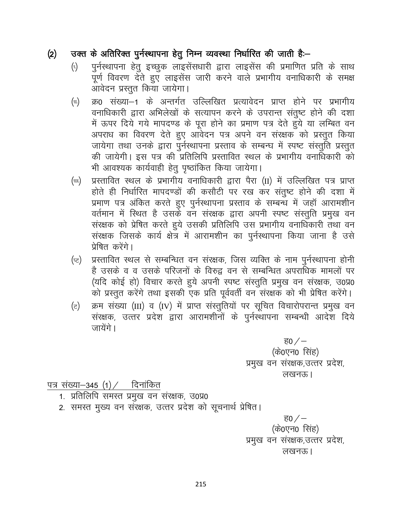#### उक्त के अतिरिक्त पुर्नस्थापना हेतू निम्न व्यवस्था निर्धारित की जाती है:- $(2)$

- पुर्नस्थापना हेतु इच्छुक लाइसेंसधारी द्वारा लाइसेंस की प्रमाणित प्रति के साथ  $\left(\tau\right)$ पूर्ण विवरण देते हुए लाइसेंस जारी करने वाले प्रभागीय वनाधिकारी के समक्ष आवेदन प्रस्तूत किया जायेगा।
- क्र0 संख्या–1 के अन्तर्गत उल्लिखित प्रत्यावेदन प्राप्त होने पर प्रभागीय  $(\alpha)$ वनाधिकारी द्वारा अभिलेखों के सत्यापन करने के उपरान्त संतुष्ट होने की दशा में ऊपर दिये गये मापदण्ड के पूरा होने का प्रमाण पत्र देते हुये या लम्बित वन अपराध का विवरण देते हुए आवेदन पत्र अपने वन संरक्षक को प्रस्तुत किया जायेगा तथा उनके द्वारा पूर्नस्थापना प्रस्ताव के सम्बन्ध में स्पष्ट संस्तूति प्रस्तुत की जायेगी। इस पत्र की प्रतिलिपि प्रस्तावित स्थल के प्रभागीय वनाधिकारी को भी आवश्यक कार्यवाही हेतु पृष्ठांकित किया जायेगा।
- प्रस्तावित स्थल के प्रभागीय वनाधिकारी द्वारा पैरा (II) में उल्लिखित पत्र प्राप्त  $(\varpi)$ होते ही निर्धारित मापदण्डों की कसौटी पर रख कर संतुष्ट होने की दशा में प्रमाण पत्र अंकित करते हुए पुर्नस्थापना प्रस्ताव के सम्बन्ध में जहाँ आरामशीन वर्तमान में स्थित है उसके वन संरक्षक द्वारा अपनी स्पष्ट संस्तुति प्रमुख वन संरक्षक को प्रेषित करते हुये उसकी प्रतिलिपि उस प्रभागीय वनाधिकारी तथा वन संरक्षक जिसके कार्य क्षेत्र में आरामशीन का पूर्नस्थापना किया जाना है उसे प्रेषित करेंगे।
- प्रस्तावित स्थल से सम्बन्धित वन संरक्षक, जिस व्यक्ति के नाम पुर्नस्थापना होनी (ਦ) है उसके व व उसके परिजनों के विरुद्व वन से सम्बन्धित अपराधिक मामलों पर (यदि कोई हो) विचार करते हुये अपनी स्पष्ट संस्तुति प्रमुख वन संरक्षक, उ0प्र0 को प्रस्तुत करेंगे तथा इसकी एक प्रति पूर्ववर्ती वन संरक्षक को भी प्रेषित करेंगे।
- क्रम संख्या (III) व (IV) में प्राप्त संस्तुतियों पर सूचित विचारोपरान्त प्रमुख वन (ਟ) संरक्षक, उत्तर प्रदेश द्वारा आरामशीनों के पुर्नस्थापना सम्बन्धी आदेश दिये जायेंगे ।

ह $0/$ (के0एन0 सिंह) प्रमुख वन संरक्षक,उत्तर प्रदेश, लखनऊ।

### पत्र संख्या-345 $(1)$ / दिनांकित

- 1. प्रतिलिपि समस्त प्रमुख वन संरक्षक, उ0प्र0
- 2. समस्त मुख्य वन संरक्षक, उत्तर प्रदेश को सूचनार्थ प्रेषित।

<u>ਵ $0$  / –</u> (के0एन0 सिंह) प्रमुख वन संरक्षक,उत्तर प्रदेश, लखनऊ।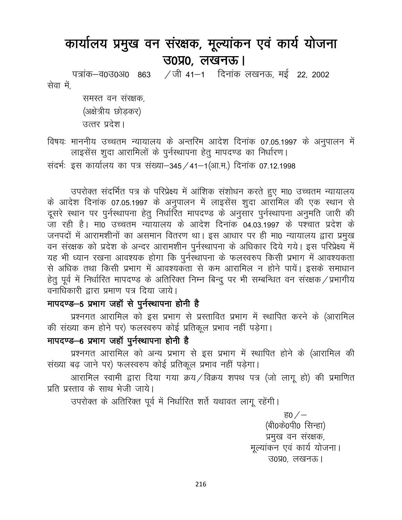# कार्यालय प्रमुख वन संरक्षक, मूल्यांकन एवं कार्य योजना  $30\%$ , लखनऊ |

पत्रांक-व0उ0अ0 863 /जी 41-1 दिनांक लखनऊ, मई 22, 2002 सेवा में.

> समस्त वन संरक्षक. (अक्षेत्रीय छोड़कर) उत्तर प्रदेश।

विषयः माननीय उच्चतम न्यायालय के अन्तरिम आदेश दिनांक 07.05.1997 के अनुपालन में लाइसेंस शूदा आरामिलों के पूर्नस्थापना हेतू मापदण्ड का निर्धारण। संदर्भ: इस कार्यालय का पत्र संख्या-345 /41-1(आ.म.) दिनांक 07.12.1998

उपरोक्त संदर्भित पत्र के परिप्रेक्ष्य में आंशिक संशोधन करते हुए मा0 उच्चतम न्यायालय के आदेश दिनांक 07.05.1997 के अनुपालन में लाइसेंस शुदा आरामिल की एक स्थान से दुसरे स्थान पर पुर्नस्थापना हेतु निर्धारित मापदण्ड के अनुसार पुर्नस्थापना अनुमति जारी की जा रही है। मा0 उच्चतम न्यायालय के आदेश दिनांक 04.03.1997 के पश्चात प्रदेश के जनपदों में आरामशीनों का असमान वितरण था। इस आधार पर ही मा0 न्यायालय द्वारा प्रमुख वन संरक्षक को प्रदेश के अन्दर आरामशीन पुर्नस्थापना के अधिकार दिये गये। इस परिप्रेक्ष्य में यह भी ध्यान रखना आवश्यक होगा कि पुर्नस्थापना के फलस्वरुप किसी प्रभाग में आवश्यकता से अधिक तथा किसी प्रभाग में आवश्यकता से कम आरामिल न होने पायें। इसके समाधान हेतु पूर्व में निर्धारित मापदण्ड के अतिरिक्त निम्न बिन्दु पर भी सम्बन्धित वन संरक्षक / प्रभागीय वनाधिकारी द्वारा प्रमाण पत्र दिया जाये।

## मापदण्ड-5 प्रभाग जहाँ से पुर्नस्थापना होनी है

प्रश्नगत आरामिल को इस प्रभाग से प्रस्तावित प्रभाग में स्थापित करने के (आरामिल की संख्या कम होने पर) फलस्वरुप कोई प्रतिकूल प्रभाव नहीं पड़ेगा।

## मापदण्ड-6 प्रभाग जहाँ पुर्नस्थापना होनी है

प्रश्नगत आरामिल को अन्य प्रभाग से इस प्रभाग में स्थापित होने के (आरामिल की संख्या बढ़ जाने पर) फलस्वरुप कोई प्रतिकूल प्रभाव नहीं पड़ेगा।

आरामिल स्वामी द्वारा दिया गया क्रय/विक्रय शपथ पत्र (जो लागू हो) की प्रमाणित प्रति प्रस्ताव के साथ भेजी जाये।

उपरोक्त के अतिरिक्त पूर्व में निर्धारित शर्ते यथावत लागू रहेंगी।

<u>ਵ $0 / -$ </u> (बी0के0पी0 सिन्हा) प्रमुख वन संरक्षक, मूल्यांकन एवं कार्य योजना। उ०प्र०, लखनऊ।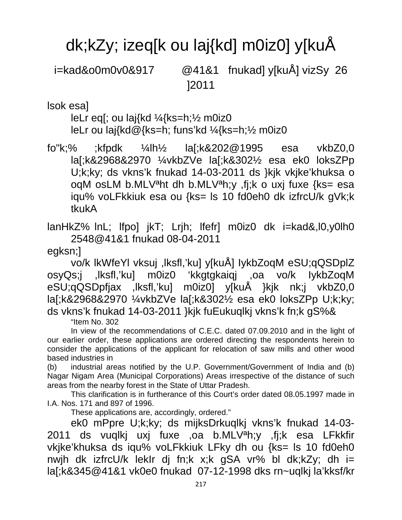# dk;kZy; izeq[k ou laj{kd] m0iz0] y[kuÅ

i=kad&o0m0v0&917 @41&1 fnukad] y[kuÅ] vizSy 26 ]2011

lsok esa]

leLr eq[; ou laj{kd ¼{ks=h;½ m0iz0 leLr ou laj{kd@{ks=h; funs'kd ¼{ks=h;½ m0iz0

fo"k;% ;kfpdk ¼lh½ la[;k&202@1995 esa vkbZ0,0 la[;k&2968&2970 ¼vkbZVe la[;k&302½ esa ek0 loksZPp U;k;ky; ds vkns'k fnukad 14-03-2011 ds }kjk vkjke'khuksa o oqM osLM b.MLVªht dh b.MLVªh;y ,fj;k o uxj fuxe {ks= esa iqu% voLFkkiuk esa ou {ks= ls 10 fd0eh0 dk izfrcU/k gVk;k tkukA

lanHkZ% lnL; lfpo] jkT; Lrjh; lfefr] m0iz0 dk i=kad&,l0,y0lh0 2548@41&1 fnukad 08-04-2011

egksn;]

vo/k lkWfeYl vksuj ,lksfl,'ku] y[kuÅ] IykbZoqM eSU;qQSDplZ osyQs;j ,lksfl,'ku] m0iz0 'kkgtgkaiqj ,oa vo/k IykbZoqM eSU;qQSDpfjax ,lksfl,'ku] m0iz0] y[kuÅ }kjk nk;j vkbZ0,0 la[;k&2968&2970 ¼vkbZVe la[;k&302½ esa ek0 loksZPp U;k;ky; ds vkns'k fnukad 14-03-2011 }kjk fuEukuqlkj vkns'k fn;k gS%&

"Item No. 302

In view of the recommendations of C.E.C. dated 07.09.2010 and in the light of our earlier order, these applications are ordered directing the respondents herein to consider the applications of the applicant for relocation of saw mills and other wood based industries in

(b) industrial areas notified by the U.P. Government/Government of India and (b) Nagar Nigam Area (Municipal Corporations) Areas irrespective of the distance of such areas from the nearby forest in the State of Uttar Pradesh.

This clarification is in furtherance of this Court's order dated 08.05.1997 made in I.A. Nos. 171 and 897 of 1996.

These applications are, accordingly, ordered."

ek0 mPpre U;k;ky; ds mijksDrkuqlkj vkns'k fnukad 14-03- 2011 ds vuqlkj uxj fuxe ,oa b.MLV<sup>a</sup>h;y ,fj;k esa LFkkfir vkjke'khuksa ds iqu% voLFkkiuk LFky dh ou {ks= ls 10 fd0eh0 nwjh dk izfrcU/k lekIr dj fn;k x;k gSA vr% bl dk;kZy; dh i= la[;k&345@41&1 vk0e0 fnukad 07-12-1998 dks rn~uqlkj la'kksf/kr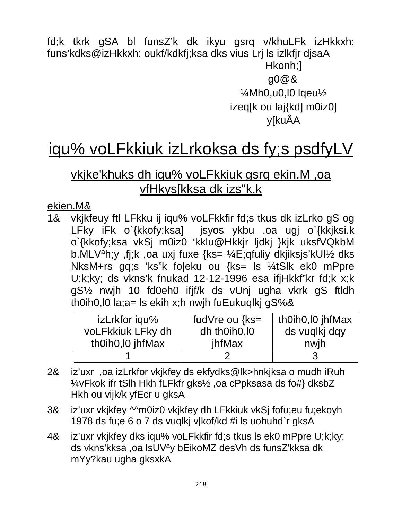fd;k tkrk gSA bl funsZ'k dk ikyu gsrq v/khuLFk izHkkxh; funs'kdks@izHkkxh; oukf/kdkfj;ksa dks vius Lrj Is izlkfjr djsaA Hkonh;] g0@&  $\frac{1}{4}$ Mh0,u0,l0 lqeu $\frac{1}{2}$ izeq[k ou laj{kd] m0iz0] **v**[kuÅA

# iqu% voLFkkiuk izLrkoksa ds fy;s psdfyLV

# vkjke'khuks dh iqu% voLFkkiuk gsrq ekin.M, oa vfHkys[kksa dk izs"k.k

### ekien.M&

vkjkfeuy ftl LFkku ij igu% voLFkkfir fd;s tkus dk izLrko gS og <u> 1&</u> LFky iFk o`{kkofy;ksa] jsyos ykbu ,oa ugj o`{kkjksi.k o`{kkofy;ksa vkSj m0iz0 'kklu@Hkkjr ljdkj }kjk uksfVQkbM b.MLV<sup>a</sup>h;y, fj;k, oa uxj fuxe {ks= ¼E;qfuliy dkjiksjs'kUl½ dks NksM+rs gq;s 'ks"k foleku ou {ks= ls ¼tSlk ek0 mPpre U;k;ky; ds vkns'k fnukad 12-12-1996 esa if jHkkf"kr fd;k x;k gS<sup>1/2</sup> nwih 10 fd0eh0 ifif/k ds vUni ugha vkrk gS ftldh th0ih0,  $\log a = \log b$  is ekih x; h nwih fuEukuqlki gS%&

| izLrkfor iqu%     | fudVre ou $\{ks =$ | th0ih0, I0 jhfMax |
|-------------------|--------------------|-------------------|
| voLFkkiuk LFky dh | dh thoih0, l0      | ds vuqlkj dqy     |
| th0ih0, l0 jhfMax | ihfMax             | nwih              |
|                   |                    |                   |

- iz'uxr, oa izLrkfor vkjkfey ds ekfydks@lk>hnkjksa o mudh iRuh 2& 1/4vFkok ifr tSlh Hkh fLFkfr gks1/2, oa cPpksasa ds fo#} dksbZ Hkh ou vijk/k yfEcr u gksA
- 3& iz'uxr vkjkfey Mm0iz0 vkjkfey dh LFkkiuk vkSj fofu;eu fu;ekoyh 1978 ds fu;e 6 o 7 ds vuqlkj v|kof/kd #i ls uohuhd`r gksA
- iz'uxr vkikfey dks iqu% voLFkkfir fd; s tkus Is ek0 mPpre U;k;ky; 4& ds vkns'kksa , oa IsUV<sup>a</sup>y bEikoMZ desVh ds funsZ'kksa dk mYy?kau ugha gksxkA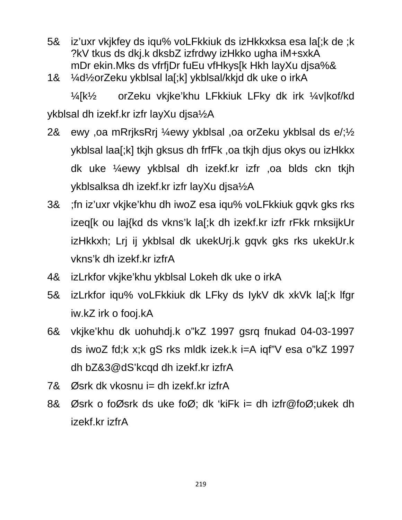- iz'uxr vkjkfey ds iqu% voLFkkiuk ds izHkkxksa esa la[;k de ;k 5& ?kV tkus ds dkj.k dksbZ izfrdwy izHkko ugha iM+sxkA mDr ekin. Mks ds vfrfjDr fuEu vfHkys[k Hkh layXu djsa%&
- ¼d½orZeku ykblsal la[;k] ykblsal/kkjd dk uke o irkA 1&

orZeku vkjke'khu LFkkiuk LFky dk irk ¼v|kof/kd  $\frac{1}{4}$  k $\frac{1}{2}$ ykblsal dh izekf.kr izfr layXu djsa½A

- ewy , oa mRrjksRrj ¼ewy ykblsal , oa orZeku ykblsal ds e/; 1/2 2& ykblsal laa[;k] tkih gksus dh frfFk, oa tkih dius okys ou izHkkx dk uke ¼ewy ykblsal dh izekf.kr izfr ,oa blds ckn tkjh ykblsalksa dh izekf.kr izfr layXu djsa½A
- ; fn iz'uxr vkjke'khu dh iwoZ esa iqu% voLFkkiuk gqvk gks rks 3& izeq[k ou laj{kd ds vkns'k la[;k dh izekf.kr izfr rFkk rnksijkUr izHkkxh; Lrj ij ykblsal dk ukekUrj.k gqvk gks rks ukekUr.k vkns'k dh izekf.kr izfrA
- 4& izLrkfor vkjke'khu ykblsal Lokeh dk uke o irkA
- 5& izLrkfor igu% voLFkkiuk dk LFky ds lykV dk xkVk la[;k lfgr iw.kZ irk o fooj.kA
- vkjke'khu dk uohuhdj.k o"kZ 1997 gsrq fnukad 04-03-1997 6& ds iwoZ fd;k x;k qS rks mldk izek.k i=A iqf"V esa o"kZ 1997 dh bZ&3@dS'kcqd dh izekf.kr izfrA
- 7& Øsrk dk vkosnu j= dh izekf.kr izfr $A$
- Øsrk o foØsrk ds uke foØ; dk 'kiFk i= dh izfr@foØ;ukek dh 8& izekf.kr izfrA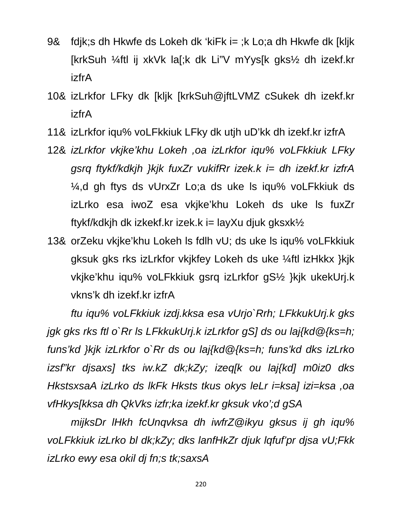- 9& fdik;s dh Hkwfe ds Lokeh dk 'kiFk i= ;k Lo;a dh Hkwfe dk [klik] [krkSuh ¼ftl ij xkVk la[;k dk Li"V mYys[k gks½ dh izekf.kr **izfrA**
- 10& izLrkfor LFky dk [kljk [krkSuh@jftLVMZ cSukek dh izekf.kr **izfrA**
- 11& izLrkfor iqu% voLFkkiuk LFky dk utjh uD'kk dh izekf.kr izfrA
- 12& izLrkfor vkjke'khu Lokeh ,oa izLrkfor igu% voLFkkiuk LFky gsrg ftykf/kdkjh }kjk fuxZr vukifRr izek.k i= dh izekf.kr izfrA ¼,d gh ftys ds vUrxZr Lo;a ds uke ls iqu% voLFkkiuk ds izLrko esa iwoZ esa vkjke'khu Lokeh ds uke Is fuxZr ftykf/kdkjh dk izkekf.kr izek.k i= layXu djuk gksxk $\frac{1}{2}$
- 13& orZeku vkjke'khu Lokeh Is fdlh vU; ds uke Is igu% voLFkkiuk gksuk gks rks izLrkfor vkjkfey Lokeh ds uke ¼ftl izHkkx }kjk vkjke'khu iqu% voLFkkiuk gsrq izLrkfor gS1/2 }kjk ukekUrj.k vkns'k dh izekf.kr izfrA

ftu igu% voLFkkiuk izdj.kksa esa vUrjo`Rrh; LFkkukUrj.k gks jgk gks rks ftl o`Rr ls LFkkukUrj.k izLrkfor gS] ds ou laj{kd@{ks=h; funs'kd }kik izLrkfor o`Rr ds ou lai{kd@{ks=h; funs'kd dks izLrko izsf"kr disaxs) tks iw.kZ dk;kZy; izeg[k ou laj{kd] m0iz0 dks HkstsxsaA izLrko ds lkFk Hksts tkus okys leLr i=ksa] izi=ksa ,oa vfHkys[kksa dh QkVks izfr;ka izekf.kr gksuk vko';d gSA

mijksDr IHkh fcUngvksa dh iwfrZ@ikyu gksus ij gh igu% voLFkkiuk izLrko bl dk;kZy; dks lanfHkZr djuk lgfuf'pr djsa vU;Fkk izLrko ewy esa okil di fn;s tk;saxsA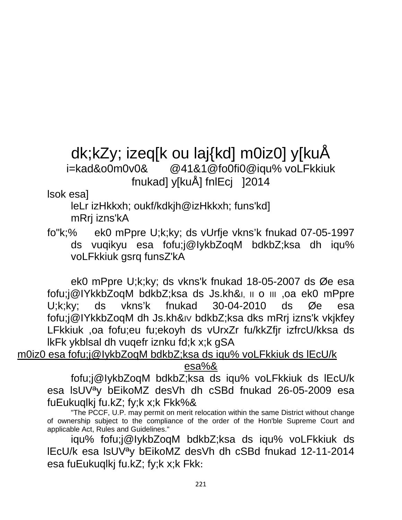# dk;kZy; izeq[k ou laj{kd] m0iz0] y[kuÅ i=kad&o0m0v0& @41&1@fo0fi0@iqu% voLFkkiuk fnukad] y[kuÅ] fnlEcj ]2014

#### lsok esa]

leLr izHkkxh; oukf/kdkjh@izHkkxh; funs'kd] mRrj izns'kA

fo"k;% ek0 mPpre U;k;ky; ds vUrfje vkns'k fnukad 07-05-1997 ds vuqikyu esa fofu;j@IykbZoqM bdkbZ;ksa dh iqu% voLFkkiuk gsrq funsZ'kA

ek0 mPpre U;k;ky; ds vkns'k fnukad 18-05-2007 ds Øe esa fofu;j@IYkkbZoqM bdkbZ;ksa ds Js.kh&I, II o III ,oa ek0 mPpre U;k;ky; ds vkns'k fnukad 30-04-2010 ds Øe esa fofu;j@IYkkbZoqM dh Js.kh&IV bdkbZ;ksa dks mRrj izns'k vkjkfey LFkkiuk ,oa fofu;eu fu;ekoyh ds vUrxZr fu/kkZfjr izfrcU/kksa ds lkFk ykblsal dh vuqefr iznku fd;k x;k gSA

m0iz0 esa fofu;j@IykbZoqM bdkbZ;ksa ds iqu% voLFkkiuk ds lEcU/k

#### esa%&

fofu;j@IykbZoqM bdkbZ;ksa ds iqu% voLFkkiuk ds lEcU/k esa lsUVªy bEikoMZ desVh dh cSBd fnukad 26-05-2009 esa fuEukuqlkj fu.kZ; fy;k x;k Fkk%&

"The PCCF, U.P. may permit on merit relocation within the same District without change of ownership subject to the compliance of the order of the Hon'ble Supreme Court and applicable Act, Rules and Guidelines."

iqu% fofu;j@IykbZoqM bdkbZ;ksa ds iqu% voLFkkiuk ds lEcU/k esa lsUVªy bEikoMZ desVh dh cSBd fnukad 12-11-2014 esa fuEukuqlkj fu.kZ; fy;k x;k Fkk: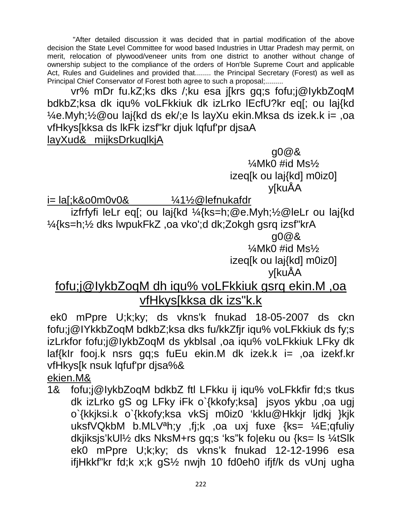"After detailed discussion it was decided that in partial modification of the above decision the State Level Committee for wood based Industries in Uttar Pradesh may permit, on merit, relocation of plywood/veneer units from one district to another without change of ownership subject to the compliance of the orders of Hon'ble Supreme Court and applicable Act, Rules and Guidelines and provided that........ the Principal Secretary (Forest) as well as Principal Chief Conservator of Forest both agree to such a proposal;.........

vr% mDr fu.kZ;ks dks /;ku esa j[krs gq;s fofu;j@IykbZoqM bdkbZ;ksa dk iqu% voLFkkiuk dk izLrko lEcfU?kr eq[; ou laj{kd ¼e.Myh;½@ou laj{kd ds ek/;e ls layXu ekin.Mksa ds izek.k i= ,oa vfHkys[kksa ds lkFk izsf"kr djuk lqfuf'pr djsaA

#### layXud& mijksDrkuqlkjA

 g0@& ¼Mk0 #id Ms½ izeq[k ou laj{kd] m0iz0] y[kuÅA

i= la[;k&o0m0v0& ¼1½@lefnukafdr

izfrfyfi leLr eq[; ou laj{kd ¼{ks=h;@e.Myh;½@leLr ou laj{kd ¼{ks=h;½ dks lwpukFkZ ,oa vko';d dk;Zokgh gsrq izsf"krA g0@&

 $\frac{1}{4}$ Mk0 #id Ms $\frac{1}{2}$ 

izeq[k ou laj{kd] m0iz0]

y[kuÅA

# fofu;j@IykbZoqM dh iqu% voLFkkiuk gsrq ekin.M ,oa vfHkys[kksa dk izs"k.k

ek0 mPpre U;k;ky; ds vkns'k fnukad 18-05-2007 ds ckn fofu;j@IYkkbZoqM bdkbZ;ksa dks fu/kkZfjr iqu% voLFkkiuk ds fy;s izLrkfor fofu;j@IykbZoqM ds ykblsal ,oa iqu% voLFkkiuk LFky dk laf{kIr fooj.k nsrs gq;s fuEu ekin.M dk izek.k i= ,oa izekf.kr vfHkys[k nsuk lqfuf'pr djsa%&

ekien.M&

1& fofu;j@IykbZoqM bdkbZ ftl LFkku ij iqu% voLFkkfir fd;s tkus dk izLrko gS og LFky iFk o`{kkofy;ksa] jsyos ykbu ,oa ugj o`{kkjksi.k o`{kkofy;ksa vkSj m0iz0 'kklu@Hkkjr ljdkj }kjk uksfVQkbM b.MLVªh;y ,fj;k ,oa uxj fuxe {ks= ¼E;qfuliy dkjiksjs'kUl½ dks NksM+rs gq;s 'ks"k fo|eku ou {ks= ls ¼tSlk ek0 mPpre U;k;ky; ds vkns'k fnukad 12-12-1996 esa ifjHkkf"kr fd;k x;k gS½ nwjh 10 fd0eh0 ifjf/k ds vUnj ugha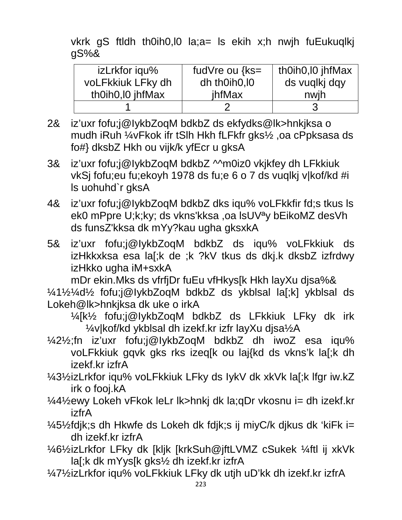vkrk gS ftldh th0ih0, l0 la; a= ls ekih x; h nwjh fuEukuqlkj  $qS%$ &

| izLrkfor iqu%     | fudVre ou $\{ks =$ | th0ih0, l0 jhfMax |
|-------------------|--------------------|-------------------|
| voLFkkiuk LFky dh | dh th0ih0, l0      | ds vuqlkj dqy     |
| th0ih0, l0 jhfMax | jhfMax             | nwih              |
|                   |                    |                   |

- 2& iz'uxr fofu;j@lykbZoqM bdkbZ ds ekfydks@lk>hnkjksa o mudh iRuh ¼vFkok ifr tSlh Hkh fLFkfr gks½, oa cPpksasa ds fo#} dksbZ Hkh ou vijk/k yfEcr u gksA
- iz'uxr fofu:j@lykbZoqM bdkbZ ^^m0iz0 vkjkfey dh LFkkiuk 3& vkSj fofu;eu fu;ekoyh 1978 ds fu;e 6 o 7 ds vuqlkj v|kof/kd #i Is uohuhd'r aksA
- 4& iz'uxr fofu;j@lykbZoqM bdkbZ dks igu% voLFkkfir fd;s tkus ls ek0 mPpre U;k;ky; ds vkns'kksa ,oa lsUV<sup>a</sup>y bEikoMZ desVh ds funsZ'kksa dk mYy?kau ugha gksxkA
- iz'uxr fofu;j@lykbZoqM bdkbZ ds iqu% voLFkkiuk ds 5& izHkkxksa esa la[;k de ;k ?kV tkus ds dkj.k dksbZ izfrdwy izHkko ugha iM+sxkA

mDr ekin. Mks ds vfrfjDr fuEu vfHkys[k Hkh layXu djsa%&

1/41/21/401/2 fofu;j@lykbZoqM bdkbZ ds ykblsal la[;k] ykblsal ds Lokeh@lk>hnkjksa dk uke o irkA

1/4[k1/2 fofu;j@lykbZoqM bdkbZ ds LFkkiuk LFky dk irk 1/4v|kof/kd ykblsal dh izekf.kr izfr layXu djsa1/2A

1/421/<sub>2</sub>;fn iz'uxr fofu;j@lykbZoqM bdkbZ dh iwoZ esa igu% voLFkkiuk gqvk gks rks izeq[k ou laj{kd ds vkns'k la[;k dh izekf.kr izfrA

1/431/2izLrkfor igu% voLFkkiuk LFky ds lykV dk xkVk la[;k lfgr iw.kZ irk o fooj.kA

- 1/41/2ewy Lokeh vFkok leLr lk>hnkj dk la;qDr vkosnu i= dh izekf.kr izfrA
- 1/451/2 fdjk; s dh Hkwfe ds Lokeh dk fdjk; s ij miy C/k djkus dk 'ki Fk i= dh izekf.kr izfrA
- 1/461/2izLrkfor LFky dk [kljk [krkSuh@jftLVMZ cSukek 1/4ftl ij xkVk] la[;k dk mYys[k gks1/2 dh izekf.kr izfrA
- 1/471/2izLrkfor iqu% voLFkkiuk LFky dk utjh uD'kk dh izekf.kr izfrA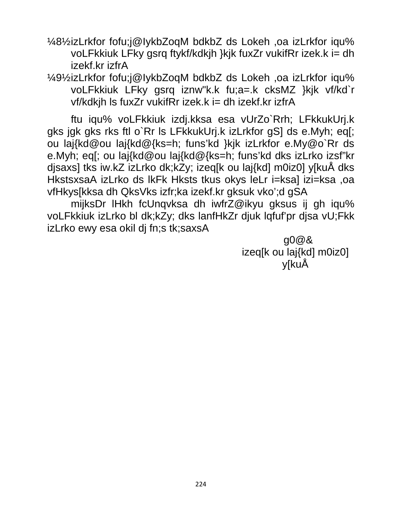1/481/2izLrkfor fofu;j@lykbZoqM bdkbZ ds Lokeh, oa izLrkfor iqu voLFkkiuk LFky gsrg ftykf/kdkjh }kjk fuxZr vukifRr izek.k i= dh izekf.kr izfrA

1/491/2izLrkfor fofu;j@lykbZoqM bdkbZ ds Lokeh, oa izLrkfor iqu voLFkkiuk LFky gsrq iznw"k.k fu;a=.k cksMZ }kjk vf/kd`r vf/kdkih Is fuxZr vukifRr izek.k i= dh izekf.kr izfrA

ftu iqu% voLFkkiuk izdj.kksa esa vUrZo`Rrh; LFkkukUrj.k gks igk gks rks ftl o`Rr Is LFkkukUrj.k izLrkfor gSJ ds e.Myh; eq[; ou laj{kd@ou laj{kd@{ks=h; funs'kd }kjk izLrkfor e.My@o`Rr ds e.Myh; eq[; ou laj{kd@ou laj{kd@{ks=h; funs'kd dks izLrko izsf"kr djsaxs] tks iw.kZ izLrko dk;kZy; izeq[k ou laj{kd] m0iz0] y[kuÅ dks HkstsxsaA izLrko ds IkFk Hksts tkus okys leLr i=ksa] izi=ksa, oa vfHkys[kksa dh QksVks izfr;ka izekf.kr qksuk vko';d qSA

mijksDr IHkh fcUnqvksa dh iwfrZ@ikyu gksus ij gh iqu% voLFkkiuk izLrko bl dk;kZy; dks lanfHkZr djuk lgfuf'pr djsa vU;Fkk izLrko ewy esa okil di fn; s tk; saxsA

> $q0@8$ izeq[k ou laj{kd] m0iz0] y[kuÅ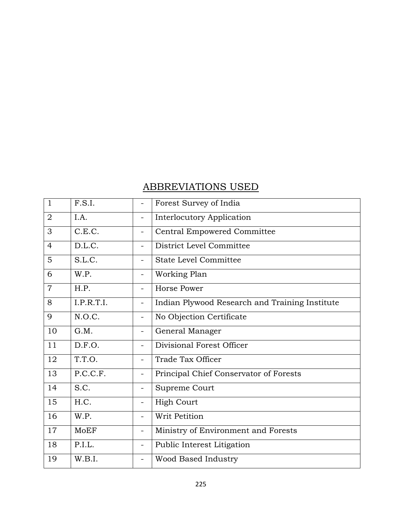## ABBREVIATIONS USED

| $\mathbf{1}$   | F.S.I.     |                              | Forest Survey of India                         |
|----------------|------------|------------------------------|------------------------------------------------|
| $\overline{2}$ | I.A.       | $\overline{\phantom{0}}$     | <b>Interlocutory Application</b>               |
| 3              | C.E.C.     | $\overline{\phantom{0}}$     | <b>Central Empowered Committee</b>             |
| $\overline{4}$ | D.L.C.     | $\equiv$                     | District Level Committee                       |
| 5              | S.L.C.     |                              | <b>State Level Committee</b>                   |
| 6              | W.P.       | $\blacksquare$               | Working Plan                                   |
| $\overline{7}$ | H.P.       | $\qquad \qquad =$            | <b>Horse Power</b>                             |
| 8              | I.P.R.T.I. | $\qquad \qquad -$            | Indian Plywood Research and Training Institute |
| 9              | N.O.C.     | $\qquad \qquad \blacksquare$ | No Objection Certificate                       |
| 10             | G.M.       | $\qquad \qquad \blacksquare$ | General Manager                                |
| 11             | D.F.O.     | $\qquad \qquad \blacksquare$ | Divisional Forest Officer                      |
| 12             | T.T.O.     | $\qquad \qquad \blacksquare$ | Trade Tax Officer                              |
| 13             | P.C.C.F.   | ÷                            | Principal Chief Conservator of Forests         |
| 14             | S.C.       | -                            | Supreme Court                                  |
| 15             | H.C.       | $\qquad \qquad \blacksquare$ | <b>High Court</b>                              |
| 16             | W.P.       | $\overline{\phantom{0}}$     | Writ Petition                                  |
| 17             | MoEF       |                              | Ministry of Environment and Forests            |
| 18             | P.I.L.     |                              | Public Interest Litigation                     |
| 19             | W.B.I.     | Ξ.                           | Wood Based Industry                            |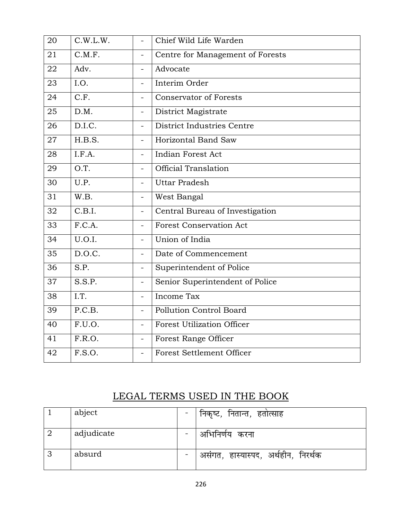| 20 | C.W.L.W. | $\overline{a}$           | Chief Wild Life Warden            |
|----|----------|--------------------------|-----------------------------------|
| 21 | C.M.F.   | $\equiv$                 | Centre for Management of Forests  |
| 22 | Adv.     |                          | Advocate                          |
| 23 | I.O.     | $\overline{\phantom{0}}$ | Interim Order                     |
| 24 | C.F.     |                          | <b>Conservator of Forests</b>     |
| 25 | D.M.     | $\overline{a}$           | District Magistrate               |
| 26 | D.I.C.   |                          | District Industries Centre        |
| 27 | H.B.S.   | L.                       | Horizontal Band Saw               |
| 28 | I.F.A.   | ÷                        | Indian Forest Act                 |
| 29 | O.T.     | $\equiv$                 | <b>Official Translation</b>       |
| 30 | U.P.     | L,                       | <b>Uttar Pradesh</b>              |
| 31 | W.B.     | $\equiv$                 | West Bangal                       |
| 32 | C.B.I.   | $\equiv$                 | Central Bureau of Investigation   |
| 33 | F.C.A.   | $\equiv$                 | <b>Forest Conservation Act</b>    |
| 34 | U.O.I.   | $\blacksquare$           | Union of India                    |
| 35 | D.O.C.   | $\overline{a}$           | Date of Commencement              |
| 36 | S.P.     | $\qquad \qquad -$        | Superintendent of Police          |
| 37 | S.S.P.   | $\equiv$                 | Senior Superintendent of Police   |
| 38 | I.T.     | $\overline{\phantom{0}}$ | Income Tax                        |
| 39 | P.C.B.   | $\equiv$                 | Pollution Control Board           |
| 40 | F.U.O.   | $\overline{a}$           | <b>Forest Utilization Officer</b> |
| 41 | F.R.O.   | $\equiv$                 | Forest Range Officer              |
| 42 | F.S.O.   | $\overline{\phantom{0}}$ | <b>Forest Settlement Officer</b>  |

## LEGAL TERMS USED IN THE BOOK

|   | abject     | निकृष्ट, नितान्त, हतोत्साह          |
|---|------------|-------------------------------------|
|   | adjudicate | अभिनिर्णय करना                      |
| 3 | absurd     | असंगत, हास्यास्पद, अर्थहीन, निरर्थक |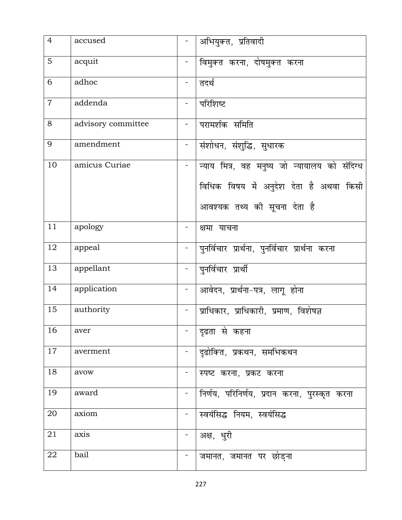| $\overline{4}$ | accused            |                | अभियुक्त, प्रतिवादी                             |
|----------------|--------------------|----------------|-------------------------------------------------|
| 5              | acquit             |                | विमुक्त करना, दोषमुक्त करना                     |
| 6              | adhoc              | $\blacksquare$ | तदर्थ                                           |
| $\overline{7}$ | addenda            |                | परिशिष्ट                                        |
| 8              | advisory committee |                | परामर्शक समिति                                  |
| 9              | amendment          |                | संशोधन, संशुद्धि, सुधारक                        |
| 10             | amicus Curiae      |                | न्याय मित्र, वह मनुष्य जो न्यायालय को संदिग्ध   |
|                |                    |                | विधिक विषय में अनुदेश देता है अथवा किसी         |
|                |                    |                | आवश्यक तथ्य की सूचना देता है                    |
| 11             | apology            |                | क्षमा याचना                                     |
| 12             | appeal             | $\blacksquare$ | पुनर्विचार प्रार्थना, पुनर्विचार प्रार्थना करना |
| 13             | appellant          | $\blacksquare$ | पुनर्विचार प्रार्थी                             |
| 14             | application        |                | आवेदन, प्रार्थना-पत्र, लागू होना                |
| 15             | authority          |                | प्राधिकार, प्राधिकारी, प्रमाण, विशेषज्ञ         |
| 16             | aver               |                | दृढता से कहना                                   |
| 17             | averment           |                | दृढोक्ति, प्रकथन, समभिकथन                       |
| 18             | avow               |                | स्पष्ट करना, प्रकट करना                         |
| 19             | award              |                | निर्णय, परिनिर्णय, प्रदान करना, पुरस्कृत करना   |
| 20             | axiom              |                | स्वयंसिद्ध नियम, स्वयंसिद्ध                     |
| 21             | axis               | Ξ.             | अक्ष, धुरी                                      |
| 22             | bail               |                | जमानत, जमानत पर छोड़ना                          |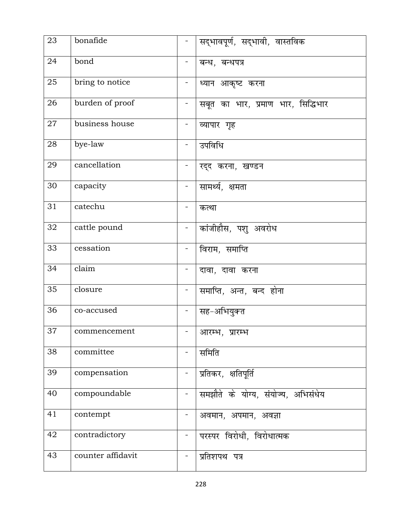| 23              | bonafide          | $\equiv$                     | सद्भावपूर्ण, सद्भावी, वास्तविक     |
|-----------------|-------------------|------------------------------|------------------------------------|
| 24              | bond              |                              | बन्ध, बन्धपत्र                     |
| 25              | bring to notice   | $\qquad \qquad \blacksquare$ | ध्यान आकृष्ट करना                  |
| 26              | burden of proof   | $\blacksquare$               | सबूत का भार, प्रमाण भार, सिद्धिभार |
| 27              | business house    | Ξ.                           | व्यापार गृह                        |
| 28              | bye-law           |                              | उपविधि                             |
| 29              | cancellation      |                              | रद्द करना, खण्डन                   |
| 30              | capacity          | $\blacksquare$               | सामर्थ्य, क्षमता                   |
| 31              | catechu           | ۰                            | कत्था                              |
| 32              | cattle pound      | $\overline{\phantom{a}}$     | कांजीहौस, पशु अवरोध                |
| 33              | cessation         | -                            | विराम, समाप्ति                     |
| 34              | claim             | $\overline{\phantom{a}}$     | दावा, दावा करना                    |
| 35              | closure           |                              | समाप्ति, अन्त, बन्द होना           |
| 36              | co-accused        | $\blacksquare$               | सह-अभियुक्त                        |
| $\overline{37}$ | commencement      |                              | आरम्भ, प्रारम्भ                    |
| 38              | committee         | $\blacksquare$               | समिति                              |
| 39              | compensation      |                              | प्रतिकर, क्षतिपूर्ति               |
| 40              | compoundable      | $\qquad \qquad \blacksquare$ | समझौते के योग्य, संयोज्य, अभिसंधेय |
| 41              | contempt          | Ξ.                           | अवमान, अपमान, अवज्ञा               |
| 42              | contradictory     | $\qquad \qquad \blacksquare$ | परस्पर विरोधी, विरोधात्मक          |
| 43              | counter affidavit |                              | प्रतिशपथ पत्र                      |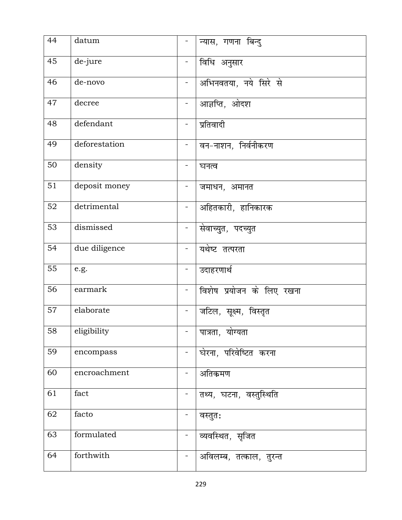| 44              | datum         |                              | न्यास, गणना बिन्दु        |
|-----------------|---------------|------------------------------|---------------------------|
| 45              | de-jure       |                              | विधि अनुसार               |
| 46              | de-novo       | $\blacksquare$               | अभिनवतया, नये सिरे से     |
| 47              | decree        | $\qquad \qquad \blacksquare$ | आज्ञप्ति, ओदश             |
| 48              | defendant     | $\blacksquare$               | प्रतिवादी                 |
| 49              | deforestation | -                            | वन-नाशन, निर्वनीकरण       |
| 50              | density       | $\qquad \qquad \blacksquare$ | घनत्व                     |
| 51              | deposit money | -                            | जमाधन, अमानत              |
| 52              | detrimental   | $\blacksquare$               | अहितकारी, हानिकारक        |
| 53              | dismissed     | -                            | सेवाच्युत, पदच्युत        |
| 54              | due diligence | $\blacksquare$               | यथेष्ट तत्परता            |
| 55              | e.g.          | $\blacksquare$               | उदाहरणार्थ                |
| 56              | earmark       | $\overline{\phantom{0}}$     | विशेष प्रयोजन के लिए रखना |
| 57              | elaborate     | $\blacksquare$               | जटिल, सूक्ष्म, विस्तृत    |
| $\overline{58}$ | eligibility   |                              | पात्रता, योग्यता          |
| 59              | encompass     | -                            | घेरना, परिवेष्टित करना    |
| 60              | encroachment  |                              | अतिकमण                    |
| 61              | fact          | -                            | तथ्य, घटना, वस्तुस्थिति   |
| 62              | facto         | -                            | वस्तुत:                   |
| 63              | formulated    | $\qquad \qquad \blacksquare$ | व्यवस्थित, सृजित          |
| 64              | forthwith     |                              | अविलम्ब, तत्काल, तुरन्त   |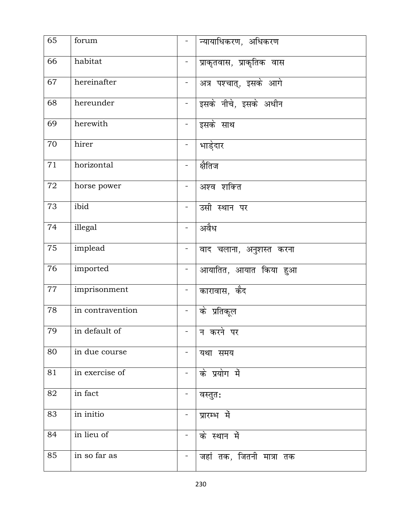| 65 | forum            | -                            | न्यायाधिकरण, अधिकरण       |
|----|------------------|------------------------------|---------------------------|
| 66 | habitat          | $\blacksquare$               | प्राकृतवास, प्राकृतिक वास |
| 67 | hereinafter      | $\blacksquare$               | अत्र पश्चात्, इसके आगे    |
| 68 | hereunder        | $\blacksquare$               | इसके नीचे, इसके अधीन      |
| 69 | herewith         | $\blacksquare$               | इसके साथ                  |
| 70 | hirer            | $\qquad \qquad \blacksquare$ | भाडे़दार                  |
| 71 | horizontal       |                              | क्षैतिज                   |
| 72 | horse power      | -                            | अश्व शक्ति                |
| 73 | ibid             | $\blacksquare$               | उसी स्थान पर              |
| 74 | illegal          |                              | अवैध                      |
| 75 | implead          | $\blacksquare$               | वाद चलाना, अनुशस्त करना   |
| 76 | imported         | $\qquad \qquad \blacksquare$ | आयातित, आयात किया हुआ     |
| 77 | imprisonment     | $\qquad \qquad \blacksquare$ | कारावास, कैद              |
| 78 | in contravention |                              | के प्रतिकूल               |
| 79 | in default of    |                              | न करने पर                 |
| 80 | in due course    | -                            | यथा समय                   |
| 81 | in exercise of   | $\qquad \qquad \blacksquare$ | के प्रयोग में             |
| 82 | in fact          |                              | वस्तुत:                   |
| 83 | in initio        | -                            | प्रारम्भ में              |
| 84 | in lieu of       | $\blacksquare$               | के स्थान में              |
| 85 | in so far as     |                              | जहां तक, जितनी मात्रा तक  |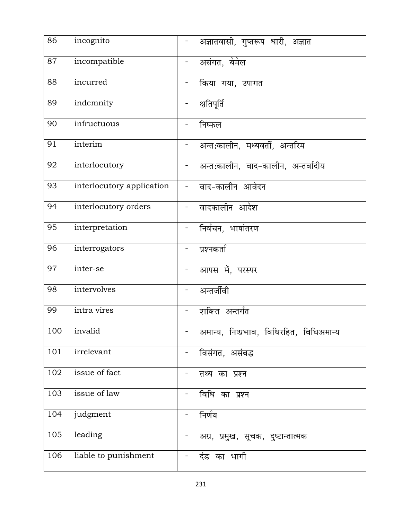| 86  | incognito                 | $\frac{1}{2}$                | अज्ञातवासी, गुप्तरूप धारी, अज्ञात        |
|-----|---------------------------|------------------------------|------------------------------------------|
| 87  | incompatible              |                              | असंगत, बेमेल                             |
| 88  | incurred                  |                              | किया गया, उपागत                          |
| 89  | indemnity                 | $\blacksquare$               | क्षतिपूर्ति                              |
| 90  | infructuous               |                              | निष्फल                                   |
| 91  | interim                   |                              | अन्त:कालीन, मध्यवर्ती, अन्तरिम           |
| 92  | interlocutory             | $\qquad \qquad \blacksquare$ | अन्त:कालीन, वाद-कालीन, अन्तर्वादीय       |
| 93  | interlocutory application | $\blacksquare$               | वाद-कालीन आवेदन                          |
| 94  | interlocutory orders      | $\equiv$                     | वादकालीन आदेश                            |
| 95  | interpretation            |                              | निर्वचन, भाषांतरण                        |
| 96  | interrogators             | $\blacksquare$               | प्रश्नकर्ता                              |
| 97  | inter-se                  | $\blacksquare$               | आपस में, परस्पर                          |
| 98  | intervolves               |                              | अन्तर्जीवी                               |
| 99  | intra vires               | $\blacksquare$               | शक्ति अन्तर्गत                           |
| 100 | invalid                   |                              | अमान्य, निष्प्रभाव, विधिरहित, विधिअमान्य |
| 101 | irrelevant                |                              | विसंगत, असंबद्ध                          |
| 102 | issue of fact             |                              | तथ्य का प्रश्न                           |
| 103 | issue of law              | $\blacksquare$               | विधि का प्रश्न                           |
| 104 | judgment                  | $\blacksquare$               | निर्णय                                   |
| 105 | leading                   |                              | अग्र, प्रमुख, सूचक, दुष्टान्तात्मक       |
| 106 | liable to punishment      |                              | दंड का भागी                              |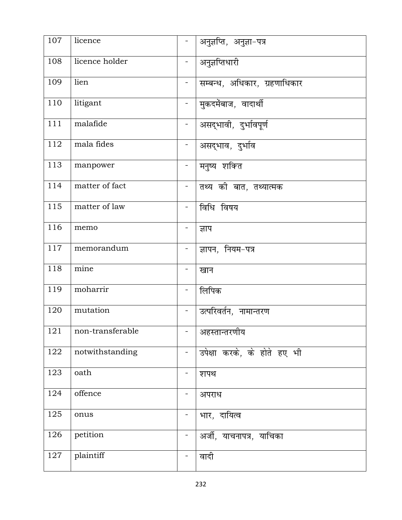| 107              | licence          | $\overline{\phantom{0}}$     | अनुज्ञप्ति, अनुज्ञा-पत्र     |
|------------------|------------------|------------------------------|------------------------------|
| 108              | licence holder   |                              | अनुज्ञप्तिधारी               |
| 109              | lien             | $\blacksquare$               | सम्बन्ध, अधिकार, ग्रहणाधिकार |
| 110              | litigant         | $\qquad \qquad \blacksquare$ | मुकदमेंबाज, वादार्थी         |
| 111              | malafide         | $\frac{1}{2}$                | असद्भावी, दुर्भावपूर्ण       |
| 112              | mala fides       | $\equiv$                     | असद्भाव, दुर्भाव             |
| 113              | manpower         | $\overline{\phantom{0}}$     | मनुष्य शक्ति                 |
| 114              | matter of fact   | $\blacksquare$               | तथ्य की बात, तथ्यात्मक       |
| 115              | matter of law    | $\overline{\phantom{0}}$     | विधि विषय                    |
| 116              | memo             |                              | ज्ञाप                        |
| 117              | memorandum       | Ξ.                           | ज्ञापन, नियम-पत्र            |
| 118              | mine             | -                            | खान                          |
| 119              | moharrir         | ÷,                           | लिपिक                        |
| 120              | mutation         | $\blacksquare$               | उत्परिवर्तन, नामान्तरण       |
| $\overline{121}$ | non-transferable |                              | अहस्तान्तरणीय                |
| 122              | notwithstanding  | -                            | उपेक्षा करके, के होते हए भी  |
| 123              | oath             |                              | शपथ                          |
| 124              | offence          | -                            | अपराध                        |
| 125              | onus             |                              | भार, दायित्व                 |
| 126              | petition         | $\blacksquare$               | अर्जी, याचनापत्र, याचिका     |
| 127              | plaintiff        |                              | वादी                         |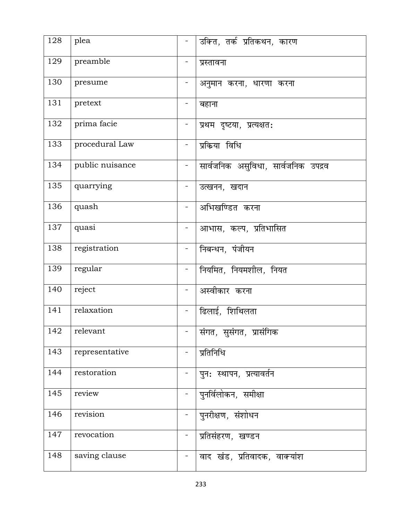| 128 | plea            | $\blacksquare$ | उक्ति, तर्क प्रतिकथन, कारण          |
|-----|-----------------|----------------|-------------------------------------|
| 129 | preamble        |                | प्रस्तावना                          |
| 130 | presume         | $\blacksquare$ | अनुमान करना, धारणा करना             |
| 131 | pretext         | -              | बहाना                               |
| 132 | prima facie     |                | प्रथम दृष्टया, प्रत्यक्षत:          |
| 133 | procedural Law  |                | प्रकिया विधि                        |
| 134 | public nuisance |                | सार्वजनिक असुविधा, सार्वजनिक उपद्रव |
| 135 | quarrying       |                | उत्खनन, खदान                        |
| 136 | quash           | $\blacksquare$ | अभिखण्डित करना                      |
| 137 | quasi           |                | आभास, कल्प, प्रतिभासित              |
| 138 | registration    | $\blacksquare$ | निबन्धन, पंजीयन                     |
| 139 | regular         | $\frac{1}{2}$  | नियमित, नियमशील, नियत               |
| 140 | reject          |                | अस्वीकार करना                       |
| 141 | relaxation      | Ξ.             | ढिलाई, शिथिलता                      |
| 142 | relevant        |                | संगत, सुसंगत, प्रासंगिक             |
| 143 | representative  |                | प्रतिनिधि                           |
| 144 | restoration     |                | पुन: स्थापन, प्रत्यावर्तन           |
| 145 | review          | $\equiv$       | पुनर्विलोकन, समीक्षा                |
| 146 | revision        |                | पुनरीक्षण, संशोधन                   |
| 147 | revocation      |                | प्रतिसंहरण, खण्डन                   |
| 148 | saving clause   |                | वाद खंड, प्रतिवादक, वाक्यांश        |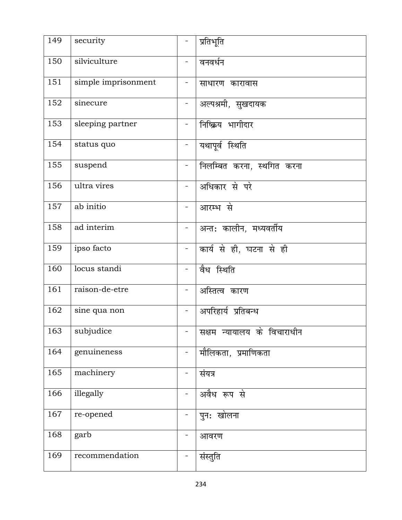| 149 | security            | $\blacksquare$               | प्रतिभूति                   |
|-----|---------------------|------------------------------|-----------------------------|
| 150 | silviculture        |                              | वनवर्धन                     |
| 151 | simple imprisonment | $\blacksquare$               | साधारण कारावास              |
| 152 | sinecure            | $\blacksquare$               | अल्पश्रमी, सुखदायक          |
| 153 | sleeping partner    |                              | निष्क्रिय भागीदार           |
| 154 | status quo          | $\blacksquare$               | यथापूर्व स्थिति             |
| 155 | suspend             | $\overline{\phantom{0}}$     | निलम्बित करना, स्थगित करना  |
| 156 | ultra vires         | $\blacksquare$               | अधिकार से परे               |
| 157 | ab initio           | $\overline{\phantom{0}}$     | आरम्भ से                    |
| 158 | ad interim          | $\overline{\phantom{0}}$     | अन्त: कालीन, मध्यवर्तीय     |
| 159 | ipso facto          | $\blacksquare$               | कार्य से ही, घटना से ही     |
| 160 | locus standi        | $\blacksquare$               | वैध स्थिति                  |
| 161 | raison-de-etre      |                              | अस्तित्व कारण               |
| 162 | sine qua non        | $\qquad \qquad \blacksquare$ | अपरिहार्य प्रतिबन्ध         |
| 163 | subjudice           |                              | सक्षम न्यायालय के विचाराधीन |
| 164 | genuineness         | $\equiv$                     | मौलिकता, प्रमाणिकता         |
| 165 | machinery           | -                            | संयत्र                      |
| 166 | illegally           | $\blacksquare$               | अवैध रूप से                 |
| 167 | re-opened           | ۳                            | पुन: खोलना                  |
| 168 | garb                | -                            | आवरण                        |
| 169 | recommendation      |                              | संस्तुति                    |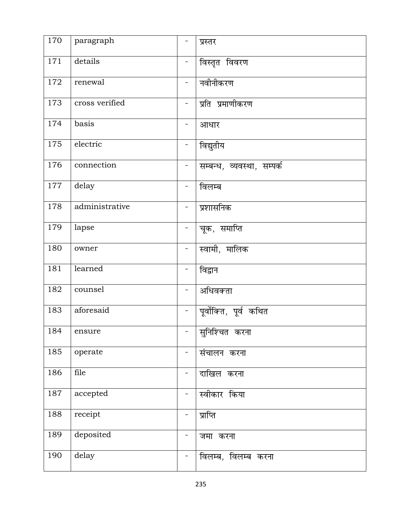| 170 | paragraph      | -                            | प्रस्तर                    |
|-----|----------------|------------------------------|----------------------------|
| 171 | details        |                              | विस्तृत विवरण              |
| 172 | renewal        | $\blacksquare$               | नवीनीकरण                   |
| 173 | cross verified | -                            | प्रति प्रमाणीकरण           |
| 174 | basis          | -                            | आधार                       |
| 175 | electric       | $\overline{\phantom{0}}$     | विद्युतीय                  |
| 176 | connection     | -                            | सम्बन्ध, व्यवस्था, सम्पर्क |
| 177 | delay          | $\qquad \qquad \blacksquare$ | विलम्ब                     |
| 178 | administrative | $\blacksquare$               | प्रशासनिक                  |
| 179 | lapse          |                              | चूक, समाप्ति               |
| 180 | owner          | $\blacksquare$               | स्वामी, मालिक              |
| 181 | learned        | $\blacksquare$               | विद्वान                    |
| 182 | counsel        | $\overline{\phantom{0}}$     | अधिवक्ता                   |
| 183 | aforesaid      | $\blacksquare$               | पूर्वोक्ति, पूर्व कथित     |
| 184 | ensure         |                              | ——<br>सुनिश्चित करना       |
| 185 | operate        | $\blacksquare$               | संचालन करना                |
| 186 | file           |                              | दाखिल करना                 |
| 187 | accepted       | $\qquad \qquad \blacksquare$ | स्वीकार किया               |
| 188 | receipt        | -                            | प्राप्ति                   |
| 189 | deposited      | -                            | जमा करना                   |
| 190 | delay          |                              | विलम्ब, विलम्ब करना        |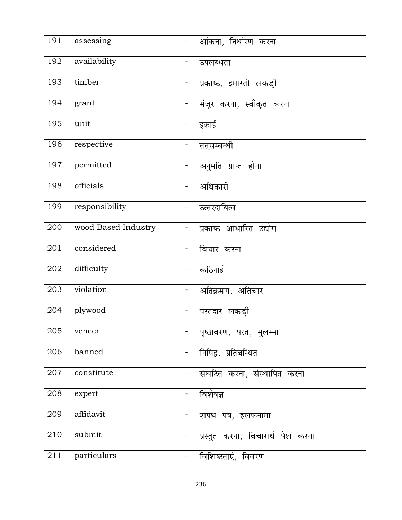| 191              | assessing           |                              | आंकना, निर्धारण करना              |
|------------------|---------------------|------------------------------|-----------------------------------|
| 192              | availability        |                              | उपलब्धता                          |
| 193              | timber              | $\qquad \qquad \blacksquare$ | प्रकाष्ठ, इमारती लकड़ी            |
| 194              | grant               | $\qquad \qquad \blacksquare$ | मंजूर करना, स्वीकृत करना          |
| 195              | unit                | $\blacksquare$               | इकाई                              |
| 196              | respective          |                              | तत्सम्बन्धी                       |
| 197              | permitted           | $\overline{\phantom{0}}$     | अनुमति प्राप्त होना               |
| 198              | officials           | $\blacksquare$               | अधिकारी                           |
| 199              | responsibility      | $\overline{\phantom{a}}$     | उत्तरदायित्व                      |
| 200              | wood Based Industry |                              | प्रकाष्ठ आधारित उद्योग            |
| $\overline{201}$ | considered          | $\qquad \qquad \blacksquare$ | विचार करना                        |
| 202              | difficulty          | $\equiv$                     | कठिनाई                            |
| 203              | violation           | $\blacksquare$               | अतिक्रमण, अतिचार                  |
| 204              | plywood             | $\qquad \qquad \blacksquare$ | परतदार लकड़ी                      |
| $\overline{205}$ | veneer              |                              | पृष्ठावरण, परत, मुलम्मा           |
| 206              | banned              |                              | निषिद्व, प्रतिबन्धित              |
| 207              | constitute          |                              | संघटित करना, संस्थापित करना       |
| 208              | expert              | $\overline{\phantom{a}}$     | विशेषज्ञ                          |
| 209              | affidavit           |                              | शपथ पत्र, हलफनामा                 |
| 210              | submit              | Ξ.                           | प्रस्तुत करना, विचारार्थ पेश करना |
| 211              | particulars         |                              | विशिष्टताएं, विवरण                |